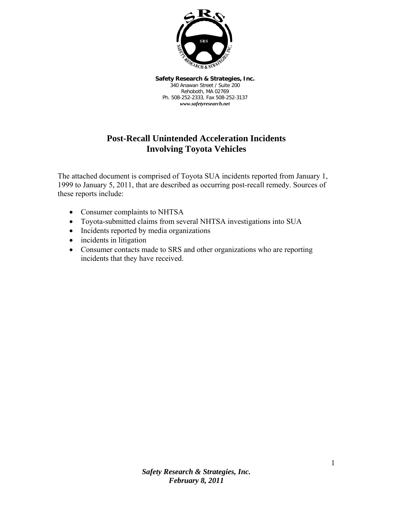

**Safety Research & Strategies, Inc.**  340 Anawan Street / Suite 200 Rehoboth, MA 02769 Ph. 508-252-2333, Fax 508-252-3137 *www.safetyresearch.net*

# **Post-Recall Unintended Acceleration Incidents Involving Toyota Vehicles**

The attached document is comprised of Toyota SUA incidents reported from January 1, 1999 to January 5, 2011, that are described as occurring post-recall remedy. Sources of these reports include:

- Consumer complaints to NHTSA
- Toyota-submitted claims from several NHTSA investigations into SUA
- Incidents reported by media organizations
- incidents in litigation
- Consumer contacts made to SRS and other organizations who are reporting incidents that they have received.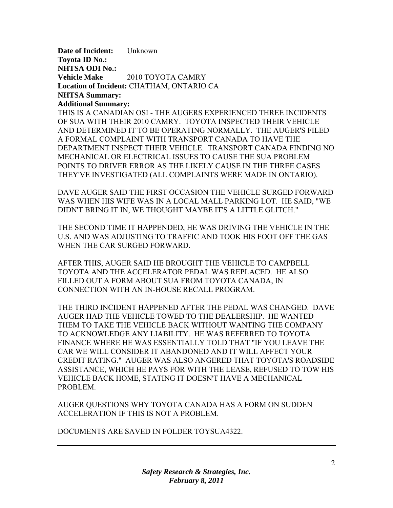**Date of Incident:** Unknown **Toyota ID No.: NHTSA ODI No.: Vehicle Make** 2010 TOYOTA CAMRY **Location of Incident:** CHATHAM, ONTARIO CA **NHTSA Summary: Additional Summary:** 

THIS IS A CANADIAN OSI - THE AUGERS EXPERIENCED THREE INCIDENTS OF SUA WITH THEIR 2010 CAMRY. TOYOTA INSPECTED THEIR VEHICLE AND DETERMINED IT TO BE OPERATING NORMALLY. THE AUGER'S FILED A FORMAL COMPLAINT WITH TRANSPORT CANADA TO HAVE THE DEPARTMENT INSPECT THEIR VEHICLE. TRANSPORT CANADA FINDING NO MECHANICAL OR ELECTRICAL ISSUES TO CAUSE THE SUA PROBLEM POINTS TO DRIVER ERROR AS THE LIKELY CAUSE IN THE THREE CASES THEY'VE INVESTIGATED (ALL COMPLAINTS WERE MADE IN ONTARIO).

DAVE AUGER SAID THE FIRST OCCASION THE VEHICLE SURGED FORWARD WAS WHEN HIS WIFE WAS IN A LOCAL MALL PARKING LOT. HE SAID, "WE DIDN'T BRING IT IN, WE THOUGHT MAYBE IT'S A LITTLE GLITCH."

THE SECOND TIME IT HAPPENDED, HE WAS DRIVING THE VEHICLE IN THE U.S. AND WAS ADJUSTING TO TRAFFIC AND TOOK HIS FOOT OFF THE GAS WHEN THE CAR SURGED FORWARD.

AFTER THIS, AUGER SAID HE BROUGHT THE VEHICLE TO CAMPBELL TOYOTA AND THE ACCELERATOR PEDAL WAS REPLACED. HE ALSO FILLED OUT A FORM ABOUT SUA FROM TOYOTA CANADA, IN CONNECTION WITH AN IN-HOUSE RECALL PROGRAM.

THE THIRD INCIDENT HAPPENED AFTER THE PEDAL WAS CHANGED. DAVE AUGER HAD THE VEHICLE TOWED TO THE DEALERSHIP. HE WANTED THEM TO TAKE THE VEHICLE BACK WITHOUT WANTING THE COMPANY TO ACKNOWLEDGE ANY LIABILITY. HE WAS REFERRED TO TOYOTA FINANCE WHERE HE WAS ESSENTIALLY TOLD THAT "IF YOU LEAVE THE CAR WE WILL CONSIDER IT ABANDONED AND IT WILL AFFECT YOUR CREDIT RATING." AUGER WAS ALSO ANGERED THAT TOYOTA'S ROADSIDE ASSISTANCE, WHICH HE PAYS FOR WITH THE LEASE, REFUSED TO TOW HIS VEHICLE BACK HOME, STATING IT DOESN'T HAVE A MECHANICAL PROBLEM.

AUGER QUESTIONS WHY TOYOTA CANADA HAS A FORM ON SUDDEN ACCELERATION IF THIS IS NOT A PROBLEM.

DOCUMENTS ARE SAVED IN FOLDER TOYSUA4322.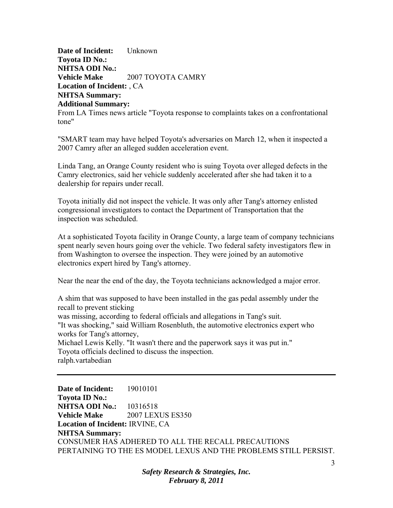**Date of Incident:** Unknown **Toyota ID No.: NHTSA ODI No.: Vehicle Make** 2007 TOYOTA CAMRY **Location of Incident:** , CA **NHTSA Summary: Additional Summary:** 

From LA Times news article "Toyota response to complaints takes on a confrontational tone"

"SMART team may have helped Toyota's adversaries on March 12, when it inspected a 2007 Camry after an alleged sudden acceleration event.

Linda Tang, an Orange County resident who is suing Toyota over alleged defects in the Camry electronics, said her vehicle suddenly accelerated after she had taken it to a dealership for repairs under recall.

Toyota initially did not inspect the vehicle. It was only after Tang's attorney enlisted congressional investigators to contact the Department of Transportation that the inspection was scheduled.

At a sophisticated Toyota facility in Orange County, a large team of company technicians spent nearly seven hours going over the vehicle. Two federal safety investigators flew in from Washington to oversee the inspection. They were joined by an automotive electronics expert hired by Tang's attorney.

Near the near the end of the day, the Toyota technicians acknowledged a major error.

A shim that was supposed to have been installed in the gas pedal assembly under the recall to prevent sticking was missing, according to federal officials and allegations in Tang's suit. "It was shocking," said William Rosenbluth, the automotive electronics expert who works for Tang's attorney, Michael Lewis Kelly. "It wasn't there and the paperwork says it was put in." Toyota officials declined to discuss the inspection. ralph.vartabedian

**Date of Incident:** 19010101 **Toyota ID No.: NHTSA ODI No.:** 10316518 **Vehicle Make** 2007 LEXUS ES350 **Location of Incident:** IRVINE, CA **NHTSA Summary:**  CONSUMER HAS ADHERED TO ALL THE RECALL PRECAUTIONS PERTAINING TO THE ES MODEL LEXUS AND THE PROBLEMS STILL PERSIST.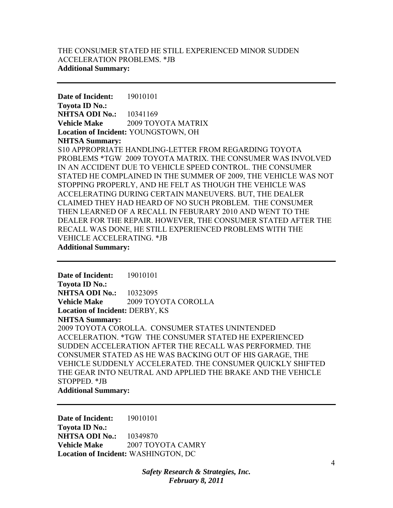# THE CONSUMER STATED HE STILL EXPERIENCED MINOR SUDDEN ACCELERATION PROBLEMS. \*JB **Additional Summary:**

**Date of Incident:** 19010101 **Toyota ID No.: NHTSA ODI No.:** 10341169 **Vehicle Make** 2009 TOYOTA MATRIX **Location of Incident:** YOUNGSTOWN, OH **NHTSA Summary:**  S10 APPROPRIATE HANDLING-LETTER FROM REGARDING TOYOTA PROBLEMS \*TGW 2009 TOYOTA MATRIX. THE CONSUMER WAS INVOLVED IN AN ACCIDENT DUE TO VEHICLE SPEED CONTROL. THE CONSUMER STATED HE COMPLAINED IN THE SUMMER OF 2009, THE VEHICLE WAS NOT STOPPING PROPERLY, AND HE FELT AS THOUGH THE VEHICLE WAS ACCELERATING DURING CERTAIN MANEUVERS. BUT, THE DEALER CLAIMED THEY HAD HEARD OF NO SUCH PROBLEM. THE CONSUMER THEN LEARNED OF A RECALL IN FEBURARY 2010 AND WENT TO THE DEALER FOR THE REPAIR. HOWEVER, THE CONSUMER STATED AFTER THE RECALL WAS DONE, HE STILL EXPERIENCED PROBLEMS WITH THE VEHICLE ACCELERATING. \*JB **Additional Summary:** 

**Date of Incident:** 19010101 **Toyota ID No.: NHTSA ODI No.:** 10323095 **Vehicle Make** 2009 TOYOTA COROLLA **Location of Incident:** DERBY, KS **NHTSA Summary:**  2009 TOYOTA COROLLA. CONSUMER STATES UNINTENDED ACCELERATION. \*TGW THE CONSUMER STATED HE EXPERIENCED SUDDEN ACCELERATION AFTER THE RECALL WAS PERFORMED. THE CONSUMER STATED AS HE WAS BACKING OUT OF HIS GARAGE, THE VEHICLE SUDDENLY ACCELERATED. THE CONSUMER QUICKLY SHIFTED THE GEAR INTO NEUTRAL AND APPLIED THE BRAKE AND THE VEHICLE STOPPED. \*JB **Additional Summary:** 

**Date of Incident:** 19010101 **Toyota ID No.: NHTSA ODI No.:** 10349870 **Vehicle Make** 2007 TOYOTA CAMRY **Location of Incident:** WASHINGTON, DC

> *Safety Research & Strategies, Inc. February 8, 2011*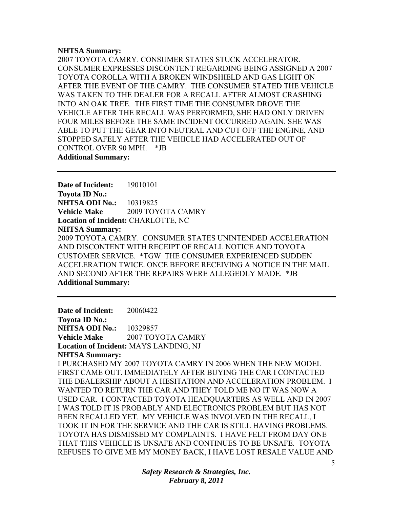### **NHTSA Summary:**

2007 TOYOTA CAMRY. CONSUMER STATES STUCK ACCELERATOR. CONSUMER EXPRESSES DISCONTENT REGARDING BEING ASSIGNED A 2007 TOYOTA COROLLA WITH A BROKEN WINDSHIELD AND GAS LIGHT ON AFTER THE EVENT OF THE CAMRY. THE CONSUMER STATED THE VEHICLE WAS TAKEN TO THE DEALER FOR A RECALL AFTER ALMOST CRASHING INTO AN OAK TREE. THE FIRST TIME THE CONSUMER DROVE THE VEHICLE AFTER THE RECALL WAS PERFORMED, SHE HAD ONLY DRIVEN FOUR MILES BEFORE THE SAME INCIDENT OCCURRED AGAIN. SHE WAS ABLE TO PUT THE GEAR INTO NEUTRAL AND CUT OFF THE ENGINE, AND STOPPED SAFELY AFTER THE VEHICLE HAD ACCELERATED OUT OF CONTROL OVER 90 MPH. \*JB **Additional Summary:** 

**Date of Incident:** 19010101 **Toyota ID No.: NHTSA ODI No.:** 10319825 **Vehicle Make** 2009 TOYOTA CAMRY **Location of Incident:** CHARLOTTE, NC **NHTSA Summary:**  2009 TOYOTA CAMRY. CONSUMER STATES UNINTENDED ACCELERATION AND DISCONTENT WITH RECEIPT OF RECALL NOTICE AND TOYOTA CUSTOMER SERVICE. \*TGW THE CONSUMER EXPERIENCED SUDDEN ACCELERATION TWICE. ONCE BEFORE RECEIVING A NOTICE IN THE MAIL AND SECOND AFTER THE REPAIRS WERE ALLEGEDLY MADE. \*JB **Additional Summary:** 

**Date of Incident:** 20060422 **Toyota ID No.: NHTSA ODI No.: 10329857 Vehicle Make** 2007 TOYOTA CAMRY **Location of Incident:** MAYS LANDING, NJ **NHTSA Summary:**  I PURCHASED MY 2007 TOYOTA CAMRY IN 2006 WHEN THE NEW MODEL FIRST CAME OUT. IMMEDIATELY AFTER BUYING THE CAR I CONTACTED THE DEALERSHIP ABOUT A HESITATION AND ACCELERATION PROBLEM. I WANTED TO RETURN THE CAR AND THEY TOLD ME NO IT WAS NOW A USED CAR. I CONTACTED TOYOTA HEADQUARTERS AS WELL AND IN 2007 I WAS TOLD IT IS PROBABLY AND ELECTRONICS PROBLEM BUT HAS NOT BEEN RECALLED YET. MY VEHICLE WAS INVOLVED IN THE RECALL, I TOOK IT IN FOR THE SERVICE AND THE CAR IS STILL HAVING PROBLEMS. TOYOTA HAS DISMISSED MY COMPLAINTS. I HAVE FELT FROM DAY ONE THAT THIS VEHICLE IS UNSAFE AND CONTINUES TO BE UNSAFE. TOYOTA REFUSES TO GIVE ME MY MONEY BACK, I HAVE LOST RESALE VALUE AND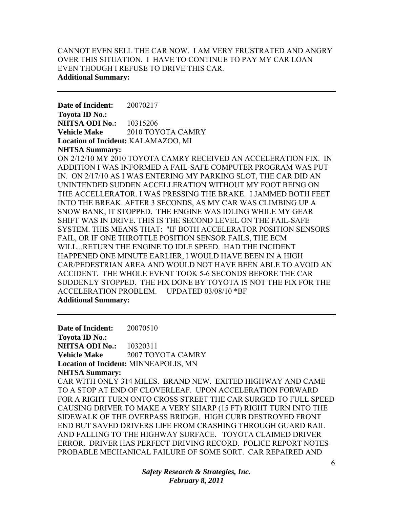# CANNOT EVEN SELL THE CAR NOW. I AM VERY FRUSTRATED AND ANGRY OVER THIS SITUATION. I HAVE TO CONTINUE TO PAY MY CAR LOAN EVEN THOUGH I REFUSE TO DRIVE THIS CAR. **Additional Summary:**

**Date of Incident:** 20070217 **Toyota ID No.: NHTSA ODI No.: 10315206 Vehicle Make** 2010 TOYOTA CAMRY **Location of Incident:** KALAMAZOO, MI **NHTSA Summary:** 

ON 2/12/10 MY 2010 TOYOTA CAMRY RECEIVED AN ACCELERATION FIX. IN ADDITION I WAS INFORMED A FAIL-SAFE COMPUTER PROGRAM WAS PUT IN. ON 2/17/10 AS I WAS ENTERING MY PARKING SLOT, THE CAR DID AN UNINTENDED SUDDEN ACCELLERATION WITHOUT MY FOOT BEING ON THE ACCELLERATOR. I WAS PRESSING THE BRAKE. I JAMMED BOTH FEET INTO THE BREAK. AFTER 3 SECONDS, AS MY CAR WAS CLIMBING UP A SNOW BANK, IT STOPPED. THE ENGINE WAS IDLING WHILE MY GEAR SHIFT WAS IN DRIVE. THIS IS THE SECOND LEVEL ON THE FAIL-SAFE SYSTEM. THIS MEANS THAT: "IF BOTH ACCELERATOR POSITION SENSORS FAIL, OR IF ONE THROTTLE POSITION SENSOR FAILS, THE ECM WILL...RETURN THE ENGINE TO IDLE SPEED. HAD THE INCIDENT HAPPENED ONE MINUTE EARLIER, I WOULD HAVE BEEN IN A HIGH CAR/PEDESTRIAN AREA AND WOULD NOT HAVE BEEN ABLE TO AVOID AN ACCIDENT. THE WHOLE EVENT TOOK 5-6 SECONDS BEFORE THE CAR SUDDENLY STOPPED. THE FIX DONE BY TOYOTA IS NOT THE FIX FOR THE ACCELERATION PROBLEM. UPDATED 03/08/10 \*BF **Additional Summary:** 

**Date of Incident:** 20070510 **Toyota ID No.: NHTSA ODI No.:** 10320311 **Vehicle Make** 2007 TOYOTA CAMRY **Location of Incident:** MINNEAPOLIS, MN **NHTSA Summary:**  CAR WITH ONLY 314 MILES. BRAND NEW. EXITED HIGHWAY AND CAME TO A STOP AT END OF CLOVERLEAF. UPON ACCELERATION FORWARD FOR A RIGHT TURN ONTO CROSS STREET THE CAR SURGED TO FULL SPEED CAUSING DRIVER TO MAKE A VERY SHARP (15 FT) RIGHT TURN INTO THE SIDEWALK OF THE OVERPASS BRIDGE. HIGH CURB DESTROYED FRONT END BUT SAVED DRIVERS LIFE FROM CRASHING THROUGH GUARD RAIL AND FALLING TO THE HIGHWAY SURFACE. TOYOTA CLAIMED DRIVER ERROR. DRIVER HAS PERFECT DRIVING RECORD. POLICE REPORT NOTES PROBABLE MECHANICAL FAILURE OF SOME SORT. CAR REPAIRED AND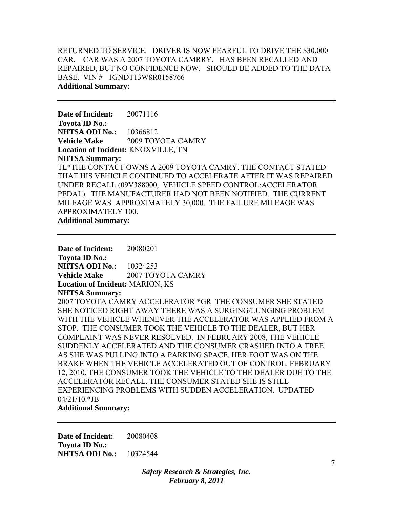RETURNED TO SERVICE. DRIVER IS NOW FEARFUL TO DRIVE THE \$30,000 CAR. CAR WAS A 2007 TOYOTA CAMRRY. HAS BEEN RECALLED AND REPAIRED, BUT NO CONFIDENCE NOW. SHOULD BE ADDED TO THE DATA BASE. VIN # 1GNDT13W8R0158766 **Additional Summary:** 

**Date of Incident:** 20071116 **Toyota ID No.: NHTSA ODI No.:** 10366812 **Vehicle Make** 2009 TOYOTA CAMRY **Location of Incident:** KNOXVILLE, TN **NHTSA Summary:**  TL\*THE CONTACT OWNS A 2009 TOYOTA CAMRY. THE CONTACT STATED THAT HIS VEHICLE CONTINUED TO ACCELERATE AFTER IT WAS REPAIRED UNDER RECALL (09V388000, VEHICLE SPEED CONTROL:ACCELERATOR PEDAL). THE MANUFACTURER HAD NOT BEEN NOTIFIED. THE CURRENT MILEAGE WAS APPROXIMATELY 30,000. THE FAILURE MILEAGE WAS APPROXIMATELY 100.

**Additional Summary:** 

**Date of Incident:** 20080201 **Toyota ID No.: NHTSA ODI No.:** 10324253 **Vehicle Make** 2007 TOYOTA CAMRY **Location of Incident:** MARION, KS **NHTSA Summary:**  2007 TOYOTA CAMRY ACCELERATOR \*GR THE CONSUMER SHE STATED SHE NOTICED RIGHT AWAY THERE WAS A SURGING/LUNGING PROBLEM WITH THE VEHICLE WHENEVER THE ACCELERATOR WAS APPLIED FROM A STOP. THE CONSUMER TOOK THE VEHICLE TO THE DEALER, BUT HER COMPLAINT WAS NEVER RESOLVED. IN FEBRUARY 2008, THE VEHICLE SUDDENLY ACCELERATED AND THE CONSUMER CRASHED INTO A TREE AS SHE WAS PULLING INTO A PARKING SPACE. HER FOOT WAS ON THE BRAKE WHEN THE VEHICLE ACCELERATED OUT OF CONTROL. FEBRUARY 12, 2010, THE CONSUMER TOOK THE VEHICLE TO THE DEALER DUE TO THE ACCELERATOR RECALL. THE CONSUMER STATED SHE IS STILL EXPERIENCING PROBLEMS WITH SUDDEN ACCELERATION. UPDATED 04/21/10.\*JB

**Additional Summary:** 

**Date of Incident:** 20080408 **Toyota ID No.: NHTSA ODI No.:** 10324544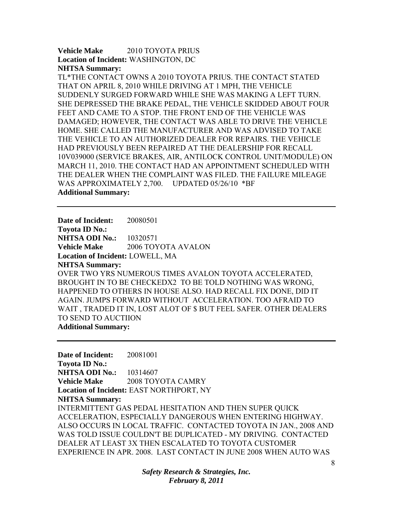**Vehicle Make** 2010 TOYOTA PRIUS **Location of Incident:** WASHINGTON, DC **NHTSA Summary:** 

TL\*THE CONTACT OWNS A 2010 TOYOTA PRIUS. THE CONTACT STATED THAT ON APRIL 8, 2010 WHILE DRIVING AT 1 MPH, THE VEHICLE SUDDENLY SURGED FORWARD WHILE SHE WAS MAKING A LEFT TURN. SHE DEPRESSED THE BRAKE PEDAL, THE VEHICLE SKIDDED ABOUT FOUR FEET AND CAME TO A STOP. THE FRONT END OF THE VEHICLE WAS DAMAGED; HOWEVER, THE CONTACT WAS ABLE TO DRIVE THE VEHICLE HOME. SHE CALLED THE MANUFACTURER AND WAS ADVISED TO TAKE THE VEHICLE TO AN AUTHORIZED DEALER FOR REPAIRS. THE VEHICLE HAD PREVIOUSLY BEEN REPAIRED AT THE DEALERSHIP FOR RECALL 10V039000 (SERVICE BRAKES, AIR, ANTILOCK CONTROL UNIT/MODULE) ON MARCH 11, 2010. THE CONTACT HAD AN APPOINTMENT SCHEDULED WITH THE DEALER WHEN THE COMPLAINT WAS FILED. THE FAILURE MILEAGE WAS APPROXIMATELY 2,700. UPDATED 05/26/10 \*BF **Additional Summary:** 

**Date of Incident:** 20080501 **Toyota ID No.: NHTSA ODI No.: 10320571 Vehicle Make** 2006 TOYOTA AVALON **Location of Incident:** LOWELL, MA **NHTSA Summary:**  OVER TWO YRS NUMEROUS TIMES AVALON TOYOTA ACCELERATED, BROUGHT IN TO BE CHECKEDX2 TO BE TOLD NOTHING WAS WRONG, HAPPENED TO OTHERS IN HOUSE ALSO. HAD RECALL FIX DONE, DID IT AGAIN. JUMPS FORWARD WITHOUT ACCELERATION. TOO AFRAID TO WAIT , TRADED IT IN, LOST ALOT OF \$ BUT FEEL SAFER. OTHER DEALERS TO SEND TO AUCTIION **Additional Summary:** 

**Date of Incident:** 20081001 **Toyota ID No.: NHTSA ODI No.:** 10314607 **Vehicle Make** 2008 TOYOTA CAMRY **Location of Incident:** EAST NORTHPORT, NY **NHTSA Summary:**  INTERMITTENT GAS PEDAL HESITATION AND THEN SUPER QUICK ACCELERATION, ESPECIALLY DANGEROUS WHEN ENTERING HIGHWAY. ALSO OCCURS IN LOCAL TRAFFIC. CONTACTED TOYOTA IN JAN., 2008 AND WAS TOLD ISSUE COULDN'T BE DUPLICATED - MY DRIVING. CONTACTED DEALER AT LEAST 3X THEN ESCALATED TO TOYOTA CUSTOMER EXPERIENCE IN APR. 2008. LAST CONTACT IN JUNE 2008 WHEN AUTO WAS

> *Safety Research & Strategies, Inc. February 8, 2011*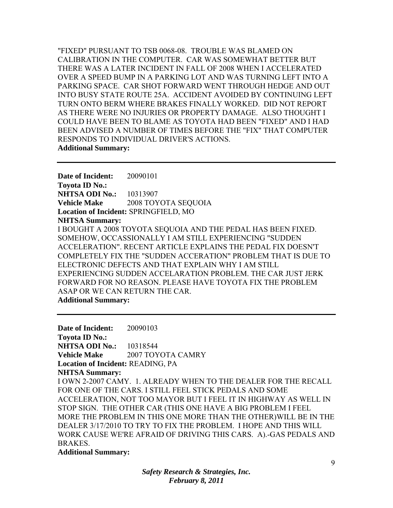"FIXED" PURSUANT TO TSB 0068-08. TROUBLE WAS BLAMED ON CALIBRATION IN THE COMPUTER. CAR WAS SOMEWHAT BETTER BUT THERE WAS A LATER INCIDENT IN FALL OF 2008 WHEN I ACCELERATED OVER A SPEED BUMP IN A PARKING LOT AND WAS TURNING LEFT INTO A PARKING SPACE. CAR SHOT FORWARD WENT THROUGH HEDGE AND OUT INTO BUSY STATE ROUTE 25A. ACCIDENT AVOIDED BY CONTINUING LEFT TURN ONTO BERM WHERE BRAKES FINALLY WORKED. DID NOT REPORT AS THERE WERE NO INJURIES OR PROPERTY DAMAGE. ALSO THOUGHT I COULD HAVE BEEN TO BLAME AS TOYOTA HAD BEEN "FIXED" AND I HAD BEEN ADVISED A NUMBER OF TIMES BEFORE THE "FIX" THAT COMPUTER RESPONDS TO INDIVIDUAL DRIVER'S ACTIONS. **Additional Summary:** 

**Date of Incident:** 20090101 **Toyota ID No.: NHTSA ODI No.:** 10313907 **Vehicle Make** 2008 TOYOTA SEQUOIA **Location of Incident:** SPRINGFIELD, MO **NHTSA Summary:**  I BOUGHT A 2008 TOYOTA SEQUOIA AND THE PEDAL HAS BEEN FIXED. SOMEHOW, OCCASSIONALLY I AM STILL EXPERIENCING "SUDDEN ACCELERATION". RECENT ARTICLE EXPLAINS THE PEDAL FIX DOESN'T COMPLETELY FIX THE "SUDDEN ACCERATION" PROBLEM THAT IS DUE TO ELECTRONIC DEFECTS AND THAT EXPLAIN WHY I AM STILL EXPERIENCING SUDDEN ACCELARATION PROBLEM. THE CAR JUST JERK FORWARD FOR NO REASON. PLEASE HAVE TOYOTA FIX THE PROBLEM ASAP OR WE CAN RETURN THE CAR. **Additional Summary:** 

**Date of Incident:** 20090103 **Toyota ID No.: NHTSA ODI No.:** 10318544 **Vehicle Make**  2007 TOYOTA CAMRY **Location of Incident:** READING, PA **NHTSA Summary:**  I OWN 2-2007 CAMY. 1. ALREADY WHEN TO THE DEALER FOR THE RECALL FOR ONE OF THE CARS. I STILL FEEL STICK PEDALS AND SOME ACCELERATION, NOT TOO MAYOR BUT I FEEL IT IN HIGHWAY AS WELL IN STOP SIGN. THE OTHER CAR (THIS ONE HAVE A BIG PROBLEM I FEEL MORE THE PROBLEM IN THIS ONE MORE THAN THE OTHER)WILL BE IN THE DEALER 3/17/2010 TO TRY TO FIX THE PROBLEM. I HOPE AND THIS WILL WORK CAUSE WE'RE AFRAID OF DRIVING THIS CARS. A).-GAS PEDALS AND BRAKES.

**Additional Summary:**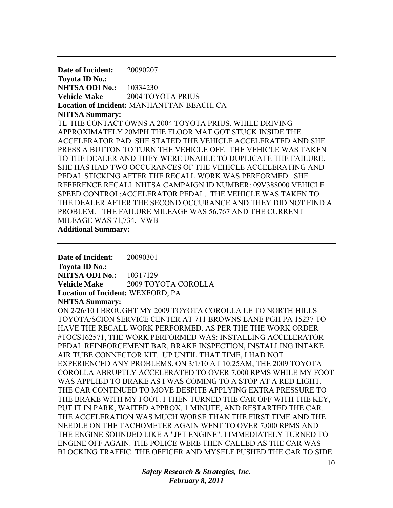**Date of Incident:** 20090207 **Toyota ID No.: NHTSA ODI No.:** 10334230 **Vehicle Make** 2004 TOYOTA PRIUS **Location of Incident:** MANHANTTAN BEACH, CA **NHTSA Summary:**  TL-THE CONTACT OWNS A 2004 TOYOTA PRIUS. WHILE DRIVING APPROXIMATELY 20MPH THE FLOOR MAT GOT STUCK INSIDE THE ACCELERATOR PAD. SHE STATED THE VEHICLE ACCELERATED AND SHE PRESS A BUTTON TO TURN THE VEHICLE OFF. THE VEHICLE WAS TAKEN TO THE DEALER AND THEY WERE UNABLE TO DUPLICATE THE FAILURE. SHE HAS HAD TWO OCCURANCES OF THE VEHICLE ACCELERATING AND PEDAL STICKING AFTER THE RECALL WORK WAS PERFORMED. SHE REFERENCE RECALL NHTSA CAMPAIGN ID NUMBER: 09V388000 VEHICLE SPEED CONTROL:ACCELERATOR PEDAL. THE VEHICLE WAS TAKEN TO THE DEALER AFTER THE SECOND OCCURANCE AND THEY DID NOT FIND A PROBLEM. THE FAILURE MILEAGE WAS 56,767 AND THE CURRENT MILEAGE WAS 71,734. VWB **Additional Summary:** 

**Date of Incident:** 20090301 **Toyota ID No.: NHTSA ODI No.:** 10317129 **Vehicle Make** 2009 TOYOTA COROLLA **Location of Incident:** WEXFORD, PA **NHTSA Summary:**  ON 2/26/10 I BROUGHT MY 2009 TOYOTA COROLLA LE TO NORTH HILLS TOYOTA/SCION SERVICE CENTER AT 711 BROWNS LANE PGH PA 15237 TO HAVE THE RECALL WORK PERFORMED. AS PER THE THE WORK ORDER #TOCS162571, THE WORK PERFORMED WAS: INSTALLING ACCELERATOR PEDAL REINFORCEMENT BAR, BRAKE INSPECTION, INSTALLING INTAKE AIR TUBE CONNECTOR KIT. UP UNTIL THAT TIME, I HAD NOT EXPERIENCED ANY PROBLEMS. ON 3/1/10 AT 10:25AM, THE 2009 TOYOTA COROLLA ABRUPTLY ACCELERATED TO OVER 7,000 RPMS WHILE MY FOOT WAS APPLIED TO BRAKE AS I WAS COMING TO A STOP AT A RED LIGHT. THE CAR CONTINUED TO MOVE DESPITE APPLYING EXTRA PRESSURE TO THE BRAKE WITH MY FOOT. I THEN TURNED THE CAR OFF WITH THE KEY, PUT IT IN PARK, WAITED APPROX. 1 MINUTE, AND RESTARTED THE CAR. THE ACCELERATION WAS MUCH WORSE THAN THE FIRST TIME AND THE NEEDLE ON THE TACHOMETER AGAIN WENT TO OVER 7,000 RPMS AND THE ENGINE SOUNDED LIKE A "JET ENGINE". I IMMEDIATELY TURNED TO ENGINE OFF AGAIN. THE POLICE WERE THEN CALLED AS THE CAR WAS BLOCKING TRAFFIC. THE OFFICER AND MYSELF PUSHED THE CAR TO SIDE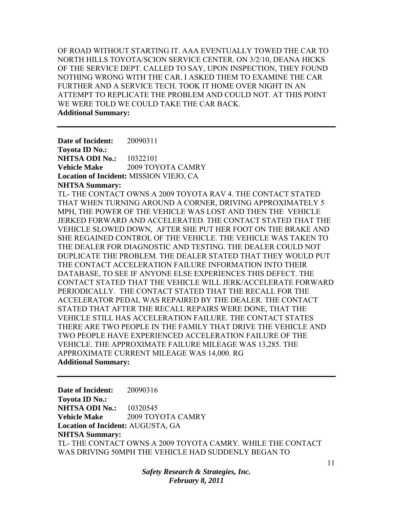OF ROAD WITHOUT STARTING IT. AAA EVENTUALLY TOWED THE CAR TO NORTH HILLS TOYOTA/SCION SERVICE CENTER. ON 3/2/10, DEANA HICKS OF THE SERVICE DEPT. CALLED TO SAY, UPON INSPECTION, THEY FOUND NOTHING WRONG WITH THE CAR. I ASKED THEM TO EXAMINE THE CAR FURTHER AND A SERVICE TECH. TOOK IT HOME OVER NIGHT IN AN ATTEMPT TO REPLICATE THE PROBLEM AND COULD NOT. AT THIS POINT WE WERE TOLD WE COULD TAKE THE CAR BACK. **Additional Summary:** 

**Date of Incident:** 20090311 **Toyota ID No.: NHTSA ODI No.:** 10322101 **Vehicle Make** 2009 TOYOTA CAMRY **Location of Incident:** MISSION VIEJO, CA **NHTSA Summary:** 

TL- THE CONTACT OWNS A 2009 TOYOTA RAV 4. THE CONTACT STATED THAT WHEN TURNING AROUND A CORNER, DRIVING APPROXIMATELY 5 MPH, THE POWER OF THE VEHICLE WAS LOST AND THEN THE VEHICLE JERKED FORWARD AND ACCELERATED. THE CONTACT STATED THAT THE VEHICLE SLOWED DOWN, AFTER SHE PUT HER FOOT ON THE BRAKE AND SHE REGAINED CONTROL OF THE VEHICLE. THE VEHICLE WAS TAKEN TO THE DEALER FOR DIAGNOSTIC AND TESTING. THE DEALER COULD NOT DUPLICATE THE PROBLEM. THE DEALER STATED THAT THEY WOULD PUT THE CONTACT ACCELERATION FAILURE INFORMATION INTO THEIR DATABASE, TO SEE IF ANYONE ELSE EXPERIENCES THIS DEFECT. THE CONTACT STATED THAT THE VEHICLE WILL JERK/ACCELERATE FORWARD PERIODICALLY. THE CONTACT STATED THAT THE RECALL FOR THE ACCELERATOR PEDAL WAS REPAIRED BY THE DEALER. THE CONTACT STATED THAT AFTER THE RECALL REPAIRS WERE DONE, THAT THE VEHICLE STILL HAS ACCELERATION FAILURE. THE CONTACT STATES THERE ARE TWO PEOPLE IN THE FAMILY THAT DRIVE THE VEHICLE AND TWO PEOPLE HAVE EXPERIENCED ACCELERATION FAILURE OF THE VEHICLE. THE APPROXIMATE FAILURE MILEAGE WAS 13,285. THE APPROXIMATE CURRENT MILEAGE WAS 14,000. RG **Additional Summary:** 

**Date of Incident:** 20090316 **Toyota ID No.: NHTSA ODI No.: 10320545 Vehicle Make** 2009 TOYOTA CAMRY **Location of Incident:** AUGUSTA, GA **NHTSA Summary:**  TL- THE CONTACT OWNS A 2009 TOYOTA CAMRY. WHILE THE CONTACT WAS DRIVING 50MPH THE VEHICLE HAD SUDDENLY BEGAN TO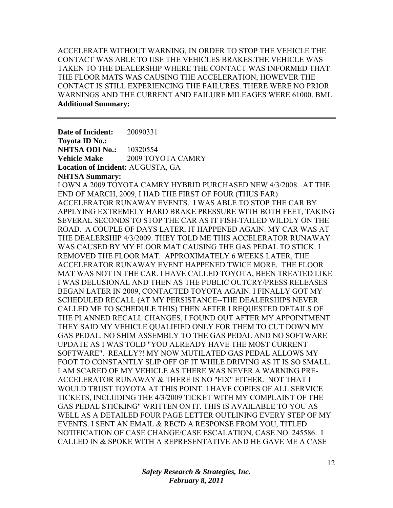ACCELERATE WITHOUT WARNING, IN ORDER TO STOP THE VEHICLE THE CONTACT WAS ABLE TO USE THE VEHICLES BRAKES.THE VEHICLE WAS TAKEN TO THE DEALERSHIP WHERE THE CONTACT WAS INFORMED THAT THE FLOOR MATS WAS CAUSING THE ACCELERATION, HOWEVER THE CONTACT IS STILL EXPERIENCING THE FAILURES. THERE WERE NO PRIOR WARNINGS AND THE CURRENT AND FAILURE MILEAGES WERE 61000. BML **Additional Summary:** 

**Date of Incident:** 20090331 **Toyota ID No.: NHTSA ODI No.: 10320554 Vehicle Make** 2009 TOYOTA CAMRY **Location of Incident:** AUGUSTA, GA **NHTSA Summary:**  I OWN A 2009 TOYOTA CAMRY HYBRID PURCHASED NEW 4/3/2008. AT THE END OF MARCH, 2009, I HAD THE FIRST OF FOUR (THUS FAR) ACCELERATOR RUNAWAY EVENTS. I WAS ABLE TO STOP THE CAR BY APPLYING EXTREMELY HARD BRAKE PRESSURE WITH BOTH FEET, TAKING SEVERAL SECONDS TO STOP THE CAR AS IT FISH-TAILED WILDLY ON THE ROAD. A COUPLE OF DAYS LATER, IT HAPPENED AGAIN. MY CAR WAS AT THE DEALERSHIP 4/3/2009. THEY TOLD ME THIS ACCELERATOR RUNAWAY WAS CAUSED BY MY FLOOR MAT CAUSING THE GAS PEDAL TO STICK. I REMOVED THE FLOOR MAT. APPROXIMATELY 6 WEEKS LATER, THE ACCELERATOR RUNAWAY EVENT HAPPENED TWICE MORE. THE FLOOR MAT WAS NOT IN THE CAR. I HAVE CALLED TOYOTA, BEEN TREATED LIKE I WAS DELUSIONAL AND THEN AS THE PUBLIC OUTCRY/PRESS RELEASES BEGAN LATER IN 2009, CONTACTED TOYOTA AGAIN. I FINALLY GOT MY SCHEDULED RECALL (AT MY PERSISTANCE--THE DEALERSHIPS NEVER CALLED ME TO SCHEDULE THIS) THEN AFTER I REQUESTED DETAILS OF THE PLANNED RECALL CHANGES, I FOUND OUT AFTER MY APPOINTMENT THEY SAID MY VEHICLE QUALIFIED ONLY FOR THEM TO CUT DOWN MY GAS PEDAL. NO SHIM ASSEMBLY TO THE GAS PEDAL AND NO SOFTWARE UPDATE AS I WAS TOLD "YOU ALREADY HAVE THE MOST CURRENT SOFTWARE". REALLY?! MY NOW MUTILATED GAS PEDAL ALLOWS MY FOOT TO CONSTANTLY SLIP OFF OF IT WHILE DRIVING AS IT IS SO SMALL. I AM SCARED OF MY VEHICLE AS THERE WAS NEVER A WARNING PRE-ACCELERATOR RUNAWAY & THERE IS NO "FIX" EITHER. NOT THAT I WOULD TRUST TOYOTA AT THIS POINT. I HAVE COPIES OF ALL SERVICE TICKETS, INCLUDING THE 4/3/2009 TICKET WITH MY COMPLAINT OF THE GAS PEDAL STICKING" WRITTEN ON IT. THIS IS AVAILABLE TO YOU AS WELL AS A DETAILED FOUR PAGE LETTER OUTLINING EVERY STEP OF MY EVENTS. I SENT AN EMAIL & REC'D A RESPONSE FROM YOU, TITLED NOTIFICATION OF CASE CHANGE/CASE ESCALATION, CASE NO. 245586. I CALLED IN & SPOKE WITH A REPRESENTATIVE AND HE GAVE ME A CASE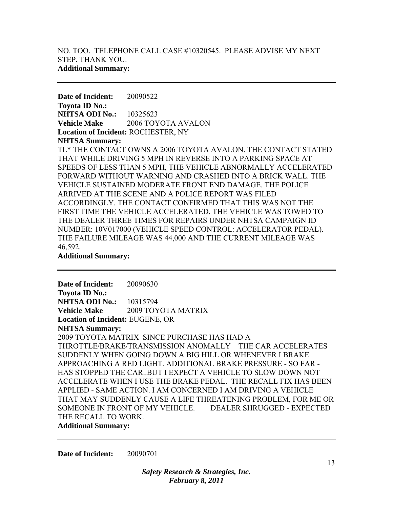**Date of Incident:** 20090522 **Toyota ID No.: NHTSA ODI No.:** 10325623 **Vehicle Make** 2006 TOYOTA AVALON **Location of Incident:** ROCHESTER, NY **NHTSA Summary:** 

TL\* THE CONTACT OWNS A 2006 TOYOTA AVALON. THE CONTACT STATED THAT WHILE DRIVING 5 MPH IN REVERSE INTO A PARKING SPACE AT SPEEDS OF LESS THAN 5 MPH, THE VEHICLE ABNORMALLY ACCELERATED FORWARD WITHOUT WARNING AND CRASHED INTO A BRICK WALL. THE VEHICLE SUSTAINED MODERATE FRONT END DAMAGE. THE POLICE ARRIVED AT THE SCENE AND A POLICE REPORT WAS FILED ACCORDINGLY. THE CONTACT CONFIRMED THAT THIS WAS NOT THE FIRST TIME THE VEHICLE ACCELERATED. THE VEHICLE WAS TOWED TO THE DEALER THREE TIMES FOR REPAIRS UNDER NHTSA CAMPAIGN ID NUMBER: 10V017000 (VEHICLE SPEED CONTROL: ACCELERATOR PEDAL). THE FAILURE MILEAGE WAS 44,000 AND THE CURRENT MILEAGE WAS 46,592.

**Additional Summary:** 

**Date of Incident:** 20090630 **Toyota ID No.: NHTSA ODI No.:** 10315794 **Vehicle Make** 2009 TOYOTA MATRIX **Location of Incident:** EUGENE, OR **NHTSA Summary:**  2009 TOYOTA MATRIX SINCE PURCHASE HAS HAD A THROTTLE/BRAKE/TRANSMISSION ANOMALLY THE CAR ACCELERATES SUDDENLY WHEN GOING DOWN A BIG HILL OR WHENEVER I BRAKE APPROACHING A RED LIGHT. ADDITIONAL BRAKE PRESSURE - SO FAR - HAS STOPPED THE CAR..BUT I EXPECT A VEHICLE TO SLOW DOWN NOT ACCELERATE WHEN I USE THE BRAKE PEDAL. THE RECALL FIX HAS BEEN APPLIED - SAME ACTION. I AM CONCERNED I AM DRIVING A VEHICLE THAT MAY SUDDENLY CAUSE A LIFE THREATENING PROBLEM, FOR ME OR SOMEONE IN FRONT OF MY VEHICLE. DEALER SHRUGGED - EXPECTED THE RECALL TO WORK.

**Additional Summary:** 

**Date of Incident:** 20090701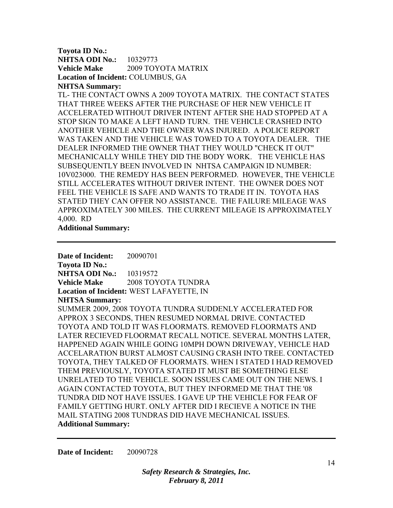### **Toyota ID No.: NHTSA ODI No.:** 10329773 **Vehicle Make** 2009 TOYOTA MATRIX **Location of Incident:** COLUMBUS, GA **NHTSA Summary:**

TL- THE CONTACT OWNS A 2009 TOYOTA MATRIX. THE CONTACT STATES THAT THREE WEEKS AFTER THE PURCHASE OF HER NEW VEHICLE IT ACCELERATED WITHOUT DRIVER INTENT AFTER SHE HAD STOPPED AT A STOP SIGN TO MAKE A LEFT HAND TURN. THE VEHICLE CRASHED INTO ANOTHER VEHICLE AND THE OWNER WAS INJURED. A POLICE REPORT WAS TAKEN AND THE VEHICLE WAS TOWED TO A TOYOTA DEALER. THE DEALER INFORMED THE OWNER THAT THEY WOULD "CHECK IT OUT" MECHANICALLY WHILE THEY DID THE BODY WORK. THE VEHICLE HAS SUBSEQUENTLY BEEN INVOLVED IN NHTSA CAMPAIGN ID NUMBER: 10V023000. THE REMEDY HAS BEEN PERFORMED. HOWEVER, THE VEHICLE STILL ACCELERATES WITHOUT DRIVER INTENT. THE OWNER DOES NOT FEEL THE VEHICLE IS SAFE AND WANTS TO TRADE IT IN. TOYOTA HAS STATED THEY CAN OFFER NO ASSISTANCE. THE FAILURE MILEAGE WAS APPROXIMATELY 300 MILES. THE CURRENT MILEAGE IS APPROXIMATELY 4,000. RD

**Additional Summary:** 

**Date of Incident:** 20090701 **Toyota ID No.: NHTSA ODI No.:** 10319572 **Vehicle Make** 2008 TOYOTA TUNDRA **Location of Incident:** WEST LAFAYETTE, IN **NHTSA Summary:**  SUMMER 2009, 2008 TOYOTA TUNDRA SUDDENLY ACCELERATED FOR APPROX 3 SECONDS, THEN RESUMED NORMAL DRIVE. CONTACTED TOYOTA AND TOLD IT WAS FLOORMATS. REMOVED FLOORMATS AND LATER RECIEVED FLOORMAT RECALL NOTICE. SEVERAL MONTHS LATER, HAPPENED AGAIN WHILE GOING 10MPH DOWN DRIVEWAY, VEHICLE HAD ACCELARATION BURST ALMOST CAUSING CRASH INTO TREE. CONTACTED TOYOTA, THEY TALKED OF FLOORMATS. WHEN I STATED I HAD REMOVED THEM PREVIOUSLY, TOYOTA STATED IT MUST BE SOMETHING ELSE UNRELATED TO THE VEHICLE. SOON ISSUES CAME OUT ON THE NEWS. I AGAIN CONTACTED TOYOTA, BUT THEY INFORMED ME THAT THE '08 TUNDRA DID NOT HAVE ISSUES. I GAVE UP THE VEHICLE FOR FEAR OF FAMILY GETTING HURT. ONLY AFTER DID I RECIEVE A NOTICE IN THE MAIL STATING 2008 TUNDRAS DID HAVE MECHANICAL ISSUES. **Additional Summary:** 

**Date of Incident:** 20090728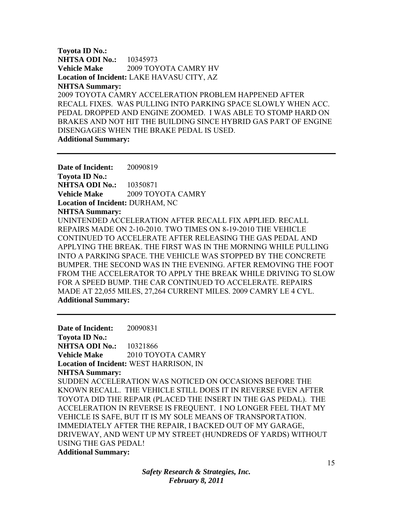**Toyota ID No.: NHTSA ODI No.:** 10345973 **Vehicle Make** 2009 TOYOTA CAMRY HV **Location of Incident:** LAKE HAVASU CITY, AZ **NHTSA Summary:**  2009 TOYOTA CAMRY ACCELERATION PROBLEM HAPPENED AFTER RECALL FIXES. WAS PULLING INTO PARKING SPACE SLOWLY WHEN ACC. PEDAL DROPPED AND ENGINE ZOOMED. I WAS ABLE TO STOMP HARD ON BRAKES AND NOT HIT THE BUILDING SINCE HYBRID GAS PART OF ENGINE DISENGAGES WHEN THE BRAKE PEDAL IS USED. **Additional Summary:** 

**Date of Incident:** 20090819 **Toyota ID No.: NHTSA ODI No.:** 10350871 **Vehicle Make** 2009 TOYOTA CAMRY **Location of Incident:** DURHAM, NC **NHTSA Summary:**  UNINTENDED ACCELERATION AFTER RECALL FIX APPLIED. RECALL REPAIRS MADE ON 2-10-2010. TWO TIMES ON 8-19-2010 THE VEHICLE CONTINUED TO ACCELERATE AFTER RELEASING THE GAS PEDAL AND APPLYING THE BREAK. THE FIRST WAS IN THE MORNING WHILE PULLING INTO A PARKING SPACE. THE VEHICLE WAS STOPPED BY THE CONCRETE BUMPER. THE SECOND WAS IN THE EVENING. AFTER REMOVING THE FOOT FROM THE ACCELERATOR TO APPLY THE BREAK WHILE DRIVING TO SLOW FOR A SPEED BUMP. THE CAR CONTINUED TO ACCELERATE. REPAIRS MADE AT 22,055 MILES, 27,264 CURRENT MILES. 2009 CAMRY LE 4 CYL. **Additional Summary:** 

**Date of Incident:** 20090831 **Toyota ID No.: NHTSA ODI No.:** 10321866 **Vehicle Make** 2010 TOYOTA CAMRY **Location of Incident:** WEST HARRISON, IN **NHTSA Summary:**  SUDDEN ACCELERATION WAS NOTICED ON OCCASIONS BEFORE THE KNOWN RECALL. THE VEHICLE STILL DOES IT IN REVERSE EVEN AFTER TOYOTA DID THE REPAIR (PLACED THE INSERT IN THE GAS PEDAL). THE ACCELERATION IN REVERSE IS FREQUENT. I NO LONGER FEEL THAT MY VEHICLE IS SAFE, BUT IT IS MY SOLE MEANS OF TRANSPORTATION. IMMEDIATELY AFTER THE REPAIR, I BACKED OUT OF MY GARAGE, DRIVEWAY, AND WENT UP MY STREET (HUNDREDS OF YARDS) WITHOUT USING THE GAS PEDAL! **Additional Summary:**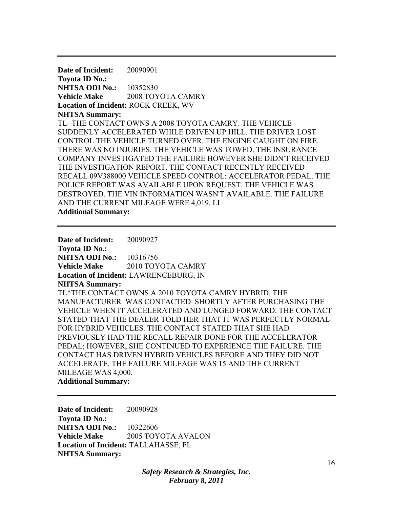**Date of Incident:** 20090901 **Toyota ID No.: NHTSA ODI No.:** 10352830 **Vehicle Make** 2008 TOYOTA CAMRY **Location of Incident:** ROCK CREEK, WV **NHTSA Summary:**  TL- THE CONTACT OWNS A 2008 TOYOTA CAMRY. THE VEHICLE SUDDENLY ACCELERATED WHILE DRIVEN UP HILL. THE DRIVER LOST CONTROL THE VEHICLE TURNED OVER. THE ENGINE CAUGHT ON FIRE. THERE WAS NO INJURIES. THE VEHICLE WAS TOWED. THE INSURANCE COMPANY INVESTIGATED THE FAILURE HOWEVER SHE DIDN'T RECEIVED THE INVESTIGATION REPORT. THE CONTACT RECENTLY RECEIVED RECALL 09V388000 VEHICLE SPEED CONTROL: ACCELERATOR PEDAL. THE POLICE REPORT WAS AVAILABLE UPON REQUEST. THE VEHICLE WAS DESTROYED. THE VIN INFORMATION WASN'T AVAILABLE. THE FAILURE AND THE CURRENT MILEAGE WERE 4,019. LI **Additional Summary:** 

**Date of Incident:** 20090927 **Toyota ID No.: NHTSA ODI No.:** 10316756 **Vehicle Make** 2010 TOYOTA CAMRY **Location of Incident:** LAWRENCEBURG, IN **NHTSA Summary:**  TL\*THE CONTACT OWNS A 2010 TOYOTA CAMRY HYBRID. THE MANUFACTURER WAS CONTACTED SHORTLY AFTER PURCHASING THE VEHICLE WHEN IT ACCELERATED AND LUNGED FORWARD. THE CONTACT STATED THAT THE DEALER TOLD HER THAT IT WAS PERFECTLY NORMAL FOR HYBRID VEHICLES. THE CONTACT STATED THAT SHE HAD PREVIOUSLY HAD THE RECALL REPAIR DONE FOR THE ACCELERATOR PEDAL; HOWEVER, SHE CONTINUED TO EXPERIENCE THE FAILURE. THE CONTACT HAS DRIVEN HYBRID VEHICLES BEFORE AND THEY DID NOT ACCELERATE. THE FAILURE MILEAGE WAS 15 AND THE CURRENT MILEAGE WAS 4,000. **Additional Summary:** 

**Date of Incident:** 20090928 **Toyota ID No.: NHTSA ODI No.:** 10322606 **Vehicle Make** 2005 TOYOTA AVALON **Location of Incident:** TALLAHASSE, FL **NHTSA Summary:** 

> *Safety Research & Strategies, Inc. February 8, 2011*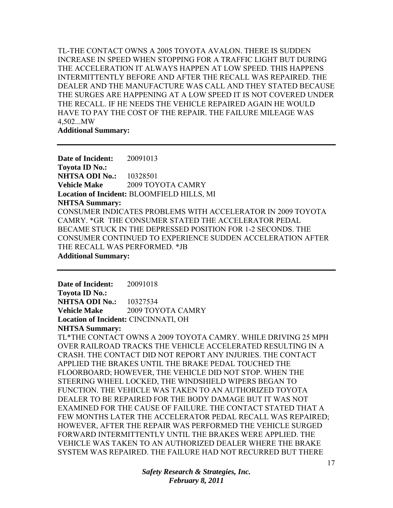TL-THE CONTACT OWNS A 2005 TOYOTA AVALON. THERE IS SUDDEN INCREASE IN SPEED WHEN STOPPING FOR A TRAFFIC LIGHT BUT DURING THE ACCELERATION IT ALWAYS HAPPEN AT LOW SPEED. THIS HAPPENS INTERMITTENTLY BEFORE AND AFTER THE RECALL WAS REPAIRED. THE DEALER AND THE MANUFACTURE WAS CALL AND THEY STATED BECAUSE THE SURGES ARE HAPPENING AT A LOW SPEED IT IS NOT COVERED UNDER THE RECALL. IF HE NEEDS THE VEHICLE REPAIRED AGAIN HE WOULD HAVE TO PAY THE COST OF THE REPAIR. THE FAILURE MILEAGE WAS 4,502...MW

**Additional Summary:** 

**Date of Incident:** 20091013 **Toyota ID No.: NHTSA ODI No.:** 10328501 **Vehicle Make** 2009 TOYOTA CAMRY **Location of Incident:** BLOOMFIELD HILLS, MI **NHTSA Summary:**  CONSUMER INDICATES PROBLEMS WITH ACCELERATOR IN 2009 TOYOTA CAMRY. \*GR THE CONSUMER STATED THE ACCELERATOR PEDAL BECAME STUCK IN THE DEPRESSED POSITION FOR 1-2 SECONDS. THE CONSUMER CONTINUED TO EXPERIENCE SUDDEN ACCELERATION AFTER THE RECALL WAS PERFORMED. \*JB **Additional Summary:** 

**Date of Incident:** 20091018 **Toyota ID No.: NHTSA ODI No.:** 10327534 **Vehicle Make** 2009 TOYOTA CAMRY **Location of Incident:** CINCINNATI, OH

**NHTSA Summary:** 

TL\*THE CONTACT OWNS A 2009 TOYOTA CAMRY. WHILE DRIVING 25 MPH OVER RAILROAD TRACKS THE VEHICLE ACCELERATED RESULTING IN A CRASH. THE CONTACT DID NOT REPORT ANY INJURIES. THE CONTACT APPLIED THE BRAKES UNTIL THE BRAKE PEDAL TOUCHED THE FLOORBOARD; HOWEVER, THE VEHICLE DID NOT STOP. WHEN THE STEERING WHEEL LOCKED, THE WINDSHIELD WIPERS BEGAN TO FUNCTION. THE VEHICLE WAS TAKEN TO AN AUTHORIZED TOYOTA DEALER TO BE REPAIRED FOR THE BODY DAMAGE BUT IT WAS NOT EXAMINED FOR THE CAUSE OF FAILURE. THE CONTACT STATED THAT A FEW MONTHS LATER THE ACCELERATOR PEDAL RECALL WAS REPAIRED; HOWEVER, AFTER THE REPAIR WAS PERFORMED THE VEHICLE SURGED FORWARD INTERMITTENTLY UNTIL THE BRAKES WERE APPLIED. THE VEHICLE WAS TAKEN TO AN AUTHORIZED DEALER WHERE THE BRAKE SYSTEM WAS REPAIRED. THE FAILURE HAD NOT RECURRED BUT THERE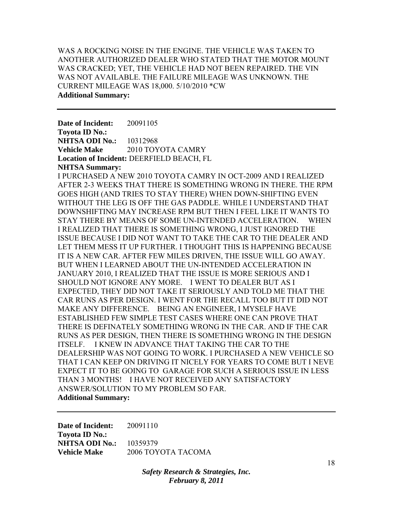# WAS A ROCKING NOISE IN THE ENGINE. THE VEHICLE WAS TAKEN TO ANOTHER AUTHORIZED DEALER WHO STATED THAT THE MOTOR MOUNT WAS CRACKED; YET, THE VEHICLE HAD NOT BEEN REPAIRED. THE VIN WAS NOT AVAILABLE. THE FAILURE MILEAGE WAS UNKNOWN. THE CURRENT MILEAGE WAS 18,000. 5/10/2010 \*CW **Additional Summary:**

**Date of Incident:** 20091105 **Toyota ID No.: NHTSA ODI No.:** 10312968 **Vehicle Make** 2010 TOYOTA CAMRY **Location of Incident:** DEERFIELD BEACH, FL **NHTSA Summary:** 

I PURCHASED A NEW 2010 TOYOTA CAMRY IN OCT-2009 AND I REALIZED AFTER 2-3 WEEKS THAT THERE IS SOMETHING WRONG IN THERE. THE RPM GOES HIGH (AND TRIES TO STAY THERE) WHEN DOWN-SHIFTING EVEN WITHOUT THE LEG IS OFF THE GAS PADDLE. WHILE I UNDERSTAND THAT DOWNSHIFTING MAY INCREASE RPM BUT THEN I FEEL LIKE IT WANTS TO STAY THERE BY MEANS OF SOME UN-INTENDED ACCELERATION. WHEN I REALIZED THAT THERE IS SOMETHING WRONG, I JUST IGNORED THE ISSUE BECAUSE I DID NOT WANT TO TAKE THE CAR TO THE DEALER AND LET THEM MESS IT UP FURTHER. I THOUGHT THIS IS HAPPENING BECAUSE IT IS A NEW CAR. AFTER FEW MILES DRIVEN, THE ISSUE WILL GO AWAY. BUT WHEN I LEARNED ABOUT THE UN-INTENDED ACCELERATION IN JANUARY 2010, I REALIZED THAT THE ISSUE IS MORE SERIOUS AND I SHOULD NOT IGNORE ANY MORE. I WENT TO DEALER BUT AS I EXPECTED, THEY DID NOT TAKE IT SERIOUSLY AND TOLD ME THAT THE CAR RUNS AS PER DESIGN. I WENT FOR THE RECALL TOO BUT IT DID NOT MAKE ANY DIFFERENCE. BEING AN ENGINEER, I MYSELF HAVE ESTABLISHED FEW SIMPLE TEST CASES WHERE ONE CAN PROVE THAT THERE IS DEFINATELY SOMETHING WRONG IN THE CAR. AND IF THE CAR RUNS AS PER DESIGN, THEN THERE IS SOMETHING WRONG IN THE DESIGN ITSELF. I KNEW IN ADVANCE THAT TAKING THE CAR TO THE DEALERSHIP WAS NOT GOING TO WORK. I PURCHASED A NEW VEHICLE SO THAT I CAN KEEP ON DRIVING IT NICELY FOR YEARS TO COME BUT I NEVE EXPECT IT TO BE GOING TO GARAGE FOR SUCH A SERIOUS ISSUE IN LESS THAN 3 MONTHS! I HAVE NOT RECEIVED ANY SATISFACTORY ANSWER/SOLUTION TO MY PROBLEM SO FAR. **Additional Summary:** 

**Date of Incident:** 20091110 **Toyota ID No.: NHTSA ODI No.:** 10359379 **Vehicle Make** 2006 TOYOTA TACOMA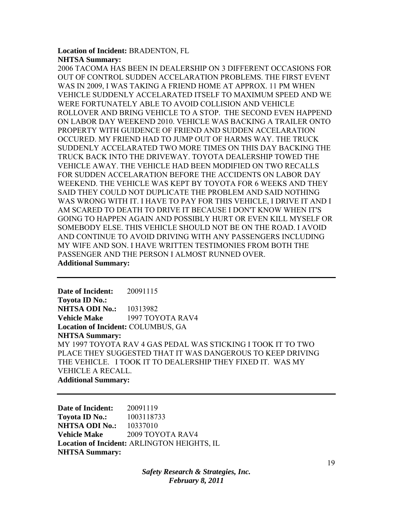### **Location of Incident:** BRADENTON, FL **NHTSA Summary:**

2006 TACOMA HAS BEEN IN DEALERSHIP ON 3 DIFFERENT OCCASIONS FOR OUT OF CONTROL SUDDEN ACCELARATION PROBLEMS. THE FIRST EVENT WAS IN 2009, I WAS TAKING A FRIEND HOME AT APPROX. 11 PM WHEN VEHICLE SUDDENLY ACCELARATED ITSELF TO MAXIMUM SPEED AND WE WERE FORTUNATELY ABLE TO AVOID COLLISION AND VEHICLE ROLLOVER AND BRING VEHICLE TO A STOP. THE SECOND EVEN HAPPEND ON LABOR DAY WEEKEND 2010. VEHICLE WAS BACKING A TRAILER ONTO PROPERTY WITH GUIDENCE OF FRIEND AND SUDDEN ACCELARATION OCCURED. MY FRIEND HAD TO JUMP OUT OF HARMS WAY. THE TRUCK SUDDENLY ACCELARATED TWO MORE TIMES ON THIS DAY BACKING THE TRUCK BACK INTO THE DRIVEWAY. TOYOTA DEALERSHIP TOWED THE VEHICLE AWAY. THE VEHICLE HAD BEEN MODIFIED ON TWO RECALLS FOR SUDDEN ACCELARATION BEFORE THE ACCIDENTS ON LABOR DAY WEEKEND. THE VEHICLE WAS KEPT BY TOYOTA FOR 6 WEEKS AND THEY SAID THEY COULD NOT DUPLICATE THE PROBLEM AND SAID NOTHING WAS WRONG WITH IT. I HAVE TO PAY FOR THIS VEHICLE, I DRIVE IT AND I AM SCARED TO DEATH TO DRIVE IT BECAUSE I DON'T KNOW WHEN IT'S GOING TO HAPPEN AGAIN AND POSSIBLY HURT OR EVEN KILL MYSELF OR SOMEBODY ELSE. THIS VEHICLE SHOULD NOT BE ON THE ROAD. I AVOID AND CONTINUE TO AVOID DRIVING WITH ANY PASSENGERS INCLUDING MY WIFE AND SON. I HAVE WRITTEN TESTIMONIES FROM BOTH THE PASSENGER AND THE PERSON I ALMOST RUNNED OVER. **Additional Summary:** 

**Date of Incident:** 20091115 **Toyota ID No.: NHTSA ODI No.:** 10313982 **Vehicle Make** 1997 TOYOTA RAV4 **Location of Incident:** COLUMBUS, GA **NHTSA Summary:**  MY 1997 TOYOTA RAV 4 GAS PEDAL WAS STICKING I TOOK IT TO TWO PLACE THEY SUGGESTED THAT IT WAS DANGEROUS TO KEEP DRIVING THE VEHICLE. I TOOK IT TO DEALERSHIP THEY FIXED IT. WAS MY VEHICLE A RECALL. **Additional Summary:** 

**Date of Incident:** 20091119 **Toyota ID No.:** 1003118733 **NHTSA ODI No.:** 10337010 **Vehicle Make** 2009 TOYOTA RAV4 **Location of Incident:** ARLINGTON HEIGHTS, IL **NHTSA Summary:**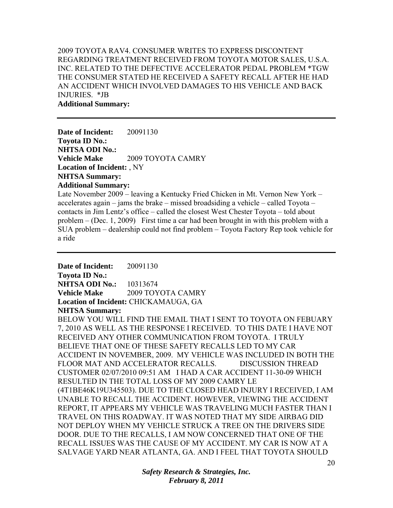## 2009 TOYOTA RAV4. CONSUMER WRITES TO EXPRESS DISCONTENT REGARDING TREATMENT RECEIVED FROM TOYOTA MOTOR SALES, U.S.A. INC. RELATED TO THE DEFECTIVE ACCELERATOR PEDAL PROBLEM \*TGW THE CONSUMER STATED HE RECEIVED A SAFETY RECALL AFTER HE HAD AN ACCIDENT WHICH INVOLVED DAMAGES TO HIS VEHICLE AND BACK INJURIES. \*JB **Additional Summary:**

**Date of Incident:** 20091130 **Toyota ID No.: NHTSA ODI No.: Vehicle Make** 2009 TOYOTA CAMRY **Location of Incident:** , NY **NHTSA Summary: Additional Summary:** 

Late November 2009 – leaving a Kentucky Fried Chicken in Mt. Vernon New York – accelerates again – jams the brake – missed broadsiding a vehicle – called Toyota – contacts in Jim Lentz's office – called the closest West Chester Toyota – told about problem – (Dec. 1, 2009) First time a car had been brought in with this problem with a SUA problem – dealership could not find problem – Toyota Factory Rep took vehicle for a ride

**Date of Incident:** 20091130 **Toyota ID No.: NHTSA ODI No.:** 10313674 **Vehicle Make** 2009 TOYOTA CAMRY **Location of Incident:** CHICKAMAUGA, GA **NHTSA Summary:** 

BELOW YOU WILL FIND THE EMAIL THAT I SENT TO TOYOTA ON FEBUARY 7, 2010 AS WELL AS THE RESPONSE I RECEIVED. TO THIS DATE I HAVE NOT RECEIVED ANY OTHER COMMUNICATION FROM TOYOTA. I TRULY BELIEVE THAT ONE OF THESE SAFETY RECALLS LED TO MY CAR ACCIDENT IN NOVEMBER, 2009. MY VEHICLE WAS INCLUDED IN BOTH THE FLOOR MAT AND ACCELERATOR RECALLS. DISCUSSION THREAD CUSTOMER 02/07/2010 09:51 AM I HAD A CAR ACCIDENT 11-30-09 WHICH RESULTED IN THE TOTAL LOSS OF MY 2009 CAMRY LE (4T1BE46K19U345503). DUE TO THE CLOSED HEAD INJURY I RECEIVED, I AM UNABLE TO RECALL THE ACCIDENT. HOWEVER, VIEWING THE ACCIDENT REPORT, IT APPEARS MY VEHICLE WAS TRAVELING MUCH FASTER THAN I TRAVEL ON THIS ROADWAY. IT WAS NOTED THAT MY SIDE AIRBAG DID NOT DEPLOY WHEN MY VEHICLE STRUCK A TREE ON THE DRIVERS SIDE DOOR. DUE TO THE RECALLS, I AM NOW CONCERNED THAT ONE OF THE RECALL ISSUES WAS THE CAUSE OF MY ACCIDENT. MY CAR IS NOW AT A SALVAGE YARD NEAR ATLANTA, GA. AND I FEEL THAT TOYOTA SHOULD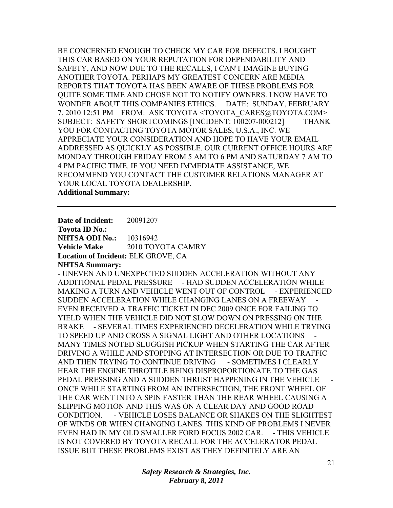BE CONCERNED ENOUGH TO CHECK MY CAR FOR DEFECTS. I BOUGHT THIS CAR BASED ON YOUR REPUTATION FOR DEPENDABILITY AND SAFETY, AND NOW DUE TO THE RECALLS, I CAN'T IMAGINE BUYING ANOTHER TOYOTA. PERHAPS MY GREATEST CONCERN ARE MEDIA REPORTS THAT TOYOTA HAS BEEN AWARE OF THESE PROBLEMS FOR QUITE SOME TIME AND CHOSE NOT TO NOTIFY OWNERS. I NOW HAVE TO WONDER ABOUT THIS COMPANIES ETHICS. DATE: SUNDAY, FEBRUARY 7, 2010 12:51 PM FROM: ASK TOYOTA <TOYOTA CARES@TOYOTA.COM> SUBJECT: SAFETY SHORTCOMINGS [INCIDENT: 100207-000212] THANK YOU FOR CONTACTING TOYOTA MOTOR SALES, U.S.A., INC. WE APPRECIATE YOUR CONSIDERATION AND HOPE TO HAVE YOUR EMAIL ADDRESSED AS QUICKLY AS POSSIBLE. OUR CURRENT OFFICE HOURS ARE MONDAY THROUGH FRIDAY FROM 5 AM TO 6 PM AND SATURDAY 7 AM TO 4 PM PACIFIC TIME. IF YOU NEED IMMEDIATE ASSISTANCE, WE RECOMMEND YOU CONTACT THE CUSTOMER RELATIONS MANAGER AT YOUR LOCAL TOYOTA DEALERSHIP. **Additional Summary:** 

**Date of Incident:** 20091207 **Toyota ID No.: NHTSA ODI No.: 10316942 Vehicle Make** 2010 TOYOTA CAMRY **Location of Incident:** ELK GROVE, CA **NHTSA Summary:** 

- UNEVEN AND UNEXPECTED SUDDEN ACCELERATION WITHOUT ANY ADDITIONAL PEDAL PRESSURE - HAD SUDDEN ACCELERATION WHILE MAKING A TURN AND VEHICLE WENT OUT OF CONTROL - EXPERIENCED SUDDEN ACCELERATION WHILE CHANGING LANES ON A FREEWAY EVEN RECEIVED A TRAFFIC TICKET IN DEC 2009 ONCE FOR FAILING TO YIELD WHEN THE VEHICLE DID NOT SLOW DOWN ON PRESSING ON THE BRAKE - SEVERAL TIMES EXPERIENCED DECELERATION WHILE TRYING TO SPEED UP AND CROSS A SIGNAL LIGHT AND OTHER LOCATIONS MANY TIMES NOTED SLUGGISH PICKUP WHEN STARTING THE CAR AFTER DRIVING A WHILE AND STOPPING AT INTERSECTION OR DUE TO TRAFFIC AND THEN TRYING TO CONTINUE DRIVING - SOMETIMES I CLEARLY HEAR THE ENGINE THROTTLE BEING DISPROPORTIONATE TO THE GAS PEDAL PRESSING AND A SUDDEN THRUST HAPPENING IN THE VEHICLE ONCE WHILE STARTING FROM AN INTERSECTION, THE FRONT WHEEL OF THE CAR WENT INTO A SPIN FASTER THAN THE REAR WHEEL CAUSING A SLIPPING MOTION AND THIS WAS ON A CLEAR DAY AND GOOD ROAD CONDITION. - VEHICLE LOSES BALANCE OR SHAKES ON THE SLIGHTEST OF WINDS OR WHEN CHANGING LANES. THIS KIND OF PROBLEMS I NEVER EVEN HAD IN MY OLD SMALLER FORD FOCUS 2002 CAR. - THIS VEHICLE IS NOT COVERED BY TOYOTA RECALL FOR THE ACCELERATOR PEDAL ISSUE BUT THESE PROBLEMS EXIST AS THEY DEFINITELY ARE AN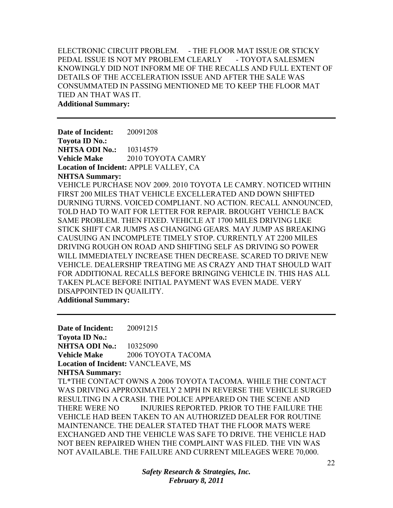# ELECTRONIC CIRCUIT PROBLEM. - THE FLOOR MAT ISSUE OR STICKY PEDAL ISSUE IS NOT MY PROBLEM CLEARLY - TOYOTA SALESMEN KNOWINGLY DID NOT INFORM ME OF THE RECALLS AND FULL EXTENT OF DETAILS OF THE ACCELERATION ISSUE AND AFTER THE SALE WAS CONSUMMATED IN PASSING MENTIONED ME TO KEEP THE FLOOR MAT TIED AN THAT WAS IT.

**Additional Summary:** 

**Date of Incident:** 20091208 **Toyota ID No.: NHTSA ODI No.: 10314579 Vehicle Make** 2010 TOYOTA CAMRY **Location of Incident:** APPLE VALLEY, CA **NHTSA Summary:** 

VEHICLE PURCHASE NOV 2009. 2010 TOYOTA LE CAMRY. NOTICED WITHIN FIRST 200 MILES THAT VEHICLE EXCELLERATED AND DOWN SHIFTED DURNING TURNS. VOICED COMPLIANT. NO ACTION. RECALL ANNOUNCED, TOLD HAD TO WAIT FOR LETTER FOR REPAIR. BROUGHT VEHICLE BACK SAME PROBLEM. THEN FIXED. VEHICLE AT 1700 MILES DRIVING LIKE STICK SHIFT CAR JUMPS AS CHANGING GEARS. MAY JUMP AS BREAKING CAUSUING AN INCOMPLETE TIMELY STOP. CURRENTLY AT 2200 MILES DRIVING ROUGH ON ROAD AND SHIFTING SELF AS DRIVING SO POWER WILL IMMEDIATELY INCREASE THEN DECREASE. SCARED TO DRIVE NEW VEHICLE. DEALERSHIP TREATING ME AS CRAZY AND THAT SHOULD WAIT FOR ADDITIONAL RECALLS BEFORE BRINGING VEHICLE IN. THIS HAS ALL TAKEN PLACE BEFORE INITIAL PAYMENT WAS EVEN MADE. VERY DISAPPOINTED IN QUAILITY.

**Additional Summary:** 

**Date of Incident:** 20091215 **Toyota ID No.: NHTSA ODI No.:** 10325090 **Vehicle Make** 2006 TOYOTA TACOMA **Location of Incident:** VANCLEAVE, MS **NHTSA Summary:**  TL\*THE CONTACT OWNS A 2006 TOYOTA TACOMA. WHILE THE CONTACT WAS DRIVING APPROXIMATELY 2 MPH IN REVERSE THE VEHICLE SURGED RESULTING IN A CRASH. THE POLICE APPEARED ON THE SCENE AND THERE WERE NO INJURIES REPORTED. PRIOR TO THE FAILURE THE VEHICLE HAD BEEN TAKEN TO AN AUTHORIZED DEALER FOR ROUTINE MAINTENANCE. THE DEALER STATED THAT THE FLOOR MATS WERE EXCHANGED AND THE VEHICLE WAS SAFE TO DRIVE. THE VEHICLE HAD NOT BEEN REPAIRED WHEN THE COMPLAINT WAS FILED. THE VIN WAS NOT AVAILABLE. THE FAILURE AND CURRENT MILEAGES WERE 70,000.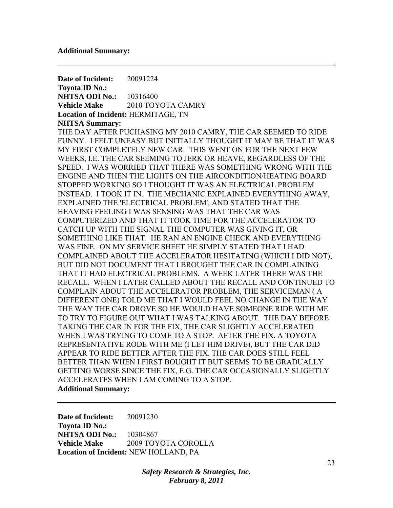**Date of Incident:** 20091224 **Toyota ID No.: NHTSA ODI No.:** 10316400 **Vehicle Make** 2010 TOYOTA CAMRY **Location of Incident:** HERMITAGE, TN **NHTSA Summary:**  THE DAY AFTER PUCHASING MY 2010 CAMRY, THE CAR SEEMED TO RIDE FUNNY. I FELT UNEASY BUT INITIALLY THOUGHT IT MAY BE THAT IT WAS MY FIRST COMPLETELY NEW CAR. THIS WENT ON FOR THE NEXT FEW WEEKS, I.E. THE CAR SEEMING TO JERK OR HEAVE, REGARDLESS OF THE SPEED. I WAS WORRIED THAT THERE WAS SOMETHING WRONG WITH THE ENGINE AND THEN THE LIGHTS ON THE AIRCONDITION/HEATING BOARD STOPPED WORKING SO I THOUGHT IT WAS AN ELECTRICAL PROBLEM INSTEAD. I TOOK IT IN. THE MECHANIC EXPLAINED EVERYTHING AWAY, EXPLAINED THE 'ELECTRICAL PROBLEM', AND STATED THAT THE HEAVING FEELING I WAS SENSING WAS THAT THE CAR WAS COMPUTERIZED AND THAT IT TOOK TIME FOR THE ACCELERATOR TO CATCH UP WITH THE SIGNAL THE COMPUTER WAS GIVING IT, OR SOMETHING LIKE THAT. HE RAN AN ENGINE CHECK AND EVERYTHING WAS FINE. ON MY SERVICE SHEET HE SIMPLY STATED THAT I HAD COMPLAINED ABOUT THE ACCELERATOR HESITATING (WHICH I DID NOT), BUT DID NOT DOCUMENT THAT I BROUGHT THE CAR IN COMPLAINING THAT IT HAD ELECTRICAL PROBLEMS. A WEEK LATER THERE WAS THE RECALL. WHEN I LATER CALLED ABOUT THE RECALL AND CONTINUED TO COMPLAIN ABOUT THE ACCELERATOR PROBLEM, THE SERVICEMAN ( A DIFFERENT ONE) TOLD ME THAT I WOULD FEEL NO CHANGE IN THE WAY THE WAY THE CAR DROVE SO HE WOULD HAVE SOMEONE RIDE WITH ME TO TRY TO FIGURE OUT WHAT I WAS TALKING ABOUT. THE DAY BEFORE TAKING THE CAR IN FOR THE FIX, THE CAR SLIGHTLY ACCELERATED WHEN I WAS TRYING TO COME TO A STOP. AFTER THE FIX, A TOYOTA REPRESENTATIVE RODE WITH ME (I LET HIM DRIVE), BUT THE CAR DID APPEAR TO RIDE BETTER AFTER THE FIX. THE CAR DOES STILL FEEL BETTER THAN WHEN I FIRST BOUGHT IT BUT SEEMS TO BE GRADUALLY GETTING WORSE SINCE THE FIX, E.G. THE CAR OCCASIONALLY SLIGHTLY ACCELERATES WHEN I AM COMING TO A STOP. **Additional Summary:** 

**Date of Incident:** 20091230 **Toyota ID No.: NHTSA ODI No.:** 10304867 **Vehicle Make** 2009 TOYOTA COROLLA **Location of Incident:** NEW HOLLAND, PA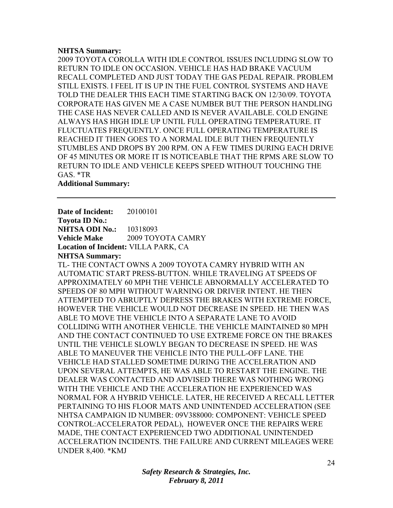### **NHTSA Summary:**

2009 TOYOTA COROLLA WITH IDLE CONTROL ISSUES INCLUDING SLOW TO RETURN TO IDLE ON OCCASION. VEHICLE HAS HAD BRAKE VACUUM RECALL COMPLETED AND JUST TODAY THE GAS PEDAL REPAIR. PROBLEM STILL EXISTS. I FEEL IT IS UP IN THE FUEL CONTROL SYSTEMS AND HAVE TOLD THE DEALER THIS EACH TIME STARTING BACK ON 12/30/09. TOYOTA CORPORATE HAS GIVEN ME A CASE NUMBER BUT THE PERSON HANDLING THE CASE HAS NEVER CALLED AND IS NEVER AVAILABLE. COLD ENGINE ALWAYS HAS HIGH IDLE UP UNTIL FULL OPERATING TEMPERATURE. IT FLUCTUATES FREQUENTLY. ONCE FULL OPERATING TEMPERATURE IS REACHED IT THEN GOES TO A NORMAL IDLE BUT THEN FREQUENTLY STUMBLES AND DROPS BY 200 RPM. ON A FEW TIMES DURING EACH DRIVE OF 45 MINUTES OR MORE IT IS NOTICEABLE THAT THE RPMS ARE SLOW TO RETURN TO IDLE AND VEHICLE KEEPS SPEED WITHOUT TOUCHING THE GAS. \*TR

**Additional Summary:** 

**Date of Incident:** 20100101 **Toyota ID No.: NHTSA ODI No.:** 10318093

**Vehicle Make** 2009 TOYOTA CAMRY

**Location of Incident:** VILLA PARK, CA

**NHTSA Summary:** 

TL- THE CONTACT OWNS A 2009 TOYOTA CAMRY HYBRID WITH AN AUTOMATIC START PRESS-BUTTON. WHILE TRAVELING AT SPEEDS OF APPROXIMATELY 60 MPH THE VEHICLE ABNORMALLY ACCELERATED TO SPEEDS OF 80 MPH WITHOUT WARNING OR DRIVER INTENT. HE THEN ATTEMPTED TO ABRUPTLY DEPRESS THE BRAKES WITH EXTREME FORCE, HOWEVER THE VEHICLE WOULD NOT DECREASE IN SPEED. HE THEN WAS ABLE TO MOVE THE VEHICLE INTO A SEPARATE LANE TO AVOID COLLIDING WITH ANOTHER VEHICLE. THE VEHICLE MAINTAINED 80 MPH AND THE CONTACT CONTINUED TO USE EXTREME FORCE ON THE BRAKES UNTIL THE VEHICLE SLOWLY BEGAN TO DECREASE IN SPEED. HE WAS ABLE TO MANEUVER THE VEHICLE INTO THE PULL-OFF LANE. THE VEHICLE HAD STALLED SOMETIME DURING THE ACCELERATION AND UPON SEVERAL ATTEMPTS, HE WAS ABLE TO RESTART THE ENGINE. THE DEALER WAS CONTACTED AND ADVISED THERE WAS NOTHING WRONG WITH THE VEHICLE AND THE ACCELERATION HE EXPERIENCED WAS NORMAL FOR A HYBRID VEHICLE. LATER, HE RECEIVED A RECALL LETTER PERTAINING TO HIS FLOOR MATS AND UNINTENDED ACCELERATION (SEE NHTSA CAMPAIGN ID NUMBER: 09V388000: COMPONENT: VEHICLE SPEED CONTROL:ACCELERATOR PEDAL), HOWEVER ONCE THE REPAIRS WERE MADE, THE CONTACT EXPERIENCED TWO ADDITIONAL UNINTENDED ACCELERATION INCIDENTS. THE FAILURE AND CURRENT MILEAGES WERE UNDER 8,400. \*KMJ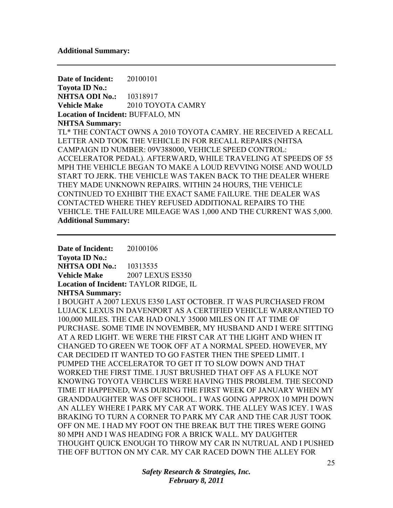#### **Additional Summary:**

**Date of Incident:** 20100101 **Toyota ID No.: NHTSA ODI No.:** 10318917 **Vehicle Make** 2010 TOYOTA CAMRY **Location of Incident:** BUFFALO, MN **NHTSA Summary:**  TL\* THE CONTACT OWNS A 2010 TOYOTA CAMRY. HE RECEIVED A RECALL LETTER AND TOOK THE VEHICLE IN FOR RECALL REPAIRS (NHTSA CAMPAIGN ID NUMBER: 09V388000, VEHICLE SPEED CONTROL: ACCELERATOR PEDAL). AFTERWARD, WHILE TRAVELING AT SPEEDS OF 55 MPH THE VEHICLE BEGAN TO MAKE A LOUD REVVING NOISE AND WOULD START TO JERK. THE VEHICLE WAS TAKEN BACK TO THE DEALER WHERE THEY MADE UNKNOWN REPAIRS. WITHIN 24 HOURS, THE VEHICLE CONTINUED TO EXHIBIT THE EXACT SAME FAILURE. THE DEALER WAS CONTACTED WHERE THEY REFUSED ADDITIONAL REPAIRS TO THE VEHICLE. THE FAILURE MILEAGE WAS 1,000 AND THE CURRENT WAS 5,000. **Additional Summary:** 

**Date of Incident:** 20100106 **Toyota ID No.: NHTSA ODI No.:** 10313535 **Vehicle Make** 2007 LEXUS ES350 **Location of Incident:** TAYLOR RIDGE, IL **NHTSA Summary:**  I BOUGHT A 2007 LEXUS E350 LAST OCTOBER. IT WAS PURCHASED FROM LUJACK LEXUS IN DAVENPORT AS A CERTIFIED VEHICLE WARRANTIED TO 100,000 MILES. THE CAR HAD ONLY 35000 MILES ON IT AT TIME OF PURCHASE. SOME TIME IN NOVEMBER, MY HUSBAND AND I WERE SITTING AT A RED LIGHT. WE WERE THE FIRST CAR AT THE LIGHT AND WHEN IT CHANGED TO GREEN WE TOOK OFF AT A NORMAL SPEED. HOWEVER, MY CAR DECIDED IT WANTED TO GO FASTER THEN THE SPEED LIMIT. I PUMPED THE ACCELERATOR TO GET IT TO SLOW DOWN AND THAT WORKED THE FIRST TIME. I JUST BRUSHED THAT OFF AS A FLUKE NOT KNOWING TOYOTA VEHICLES WERE HAVING THIS PROBLEM. THE SECOND TIME IT HAPPENED, WAS DURING THE FIRST WEEK OF JANUARY WHEN MY GRANDDAUGHTER WAS OFF SCHOOL. I WAS GOING APPROX 10 MPH DOWN AN ALLEY WHERE I PARK MY CAR AT WORK. THE ALLEY WAS ICEY. I WAS BRAKING TO TURN A CORNER TO PARK MY CAR AND THE CAR JUST TOOK OFF ON ME. I HAD MY FOOT ON THE BREAK BUT THE TIRES WERE GOING 80 MPH AND I WAS HEADING FOR A BRICK WALL. MY DAUGHTER THOUGHT QUICK ENOUGH TO THROW MY CAR IN NUTRUAL AND I PUSHED THE OFF BUTTON ON MY CAR. MY CAR RACED DOWN THE ALLEY FOR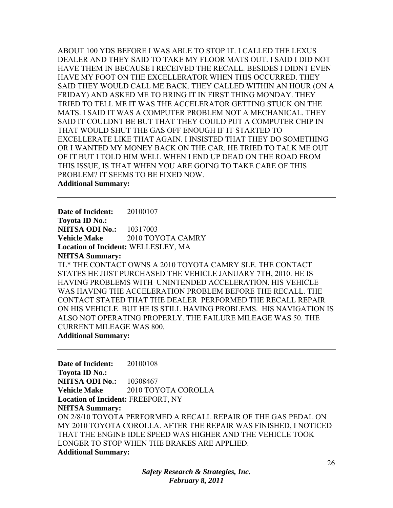ABOUT 100 YDS BEFORE I WAS ABLE TO STOP IT. I CALLED THE LEXUS DEALER AND THEY SAID TO TAKE MY FLOOR MATS OUT. I SAID I DID NOT HAVE THEM IN BECAUSE I RECEIVED THE RECALL. BESIDES I DIDNT EVEN HAVE MY FOOT ON THE EXCELLERATOR WHEN THIS OCCURRED. THEY SAID THEY WOULD CALL ME BACK. THEY CALLED WITHIN AN HOUR (ON A FRIDAY) AND ASKED ME TO BRING IT IN FIRST THING MONDAY. THEY TRIED TO TELL ME IT WAS THE ACCELERATOR GETTING STUCK ON THE MATS. I SAID IT WAS A COMPUTER PROBLEM NOT A MECHANICAL. THEY SAID IT COULDNT BE BUT THAT THEY COULD PUT A COMPUTER CHIP IN THAT WOULD SHUT THE GAS OFF ENOUGH IF IT STARTED TO EXCELLERATE LIKE THAT AGAIN. I INSISTED THAT THEY DO SOMETHING OR I WANTED MY MONEY BACK ON THE CAR. HE TRIED TO TALK ME OUT OF IT BUT I TOLD HIM WELL WHEN I END UP DEAD ON THE ROAD FROM THIS ISSUE, IS THAT WHEN YOU ARE GOING TO TAKE CARE OF THIS PROBLEM? IT SEEMS TO BE FIXED NOW.

**Additional Summary:** 

**Date of Incident:** 20100107 **Toyota ID No.: NHTSA ODI No.:** 10317003 **Vehicle Make** 2010 TOYOTA CAMRY **Location of Incident:** WELLESLEY, MA **NHTSA Summary:**  TL\* THE CONTACT OWNS A 2010 TOYOTA CAMRY SLE. THE CONTACT STATES HE JUST PURCHASED THE VEHICLE JANUARY 7TH, 2010. HE IS HAVING PROBLEMS WITH UNINTENDED ACCELERATION. HIS VEHICLE WAS HAVING THE ACCELERATION PROBLEM BEFORE THE RECALL. THE CONTACT STATED THAT THE DEALER PERFORMED THE RECALL REPAIR ON HIS VEHICLE BUT HE IS STILL HAVING PROBLEMS. HIS NAVIGATION IS ALSO NOT OPERATING PROPERLY. THE FAILURE MILEAGE WAS 50. THE CURRENT MILEAGE WAS 800.

**Additional Summary:** 

**Date of Incident:** 20100108 **Toyota ID No.: NHTSA ODI No.:** 10308467 **Vehicle Make** 2010 TOYOTA COROLLA **Location of Incident:** FREEPORT, NY **NHTSA Summary:**  ON 2/8/10 TOYOTA PERFORMED A RECALL REPAIR OF THE GAS PEDAL ON MY 2010 TOYOTA COROLLA. AFTER THE REPAIR WAS FINISHED, I NOTICED THAT THE ENGINE IDLE SPEED WAS HIGHER AND THE VEHICLE TOOK LONGER TO STOP WHEN THE BRAKES ARE APPLIED. **Additional Summary:**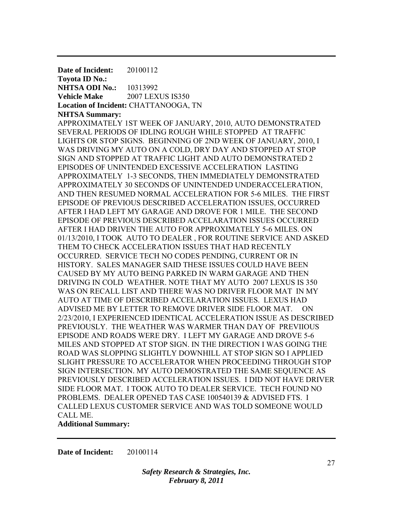**Date of Incident:** 20100112 **Toyota ID No.: NHTSA ODI No.:** 10313992 **Vehicle Make** 2007 LEXUS IS350 **Location of Incident:** CHATTANOOGA, TN **NHTSA Summary:**  APPROXIMATELY 1ST WEEK OF JANUARY, 2010, AUTO DEMONSTRATED SEVERAL PERIODS OF IDLING ROUGH WHILE STOPPED AT TRAFFIC LIGHTS OR STOP SIGNS. BEGINNING OF 2ND WEEK OF JANUARY, 2010, I WAS DRIVING MY AUTO ON A COLD, DRY DAY AND STOPPED AT STOP SIGN AND STOPPED AT TRAFFIC LIGHT AND AUTO DEMONSTRATED 2 EPISODES OF UNINTENDED EXCESSIVE ACCELERATION LASTING APPROXIMATELY 1-3 SECONDS, THEN IMMEDIATELY DEMONSTRATED APPROXIMATELY 30 SECONDS OF UNINTENDED UNDERACCELERATION, AND THEN RESUMED NORMAL ACCELERATION FOR 5-6 MILES. THE FIRST EPISODE OF PREVIOUS DESCRIBED ACCELERATION ISSUES, OCCURRED AFTER I HAD LEFT MY GARAGE AND DROVE FOR 1 MILE. THE SECOND EPISODE OF PREVIOUS DESCRIBED ACCELARATION ISSUES OCCURRED AFTER I HAD DRIVEN THE AUTO FOR APPROXIMATELY 5-6 MILES. ON 01/13/2010, I TOOK AUTO TO DEALER , FOR ROUTINE SERVICE AND ASKED THEM TO CHECK ACCELERATION ISSUES THAT HAD RECENTLY OCCURRED. SERVICE TECH NO CODES PENDING, CURRENT OR IN HISTORY. SALES MANAGER SAID THESE ISSUES COULD HAVE BEEN CAUSED BY MY AUTO BEING PARKED IN WARM GARAGE AND THEN DRIVING IN COLD WEATHER. NOTE THAT MY AUTO 2007 LEXUS IS 350 WAS ON RECALL LIST AND THERE WAS NO DRIVER FLOOR MAT IN MY AUTO AT TIME OF DESCRIBED ACCELARATION ISSUES. LEXUS HAD ADVISED ME BY LETTER TO REMOVE DRIVER SIDE FLOOR MAT. ON 2/23/2010, I EXPERIENCED IDENTICAL ACCELERATION ISSUE AS DESCRIBED PREVIOUSLY. THE WEATHER WAS WARMER THAN DAY OF PREVIIOUS EPISODE AND ROADS WERE DRY. I LEFT MY GARAGE AND DROVE 5-6 MILES AND STOPPED AT STOP SIGN. IN THE DIRECTION I WAS GOING THE ROAD WAS SLOPPING SLIGHTLY DOWNHILL AT STOP SIGN SO I APPLIED SLIGHT PRESSURE TO ACCELERATOR WHEN PROCEEDING THROUGH STOP SIGN INTERSECTION. MY AUTO DEMOSTRATED THE SAME SEQUENCE AS PREVIOUSLY DESCRIBED ACCELERATION ISSUES. I DID NOT HAVE DRIVER SIDE FLOOR MAT. I TOOK AUTO TO DEALER SERVICE. TECH FOUND NO PROBLEMS. DEALER OPENED TAS CASE 100540139 & ADVISED FTS. I CALLED LEXUS CUSTOMER SERVICE AND WAS TOLD SOMEONE WOULD CALL ME.

**Additional Summary:** 

**Date of Incident:** 20100114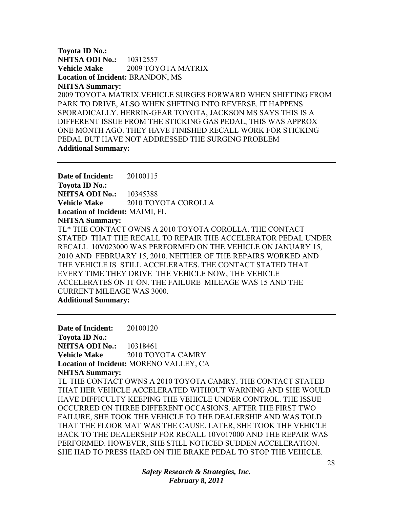**Toyota ID No.: NHTSA ODI No.:** 10312557 **Vehicle Make** 2009 TOYOTA MATRIX **Location of Incident:** BRANDON, MS **NHTSA Summary:** 

2009 TOYOTA MATRIX.VEHICLE SURGES FORWARD WHEN SHIFTING FROM PARK TO DRIVE, ALSO WHEN SHFTING INTO REVERSE. IT HAPPENS SPORADICALLY. HERRIN-GEAR TOYOTA, JACKSON MS SAYS THIS IS A DIFFERENT ISSUE FROM THE STICKING GAS PEDAL, THIS WAS APPROX ONE MONTH AGO. THEY HAVE FINISHED RECALL WORK FOR STICKING PEDAL BUT HAVE NOT ADDRESSED THE SURGING PROBLEM **Additional Summary:** 

**Date of Incident:** 20100115 **Toyota ID No.: NHTSA ODI No.:** 10345388 **Vehicle Make** 2010 TOYOTA COROLLA **Location of Incident:** MAIMI, FL **NHTSA Summary:**  TL\* THE CONTACT OWNS A 2010 TOYOTA COROLLA. THE CONTACT STATED THAT THE RECALL TO REPAIR THE ACCELERATOR PEDAL UNDER RECALL 10V023000 WAS PERFORMED ON THE VEHICLE ON JANUARY 15, 2010 AND FEBRUARY 15, 2010. NEITHER OF THE REPAIRS WORKED AND THE VEHICLE IS STILL ACCELERATES. THE CONTACT STATED THAT EVERY TIME THEY DRIVE THE VEHICLE NOW, THE VEHICLE ACCELERATES ON IT ON. THE FAILURE MILEAGE WAS 15 AND THE CURRENT MILEAGE WAS 3000. **Additional Summary:** 

**Date of Incident:** 20100120 **Toyota ID No.: NHTSA ODI No.:** 10318461 **Vehicle Make** 2010 TOYOTA CAMRY **Location of Incident:** MORENO VALLEY, CA **NHTSA Summary:**  TL-THE CONTACT OWNS A 2010 TOYOTA CAMRY. THE CONTACT STATED THAT HER VEHICLE ACCELERATED WITHOUT WARNING AND SHE WOULD HAVE DIFFICULTY KEEPING THE VEHICLE UNDER CONTROL. THE ISSUE OCCURRED ON THREE DIFFERENT OCCASIONS. AFTER THE FIRST TWO FAILURE, SHE TOOK THE VEHICLE TO THE DEALERSHIP AND WAS TOLD THAT THE FLOOR MAT WAS THE CAUSE. LATER, SHE TOOK THE VEHICLE BACK TO THE DEALERSHIP FOR RECALL 10V017000 AND THE REPAIR WAS PERFORMED. HOWEVER, SHE STILL NOTICED SUDDEN ACCELERATION. SHE HAD TO PRESS HARD ON THE BRAKE PEDAL TO STOP THE VEHICLE.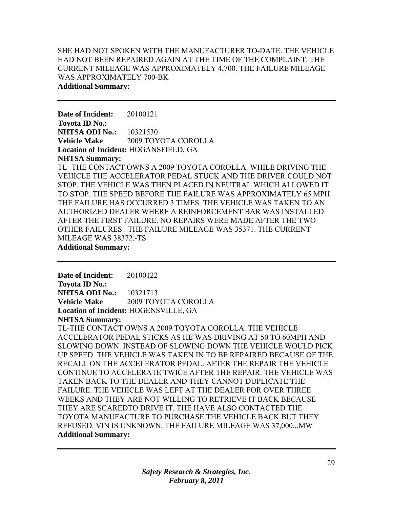## SHE HAD NOT SPOKEN WITH THE MANUFACTURER TO-DATE. THE VEHICLE HAD NOT BEEN REPAIRED AGAIN AT THE TIME OF THE COMPLAINT. THE CURRENT MILEAGE WAS APPROXIMATELY 4,700. THE FAILURE MILEAGE WAS APPROXIMATELY 700-BK **Additional Summary:**

**Date of Incident:** 20100121 **Toyota ID No.: NHTSA ODI No.:** 10321530 **Vehicle Make** 2009 TOYOTA COROLLA **Location of Incident:** HOGANSFIELD, GA **NHTSA Summary:**  TL- THE CONTACT OWNS A 2009 TOYOTA COROLLA. WHILE DRIVING THE

VEHICLE THE ACCELERATOR PEDAL STUCK AND THE DRIVER COULD NOT STOP. THE VEHICLE WAS THEN PLACED IN NEUTRAL WHICH ALLOWED IT TO STOP. THE SPEED BEFORE THE FAILURE WAS APPROXIMATELY 65 MPH. THE FAILURE HAS OCCURRED 3 TIMES. THE VEHICLE WAS TAKEN TO AN AUTHORIZED DEALER WHERE A REINFORCEMENT BAR WAS INSTALLED AFTER THE FIRST FAILURE. NO REPAIRS WERE MADE AFTER THE TWO OTHER FAILURES . THE FAILURE MILEAGE WAS 35371. THE CURRENT MILEAGE WAS 38372.-TS

**Additional Summary:** 

**Date of Incident:** 20100122 **Toyota ID No.: NHTSA ODI No.:** 10321713 **Vehicle Make** 2009 TOYOTA COROLLA **Location of Incident:** HOGENSVILLE, GA **NHTSA Summary:** 

TL-THE CONTACT OWNS A 2009 TOYOTA COROLLA. THE VEHICLE ACCELERATOR PEDAL STICKS AS HE WAS DRIVING AT 50 TO 60MPH AND SLOWING DOWN. INSTEAD OF SLOWING DOWN THE VEHICLE WOULD PICK UP SPEED. THE VEHICLE WAS TAKEN IN TO BE REPAIRED BECAUSE OF THE RECALL ON THE ACCELERATOR PEDAL. AFTER THE REPAIR THE VEHICLE CONTINUE TO ACCELERATE TWICE AFTER THE REPAIR. THE VEHICLE WAS TAKEN BACK TO THE DEALER AND THEY CANNOT DUPLICATE THE FAILURE. THE VEHICLE WAS LEFT AT THE DEALER FOR OVER THREE WEEKS AND THEY ARE NOT WILLING TO RETRIEVE IT BACK BECAUSE THEY ARE SCAREDTO DRIVE IT. THE HAVE ALSO CONTACTED THE TOYOTA MANUFACTURE TO PURCHASE THE VEHICLE BACK BUT THEY REFUSED. VIN IS UNKNOWN. THE FAILURE MILEAGE WAS 37,000...MW **Additional Summary:**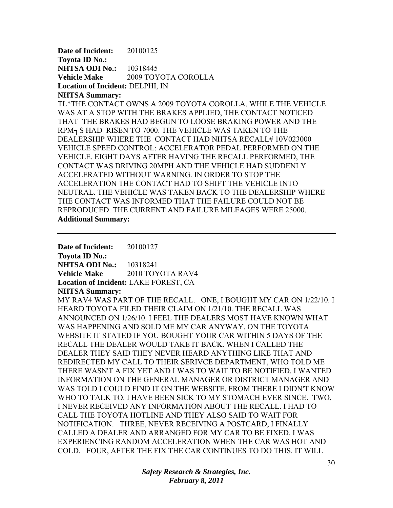**Date of Incident:** 20100125 **Toyota ID No.: NHTSA ODI No.:** 10318445 **Vehicle Make** 2009 TOYOTA COROLLA **Location of Incident:** DELPHI, IN

### **NHTSA Summary:**

TL\*THE CONTACT OWNS A 2009 TOYOTA COROLLA. WHILE THE VEHICLE WAS AT A STOP WITH THE BRAKES APPLIED, THE CONTACT NOTICED THAT THE BRAKES HAD BEGUN TO LOOSE BRAKING POWER AND THE RPM¬ S HAD RISEN TO 7000. THE VEHICLE WAS TAKEN TO THE DEALERSHIP WHERE THE CONTACT HAD NHTSA RECALL# 10V023000 VEHICLE SPEED CONTROL: ACCELERATOR PEDAL PERFORMED ON THE VEHICLE. EIGHT DAYS AFTER HAVING THE RECALL PERFORMED, THE CONTACT WAS DRIVING 20MPH AND THE VEHICLE HAD SUDDENLY ACCELERATED WITHOUT WARNING. IN ORDER TO STOP THE ACCELERATION THE CONTACT HAD TO SHIFT THE VEHICLE INTO NEUTRAL. THE VEHICLE WAS TAKEN BACK TO THE DEALERSHIP WHERE THE CONTACT WAS INFORMED THAT THE FAILURE COULD NOT BE REPRODUCED. THE CURRENT AND FAILURE MILEAGES WERE 25000. **Additional Summary:** 

**Date of Incident:** 20100127 **Toyota ID No.: NHTSA ODI No.:** 10318241 **Vehicle Make** 2010 TOYOTA RAV4 **Location of Incident:** LAKE FOREST, CA **NHTSA Summary:**  MY RAV4 WAS PART OF THE RECALL. ONE, I BOUGHT MY CAR ON 1/22/10. I HEARD TOYOTA FILED THEIR CLAIM ON 1/21/10. THE RECALL WAS ANNOUNCED ON 1/26/10. I FEEL THE DEALERS MOST HAVE KNOWN WHAT WAS HAPPENING AND SOLD ME MY CAR ANYWAY. ON THE TOYOTA WEBSITE IT STATED IF YOU BOUGHT YOUR CAR WITHIN 5 DAYS OF THE RECALL THE DEALER WOULD TAKE IT BACK. WHEN I CALLED THE DEALER THEY SAID THEY NEVER HEARD ANYTHING LIKE THAT AND REDIRECTED MY CALL TO THEIR SERIVCE DEPARTMENT, WHO TOLD ME THERE WASN'T A FIX YET AND I WAS TO WAIT TO BE NOTIFIED. I WANTED INFORMATION ON THE GENERAL MANAGER OR DISTRICT MANAGER AND WAS TOLD I COULD FIND IT ON THE WEBSITE. FROM THERE I DIDN'T KNOW WHO TO TALK TO. I HAVE BEEN SICK TO MY STOMACH EVER SINCE. TWO, I NEVER RECEIVED ANY INFORMATION ABOUT THE RECALL. I HAD TO CALL THE TOYOTA HOTLINE AND THEY ALSO SAID TO WAIT FOR NOTIFICATION. THREE, NEVER RECEIVING A POSTCARD, I FINALLY CALLED A DEALER AND ARRANGED FOR MY CAR TO BE FIXED. I WAS EXPERIENCING RANDOM ACCELERATION WHEN THE CAR WAS HOT AND COLD. FOUR, AFTER THE FIX THE CAR CONTINUES TO DO THIS. IT WILL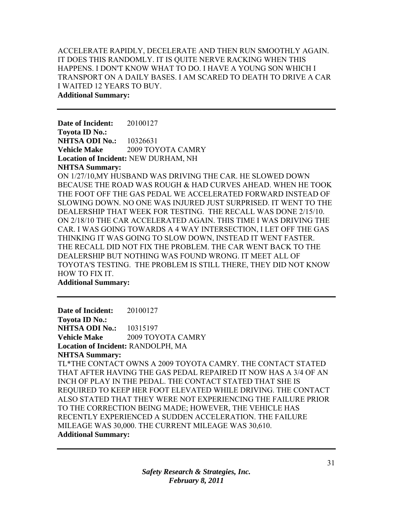# ACCELERATE RAPIDLY, DECELERATE AND THEN RUN SMOOTHLY AGAIN. IT DOES THIS RANDOMLY. IT IS QUITE NERVE RACKING WHEN THIS HAPPENS. I DON'T KNOW WHAT TO DO. I HAVE A YOUNG SON WHICH I TRANSPORT ON A DAILY BASES. I AM SCARED TO DEATH TO DRIVE A CAR I WAITED 12 YEARS TO BUY.

**Additional Summary:** 

**Date of Incident:** 20100127 **Toyota ID No.: NHTSA ODI No.:** 10326631 **Vehicle Make** 2009 TOYOTA CAMRY **Location of Incident:** NEW DURHAM, NH **NHTSA Summary:** 

ON 1/27/10,MY HUSBAND WAS DRIVING THE CAR. HE SLOWED DOWN BECAUSE THE ROAD WAS ROUGH & HAD CURVES AHEAD. WHEN HE TOOK THE FOOT OFF THE GAS PEDAL WE ACCELERATED FORWARD INSTEAD OF SLOWING DOWN. NO ONE WAS INJURED JUST SURPRISED. IT WENT TO THE DEALERSHIP THAT WEEK FOR TESTING. THE RECALL WAS DONE 2/15/10. ON 2/18/10 THE CAR ACCELERATED AGAIN. THIS TIME I WAS DRIVING THE CAR. I WAS GOING TOWARDS A 4 WAY INTERSECTION, I LET OFF THE GAS THINKING IT WAS GOING TO SLOW DOWN, INSTEAD IT WENT FASTER. THE RECALL DID NOT FIX THE PROBLEM. THE CAR WENT BACK TO THE DEALERSHIP BUT NOTHING WAS FOUND WRONG. IT MEET ALL OF TOYOTA'S TESTING. THE PROBLEM IS STILL THERE, THEY DID NOT KNOW HOW TO FIX IT.

**Additional Summary:** 

**Date of Incident:** 20100127 **Toyota ID No.: NHTSA ODI No.:** 10315197 **Vehicle Make** 2009 TOYOTA CAMRY **Location of Incident:** RANDOLPH, MA **NHTSA Summary:**  TL\*THE CONTACT OWNS A 2009 TOYOTA CAMRY. THE CONTACT STATED THAT AFTER HAVING THE GAS PEDAL REPAIRED IT NOW HAS A 3/4 OF AN INCH OF PLAY IN THE PEDAL. THE CONTACT STATED THAT SHE IS REQUIRED TO KEEP HER FOOT ELEVATED WHILE DRIVING. THE CONTACT ALSO STATED THAT THEY WERE NOT EXPERIENCING THE FAILURE PRIOR TO THE CORRECTION BEING MADE; HOWEVER, THE VEHICLE HAS RECENTLY EXPERIENCED A SUDDEN ACCELERATION. THE FAILURE MILEAGE WAS 30,000. THE CURRENT MILEAGE WAS 30,610. **Additional Summary:**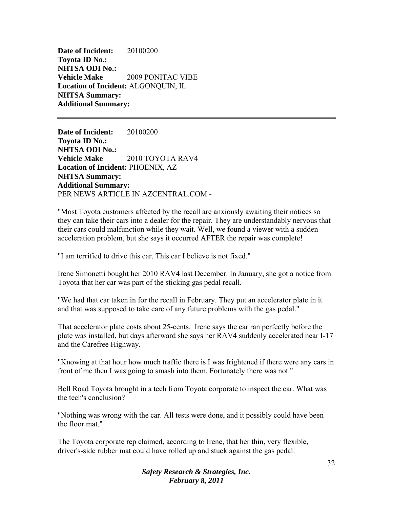**Date of Incident:** 20100200 **Toyota ID No.: NHTSA ODI No.: Vehicle Make** 2009 PONITAC VIBE **Location of Incident:** ALGONQUIN, IL **NHTSA Summary: Additional Summary:** 

**Date of Incident:** 20100200 **Toyota ID No.: NHTSA ODI No.: Vehicle Make** 2010 TOYOTA RAV4 **Location of Incident:** PHOENIX, AZ **NHTSA Summary: Additional Summary:**  PER NEWS ARTICLE IN AZCENTRAL.COM -

"Most Toyota customers affected by the recall are anxiously awaiting their notices so they can take their cars into a dealer for the repair. They are understandably nervous that their cars could malfunction while they wait. Well, we found a viewer with a sudden acceleration problem, but she says it occurred AFTER the repair was complete!

"I am terrified to drive this car. This car I believe is not fixed."

Irene Simonetti bought her 2010 RAV4 last December. In January, she got a notice from Toyota that her car was part of the sticking gas pedal recall.

"We had that car taken in for the recall in February. They put an accelerator plate in it and that was supposed to take care of any future problems with the gas pedal."

That accelerator plate costs about 25-cents. Irene says the car ran perfectly before the plate was installed, but days afterward she says her RAV4 suddenly accelerated near I-17 and the Carefree Highway.

"Knowing at that hour how much traffic there is I was frightened if there were any cars in front of me then I was going to smash into them. Fortunately there was not."

Bell Road Toyota brought in a tech from Toyota corporate to inspect the car. What was the tech's conclusion?

"Nothing was wrong with the car. All tests were done, and it possibly could have been the floor mat."

The Toyota corporate rep claimed, according to Irene, that her thin, very flexible, driver's-side rubber mat could have rolled up and stuck against the gas pedal.

> *Safety Research & Strategies, Inc. February 8, 2011*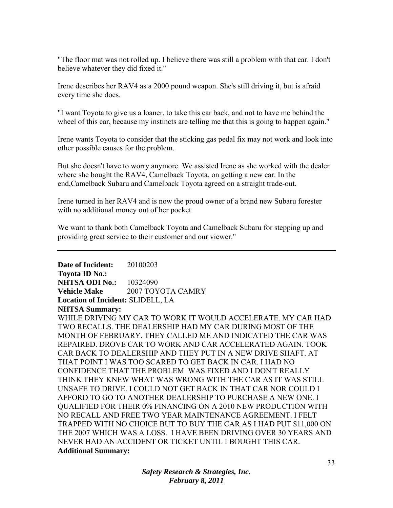"The floor mat was not rolled up. I believe there was still a problem with that car. I don't believe whatever they did fixed it."

Irene describes her RAV4 as a 2000 pound weapon. She's still driving it, but is afraid every time she does.

"I want Toyota to give us a loaner, to take this car back, and not to have me behind the wheel of this car, because my instincts are telling me that this is going to happen again."

Irene wants Toyota to consider that the sticking gas pedal fix may not work and look into other possible causes for the problem.

But she doesn't have to worry anymore. We assisted Irene as she worked with the dealer where she bought the RAV4, Camelback Toyota, on getting a new car. In the end,Camelback Subaru and Camelback Toyota agreed on a straight trade-out.

Irene turned in her RAV4 and is now the proud owner of a brand new Subaru forester with no additional money out of her pocket.

We want to thank both Camelback Toyota and Camelback Subaru for stepping up and providing great service to their customer and our viewer."

**Date of Incident:** 20100203 **Toyota ID No.: NHTSA ODI No.: 10324090 Vehicle Make** 2007 TOYOTA CAMRY **Location of Incident:** SLIDELL, LA **NHTSA Summary:**  WHILE DRIVING MY CAR TO WORK IT WOULD ACCELERATE. MY CAR HAD TWO RECALLS. THE DEALERSHIP HAD MY CAR DURING MOST OF THE MONTH OF FEBRUARY. THEY CALLED ME AND INDICATED THE CAR WAS REPAIRED. DROVE CAR TO WORK AND CAR ACCELERATED AGAIN. TOOK CAR BACK TO DEALERSHIP AND THEY PUT IN A NEW DRIVE SHAFT. AT THAT POINT I WAS TOO SCARED TO GET BACK IN CAR. I HAD NO CONFIDENCE THAT THE PROBLEM WAS FIXED AND I DON'T REALLY THINK THEY KNEW WHAT WAS WRONG WITH THE CAR AS IT WAS STILL UNSAFE TO DRIVE. I COULD NOT GET BACK IN THAT CAR NOR COULD I AFFORD TO GO TO ANOTHER DEALERSHIP TO PURCHASE A NEW ONE. I QUALIFIED FOR THEIR 0% FINANCING ON A 2010 NEW PRODUCTION WITH NO RECALL AND FREE TWO YEAR MAINTENANCE AGREEMENT. I FELT TRAPPED WITH NO CHOICE BUT TO BUY THE CAR AS I HAD PUT \$11,000 ON THE 2007 WHICH WAS A LOSS. I HAVE BEEN DRIVING OVER 30 YEARS AND NEVER HAD AN ACCIDENT OR TICKET UNTIL I BOUGHT THIS CAR. **Additional Summary:**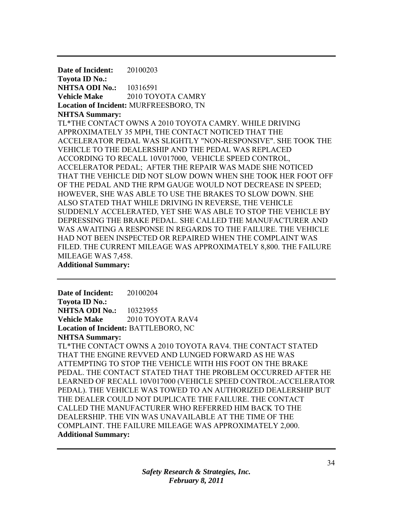**Date of Incident:** 20100203 **Toyota ID No.: NHTSA ODI No.:** 10316591 **Vehicle Make** 2010 TOYOTA CAMRY **Location of Incident:** MURFREESBORO, TN **NHTSA Summary:**  TL\*THE CONTACT OWNS A 2010 TOYOTA CAMRY. WHILE DRIVING APPROXIMATELY 35 MPH, THE CONTACT NOTICED THAT THE ACCELERATOR PEDAL WAS SLIGHTLY "NON-RESPONSIVE". SHE TOOK THE VEHICLE TO THE DEALERSHIP AND THE PEDAL WAS REPLACED ACCORDING TO RECALL 10V017000, VEHICLE SPEED CONTROL, ACCELERATOR PEDAL; AFTER THE REPAIR WAS MADE SHE NOTICED THAT THE VEHICLE DID NOT SLOW DOWN WHEN SHE TOOK HER FOOT OFF OF THE PEDAL AND THE RPM GAUGE WOULD NOT DECREASE IN SPEED; HOWEVER, SHE WAS ABLE TO USE THE BRAKES TO SLOW DOWN. SHE ALSO STATED THAT WHILE DRIVING IN REVERSE, THE VEHICLE SUDDENLY ACCELERATED, YET SHE WAS ABLE TO STOP THE VEHICLE BY DEPRESSING THE BRAKE PEDAL. SHE CALLED THE MANUFACTURER AND WAS AWAITING A RESPONSE IN REGARDS TO THE FAILURE. THE VEHICLE HAD NOT BEEN INSPECTED OR REPAIRED WHEN THE COMPLAINT WAS FILED. THE CURRENT MILEAGE WAS APPROXIMATELY 8,800. THE FAILURE MILEAGE WAS 7,458.

**Additional Summary:** 

**Date of Incident:** 20100204 **Toyota ID No.: NHTSA ODI No.:** 10323955 **Vehicle Make** 2010 TOYOTA RAV4 **Location of Incident:** BATTLEBORO, NC **NHTSA Summary:**  TL\*THE CONTACT OWNS A 2010 TOYOTA RAV4. THE CONTACT STATED THAT THE ENGINE REVVED AND LUNGED FORWARD AS HE WAS ATTEMPTING TO STOP THE VEHICLE WITH HIS FOOT ON THE BRAKE PEDAL. THE CONTACT STATED THAT THE PROBLEM OCCURRED AFTER HE LEARNED OF RECALL 10V017000 (VEHICLE SPEED CONTROL:ACCELERATOR PEDAL). THE VEHICLE WAS TOWED TO AN AUTHORIZED DEALERSHIP BUT THE DEALER COULD NOT DUPLICATE THE FAILURE. THE CONTACT CALLED THE MANUFACTURER WHO REFERRED HIM BACK TO THE DEALERSHIP. THE VIN WAS UNAVAILABLE AT THE TIME OF THE COMPLAINT. THE FAILURE MILEAGE WAS APPROXIMATELY 2,000. **Additional Summary:**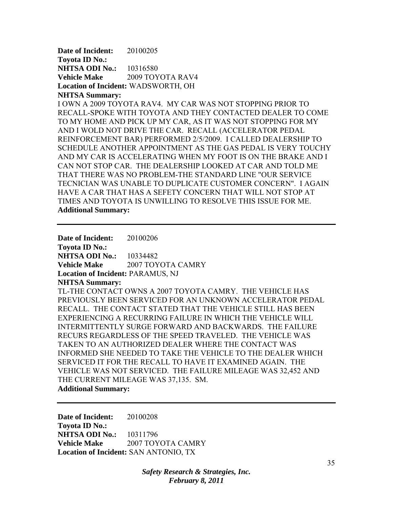**Date of Incident:** 20100205 **Toyota ID No.: NHTSA ODI No.:** 10316580 Vehicle Make 2009 TOYOTA RAV4 **Location of Incident:** WADSWORTH, OH **NHTSA Summary:** 

I OWN A 2009 TOYOTA RAV4. MY CAR WAS NOT STOPPING PRIOR TO RECALL-SPOKE WITH TOYOTA AND THEY CONTACTED DEALER TO COME TO MY HOME AND PICK UP MY CAR, AS IT WAS NOT STOPPING FOR MY AND I WOLD NOT DRIVE THE CAR. RECALL (ACCELERATOR PEDAL REINFORCEMENT BAR) PERFORMED 2/5/2009. I CALLED DEALERSHIP TO SCHEDULE ANOTHER APPOINTMENT AS THE GAS PEDAL IS VERY TOUCHY AND MY CAR IS ACCELERATING WHEN MY FOOT IS ON THE BRAKE AND I CAN NOT STOP CAR. THE DEALERSHIP LOOKED AT CAR AND TOLD ME THAT THERE WAS NO PROBLEM-THE STANDARD LINE "OUR SERVICE TECNICIAN WAS UNABLE TO DUPLICATE CUSTOMER CONCERN". I AGAIN HAVE A CAR THAT HAS A SEFETY CONCERN THAT WILL NOT STOP AT TIMES AND TOYOTA IS UNWILLING TO RESOLVE THIS ISSUE FOR ME. **Additional Summary:** 

**Date of Incident:** 20100206 **Toyota ID No.: NHTSA ODI No.:** 10334482 **Vehicle Make** 2007 TOYOTA CAMRY **Location of Incident:** PARAMUS, NJ **NHTSA Summary:**  TL-THE CONTACT OWNS A 2007 TOYOTA CAMRY. THE VEHICLE HAS PREVIOUSLY BEEN SERVICED FOR AN UNKNOWN ACCELERATOR PEDAL RECALL. THE CONTACT STATED THAT THE VEHICLE STILL HAS BEEN EXPERIENCING A RECURRING FAILURE IN WHICH THE VEHICLE WILL INTERMITTENTLY SURGE FORWARD AND BACKWARDS. THE FAILURE RECURS REGARDLESS OF THE SPEED TRAVELED. THE VEHICLE WAS TAKEN TO AN AUTHORIZED DEALER WHERE THE CONTACT WAS INFORMED SHE NEEDED TO TAKE THE VEHICLE TO THE DEALER WHICH SERVICED IT FOR THE RECALL TO HAVE IT EXAMINED AGAIN. THE VEHICLE WAS NOT SERVICED. THE FAILURE MILEAGE WAS 32,452 AND THE CURRENT MILEAGE WAS 37,135. SM. **Additional Summary:** 

**Date of Incident:** 20100208 **Toyota ID No.: NHTSA ODI No.:** 10311796 **Vehicle Make** 2007 TOYOTA CAMRY **Location of Incident:** SAN ANTONIO, TX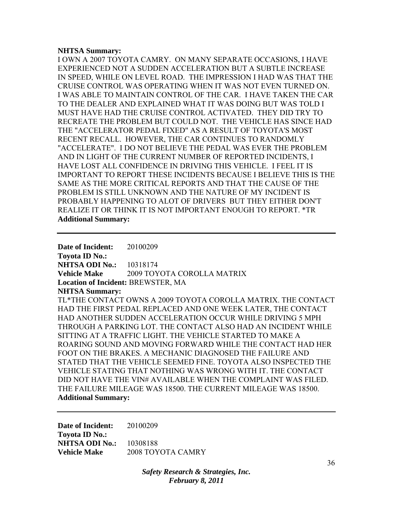#### **NHTSA Summary:**

I OWN A 2007 TOYOTA CAMRY. ON MANY SEPARATE OCCASIONS, I HAVE EXPERIENCED NOT A SUDDEN ACCELERATION BUT A SUBTLE INCREASE IN SPEED, WHILE ON LEVEL ROAD. THE IMPRESSION I HAD WAS THAT THE CRUISE CONTROL WAS OPERATING WHEN IT WAS NOT EVEN TURNED ON. I WAS ABLE TO MAINTAIN CONTROL OF THE CAR. I HAVE TAKEN THE CAR TO THE DEALER AND EXPLAINED WHAT IT WAS DOING BUT WAS TOLD I MUST HAVE HAD THE CRUISE CONTROL ACTIVATED. THEY DID TRY TO RECREATE THE PROBLEM BUT COULD NOT. THE VEHICLE HAS SINCE HAD THE "ACCELERATOR PEDAL FIXED" AS A RESULT OF TOYOTA'S MOST RECENT RECALL. HOWEVER, THE CAR CONTINUES TO RANDOMLY "ACCELERATE". I DO NOT BELIEVE THE PEDAL WAS EVER THE PROBLEM AND IN LIGHT OF THE CURRENT NUMBER OF REPORTED INCIDENTS, I HAVE LOST ALL CONFIDENCE IN DRIVING THIS VEHICLE. I FEEL IT IS IMPORTANT TO REPORT THESE INCIDENTS BECAUSE I BELIEVE THIS IS THE SAME AS THE MORE CRITICAL REPORTS AND THAT THE CAUSE OF THE PROBLEM IS STILL UNKNOWN AND THE NATURE OF MY INCIDENT IS PROBABLY HAPPENING TO ALOT OF DRIVERS BUT THEY EITHER DON'T REALIZE IT OR THINK IT IS NOT IMPORTANT ENOUGH TO REPORT. \*TR **Additional Summary:** 

**Date of Incident:** 20100209 **Toyota ID No.: NHTSA ODI No.:** 10318174 **Vehicle Make** 2009 TOYOTA COROLLA MATRIX **Location of Incident:** BREWSTER, MA **NHTSA Summary:**  TL\*THE CONTACT OWNS A 2009 TOYOTA COROLLA MATRIX. THE CONTACT HAD THE FIRST PEDAL REPLACED AND ONE WEEK LATER, THE CONTACT HAD ANOTHER SUDDEN ACCELERATION OCCUR WHILE DRIVING 5 MPH THROUGH A PARKING LOT. THE CONTACT ALSO HAD AN INCIDENT WHILE SITTING AT A TRAFFIC LIGHT. THE VEHICLE STARTED TO MAKE A ROARING SOUND AND MOVING FORWARD WHILE THE CONTACT HAD HER FOOT ON THE BRAKES. A MECHANIC DIAGNOSED THE FAILURE AND STATED THAT THE VEHICLE SEEMED FINE. TOYOTA ALSO INSPECTED THE VEHICLE STATING THAT NOTHING WAS WRONG WITH IT. THE CONTACT DID NOT HAVE THE VIN# AVAILABLE WHEN THE COMPLAINT WAS FILED. THE FAILURE MILEAGE WAS 18500. THE CURRENT MILEAGE WAS 18500. **Additional Summary:** 

**Date of Incident:** 20100209 **Toyota ID No.: NHTSA ODI No.:** 10308188 **Vehicle Make** 2008 TOYOTA CAMRY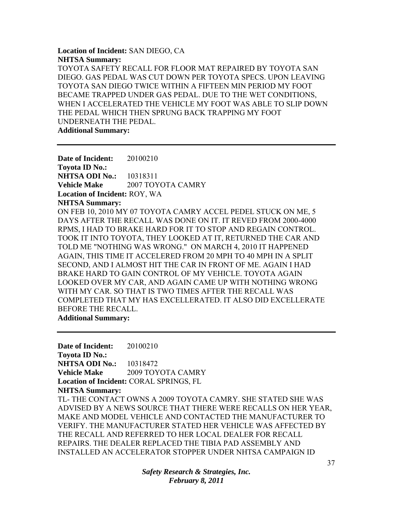**Location of Incident:** SAN DIEGO, CA **NHTSA Summary:**  TOYOTA SAFETY RECALL FOR FLOOR MAT REPAIRED BY TOYOTA SAN DIEGO. GAS PEDAL WAS CUT DOWN PER TOYOTA SPECS. UPON LEAVING TOYOTA SAN DIEGO TWICE WITHIN A FIFTEEN MIN PERIOD MY FOOT BECAME TRAPPED UNDER GAS PEDAL. DUE TO THE WET CONDITIONS, WHEN I ACCELERATED THE VEHICLE MY FOOT WAS ABLE TO SLIP DOWN THE PEDAL WHICH THEN SPRUNG BACK TRAPPING MY FOOT UNDERNEATH THE PEDAL. **Additional Summary:** 

**Date of Incident:** 20100210 **Toyota ID No.: NHTSA ODI No.:** 10318311 **Vehicle Make**  2007 TOYOTA CAMRY **Location of Incident:** ROY, WA **NHTSA Summary:**  ON FEB 10, 2010 MY 07 TOYOTA CAMRY ACCEL PEDEL STUCK ON ME, 5 DAYS AFTER THE RECALL WAS DONE ON IT. IT REVED FROM 2000-4000 RPMS, I HAD TO BRAKE HARD FOR IT TO STOP AND REGAIN CONTROL. TOOK IT INTO TOYOTA, THEY LOOKED AT IT, RETURNED THE CAR AND TOLD ME "NOTHING WAS WRONG." ON MARCH 4, 2010 IT HAPPENED AGAIN, THIS TIME IT ACCELERED FROM 20 MPH TO 40 MPH IN A SPLIT SECOND, AND I ALMOST HIT THE CAR IN FRONT OF ME. AGAIN I HAD BRAKE HARD TO GAIN CONTROL OF MY VEHICLE. TOYOTA AGAIN LOOKED OVER MY CAR, AND AGAIN CAME UP WITH NOTHING WRONG WITH MY CAR. SO THAT IS TWO TIMES AFTER THE RECALL WAS COMPLETED THAT MY HAS EXCELLERATED. IT ALSO DID EXCELLERATE BEFORE THE RECALL. **Additional Summary:** 

**Date of Incident:** 20100210 **Toyota ID No.: NHTSA ODI No.: 10318472 Vehicle Make** 2009 TOYOTA CAMRY **Location of Incident:** CORAL SPRINGS, FL **NHTSA Summary:**  TL- THE CONTACT OWNS A 2009 TOYOTA CAMRY. SHE STATED SHE WAS ADVISED BY A NEWS SOURCE THAT THERE WERE RECALLS ON HER YEAR, MAKE AND MODEL VEHICLE AND CONTACTED THE MANUFACTURER TO VERIFY. THE MANUFACTURER STATED HER VEHICLE WAS AFFECTED BY THE RECALL AND REFERRED TO HER LOCAL DEALER FOR RECALL REPAIRS. THE DEALER REPLACED THE TIBIA PAD ASSEMBLY AND INSTALLED AN ACCELERATOR STOPPER UNDER NHTSA CAMPAIGN ID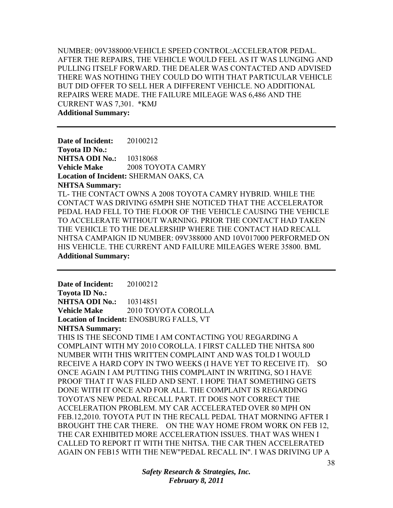NUMBER: 09V388000:VEHICLE SPEED CONTROL:ACCELERATOR PEDAL. AFTER THE REPAIRS, THE VEHICLE WOULD FEEL AS IT WAS LUNGING AND PULLING ITSELF FORWARD. THE DEALER WAS CONTACTED AND ADVISED THERE WAS NOTHING THEY COULD DO WITH THAT PARTICULAR VEHICLE BUT DID OFFER TO SELL HER A DIFFERENT VEHICLE. NO ADDITIONAL REPAIRS WERE MADE. THE FAILURE MILEAGE WAS 6,486 AND THE CURRENT WAS 7,301. \*KMJ **Additional Summary:** 

**Date of Incident:** 20100212 **Toyota ID No.: NHTSA ODI No.:** 10318068 **Vehicle Make** 2008 TOYOTA CAMRY **Location of Incident:** SHERMAN OAKS, CA **NHTSA Summary:**  TL- THE CONTACT OWNS A 2008 TOYOTA CAMRY HYBRID. WHILE THE CONTACT WAS DRIVING 65MPH SHE NOTICED THAT THE ACCELERATOR PEDAL HAD FELL TO THE FLOOR OF THE VEHICLE CAUSING THE VEHICLE TO ACCELERATE WITHOUT WARNING. PRIOR THE CONTACT HAD TAKEN THE VEHICLE TO THE DEALERSHIP WHERE THE CONTACT HAD RECALL NHTSA CAMPAIGN ID NUMBER: 09V388000 AND 10V017000 PERFORMED ON HIS VEHICLE. THE CURRENT AND FAILURE MILEAGES WERE 35800. BML **Additional Summary:** 

**Date of Incident:** 20100212 **Toyota ID No.: NHTSA ODI No.:** 10314851 **Vehicle Make** 2010 TOYOTA COROLLA **Location of Incident:** ENOSBURG FALLS, VT **NHTSA Summary:**  THIS IS THE SECOND TIME I AM CONTACTING YOU REGARDING A COMPLAINT WITH MY 2010 COROLLA. I FIRST CALLED THE NHTSA 800 NUMBER WITH THIS WRITTEN COMPLAINT AND WAS TOLD I WOULD RECEIVE A HARD COPY IN TWO WEEKS (I HAVE YET TO RECEIVE IT). SO ONCE AGAIN I AM PUTTING THIS COMPLAINT IN WRITING, SO I HAVE PROOF THAT IT WAS FILED AND SENT. I HOPE THAT SOMETHING GETS DONE WITH IT ONCE AND FOR ALL. THE COMPLAINT IS REGARDING TOYOTA'S NEW PEDAL RECALL PART. IT DOES NOT CORRECT THE ACCELERATION PROBLEM. MY CAR ACCELERATED OVER 80 MPH ON FEB.12,2010. TOYOTA PUT IN THE RECALL PEDAL THAT MORNING AFTER I BROUGHT THE CAR THERE. ON THE WAY HOME FROM WORK ON FEB 12, THE CAR EXHIBITED MORE ACCELERATION ISSUES. THAT WAS WHEN I CALLED TO REPORT IT WITH THE NHTSA. THE CAR THEN ACCELERATED AGAIN ON FEB15 WITH THE NEW"PEDAL RECALL IN". I WAS DRIVING UP A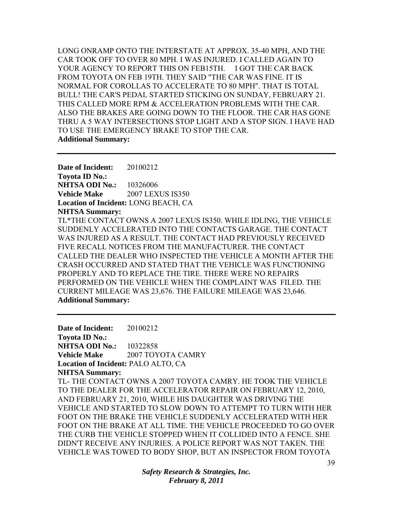LONG ONRAMP ONTO THE INTERSTATE AT APPROX. 35-40 MPH, AND THE CAR TOOK OFF TO OVER 80 MPH. I WAS INJURED. I CALLED AGAIN TO YOUR AGENCY TO REPORT THIS ON FEB15TH. I GOT THE CAR BACK FROM TOYOTA ON FEB 19TH. THEY SAID "THE CAR WAS FINE. IT IS NORMAL FOR COROLLAS TO ACCELERATE TO 80 MPH". THAT IS TOTAL BULL! THE CAR'S PEDAL STARTED STICKING ON SUNDAY, FEBRUARY 21. THIS CALLED MORE RPM & ACCELERATION PROBLEMS WITH THE CAR. ALSO THE BRAKES ARE GOING DOWN TO THE FLOOR. THE CAR HAS GONE THRU A 5 WAY INTERSECTIONS STOP LIGHT AND A STOP SIGN. I HAVE HAD TO USE THE EMERGENCY BRAKE TO STOP THE CAR. **Additional Summary:** 

**Date of Incident:** 20100212 **Toyota ID No.: NHTSA ODI No.:** 10326006 **Vehicle Make** 2007 LEXUS IS350 **Location of Incident:** LONG BEACH, CA **NHTSA Summary:** 

TL\*THE CONTACT OWNS A 2007 LEXUS IS350. WHILE IDLING, THE VEHICLE SUDDENLY ACCELERATED INTO THE CONTACTS GARAGE. THE CONTACT WAS INJURED AS A RESULT. THE CONTACT HAD PREVIOUSLY RECEIVED FIVE RECALL NOTICES FROM THE MANUFACTURER. THE CONTACT CALLED THE DEALER WHO INSPECTED THE VEHICLE A MONTH AFTER THE CRASH OCCURRED AND STATED THAT THE VEHICLE WAS FUNCTIONING PROPERLY AND TO REPLACE THE TIRE. THERE WERE NO REPAIRS PERFORMED ON THE VEHICLE WHEN THE COMPLAINT WAS FILED. THE CURRENT MILEAGE WAS 23,676. THE FAILURE MILEAGE WAS 23,646. **Additional Summary:** 

**Date of Incident:** 20100212 **Toyota ID No.: NHTSA ODI No.:** 10322858 **Vehicle Make**  2007 TOYOTA CAMRY **Location of Incident:** PALO ALTO, CA **NHTSA Summary:**  TL- THE CONTACT OWNS A 2007 TOYOTA CAMRY. HE TOOK THE VEHICLE TO THE DEALER FOR THE ACCELERATOR REPAIR ON FEBRUARY 12, 2010, AND FEBRUARY 21, 2010, WHILE HIS DAUGHTER WAS DRIVING THE VEHICLE AND STARTED TO SLOW DOWN TO ATTEMPT TO TURN WITH HER FOOT ON THE BRAKE THE VEHICLE SUDDENLY ACCELERATED WITH HER FOOT ON THE BRAKE AT ALL TIME. THE VEHICLE PROCEEDED TO GO OVER THE CURB THE VEHICLE STOPPED WHEN IT COLLIDED INTO A FENCE. SHE DIDN'T RECEIVE ANY INJURIES. A POLICE REPORT WAS NOT TAKEN. THE VEHICLE WAS TOWED TO BODY SHOP, BUT AN INSPECTOR FROM TOYOTA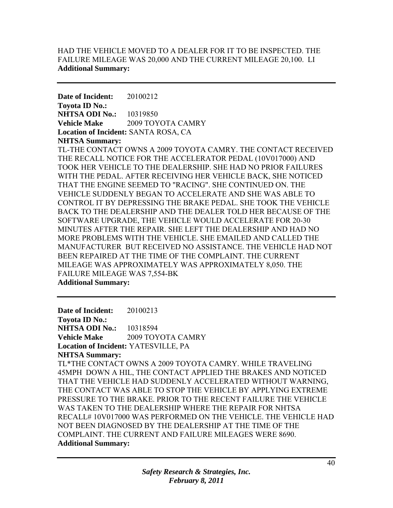# HAD THE VEHICLE MOVED TO A DEALER FOR IT TO BE INSPECTED. THE FAILURE MILEAGE WAS 20,000 AND THE CURRENT MILEAGE 20,100. LI **Additional Summary:**

**Date of Incident:** 20100212 **Toyota ID No.: NHTSA ODI No.:** 10319850 **Vehicle Make** 2009 TOYOTA CAMRY **Location of Incident:** SANTA ROSA, CA **NHTSA Summary:** 

TL-THE CONTACT OWNS A 2009 TOYOTA CAMRY. THE CONTACT RECEIVED THE RECALL NOTICE FOR THE ACCELERATOR PEDAL (10V017000) AND TOOK HER VEHICLE TO THE DEALERSHIP. SHE HAD NO PRIOR FAILURES WITH THE PEDAL. AFTER RECEIVING HER VEHICLE BACK, SHE NOTICED THAT THE ENGINE SEEMED TO "RACING". SHE CONTINUED ON. THE VEHICLE SUDDENLY BEGAN TO ACCELERATE AND SHE WAS ABLE TO CONTROL IT BY DEPRESSING THE BRAKE PEDAL. SHE TOOK THE VEHICLE BACK TO THE DEALERSHIP AND THE DEALER TOLD HER BECAUSE OF THE SOFTWARE UPGRADE, THE VEHICLE WOULD ACCELERATE FOR 20-30 MINUTES AFTER THE REPAIR. SHE LEFT THE DEALERSHIP AND HAD NO MORE PROBLEMS WITH THE VEHICLE. SHE EMAILED AND CALLED THE MANUFACTURER BUT RECEIVED NO ASSISTANCE. THE VEHICLE HAD NOT BEEN REPAIRED AT THE TIME OF THE COMPLAINT. THE CURRENT MILEAGE WAS APPROXIMATELY WAS APPROXIMATELY 8,050. THE FAILURE MILEAGE WAS 7,554-BK **Additional Summary:** 

**Date of Incident:** 20100213 **Toyota ID No.: NHTSA ODI No.:** 10318594 **Vehicle Make** 2009 TOYOTA CAMRY **Location of Incident:** YATESVILLE, PA **NHTSA Summary:**  TL\*THE CONTACT OWNS A 2009 TOYOTA CAMRY. WHILE TRAVELING 45MPH DOWN A HIL, THE CONTACT APPLIED THE BRAKES AND NOTICED THAT THE VEHICLE HAD SUDDENLY ACCELERATED WITHOUT WARNING, THE CONTACT WAS ABLE TO STOP THE VEHICLE BY APPLYING EXTREME PRESSURE TO THE BRAKE. PRIOR TO THE RECENT FAILURE THE VEHICLE WAS TAKEN TO THE DEALERSHIP WHERE THE REPAIR FOR NHTSA RECALL# 10V017000 WAS PERFORMED ON THE VEHICLE. THE VEHICLE HAD NOT BEEN DIAGNOSED BY THE DEALERSHIP AT THE TIME OF THE COMPLAINT. THE CURRENT AND FAILURE MILEAGES WERE 8690. **Additional Summary:**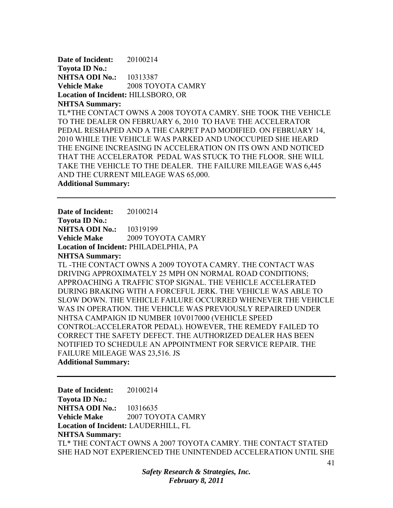**Date of Incident:** 20100214 **Toyota ID No.: NHTSA ODI No.:** 10313387 **Vehicle Make** 2008 TOYOTA CAMRY **Location of Incident:** HILLSBORO, OR **NHTSA Summary:**  TL\*THE CONTACT OWNS A 2008 TOYOTA CAMRY. SHE TOOK THE VEHICLE TO THE DEALER ON FEBRUARY 6, 2010 TO HAVE THE ACCELERATOR PEDAL RESHAPED AND A THE CARPET PAD MODIFIED. ON FEBRUARY 14, 2010 WHILE THE VEHICLE WAS PARKED AND UNOCCUPIED SHE HEARD THE ENGINE INCREASING IN ACCELERATION ON ITS OWN AND NOTICED THAT THE ACCELERATOR PEDAL WAS STUCK TO THE FLOOR. SHE WILL TAKE THE VEHICLE TO THE DEALER. THE FAILURE MILEAGE WAS 6,445 AND THE CURRENT MILEAGE WAS 65,000.

**Additional Summary:** 

**Date of Incident:** 20100214 **Toyota ID No.: NHTSA ODI No.:** 10319199 **Vehicle Make** 2009 TOYOTA CAMRY **Location of Incident:** PHILADELPHIA, PA **NHTSA Summary:**  TL -THE CONTACT OWNS A 2009 TOYOTA CAMRY. THE CONTACT WAS DRIVING APPROXIMATELY 25 MPH ON NORMAL ROAD CONDITIONS; APPROACHING A TRAFFIC STOP SIGNAL. THE VEHICLE ACCELERATED DURING BRAKING WITH A FORCEFUL JERK. THE VEHICLE WAS ABLE TO SLOW DOWN. THE VEHICLE FAILURE OCCURRED WHENEVER THE VEHICLE WAS IN OPERATION. THE VEHICLE WAS PREVIOUSLY REPAIRED UNDER NHTSA CAMPAIGN ID NUMBER 10V017000 (VEHICLE SPEED CONTROL:ACCELERATOR PEDAL). HOWEVER, THE REMEDY FAILED TO CORRECT THE SAFETY DEFECT. THE AUTHORIZED DEALER HAS BEEN NOTIFIED TO SCHEDULE AN APPOINTMENT FOR SERVICE REPAIR. THE FAILURE MILEAGE WAS 23,516. JS **Additional Summary:** 

**Date of Incident:** 20100214 **Toyota ID No.: NHTSA ODI No.:** 10316635 **Vehicle Make** 2007 TOYOTA CAMRY **Location of Incident:** LAUDERHILL, FL **NHTSA Summary:**  TL\* THE CONTACT OWNS A 2007 TOYOTA CAMRY. THE CONTACT STATED SHE HAD NOT EXPERIENCED THE UNINTENDED ACCELERATION UNTIL SHE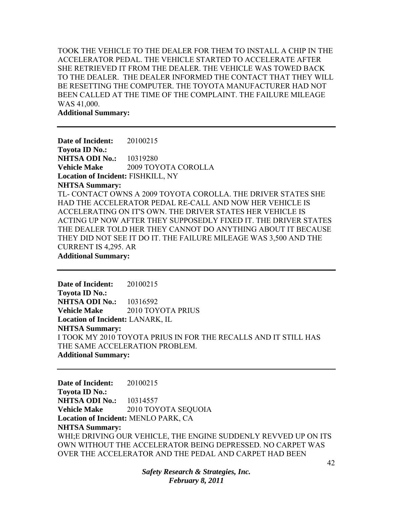TOOK THE VEHICLE TO THE DEALER FOR THEM TO INSTALL A CHIP IN THE ACCELERATOR PEDAL. THE VEHICLE STARTED TO ACCELERATE AFTER SHE RETRIEVED IT FROM THE DEALER. THE VEHICLE WAS TOWED BACK TO THE DEALER. THE DEALER INFORMED THE CONTACT THAT THEY WILL BE RESETTING THE COMPUTER. THE TOYOTA MANUFACTURER HAD NOT BEEN CALLED AT THE TIME OF THE COMPLAINT. THE FAILURE MILEAGE WAS 41,000.

**Additional Summary:** 

**Date of Incident:** 20100215 **Toyota ID No.: NHTSA ODI No.:** 10319280 **Vehicle Make** 2009 TOYOTA COROLLA **Location of Incident:** FISHKILL, NY **NHTSA Summary:**  TL- CONTACT OWNS A 2009 TOYOTA COROLLA. THE DRIVER STATES SHE HAD THE ACCELERATOR PEDAL RE-CALL AND NOW HER VEHICLE IS ACCELERATING ON IT'S OWN. THE DRIVER STATES HER VEHICLE IS ACTING UP NOW AFTER THEY SUPPOSEDLY FIXED IT. THE DRIVER STATES THE DEALER TOLD HER THEY CANNOT DO ANYTHING ABOUT IT BECAUSE THEY DID NOT SEE IT DO IT. THE FAILURE MILEAGE WAS 3,500 AND THE CURRENT IS 4,295. AR **Additional Summary:** 

**Date of Incident:** 20100215 **Toyota ID No.: NHTSA ODI No.:** 10316592 **Vehicle Make** 2010 TOYOTA PRIUS **Location of Incident:** LANARK, IL **NHTSA Summary:**  I TOOK MY 2010 TOYOTA PRIUS IN FOR THE RECALLS AND IT STILL HAS THE SAME ACCELERATION PROBLEM. **Additional Summary:** 

**Date of Incident:** 20100215 **Toyota ID No.: NHTSA ODI No.:** 10314557 **Vehicle Make** 2010 TOYOTA SEQUOIA **Location of Incident:** MENLO PARK, CA **NHTSA Summary:**  WHI;E DRIVING OUR VEHICLE, THE ENGINE SUDDENLY REVVED UP ON ITS OWN WITHOUT THE ACCELERATOR BEING DEPRESSED. NO CARPET WAS OVER THE ACCELERATOR AND THE PEDAL AND CARPET HAD BEEN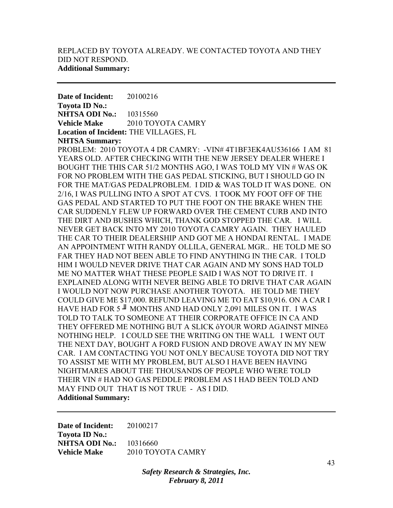**Date of Incident:** 20100216 **Toyota ID No.: NHTSA ODI No.:** 10315560 **Vehicle Make** 2010 TOYOTA CAMRY **Location of Incident:** THE VILLAGES, FL **NHTSA Summary:** 

PROBLEM: 2010 TOYOTA 4 DR CAMRY: -VIN# 4T1BF3EK4AU536166 I AM 81 YEARS OLD. AFTER CHECKING WITH THE NEW JERSEY DEALER WHERE I BOUGHT THE THIS CAR 51/2 MONTHS AGO, I WAS TOLD MY VIN # WAS OK FOR NO PROBLEM WITH THE GAS PEDAL STICKING, BUT I SHOULD GO IN FOR THE MAT/GAS PEDALPROBLEM. I DID & WAS TOLD IT WAS DONE. ON 2/16, I WAS PULLING INTO A SPOT AT CVS. I TOOK MY FOOT OFF OF THE GAS PEDAL AND STARTED TO PUT THE FOOT ON THE BRAKE WHEN THE CAR SUDDENLY FLEW UP FORWARD OVER THE CEMENT CURB AND INTO THE DIRT AND BUSHES WHICH, THANK GOD STOPPED THE CAR. I WILL NEVER GET BACK INTO MY 2010 TOYOTA CAMRY AGAIN. THEY HAULED THE CAR TO THEIR DEALERSHIP AND GOT ME A HONDAI RENTAL. I MADE AN APPOINTMENT WITH RANDY OLLILA, GENERAL MGR.. HE TOLD ME SO FAR THEY HAD NOT BEEN ABLE TO FIND ANYTHING IN THE CAR. I TOLD HIM I WOULD NEVER DRIVE THAT CAR AGAIN AND MY SONS HAD TOLD ME NO MATTER WHAT THESE PEOPLE SAID I WAS NOT TO DRIVE IT. I EXPLAINED ALONG WITH NEVER BEING ABLE TO DRIVE THAT CAR AGAIN I WOULD NOT NOW PURCHASE ANOTHER TOYOTA. HE TOLD ME THEY COULD GIVE ME \$17,000. REFUND LEAVING ME TO EAT \$10,916. ON A CAR I HAVE HAD FOR 5 <sup>■</sup> MONTHS AND HAD ONLY 2,091 MILES ON IT. I WAS TOLD TO TALK TO SOMEONE AT THEIR CORPORATE OFFICE IN CA AND THEY OFFERED ME NOTHING BUT A SLICK ôYOUR WORD AGAINST MINEö NOTHING HELP. I COULD SEE THE WRITING ON THE WALL I WENT OUT THE NEXT DAY, BOUGHT A FORD FUSION AND DROVE AWAY IN MY NEW CAR. I AM CONTACTING YOU NOT ONLY BECAUSE TOYOTA DID NOT TRY TO ASSIST ME WITH MY PROBLEM, BUT ALSO I HAVE BEEN HAVING NIGHTMARES ABOUT THE THOUSANDS OF PEOPLE WHO WERE TOLD THEIR VIN # HAD NO GAS PEDDLE PROBLEM AS I HAD BEEN TOLD AND MAY FIND OUT THAT IS NOT TRUE - AS I DID. **Additional Summary:** 

**Date of Incident:** 20100217 **Toyota ID No.: NHTSA ODI No.:** 10316660 **Vehicle Make** 2010 TOYOTA CAMRY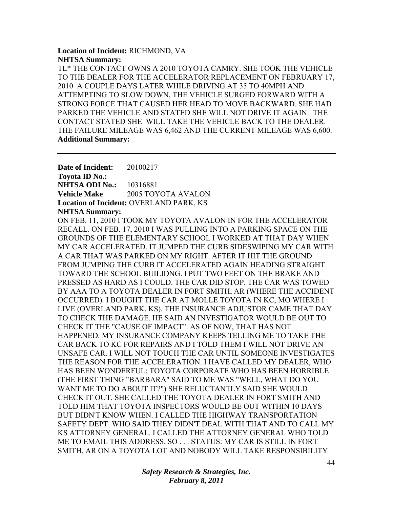### **Location of Incident:** RICHMOND, VA **NHTSA Summary:**

TL\* THE CONTACT OWNS A 2010 TOYOTA CAMRY. SHE TOOK THE VEHICLE TO THE DEALER FOR THE ACCELERATOR REPLACEMENT ON FEBRUARY 17, 2010 A COUPLE DAYS LATER WHILE DRIVING AT 35 TO 40MPH AND ATTEMPTING TO SLOW DOWN, THE VEHICLE SURGED FORWARD WITH A STRONG FORCE THAT CAUSED HER HEAD TO MOVE BACKWARD. SHE HAD PARKED THE VEHICLE AND STATED SHE WILL NOT DRIVE IT AGAIN. THE CONTACT STATED SHE WILL TAKE THE VEHICLE BACK TO THE DEALER. THE FAILURE MILEAGE WAS 6,462 AND THE CURRENT MILEAGE WAS 6,600. **Additional Summary:** 

**Date of Incident:** 20100217 **Toyota ID No.: NHTSA ODI No.:** 10316881 **Vehicle Make** 2005 TOYOTA AVALON **Location of Incident:** OVERLAND PARK, KS **NHTSA Summary:** 

ON FEB. 11, 2010 I TOOK MY TOYOTA AVALON IN FOR THE ACCELERATOR RECALL. ON FEB. 17, 2010 I WAS PULLING INTO A PARKING SPACE ON THE GROUNDS OF THE ELEMENTARY SCHOOL I WORKED AT THAT DAY WHEN MY CAR ACCELERATED. IT JUMPED THE CURB SIDESWIPING MY CAR WITH A CAR THAT WAS PARKED ON MY RIGHT. AFTER IT HIT THE GROUND FROM JUMPING THE CURB IT ACCELERATED AGAIN HEADING STRAIGHT TOWARD THE SCHOOL BUILIDNG. I PUT TWO FEET ON THE BRAKE AND PRESSED AS HARD AS I COULD. THE CAR DID STOP. THE CAR WAS TOWED BY AAA TO A TOYOTA DEALER IN FORT SMITH, AR (WHERE THE ACCIDENT OCCURRED). I BOUGHT THE CAR AT MOLLE TOYOTA IN KC, MO WHERE I LIVE (OVERLAND PARK, KS). THE INSURANCE ADJUSTOR CAME THAT DAY TO CHECK THE DAMAGE. HE SAID AN INVESTIGATOR WOULD BE OUT TO CHECK IT THE "CAUSE OF IMPACT". AS OF NOW, THAT HAS NOT HAPPENED. MY INSURANCE COMPANY KEEPS TELLING ME TO TAKE THE CAR BACK TO KC FOR REPAIRS AND I TOLD THEM I WILL NOT DRIVE AN UNSAFE CAR. I WILL NOT TOUCH THE CAR UNTIL SOMEONE INVESTIGATES THE REASON FOR THE ACCELERATION. I HAVE CALLED MY DEALER, WHO HAS BEEN WONDERFUL; TOYOTA CORPORATE WHO HAS BEEN HORRIBLE (THE FIRST THING "BARBARA" SAID TO ME WAS "WELL, WHAT DO YOU WANT ME TO DO ABOUT IT?") SHE RELUCTANTLY SAID SHE WOULD CHECK IT OUT. SHE CALLED THE TOYOTA DEALER IN FORT SMITH AND TOLD HIM THAT TOYOTA INSPECTORS WOULD BE OUT WITHIN 10 DAYS BUT DIDN'T KNOW WHEN. I CALLED THE HIGHWAY TRANSPORTATION SAFETY DEPT. WHO SAID THEY DIDN'T DEAL WITH THAT AND TO CALL MY KS ATTORNEY GENERAL. I CALLED THE ATTORNEY GENERAL WHO TOLD ME TO EMAIL THIS ADDRESS. SO . . . STATUS: MY CAR IS STILL IN FORT SMITH, AR ON A TOYOTA LOT AND NOBODY WILL TAKE RESPONSIBILITY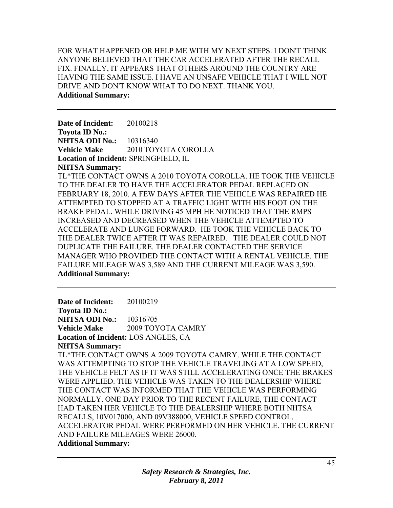FOR WHAT HAPPENED OR HELP ME WITH MY NEXT STEPS. I DON'T THINK ANYONE BELIEVED THAT THE CAR ACCELERATED AFTER THE RECALL FIX. FINALLY, IT APPEARS THAT OTHERS AROUND THE COUNTRY ARE HAVING THE SAME ISSUE. I HAVE AN UNSAFE VEHICLE THAT I WILL NOT DRIVE AND DON'T KNOW WHAT TO DO NEXT. THANK YOU. **Additional Summary:** 

**Date of Incident:** 20100218 **Toyota ID No.: NHTSA ODI No.:** 10316340 **Vehicle Make** 2010 TOYOTA COROLLA **Location of Incident:** SPRINGFIELD, IL **NHTSA Summary:** 

TL\*THE CONTACT OWNS A 2010 TOYOTA COROLLA. HE TOOK THE VEHICLE TO THE DEALER TO HAVE THE ACCELERATOR PEDAL REPLACED ON FEBRUARY 18, 2010. A FEW DAYS AFTER THE VEHICLE WAS REPAIRED HE ATTEMPTED TO STOPPED AT A TRAFFIC LIGHT WITH HIS FOOT ON THE BRAKE PEDAL. WHILE DRIVING 45 MPH HE NOTICED THAT THE RMPS INCREASED AND DECREASED WHEN THE VEHICLE ATTEMPTED TO ACCELERATE AND LUNGE FORWARD. HE TOOK THE VEHICLE BACK TO THE DEALER TWICE AFTER IT WAS REPAIRED. THE DEALER COULD NOT DUPLICATE THE FAILURE. THE DEALER CONTACTED THE SERVICE MANAGER WHO PROVIDED THE CONTACT WITH A RENTAL VEHICLE. THE FAILURE MILEAGE WAS 3,589 AND THE CURRENT MILEAGE WAS 3,590. **Additional Summary:** 

**Date of Incident:** 20100219 **Toyota ID No.: NHTSA ODI No.:** 10316705 **Vehicle Make** 2009 TOYOTA CAMRY **Location of Incident:** LOS ANGLES, CA **NHTSA Summary:**  TL\*THE CONTACT OWNS A 2009 TOYOTA CAMRY. WHILE THE CONTACT WAS ATTEMPTING TO STOP THE VEHICLE TRAVELING AT A LOW SPEED, THE VEHICLE FELT AS IF IT WAS STILL ACCELERATING ONCE THE BRAKES WERE APPLIED. THE VEHICLE WAS TAKEN TO THE DEALERSHIP WHERE THE CONTACT WAS INFORMED THAT THE VEHICLE WAS PERFORMING NORMALLY. ONE DAY PRIOR TO THE RECENT FAILURE, THE CONTACT HAD TAKEN HER VEHICLE TO THE DEALERSHIP WHERE BOTH NHTSA RECALLS, 10V017000, AND 09V388000, VEHICLE SPEED CONTROL, ACCELERATOR PEDAL WERE PERFORMED ON HER VEHICLE. THE CURRENT AND FAILURE MILEAGES WERE 26000. **Additional Summary:**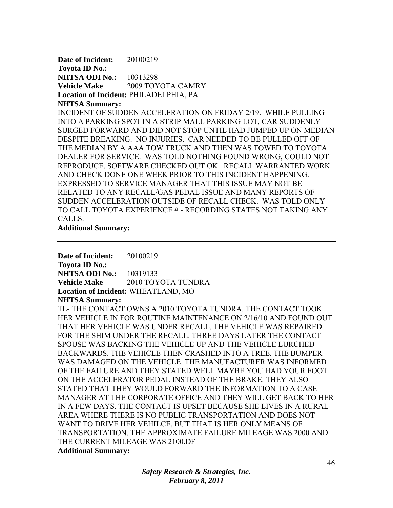**Date of Incident:** 20100219 **Toyota ID No.: NHTSA ODI No.:** 10313298 **Vehicle Make** 2009 TOYOTA CAMRY **Location of Incident:** PHILADELPHIA, PA **NHTSA Summary:** 

INCIDENT OF SUDDEN ACCELERATION ON FRIDAY 2/19. WHILE PULLING INTO A PARKING SPOT IN A STRIP MALL PARKING LOT, CAR SUDDENLY SURGED FORWARD AND DID NOT STOP UNTIL HAD JUMPED UP ON MEDIAN DESPITE BREAKING. NO INJURIES. CAR NEEDED TO BE PULLED OFF OF THE MEDIAN BY A AAA TOW TRUCK AND THEN WAS TOWED TO TOYOTA DEALER FOR SERVICE. WAS TOLD NOTHING FOUND WRONG, COULD NOT REPRODUCE, SOFTWARE CHECKED OUT OK. RECALL WARRANTED WORK AND CHECK DONE ONE WEEK PRIOR TO THIS INCIDENT HAPPENING. EXPRESSED TO SERVICE MANAGER THAT THIS ISSUE MAY NOT BE RELATED TO ANY RECALL/GAS PEDAL ISSUE AND MANY REPORTS OF SUDDEN ACCELERATION OUTSIDE OF RECALL CHECK. WAS TOLD ONLY TO CALL TOYOTA EXPERIENCE # - RECORDING STATES NOT TAKING ANY CALLS.

**Additional Summary:** 

**Date of Incident:** 20100219 **Toyota ID No.: NHTSA ODI No.:** 10319133 **Vehicle Make 2010 TOYOTA TUNDRA Location of Incident:** WHEATLAND, MO **NHTSA Summary:** 

TL- THE CONTACT OWNS A 2010 TOYOTA TUNDRA. THE CONTACT TOOK HER VEHICLE IN FOR ROUTINE MAINTENANCE ON 2/16/10 AND FOUND OUT THAT HER VEHICLE WAS UNDER RECALL. THE VEHICLE WAS REPAIRED FOR THE SHIM UNDER THE RECALL. THREE DAYS LATER THE CONTACT SPOUSE WAS BACKING THE VEHICLE UP AND THE VEHICLE LURCHED BACKWARDS. THE VEHICLE THEN CRASHED INTO A TREE. THE BUMPER WAS DAMAGED ON THE VEHICLE. THE MANUFACTURER WAS INFORMED OF THE FAILURE AND THEY STATED WELL MAYBE YOU HAD YOUR FOOT ON THE ACCELERATOR PEDAL INSTEAD OF THE BRAKE. THEY ALSO STATED THAT THEY WOULD FORWARD THE INFORMATION TO A CASE MANAGER AT THE CORPORATE OFFICE AND THEY WILL GET BACK TO HER IN A FEW DAYS. THE CONTACT IS UPSET BECAUSE SHE LIVES IN A RURAL AREA WHERE THERE IS NO PUBLIC TRANSPORTATION AND DOES NOT WANT TO DRIVE HER VEHILCE, BUT THAT IS HER ONLY MEANS OF TRANSPORTATION. THE APPROXIMATE FAILURE MILEAGE WAS 2000 AND THE CURRENT MILEAGE WAS 2100.DF **Additional Summary:**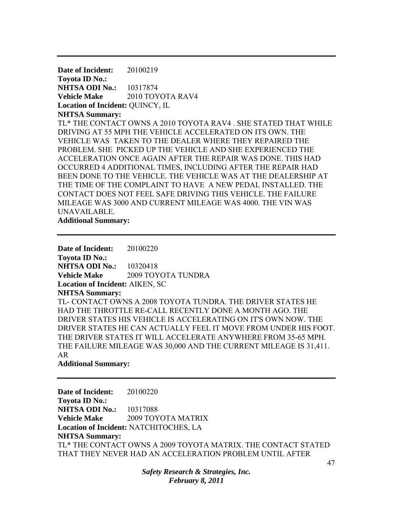**Date of Incident:** 20100219 **Toyota ID No.: NHTSA ODI No.:** 10317874 **Vehicle Make** 2010 TOYOTA RAV4 **Location of Incident:** QUINCY, IL **NHTSA Summary:**  TL\* THE CONTACT OWNS A 2010 TOYOTA RAV4 . SHE STATED THAT WHILE DRIVING AT 55 MPH THE VEHICLE ACCELERATED ON ITS OWN. THE VEHICLE WAS TAKEN TO THE DEALER WHERE THEY REPAIRED THE PROBLEM. SHE PICKED UP THE VEHICLE AND SHE EXPERIENCED THE ACCELERATION ONCE AGAIN AFTER THE REPAIR WAS DONE. THIS HAD OCCURRED 4 ADDITIONAL TIMES, INCLUDING AFTER THE REPAIR HAD BEEN DONE TO THE VEHICLE. THE VEHICLE WAS AT THE DEALERSHIP AT THE TIME OF THE COMPLAINT TO HAVE A NEW PEDAL INSTALLED. THE CONTACT DOES NOT FEEL SAFE DRIVING THIS VEHICLE. THE FAILURE MILEAGE WAS 3000 AND CURRENT MILEAGE WAS 4000. THE VIN WAS UNAVAILABLE.

**Additional Summary:** 

**Date of Incident:** 20100220 **Toyota ID No.: NHTSA ODI No.:** 10320418 **Vehicle Make** 2009 TOYOTA TUNDRA **Location of Incident:** AIKEN, SC **NHTSA Summary:**  TL- CONTACT OWNS A 2008 TOYOTA TUNDRA. THE DRIVER STATES HE HAD THE THROTTLE RE-CALL RECENTLY DONE A MONTH AGO. THE DRIVER STATES HIS VEHICLE IS ACCELERATING ON IT'S OWN NOW. THE DRIVER STATES HE CAN ACTUALLY FEEL IT MOVE FROM UNDER HIS FOOT. THE DRIVER STATES IT WILL ACCELERATE ANYWHERE FROM 35-65 MPH. THE FAILURE MILEAGE WAS 30,000 AND THE CURRENT MILEAGE IS 31,411. AR

**Additional Summary:** 

**Date of Incident:** 20100220 **Toyota ID No.: NHTSA ODI No.:** 10317088 **Vehicle Make** 2009 TOYOTA MATRIX **Location of Incident:** NATCHITOCHES, LA **NHTSA Summary:**  TL\* THE CONTACT OWNS A 2009 TOYOTA MATRIX. THE CONTACT STATED THAT THEY NEVER HAD AN ACCELERATION PROBLEM UNTIL AFTER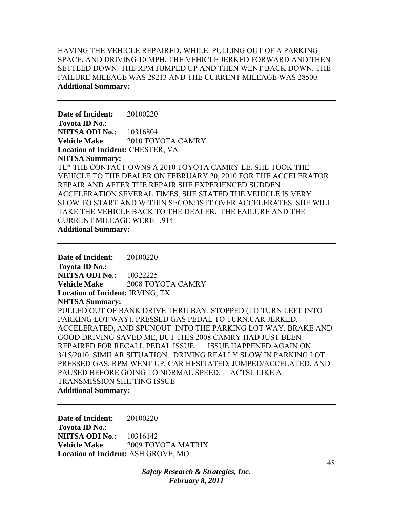HAVING THE VEHICLE REPAIRED. WHILE PULLING OUT OF A PARKING SPACE, AND DRIVING 10 MPH, THE VEHICLE JERKED FORWARD AND THEN SETTLED DOWN. THE RPM JUMPED UP AND THEN WENT BACK DOWN. THE FAILURE MILEAGE WAS 28213 AND THE CURRENT MILEAGE WAS 28500. **Additional Summary:** 

**Date of Incident:** 20100220 **Toyota ID No.: NHTSA ODI No.:** 10316804 **Vehicle Make** 2010 TOYOTA CAMRY **Location of Incident:** CHESTER, VA **NHTSA Summary:**  TL\* THE CONTACT OWNS A 2010 TOYOTA CAMRY LE. SHE TOOK THE VEHICLE TO THE DEALER ON FEBRUARY 20, 2010 FOR THE ACCELERATOR REPAIR AND AFTER THE REPAIR SHE EXPERIENCED SUDDEN ACCELERATION SEVERAL TIMES. SHE STATED THE VEHICLE IS VERY SLOW TO START AND WITHIN SECONDS IT OVER ACCELERATES. SHE WILL TAKE THE VEHICLE BACK TO THE DEALER. THE FAILURE AND THE CURRENT MILEAGE WERE 1,914. **Additional Summary:** 

**Date of Incident:** 20100220 **Toyota ID No.: NHTSA ODI No.:** 10322225 **Vehicle Make** 2008 TOYOTA CAMRY **Location of Incident:** IRVING, TX **NHTSA Summary:**  PULLED OUT OF BANK DRIVE THRU BAY. STOPPED (TO TURN LEFT INTO PARKING LOT WAY). PRESSED GAS PEDAL TO TURN.CAR JERKED, ACCELERATED, AND SPUNOUT INTO THE PARKING LOT WAY. BRAKE AND GOOD DRIVING SAVED ME, BUT THIS 2008 CAMRY HAD JUST BEEN REPAIRED FOR RECALL PEDAL ISSUE .. ISSUE HAPPENED AGAIN ON 3/15/2010. SIMILAR SITUATION...DRIVING REALLY SLOW IN PARKING LOT. PRESSED GAS, RPM WENT UP, CAR HESITATED, JUMPED/ACCELATED, AND PAUSED BEFORE GOING TO NORMAL SPEED. ACTSL LIKE A TRANSMISSION SHIFTING ISSUE **Additional Summary:** 

**Date of Incident:** 20100220 **Toyota ID No.: NHTSA ODI No.:** 10316142 **Vehicle Make** 2009 TOYOTA MATRIX **Location of Incident:** ASH GROVE, MO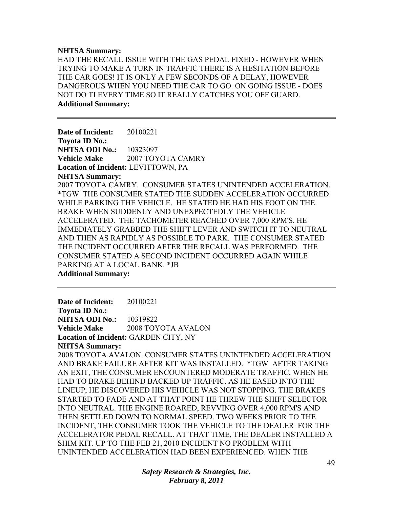#### **NHTSA Summary:**

HAD THE RECALL ISSUE WITH THE GAS PEDAL FIXED - HOWEVER WHEN TRYING TO MAKE A TURN IN TRAFFIC THERE IS A HESITATION BEFORE THE CAR GOES! IT IS ONLY A FEW SECONDS OF A DELAY, HOWEVER DANGEROUS WHEN YOU NEED THE CAR TO GO. ON GOING ISSUE - DOES NOT DO TI EVERY TIME SO IT REALLY CATCHES YOU OFF GUARD. **Additional Summary:** 

**Date of Incident:** 20100221 **Toyota ID No.: NHTSA ODI No.: 10323097 Vehicle Make** 2007 TOYOTA CAMRY **Location of Incident:** LEVITTOWN, PA **NHTSA Summary:**  2007 TOYOTA CAMRY. CONSUMER STATES UNINTENDED ACCELERATION. \*TGW THE CONSUMER STATED THE SUDDEN ACCELERATION OCCURRED WHILE PARKING THE VEHICLE. HE STATED HE HAD HIS FOOT ON THE BRAKE WHEN SUDDENLY AND UNEXPECTEDLY THE VEHICLE ACCELERATED. THE TACHOMETER REACHED OVER 7,000 RPM'S. HE IMMEDIATELY GRABBED THE SHIFT LEVER AND SWITCH IT TO NEUTRAL AND THEN AS RAPIDLY AS POSSIBLE TO PARK. THE CONSUMER STATED THE INCIDENT OCCURRED AFTER THE RECALL WAS PERFORMED. THE CONSUMER STATED A SECOND INCIDENT OCCURRED AGAIN WHILE PARKING AT A LOCAL BANK. \*JB **Additional Summary:** 

**Date of Incident:** 20100221 **Toyota ID No.: NHTSA ODI No.: 10319822 Vehicle Make** 2008 TOYOTA AVALON **Location of Incident:** GARDEN CITY, NY **NHTSA Summary:**  2008 TOYOTA AVALON. CONSUMER STATES UNINTENDED ACCELERATION

AND BRAKE FAILURE AFTER KIT WAS INSTALLED. \*TGW AFTER TAKING AN EXIT, THE CONSUMER ENCOUNTERED MODERATE TRAFFIC, WHEN HE HAD TO BRAKE BEHIND BACKED UP TRAFFIC. AS HE EASED INTO THE LINEUP, HE DISCOVERED HIS VEHICLE WAS NOT STOPPING. THE BRAKES STARTED TO FADE AND AT THAT POINT HE THREW THE SHIFT SELECTOR INTO NEUTRAL. THE ENGINE ROARED, REVVING OVER 4,000 RPM'S AND THEN SETTLED DOWN TO NORMAL SPEED. TWO WEEKS PRIOR TO THE INCIDENT, THE CONSUMER TOOK THE VEHICLE TO THE DEALER FOR THE ACCELERATOR PEDAL RECALL. AT THAT TIME, THE DEALER INSTALLED A SHIM KIT. UP TO THE FEB 21, 2010 INCIDENT NO PROBLEM WITH UNINTENDED ACCELERATION HAD BEEN EXPERIENCED. WHEN THE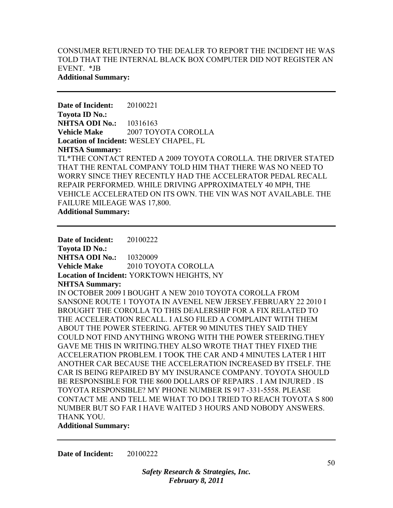## CONSUMER RETURNED TO THE DEALER TO REPORT THE INCIDENT HE WAS TOLD THAT THE INTERNAL BLACK BOX COMPUTER DID NOT REGISTER AN EVENT. \*JB **Additional Summary:**

**Date of Incident:** 20100221 **Toyota ID No.: NHTSA ODI No.:** 10316163 **Vehicle Make** 2007 TOYOTA COROLLA **Location of Incident:** WESLEY CHAPEL, FL **NHTSA Summary:**  TL\*THE CONTACT RENTED A 2009 TOYOTA COROLLA. THE DRIVER STATED THAT THE RENTAL COMPANY TOLD HIM THAT THERE WAS NO NEED TO WORRY SINCE THEY RECENTLY HAD THE ACCELERATOR PEDAL RECALL REPAIR PERFORMED. WHILE DRIVING APPROXIMATELY 40 MPH, THE VEHICLE ACCELERATED ON ITS OWN. THE VIN WAS NOT AVAILABLE. THE FAILURE MILEAGE WAS 17,800. **Additional Summary:** 

**Date of Incident:** 20100222 **Toyota ID No.: NHTSA ODI No.:** 10320009 **Vehicle Make** 2010 TOYOTA COROLLA **Location of Incident:** YORKTOWN HEIGHTS, NY **NHTSA Summary:**  IN OCTOBER 2009 I BOUGHT A NEW 2010 TOYOTA COROLLA FROM SANSONE ROUTE 1 TOYOTA IN AVENEL NEW JERSEY.FEBRUARY 22 2010 I BROUGHT THE COROLLA TO THIS DEALERSHIP FOR A FIX RELATED TO THE ACCELERATION RECALL. I ALSO FILED A COMPLAINT WITH THEM ABOUT THE POWER STEERING. AFTER 90 MINUTES THEY SAID THEY COULD NOT FIND ANYTHING WRONG WITH THE POWER STEERING.THEY GAVE ME THIS IN WRITING.THEY ALSO WROTE THAT THEY FIXED THE ACCELERATION PROBLEM. I TOOK THE CAR AND 4 MINUTES LATER I HIT ANOTHER CAR BECAUSE THE ACCELERATION INCREASED BY ITSELF. THE CAR IS BEING REPAIRED BY MY INSURANCE COMPANY. TOYOTA SHOULD BE RESPONSIBLE FOR THE 8600 DOLLARS OF REPAIRS . I AM INJURED . IS TOYOTA RESPONSIBLE? MY PHONE NUMBER IS 917 -331-5558. PLEASE CONTACT ME AND TELL ME WHAT TO DO.I TRIED TO REACH TOYOTA S 800 NUMBER BUT SO FAR I HAVE WAITED 3 HOURS AND NOBODY ANSWERS. THANK YOU.

**Additional Summary:** 

**Date of Incident:** 20100222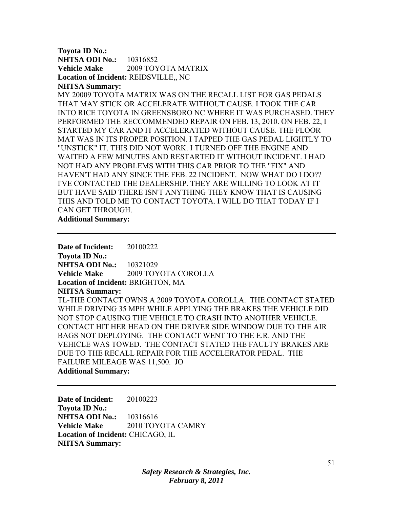### **Toyota ID No.: NHTSA ODI No.:** 10316852 **Vehicle Make** 2009 TOYOTA MATRIX **Location of Incident:** REIDSVILLE,, NC **NHTSA Summary:**

MY 20009 TOYOTA MATRIX WAS ON THE RECALL LIST FOR GAS PEDALS THAT MAY STICK OR ACCELERATE WITHOUT CAUSE. I TOOK THE CAR INTO RICE TOYOTA IN GREENSBORO NC WHERE IT WAS PURCHASED. THEY PERFORMED THE RECCOMMENDED REPAIR ON FEB. 13, 2010. ON FEB. 22, I STARTED MY CAR AND IT ACCELERATED WITHOUT CAUSE. THE FLOOR MAT WAS IN ITS PROPER POSITION. I TAPPED THE GAS PEDAL LIGHTLY TO "UNSTICK" IT. THIS DID NOT WORK. I TURNED OFF THE ENGINE AND WAITED A FEW MINUTES AND RESTARTED IT WITHOUT INCIDENT. I HAD NOT HAD ANY PROBLEMS WITH THIS CAR PRIOR TO THE "FIX" AND HAVEN'T HAD ANY SINCE THE FEB. 22 INCIDENT. NOW WHAT DO I DO?? I'VE CONTACTED THE DEALERSHIP. THEY ARE WILLING TO LOOK AT IT BUT HAVE SAID THERE ISN'T ANYTHING THEY KNOW THAT IS CAUSING THIS AND TOLD ME TO CONTACT TOYOTA. I WILL DO THAT TODAY IF I CAN GET THROUGH.

**Additional Summary:** 

**Date of Incident:** 20100222 **Toyota ID No.: NHTSA ODI No.:** 10321029 **Vehicle Make** 2009 TOYOTA COROLLA **Location of Incident:** BRIGHTON, MA **NHTSA Summary:**  TL-THE CONTACT OWNS A 2009 TOYOTA COROLLA. THE CONTACT STATED WHILE DRIVING 35 MPH WHILE APPLYING THE BRAKES THE VEHICLE DID NOT STOP CAUSING THE VEHICLE TO CRASH INTO ANOTHER VEHICLE. CONTACT HIT HER HEAD ON THE DRIVER SIDE WINDOW DUE TO THE AIR BAGS NOT DEPLOYING. THE CONTACT WENT TO THE E.R. AND THE VEHICLE WAS TOWED. THE CONTACT STATED THE FAULTY BRAKES ARE DUE TO THE RECALL REPAIR FOR THE ACCELERATOR PEDAL. THE FAILURE MILEAGE WAS 11,500. JO **Additional Summary:** 

**Date of Incident:** 20100223 **Toyota ID No.: NHTSA ODI No.:** 10316616 **Vehicle Make** 2010 TOYOTA CAMRY **Location of Incident:** CHICAGO, IL **NHTSA Summary:**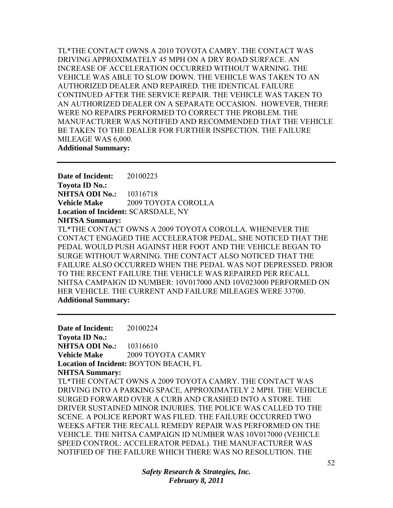TL\*THE CONTACT OWNS A 2010 TOYOTA CAMRY. THE CONTACT WAS DRIVING APPROXIMATELY 45 MPH ON A DRY ROAD SURFACE. AN INCREASE OF ACCELERATION OCCURRED WITHOUT WARNING. THE VEHICLE WAS ABLE TO SLOW DOWN. THE VEHICLE WAS TAKEN TO AN AUTHORIZED DEALER AND REPAIRED. THE IDENTICAL FAILURE CONTINUED AFTER THE SERVICE REPAIR. THE VEHICLE WAS TAKEN TO AN AUTHORIZED DEALER ON A SEPARATE OCCASION. HOWEVER, THERE WERE NO REPAIRS PERFORMED TO CORRECT THE PROBLEM. THE MANUFACTURER WAS NOTIFIED AND RECOMMENDED THAT THE VEHICLE BE TAKEN TO THE DEALER FOR FURTHER INSPECTION. THE FAILURE MILEAGE WAS 6,000. **Additional Summary:** 

**Date of Incident:** 20100223 **Toyota ID No.: NHTSA ODI No.:** 10316718 **Vehicle Make** 2009 TOYOTA COROLLA **Location of Incident:** SCARSDALE, NY **NHTSA Summary:**  TL\*THE CONTACT OWNS A 2009 TOYOTA COROLLA. WHENEVER THE CONTACT ENGAGED THE ACCELERATOR PEDAL, SHE NOTICED THAT THE PEDAL WOULD PUSH AGAINST HER FOOT AND THE VEHICLE BEGAN TO SURGE WITHOUT WARNING. THE CONTACT ALSO NOTICED THAT THE FAILURE ALSO OCCURRED WHEN THE PEDAL WAS NOT DEPRESSED. PRIOR TO THE RECENT FAILURE THE VEHICLE WAS REPAIRED PER RECALL NHTSA CAMPAIGN ID NUMBER: 10V017000 AND 10V023000 PERFORMED ON HER VEHICLE. THE CURRENT AND FAILURE MILEAGES WERE 33700. **Additional Summary:** 

**Date of Incident:** 20100224 **Toyota ID No.: NHTSA ODI No.:** 10316610 **Vehicle Make** 2009 TOYOTA CAMRY **Location of Incident:** BOYTON BEACH, FL **NHTSA Summary:**  TL\*THE CONTACT OWNS A 2009 TOYOTA CAMRY. THE CONTACT WAS DRIVING INTO A PARKING SPACE, APPROXIMATELY 2 MPH. THE VEHICLE SURGED FORWARD OVER A CURB AND CRASHED INTO A STORE. THE DRIVER SUSTAINED MINOR INJURIES. THE POLICE WAS CALLED TO THE SCENE. A POLICE REPORT WAS FILED. THE FAILURE OCCURRED TWO WEEKS AFTER THE RECALL REMEDY REPAIR WAS PERFORMED ON THE VEHICLE. THE NHTSA CAMPAIGN ID NUMBER WAS 10V017000 (VEHICLE SPEED CONTROL: ACCELERATOR PEDAL). THE MANUFACTURER WAS NOTIFIED OF THE FAILURE WHICH THERE WAS NO RESOLUTION. THE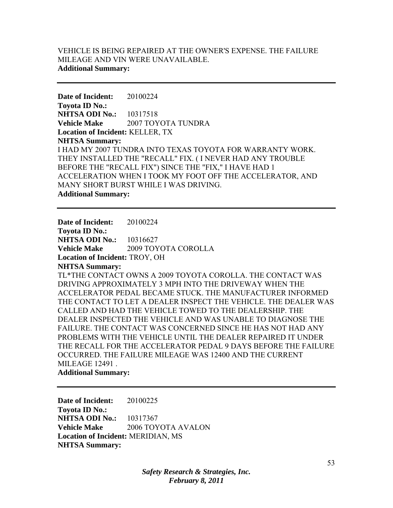## VEHICLE IS BEING REPAIRED AT THE OWNER'S EXPENSE. THE FAILURE MILEAGE AND VIN WERE UNAVAILABLE. **Additional Summary:**

**Date of Incident:** 20100224 **Toyota ID No.: NHTSA ODI No.:** 10317518 **Vehicle Make** 2007 TOYOTA TUNDRA **Location of Incident:** KELLER, TX **NHTSA Summary:**  I HAD MY 2007 TUNDRA INTO TEXAS TOYOTA FOR WARRANTY WORK. THEY INSTALLED THE "RECALL" FIX. ( I NEVER HAD ANY TROUBLE BEFORE THE "RECALL FIX") SINCE THE "FIX," I HAVE HAD 1 ACCELERATION WHEN I TOOK MY FOOT OFF THE ACCELERATOR, AND MANY SHORT BURST WHILE I WAS DRIVING. **Additional Summary:** 

**Date of Incident:** 20100224

**Toyota ID No.: NHTSA ODI No.:** 10316627 **Vehicle Make** 2009 TOYOTA COROLLA **Location of Incident:** TROY, OH **NHTSA Summary:**  TL\*THE CONTACT OWNS A 2009 TOYOTA COROLLA. THE CONTACT WAS

DRIVING APPROXIMATELY 3 MPH INTO THE DRIVEWAY WHEN THE ACCELERATOR PEDAL BECAME STUCK. THE MANUFACTURER INFORMED THE CONTACT TO LET A DEALER INSPECT THE VEHICLE. THE DEALER WAS CALLED AND HAD THE VEHICLE TOWED TO THE DEALERSHIP. THE DEALER INSPECTED THE VEHICLE AND WAS UNABLE TO DIAGNOSE THE FAILURE. THE CONTACT WAS CONCERNED SINCE HE HAS NOT HAD ANY PROBLEMS WITH THE VEHICLE UNTIL THE DEALER REPAIRED IT UNDER THE RECALL FOR THE ACCELERATOR PEDAL 9 DAYS BEFORE THE FAILURE OCCURRED. THE FAILURE MILEAGE WAS 12400 AND THE CURRENT MILEAGE 12491 .

**Additional Summary:** 

**Date of Incident:** 20100225 **Toyota ID No.: NHTSA ODI No.:** 10317367 **Vehicle Make** 2006 TOYOTA AVALON **Location of Incident:** MERIDIAN, MS **NHTSA Summary:**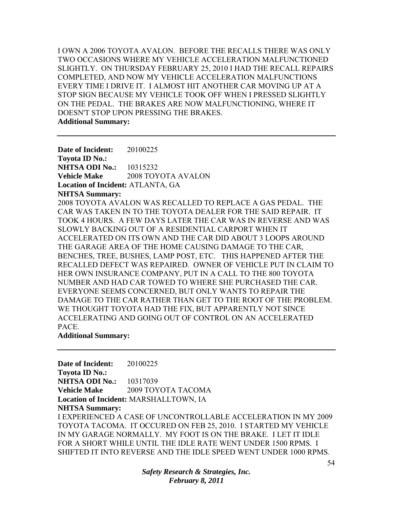I OWN A 2006 TOYOTA AVALON. BEFORE THE RECALLS THERE WAS ONLY TWO OCCASIONS WHERE MY VEHICLE ACCELERATION MALFUNCTIONED SLIGHTLY. ON THURSDAY FEBRUARY 25, 2010 I HAD THE RECALL REPAIRS COMPLETED, AND NOW MY VEHICLE ACCELERATION MALFUNCTIONS EVERY TIME I DRIVE IT. I ALMOST HIT ANOTHER CAR MOVING UP AT A STOP SIGN BECAUSE MY VEHICLE TOOK OFF WHEN I PRESSED SLIGHTLY ON THE PEDAL. THE BRAKES ARE NOW MALFUNCTIONING, WHERE IT DOESN'T STOP UPON PRESSING THE BRAKES. **Additional Summary:** 

**Date of Incident:** 20100225 **Toyota ID No.: NHTSA ODI No.:** 10315232 **Vehicle Make** 2008 TOYOTA AVALON **Location of Incident:** ATLANTA, GA

**NHTSA Summary:** 

2008 TOYOTA AVALON WAS RECALLED TO REPLACE A GAS PEDAL. THE CAR WAS TAKEN IN TO THE TOYOTA DEALER FOR THE SAID REPAIR. IT TOOK 4 HOURS. A FEW DAYS LATER THE CAR WAS IN REVERSE AND WAS SLOWLY BACKING OUT OF A RESIDENTIAL CARPORT WHEN IT ACCELERATED ON ITS OWN AND THE CAR DID ABOUT 3 LOOPS AROUND THE GARAGE AREA OF THE HOME CAUSING DAMAGE TO THE CAR, BENCHES, TREE, BUSHES, LAMP POST, ETC. THIS HAPPENED AFTER THE RECALLED DEFECT WAS REPAIRED. OWNER OF VEHICLE PUT IN CLAIM TO HER OWN INSURANCE COMPANY, PUT IN A CALL TO THE 800 TOYOTA NUMBER AND HAD CAR TOWED TO WHERE SHE PURCHASED THE CAR. EVERYONE SEEMS CONCERNED, BUT ONLY WANTS TO REPAIR THE DAMAGE TO THE CAR RATHER THAN GET TO THE ROOT OF THE PROBLEM. WE THOUGHT TOYOTA HAD THE FIX, BUT APPARENTLY NOT SINCE ACCELERATING AND GOING OUT OF CONTROL ON AN ACCELERATED PACE.

### **Additional Summary:**

**Date of Incident:** 20100225 **Toyota ID No.: NHTSA ODI No.:** 10317039 **Vehicle Make** 2009 TOYOTA TACOMA **Location of Incident:** MARSHALLTOWN, IA **NHTSA Summary:**  I EXPERIENCED A CASE OF UNCONTROLLABLE ACCELERATION IN MY 2009 TOYOTA TACOMA. IT OCCURED ON FEB 25, 2010. I STARTED MY VEHICLE IN MY GARAGE NORMALLY. MY FOOT IS ON THE BRAKE. I LET IT IDLE FOR A SHORT WHILE UNTIL THE IDLE RATE WENT UNDER 1500 RPMS. I SHIFTED IT INTO REVERSE AND THE IDLE SPEED WENT UNDER 1000 RPMS.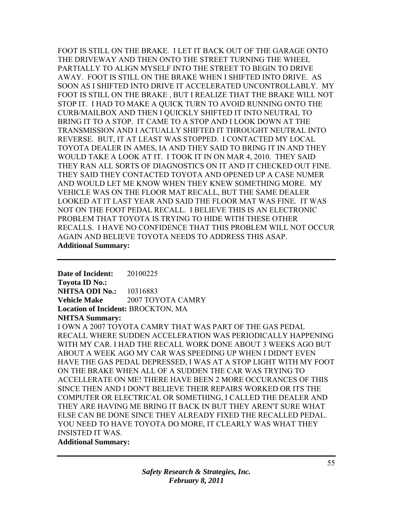FOOT IS STILL ON THE BRAKE. I LET IT BACK OUT OF THE GARAGE ONTO THE DRIVEWAY AND THEN ONTO THE STREET TURNING THE WHEEL PARTIALLY TO ALIGN MYSELF INTO THE STREET TO BEGIN TO DRIVE AWAY. FOOT IS STILL ON THE BRAKE WHEN I SHIFTED INTO DRIVE. AS SOON AS I SHIFTED INTO DRIVE IT ACCELERATED UNCONTROLLABLY. MY FOOT IS STILL ON THE BRAKE , BUT I REALIZE THAT THE BRAKE WILL NOT STOP IT. I HAD TO MAKE A QUICK TURN TO AVOID RUNNING ONTO THE CURB/MAILBOX AND THEN I QUICKLY SHIFTED IT INTO NEUTRAL TO BRING IT TO A STOP. IT CAME TO A STOP AND I LOOK DOWN AT THE TRANSMISSION AND I ACTUALLY SHIFTED IT THROUGHT NEUTRAL INTO REVERSE. BUT, IT AT LEAST WAS STOPPED. I CONTACTED MY LOCAL TOYOTA DEALER IN AMES, IA AND THEY SAID TO BRING IT IN AND THEY WOULD TAKE A LOOK AT IT. I TOOK IT IN ON MAR 4, 2010. THEY SAID THEY RAN ALL SORTS OF DIAGNOSTICS ON IT AND IT CHECKED OUT FINE. THEY SAID THEY CONTACTED TOYOTA AND OPENED UP A CASE NUMER AND WOULD LET ME KNOW WHEN THEY KNEW SOMETHING MORE. MY VEHICLE WAS ON THE FLOOR MAT RECALL, BUT THE SAME DEALER LOOKED AT IT LAST YEAR AND SAID THE FLOOR MAT WAS FINE. IT WAS NOT ON THE FOOT PEDAL RECALL. I BELIEVE THIS IS AN ELECTRONIC PROBLEM THAT TOYOTA IS TRYING TO HIDE WITH THESE OTHER RECALLS. I HAVE NO CONFIDENCE THAT THIS PROBLEM WILL NOT OCCUR AGAIN AND BELIEVE TOYOTA NEEDS TO ADDRESS THIS ASAP. **Additional Summary:** 

**Date of Incident:** 20100225 **Toyota ID No.: NHTSA ODI No.:** 10316883 **Vehicle Make** 2007 TOYOTA CAMRY **Location of Incident:** BROCKTON, MA **NHTSA Summary:** 

I OWN A 2007 TOYOTA CAMRY THAT WAS PART OF THE GAS PEDAL RECALL WHERE SUDDEN ACCELERATION WAS PERIODICALLY HAPPENING WITH MY CAR. I HAD THE RECALL WORK DONE ABOUT 3 WEEKS AGO BUT ABOUT A WEEK AGO MY CAR WAS SPEEDING UP WHEN I DIDN'T EVEN HAVE THE GAS PEDAL DEPRESSED, I WAS AT A STOP LIGHT WITH MY FOOT ON THE BRAKE WHEN ALL OF A SUDDEN THE CAR WAS TRYING TO ACCELLERATE ON ME! THERE HAVE BEEN 2 MORE OCCURANCES OF THIS SINCE THEN AND I DON'T BELIEVE THEIR REPAIRS WORKED OR ITS THE COMPUTER OR ELECTRICAL OR SOMETHING, I CALLED THE DEALER AND THEY ARE HAVING ME BRING IT BACK IN BUT THEY AREN'T SURE WHAT ELSE CAN BE DONE SINCE THEY ALREADY FIXED THE RECALLED PEDAL. YOU NEED TO HAVE TOYOTA DO MORE, IT CLEARLY WAS WHAT THEY INSISTED IT WAS.

**Additional Summary:**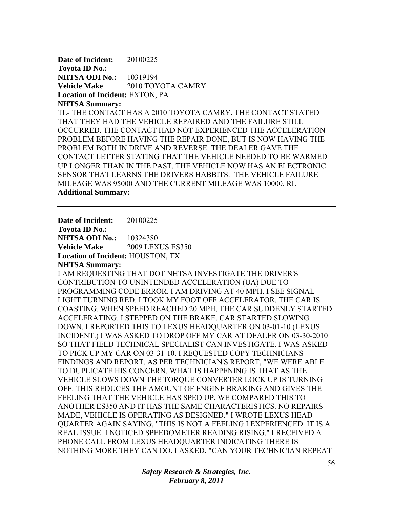**Date of Incident:** 20100225 **Toyota ID No.: NHTSA ODI No.:** 10319194 **Vehicle Make** 2010 TOYOTA CAMRY **Location of Incident:** EXTON, PA **NHTSA Summary:** 

TL- THE CONTACT HAS A 2010 TOYOTA CAMRY. THE CONTACT STATED THAT THEY HAD THE VEHICLE REPAIRED AND THE FAILURE STILL OCCURRED. THE CONTACT HAD NOT EXPERIENCED THE ACCELERATION PROBLEM BEFORE HAVING THE REPAIR DONE, BUT IS NOW HAVING THE PROBLEM BOTH IN DRIVE AND REVERSE. THE DEALER GAVE THE CONTACT LETTER STATING THAT THE VEHICLE NEEDED TO BE WARMED UP LONGER THAN IN THE PAST. THE VEHICLE NOW HAS AN ELECTRONIC SENSOR THAT LEARNS THE DRIVERS HABBITS. THE VEHICLE FAILURE MILEAGE WAS 95000 AND THE CURRENT MILEAGE WAS 10000. RL **Additional Summary:** 

**Date of Incident:** 20100225 **Toyota ID No.: NHTSA ODI No.: 10324380** 

**Vehicle Make** 2009 LEXUS ES350

**Location of Incident:** HOUSTON, TX

**NHTSA Summary:** 

I AM REQUESTING THAT DOT NHTSA INVESTIGATE THE DRIVER'S CONTRIBUTION TO UNINTENDED ACCELERATION (UA) DUE TO PROGRAMMING CODE ERROR. I AM DRIVING AT 40 MPH. I SEE SIGNAL LIGHT TURNING RED. I TOOK MY FOOT OFF ACCELERATOR. THE CAR IS COASTING. WHEN SPEED REACHED 20 MPH, THE CAR SUDDENLY STARTED ACCELERATING. I STEPPED ON THE BRAKE. CAR STARTED SLOWING DOWN. I REPORTED THIS TO LEXUS HEADQUARTER ON 03-01-10 (LEXUS INCIDENT.) I WAS ASKED TO DROP OFF MY CAR AT DEALER ON 03-30-2010 SO THAT FIELD TECHNICAL SPECIALIST CAN INVESTIGATE. I WAS ASKED TO PICK UP MY CAR ON 03-31-10. I REQUESTED COPY TECHNICIANS FINDINGS AND REPORT. AS PER TECHNICIAN'S REPORT, "WE WERE ABLE TO DUPLICATE HIS CONCERN. WHAT IS HAPPENING IS THAT AS THE VEHICLE SLOWS DOWN THE TORQUE CONVERTER LOCK UP IS TURNING OFF. THIS REDUCES THE AMOUNT OF ENGINE BRAKING AND GIVES THE FEELING THAT THE VEHICLE HAS SPED UP. WE COMPARED THIS TO ANOTHER ES350 AND IT HAS THE SAME CHARACTERISTICS. NO REPAIRS MADE, VEHICLE IS OPERATING AS DESIGNED." I WROTE LEXUS HEAD-QUARTER AGAIN SAYING, "THIS IS NOT A FEELING I EXPERIENCED. IT IS A REAL ISSUE. I NOTICED SPEEDOMETER READING RISING." I RECEIVED A PHONE CALL FROM LEXUS HEADQUARTER INDICATING THERE IS NOTHING MORE THEY CAN DO. I ASKED, "CAN YOUR TECHNICIAN REPEAT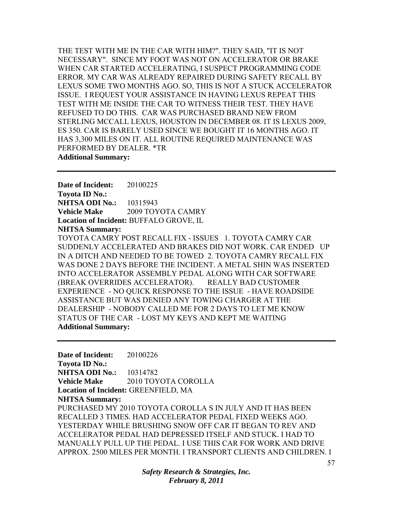THE TEST WITH ME IN THE CAR WITH HIM?". THEY SAID, "IT IS NOT NECESSARY". SINCE MY FOOT WAS NOT ON ACCELERATOR OR BRAKE WHEN CAR STARTED ACCELERATING, I SUSPECT PROGRAMMING CODE ERROR. MY CAR WAS ALREADY REPAIRED DURING SAFETY RECALL BY LEXUS SOME TWO MONTHS AGO. SO, THIS IS NOT A STUCK ACCELERATOR ISSUE. I REQUEST YOUR ASSISTANCE IN HAVING LEXUS REPEAT THIS TEST WITH ME INSIDE THE CAR TO WITNESS THEIR TEST. THEY HAVE REFUSED TO DO THIS. CAR WAS PURCHASED BRAND NEW FROM STERLING MCCALL LEXUS, HOUSTON IN DECEMBER 08. IT IS LEXUS 2009, ES 350. CAR IS BARELY USED SINCE WE BOUGHT IT 16 MONTHS AGO. IT HAS 3,300 MILES ON IT. ALL ROUTINE REQUIRED MAINTENANCE WAS PERFORMED BY DEALER. \*TR **Additional Summary:** 

**Date of Incident:** 20100225 **Toyota ID No.: NHTSA ODI No.:** 10315943 **Vehicle Make** 2009 TOYOTA CAMRY **Location of Incident:** BUFFALO GROVE, IL **NHTSA Summary:** 

TOYOTA CAMRY POST RECALL FIX - ISSUES 1. TOYOTA CAMRY CAR SUDDENLY ACCELERATED AND BRAKES DID NOT WORK. CAR ENDED UP IN A DITCH AND NEEDED TO BE TOWED 2. TOYOTA CAMRY RECALL FIX WAS DONE 2 DAYS BEFORE THE INCIDENT. A METAL SHIN WAS INSERTED INTO ACCELERATOR ASSEMBLY PEDAL ALONG WITH CAR SOFTWARE (BREAK OVERRIDES ACCELERATOR). REALLY BAD CUSTOMER EXPERIENCE - NO QUICK RESPONSE TO THE ISSUE - HAVE ROADSIDE ASSISTANCE BUT WAS DENIED ANY TOWING CHARGER AT THE DEALERSHIP - NOBODY CALLED ME FOR 2 DAYS TO LET ME KNOW STATUS OF THE CAR - LOST MY KEYS AND KEPT ME WAITING **Additional Summary:** 

**Date of Incident:** 20100226 **Toyota ID No.: NHTSA ODI No.:** 10314782 **Vehicle Make** 2010 TOYOTA COROLLA **Location of Incident:** GREENFIELD, MA **NHTSA Summary:**  PURCHASED MY 2010 TOYOTA COROLLA S IN JULY AND IT HAS BEEN RECALLED 3 TIMES. HAD ACCELERATOR PEDAL FIXED WEEKS AGO. YESTERDAY WHILE BRUSHING SNOW OFF CAR IT BEGAN TO REV AND ACCELERATOR PEDAL HAD DEPRESSED ITSELF AND STUCK. I HAD TO MANUALLY PULL UP THE PEDAL. I USE THIS CAR FOR WORK AND DRIVE APPROX. 2500 MILES PER MONTH. I TRANSPORT CLIENTS AND CHILDREN. I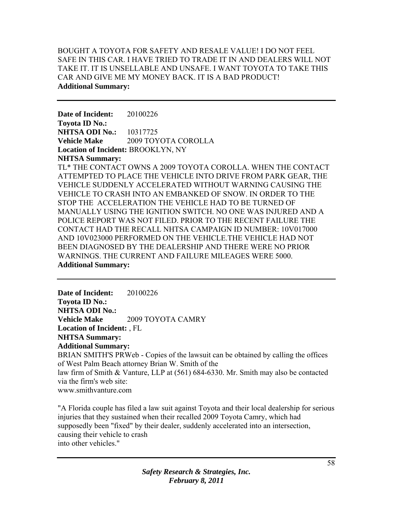BOUGHT A TOYOTA FOR SAFETY AND RESALE VALUE! I DO NOT FEEL SAFE IN THIS CAR. I HAVE TRIED TO TRADE IT IN AND DEALERS WILL NOT TAKE IT. IT IS UNSELLABLE AND UNSAFE. I WANT TOYOTA TO TAKE THIS CAR AND GIVE ME MY MONEY BACK. IT IS A BAD PRODUCT! **Additional Summary:** 

**Date of Incident:** 20100226 **Toyota ID No.: NHTSA ODI No.:** 10317725 **Vehicle Make** 2009 TOYOTA COROLLA **Location of Incident:** BROOKLYN, NY **NHTSA Summary:**  TL\* THE CONTACT OWNS A 2009 TOYOTA COROLLA. WHEN THE CONTACT ATTEMPTED TO PLACE THE VEHICLE INTO DRIVE FROM PARK GEAR, THE VEHICLE SUDDENLY ACCELERATED WITHOUT WARNING CAUSING THE VEHICLE TO CRASH INTO AN EMBANKED OF SNOW. IN ORDER TO THE STOP THE ACCELERATION THE VEHICLE HAD TO BE TURNED OF MANUALLY USING THE IGNITION SWITCH. NO ONE WAS INJURED AND A

POLICE REPORT WAS NOT FILED. PRIOR TO THE RECENT FAILURE THE CONTACT HAD THE RECALL NHTSA CAMPAIGN ID NUMBER: 10V017000 AND 10V023000 PERFORMED ON THE VEHICLE.THE VEHICLE HAD NOT BEEN DIAGNOSED BY THE DEALERSHIP AND THERE WERE NO PRIOR WARNINGS. THE CURRENT AND FAILURE MILEAGES WERE 5000. **Additional Summary:** 

**Date of Incident:** 20100226 **Toyota ID No.: NHTSA ODI No.: Vehicle Make** 2009 TOYOTA CAMRY **Location of Incident:** , FL **NHTSA Summary: Additional Summary:**  BRIAN SMITH'S PRWeb - Copies of the lawsuit can be obtained by calling the offices of West Palm Beach attorney Brian W. Smith of the law firm of Smith & Vanture, LLP at (561) 684-6330. Mr. Smith may also be contacted via the firm's web site: www.smithvanture.com

"A Florida couple has filed a law suit against Toyota and their local dealership for serious injuries that they sustained when their recalled 2009 Toyota Camry, which had supposedly been "fixed" by their dealer, suddenly accelerated into an intersection, causing their vehicle to crash into other vehicles."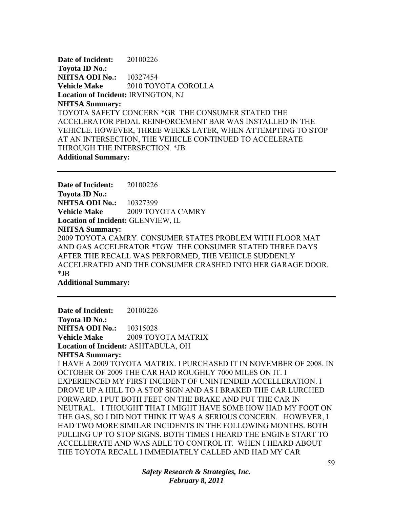**Date of Incident:** 20100226 **Toyota ID No.: NHTSA ODI No.:** 10327454 **Vehicle Make** 2010 TOYOTA COROLLA **Location of Incident:** IRVINGTON, NJ **NHTSA Summary:**  TOYOTA SAFETY CONCERN \*GR THE CONSUMER STATED THE ACCELERATOR PEDAL REINFORCEMENT BAR WAS INSTALLED IN THE VEHICLE. HOWEVER, THREE WEEKS LATER, WHEN ATTEMPTING TO STOP AT AN INTERSECTION, THE VEHICLE CONTINUED TO ACCELERATE THROUGH THE INTERSECTION. \*JB **Additional Summary:** 

**Date of Incident:** 20100226 **Toyota ID No.: NHTSA ODI No.:** 10327399 **Vehicle Make** 2009 TOYOTA CAMRY **Location of Incident:** GLENVIEW, IL **NHTSA Summary:**  2009 TOYOTA CAMRY. CONSUMER STATES PROBLEM WITH FLOOR MAT AND GAS ACCELERATOR \*TGW THE CONSUMER STATED THREE DAYS AFTER THE RECALL WAS PERFORMED, THE VEHICLE SUDDENLY ACCELERATED AND THE CONSUMER CRASHED INTO HER GARAGE DOOR. \*JB

**Additional Summary:** 

**Date of Incident:** 20100226 **Toyota ID No.: NHTSA ODI No.:** 10315028 **Vehicle Make** 2009 TOYOTA MATRIX **Location of Incident:** ASHTABULA, OH **NHTSA Summary:**  I HAVE A 2009 TOYOTA MATRIX. I PURCHASED IT IN NOVEMBER OF 2008. IN OCTOBER OF 2009 THE CAR HAD ROUGHLY 7000 MILES ON IT. I EXPERIENCED MY FIRST INCIDENT OF UNINTENDED ACCELLERATION. I DROVE UP A HILL TO A STOP SIGN AND AS I BRAKED THE CAR LURCHED FORWARD. I PUT BOTH FEET ON THE BRAKE AND PUT THE CAR IN NEUTRAL. I THOUGHT THAT I MIGHT HAVE SOME HOW HAD MY FOOT ON THE GAS, SO I DID NOT THINK IT WAS A SERIOUS CONCERN. HOWEVER, I HAD TWO MORE SIMILAR INCIDENTS IN THE FOLLOWING MONTHS. BOTH PULLING UP TO STOP SIGNS. BOTH TIMES I HEARD THE ENGINE START TO ACCELLERATE AND WAS ABLE TO CONTROL IT. WHEN I HEARD ABOUT THE TOYOTA RECALL I IMMEDIATELY CALLED AND HAD MY CAR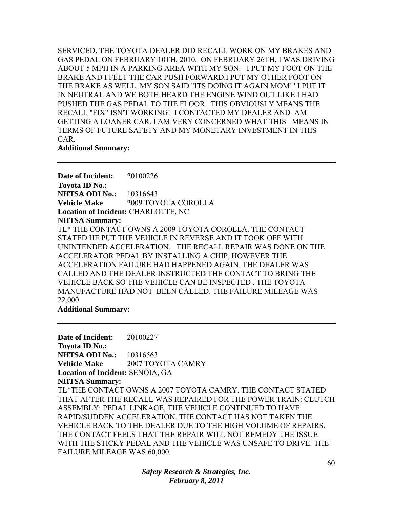SERVICED. THE TOYOTA DEALER DID RECALL WORK ON MY BRAKES AND GAS PEDAL ON FEBRUARY 10TH, 2010. ON FEBRUARY 26TH, I WAS DRIVING ABOUT 5 MPH IN A PARKING AREA WITH MY SON. I PUT MY FOOT ON THE BRAKE AND I FELT THE CAR PUSH FORWARD.I PUT MY OTHER FOOT ON THE BRAKE AS WELL. MY SON SAID "ITS DOING IT AGAIN MOM!" I PUT IT IN NEUTRAL AND WE BOTH HEARD THE ENGINE WIND OUT LIKE I HAD PUSHED THE GAS PEDAL TO THE FLOOR. THIS OBVIOUSLY MEANS THE RECALL "FIX" ISN'T WORKING! I CONTACTED MY DEALER AND AM GETTING A LOANER CAR. I AM VERY CONCERNED WHAT THIS MEANS IN TERMS OF FUTURE SAFETY AND MY MONETARY INVESTMENT IN THIS CAR.

#### **Additional Summary:**

**Date of Incident:** 20100226 **Toyota ID No.: NHTSA ODI No.:** 10316643 **Vehicle Make** 2009 TOYOTA COROLLA **Location of Incident:** CHARLOTTE, NC **NHTSA Summary:**  TL\* THE CONTACT OWNS A 2009 TOYOTA COROLLA. THE CONTACT STATED HE PUT THE VEHICLE IN REVERSE AND IT TOOK OFF WITH UNINTENDED ACCELERATION. THE RECALL REPAIR WAS DONE ON THE ACCELERATOR PEDAL BY INSTALLING A CHIP, HOWEVER THE ACCELERATION FAILURE HAD HAPPENED AGAIN. THE DEALER WAS CALLED AND THE DEALER INSTRUCTED THE CONTACT TO BRING THE VEHICLE BACK SO THE VEHICLE CAN BE INSPECTED . THE TOYOTA MANUFACTURE HAD NOT BEEN CALLED. THE FAILURE MILEAGE WAS 22,000.

#### **Additional Summary:**

**Date of Incident:** 20100227 **Toyota ID No.: NHTSA ODI No.:** 10316563 **Vehicle Make 2007 TOYOTA CAMRY Location of Incident:** SENOIA, GA **NHTSA Summary:**  TL\*THE CONTACT OWNS A 2007 TOYOTA CAMRY. THE CONTACT STATED THAT AFTER THE RECALL WAS REPAIRED FOR THE POWER TRAIN: CLUTCH ASSEMBLY: PEDAL LINKAGE, THE VEHICLE CONTINUED TO HAVE RAPID/SUDDEN ACCELERATION. THE CONTACT HAS NOT TAKEN THE VEHICLE BACK TO THE DEALER DUE TO THE HIGH VOLUME OF REPAIRS. THE CONTACT FEELS THAT THE REPAIR WILL NOT REMEDY THE ISSUE WITH THE STICKY PEDAL AND THE VEHICLE WAS UNSAFE TO DRIVE. THE FAILURE MILEAGE WAS 60,000.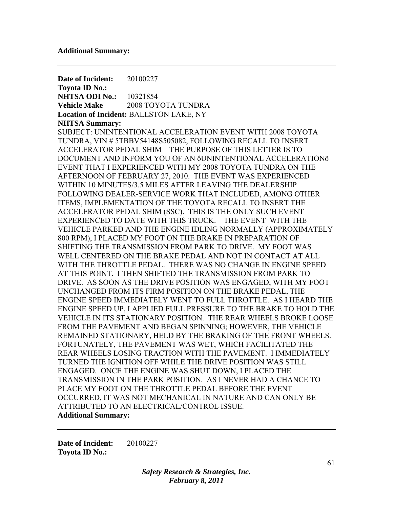**Date of Incident:** 20100227 **Toyota ID No.: NHTSA ODI No.:** 10321854 **Vehicle Make** 2008 TOYOTA TUNDRA **Location of Incident:** BALLSTON LAKE, NY **NHTSA Summary:**  SUBJECT: UNINTENTIONAL ACCELERATION EVENT WITH 2008 TOYOTA TUNDRA, VIN # 5TBBV54148S505082, FOLLOWING RECALL TO INSERT ACCELERATOR PEDAL SHIM THE PURPOSE OF THIS LETTER IS TO DOCUMENT AND INFORM YOU OF AN ôUNINTENTIONAL ACCELERATIONö EVENT THAT I EXPERIENCED WITH MY 2008 TOYOTA TUNDRA ON THE AFTERNOON OF FEBRUARY 27, 2010. THE EVENT WAS EXPERIENCED WITHIN 10 MINUTES/3.5 MILES AFTER LEAVING THE DEALERSHIP FOLLOWING DEALER-SERVICE WORK THAT INCLUDED, AMONG OTHER ITEMS, IMPLEMENTATION OF THE TOYOTA RECALL TO INSERT THE ACCELERATOR PEDAL SHIM (SSC). THIS IS THE ONLY SUCH EVENT EXPERIENCED TO DATE WITH THIS TRUCK. THE EVENT WITH THE VEHICLE PARKED AND THE ENGINE IDLING NORMALLY (APPROXIMATELY 800 RPM), I PLACED MY FOOT ON THE BRAKE IN PREPARATION OF SHIFTING THE TRANSMISSION FROM PARK TO DRIVE. MY FOOT WAS WELL CENTERED ON THE BRAKE PEDAL AND NOT IN CONTACT AT ALL WITH THE THROTTLE PEDAL. THERE WAS NO CHANGE IN ENGINE SPEED AT THIS POINT. I THEN SHIFTED THE TRANSMISSION FROM PARK TO DRIVE. AS SOON AS THE DRIVE POSITION WAS ENGAGED, WITH MY FOOT UNCHANGED FROM ITS FIRM POSITION ON THE BRAKE PEDAL, THE ENGINE SPEED IMMEDIATELY WENT TO FULL THROTTLE. AS I HEARD THE ENGINE SPEED UP, I APPLIED FULL PRESSURE TO THE BRAKE TO HOLD THE VEHICLE IN ITS STATIONARY POSITION. THE REAR WHEELS BROKE LOOSE FROM THE PAVEMENT AND BEGAN SPINNING; HOWEVER, THE VEHICLE REMAINED STATIONARY, HELD BY THE BRAKING OF THE FRONT WHEELS. FORTUNATELY, THE PAVEMENT WAS WET, WHICH FACILITATED THE REAR WHEELS LOSING TRACTION WITH THE PAVEMENT. I IMMEDIATELY TURNED THE IGNITION OFF WHILE THE DRIVE POSITION WAS STILL ENGAGED. ONCE THE ENGINE WAS SHUT DOWN, I PLACED THE TRANSMISSION IN THE PARK POSITION. AS I NEVER HAD A CHANCE TO PLACE MY FOOT ON THE THROTTLE PEDAL BEFORE THE EVENT OCCURRED, IT WAS NOT MECHANICAL IN NATURE AND CAN ONLY BE ATTRIBUTED TO AN ELECTRICAL/CONTROL ISSUE. **Additional Summary:** 

**Date of Incident:** 20100227 **Toyota ID No.:**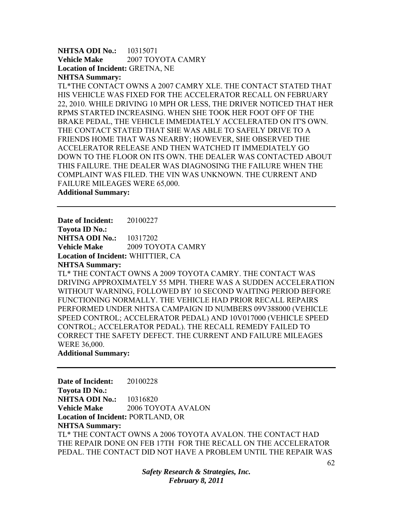**NHTSA ODI No.:** 10315071 **Vehicle Make** 2007 TOYOTA CAMRY **Location of Incident:** GRETNA, NE **NHTSA Summary:** 

TL\*THE CONTACT OWNS A 2007 CAMRY XLE. THE CONTACT STATED THAT HIS VEHICLE WAS FIXED FOR THE ACCELERATOR RECALL ON FEBRUARY 22, 2010. WHILE DRIVING 10 MPH OR LESS, THE DRIVER NOTICED THAT HER RPMS STARTED INCREASING. WHEN SHE TOOK HER FOOT OFF OF THE BRAKE PEDAL, THE VEHICLE IMMEDIATELY ACCELERATED ON IT'S OWN. THE CONTACT STATED THAT SHE WAS ABLE TO SAFELY DRIVE TO A FRIENDS HOME THAT WAS NEARBY; HOWEVER, SHE OBSERVED THE ACCELERATOR RELEASE AND THEN WATCHED IT IMMEDIATELY GO DOWN TO THE FLOOR ON ITS OWN. THE DEALER WAS CONTACTED ABOUT THIS FAILURE. THE DEALER WAS DIAGNOSING THE FAILURE WHEN THE COMPLAINT WAS FILED. THE VIN WAS UNKNOWN. THE CURRENT AND FAILURE MILEAGES WERE 65,000.

**Additional Summary:** 

**Date of Incident:** 20100227

**Toyota ID No.: NHTSA ODI No.: 10317202** 

**Vehicle Make** 2009 TOYOTA CAMRY **Location of Incident:** WHITTIER, CA

**NHTSA Summary:** 

TL\* THE CONTACT OWNS A 2009 TOYOTA CAMRY. THE CONTACT WAS DRIVING APPROXIMATELY 55 MPH. THERE WAS A SUDDEN ACCELERATION WITHOUT WARNING, FOLLOWED BY 10 SECOND WAITING PERIOD BEFORE FUNCTIONING NORMALLY. THE VEHICLE HAD PRIOR RECALL REPAIRS PERFORMED UNDER NHTSA CAMPAIGN ID NUMBERS 09V388000 (VEHICLE SPEED CONTROL; ACCELERATOR PEDAL) AND 10V017000 (VEHICLE SPEED CONTROL; ACCELERATOR PEDAL). THE RECALL REMEDY FAILED TO CORRECT THE SAFETY DEFECT. THE CURRENT AND FAILURE MILEAGES WERE 36,000.

### **Additional Summary:**

**Date of Incident:** 20100228 **Toyota ID No.: NHTSA ODI No.:** 10316820 **Vehicle Make** 2006 TOYOTA AVALON **Location of Incident:** PORTLAND, OR **NHTSA Summary:**  TL\* THE CONTACT OWNS A 2006 TOYOTA AVALON. THE CONTACT HAD THE REPAIR DONE ON FEB 17TH FOR THE RECALL ON THE ACCELERATOR PEDAL. THE CONTACT DID NOT HAVE A PROBLEM UNTIL THE REPAIR WAS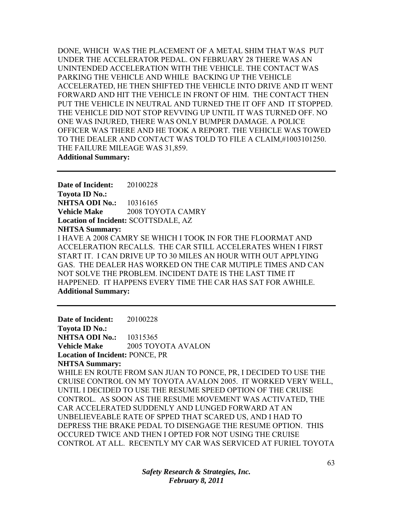DONE, WHICH WAS THE PLACEMENT OF A METAL SHIM THAT WAS PUT UNDER THE ACCELERATOR PEDAL. ON FEBRUARY 28 THERE WAS AN UNINTENDED ACCELERATION WITH THE VEHICLE. THE CONTACT WAS PARKING THE VEHICLE AND WHILE BACKING UP THE VEHICLE ACCELERATED, HE THEN SHIFTED THE VEHICLE INTO DRIVE AND IT WENT FORWARD AND HIT THE VEHICLE IN FRONT OF HIM. THE CONTACT THEN PUT THE VEHICLE IN NEUTRAL AND TURNED THE IT OFF AND IT STOPPED. THE VEHICLE DID NOT STOP REVVING UP UNTIL IT WAS TURNED OFF. NO ONE WAS INJURED, THERE WAS ONLY BUMPER DAMAGE. A POLICE OFFICER WAS THERE AND HE TOOK A REPORT. THE VEHICLE WAS TOWED TO THE DEALER AND CONTACT WAS TOLD TO FILE A CLAIM,#1003101250. THE FAILURE MILEAGE WAS 31,859. **Additional Summary:** 

**Date of Incident:** 20100228 **Toyota ID No.: NHTSA ODI No.:** 10316165 **Vehicle Make** 2008 TOYOTA CAMRY **Location of Incident:** SCOTTSDALE, AZ **NHTSA Summary:**  I HAVE A 2008 CAMRY SE WHICH I TOOK IN FOR THE FLOORMAT AND ACCELERATION RECALLS. THE CAR STILL ACCELERATES WHEN I FIRST START IT. I CAN DRIVE UP TO 30 MILES AN HOUR WITH OUT APPLYING GAS. THE DEALER HAS WORKED ON THE CAR MUTIPLE TIMES AND CAN NOT SOLVE THE PROBLEM. INCIDENT DATE IS THE LAST TIME IT HAPPENED. IT HAPPENS EVERY TIME THE CAR HAS SAT FOR AWHILE. **Additional Summary:** 

**Date of Incident:** 20100228 **Toyota ID No.: NHTSA ODI No.:** 10315365 **Vehicle Make** 2005 TOYOTA AVALON **Location of Incident:** PONCE, PR **NHTSA Summary:**  WHILE EN ROUTE FROM SAN JUAN TO PONCE, PR, I DECIDED TO USE THE CRUISE CONTROL ON MY TOYOTA AVALON 2005. IT WORKED VERY WELL, UNTIL I DECIDED TO USE THE RESUME SPEED OPTION OF THE CRUISE CONTROL. AS SOON AS THE RESUME MOVEMENT WAS ACTIVATED, THE CAR ACCELERATED SUDDENLY AND LUNGED FORWARD AT AN UNBELIEVEABLE RATE OF SPPED THAT SCARED US, AND I HAD TO DEPRESS THE BRAKE PEDAL TO DISENGAGE THE RESUME OPTION. THIS OCCURED TWICE AND THEN I OPTED FOR NOT USING THE CRUISE CONTROL AT ALL. RECENTLY MY CAR WAS SERVICED AT FURIEL TOYOTA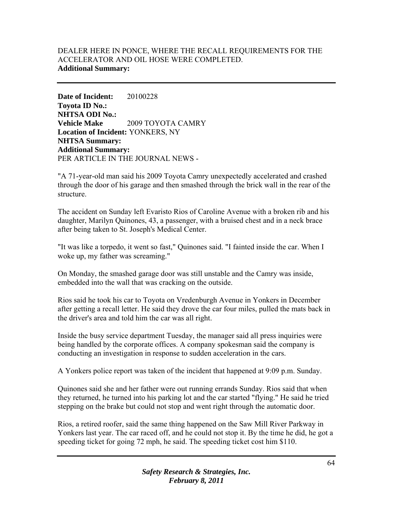# DEALER HERE IN PONCE, WHERE THE RECALL REQUIREMENTS FOR THE ACCELERATOR AND OIL HOSE WERE COMPLETED. **Additional Summary:**

**Date of Incident:** 20100228 **Toyota ID No.: NHTSA ODI No.: Vehicle Make** 2009 TOYOTA CAMRY **Location of Incident:** YONKERS, NY **NHTSA Summary: Additional Summary:**  PER ARTICLE IN THE JOURNAL NEWS -

"A 71-year-old man said his 2009 Toyota Camry unexpectedly accelerated and crashed through the door of his garage and then smashed through the brick wall in the rear of the structure.

The accident on Sunday left Evaristo Rios of Caroline Avenue with a broken rib and his daughter, Marilyn Quinones, 43, a passenger, with a bruised chest and in a neck brace after being taken to St. Joseph's Medical Center.

"It was like a torpedo, it went so fast," Quinones said. "I fainted inside the car. When I woke up, my father was screaming."

On Monday, the smashed garage door was still unstable and the Camry was inside, embedded into the wall that was cracking on the outside.

Rios said he took his car to Toyota on Vredenburgh Avenue in Yonkers in December after getting a recall letter. He said they drove the car four miles, pulled the mats back in the driver's area and told him the car was all right.

Inside the busy service department Tuesday, the manager said all press inquiries were being handled by the corporate offices. A company spokesman said the company is conducting an investigation in response to sudden acceleration in the cars.

A Yonkers police report was taken of the incident that happened at 9:09 p.m. Sunday.

Quinones said she and her father were out running errands Sunday. Rios said that when they returned, he turned into his parking lot and the car started "flying." He said he tried stepping on the brake but could not stop and went right through the automatic door.

Rios, a retired roofer, said the same thing happened on the Saw Mill River Parkway in Yonkers last year. The car raced off, and he could not stop it. By the time he did, he got a speeding ticket for going 72 mph, he said. The speeding ticket cost him \$110.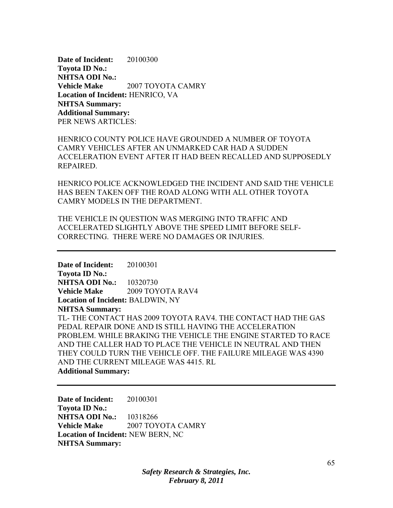**Date of Incident:** 20100300 **Toyota ID No.: NHTSA ODI No.: Vehicle Make** 2007 TOYOTA CAMRY **Location of Incident:** HENRICO, VA **NHTSA Summary: Additional Summary:**  PER NEWS ARTICLES:

HENRICO COUNTY POLICE HAVE GROUNDED A NUMBER OF TOYOTA CAMRY VEHICLES AFTER AN UNMARKED CAR HAD A SUDDEN ACCELERATION EVENT AFTER IT HAD BEEN RECALLED AND SUPPOSEDLY REPAIRED.

HENRICO POLICE ACKNOWLEDGED THE INCIDENT AND SAID THE VEHICLE HAS BEEN TAKEN OFF THE ROAD ALONG WITH ALL OTHER TOYOTA CAMRY MODELS IN THE DEPARTMENT.

THE VEHICLE IN QUESTION WAS MERGING INTO TRAFFIC AND ACCELERATED SLIGHTLY ABOVE THE SPEED LIMIT BEFORE SELF-CORRECTING. THERE WERE NO DAMAGES OR INJURIES.

**Date of Incident:** 20100301 **Toyota ID No.: NHTSA ODI No.:** 10320730 **Vehicle Make** 2009 TOYOTA RAV4 **Location of Incident:** BALDWIN, NY **NHTSA Summary:**  TL- THE CONTACT HAS 2009 TOYOTA RAV4. THE CONTACT HAD THE GAS PEDAL REPAIR DONE AND IS STILL HAVING THE ACCELERATION PROBLEM. WHILE BRAKING THE VEHICLE THE ENGINE STARTED TO RACE AND THE CALLER HAD TO PLACE THE VEHICLE IN NEUTRAL AND THEN THEY COULD TURN THE VEHICLE OFF. THE FAILURE MILEAGE WAS 4390 AND THE CURRENT MILEAGE WAS 4415. RL **Additional Summary:** 

**Date of Incident:** 20100301 **Toyota ID No.: NHTSA ODI No.:** 10318266 **Vehicle Make** 2007 TOYOTA CAMRY **Location of Incident:** NEW BERN, NC **NHTSA Summary:**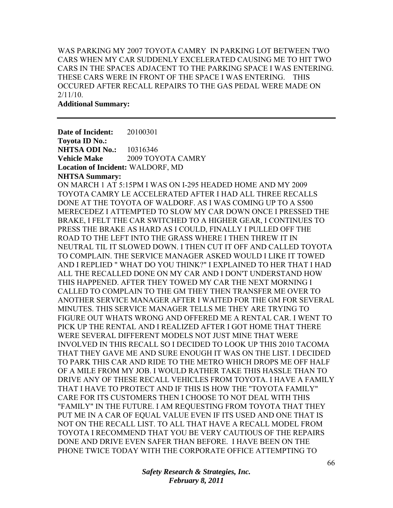WAS PARKING MY 2007 TOYOTA CAMRY IN PARKING LOT BETWEEN TWO CARS WHEN MY CAR SUDDENLY EXCELERATED CAUSING ME TO HIT TWO CARS IN THE SPACES ADJACENT TO THE PARKING SPACE I WAS ENTERING. THESE CARS WERE IN FRONT OF THE SPACE I WAS ENTERING. THIS OCCURED AFTER RECALL REPAIRS TO THE GAS PEDAL WERE MADE ON 2/11/10.

**Additional Summary:** 

**Date of Incident:** 20100301 **Toyota ID No.: NHTSA ODI No.:** 10316346 **Vehicle Make** 2009 TOYOTA CAMRY **Location of Incident:** WALDORF, MD **NHTSA Summary:**  ON MARCH 1 AT 5:15PM I WAS ON I-295 HEADED HOME AND MY 2009 TOYOTA CAMRY LE ACCELERATED AFTER I HAD ALL THREE RECALLS DONE AT THE TOYOTA OF WALDORF. AS I WAS COMING UP TO A S500 MERECEDEZ I ATTEMPTED TO SLOW MY CAR DOWN ONCE I PRESSED THE BRAKE, I FELT THE CAR SWITCHED TO A HIGHER GEAR, I CONTINUES TO PRESS THE BRAKE AS HARD AS I COULD, FINALLY I PULLED OFF THE ROAD TO THE LEFT INTO THE GRASS WHERE I THEN THREW IT IN NEUTRAL TIL IT SLOWED DOWN. I THEN CUT IT OFF AND CALLED TOYOTA TO COMPLAIN. THE SERVICE MANAGER ASKED WOULD I LIKE IT TOWED AND I REPLIED " WHAT DO YOU THINK?" I EXPLAINED TO HER THAT I HAD ALL THE RECALLED DONE ON MY CAR AND I DON'T UNDERSTAND HOW THIS HAPPENED. AFTER THEY TOWED MY CAR THE NEXT MORNING I CALLED TO COMPLAIN TO THE GM THEY THEN TRANSFER ME OVER TO ANOTHER SERVICE MANAGER AFTER I WAITED FOR THE GM FOR SEVERAL MINUTES. THIS SERVICE MANAGER TELLS ME THEY ARE TRYING TO FIGURE OUT WHATS WRONG AND OFFERED ME A RENTAL CAR. I WENT TO PICK UP THE RENTAL AND I REALIZED AFTER I GOT HOME THAT THERE WERE SEVERAL DIFFERENT MODELS NOT JUST MINE THAT WERE INVOLVED IN THIS RECALL SO I DECIDED TO LOOK UP THIS 2010 TACOMA THAT THEY GAVE ME AND SURE ENOUGH IT WAS ON THE LIST. I DECIDED TO PARK THIS CAR AND RIDE TO THE METRO WHICH DROPS ME OFF HALF OF A MILE FROM MY JOB. I WOULD RATHER TAKE THIS HASSLE THAN TO DRIVE ANY OF THESE RECALL VEHICLES FROM TOYOTA. I HAVE A FAMILY THAT I HAVE TO PROTECT AND IF THIS IS HOW THE "TOYOTA FAMILY" CARE FOR ITS CUSTOMERS THEN I CHOOSE TO NOT DEAL WITH THIS "FAMILY" IN THE FUTURE. I AM REQUESTING FROM TOYOTA THAT THEY PUT ME IN A CAR OF EQUAL VALUE EVEN IF ITS USED AND ONE THAT IS NOT ON THE RECALL LIST. TO ALL THAT HAVE A RECALL MODEL FROM TOYOTA I RECOMMEND THAT YOU BE VERY CAUTIOUS OF THE REPAIRS DONE AND DRIVE EVEN SAFER THAN BEFORE. I HAVE BEEN ON THE PHONE TWICE TODAY WITH THE CORPORATE OFFICE ATTEMPTING TO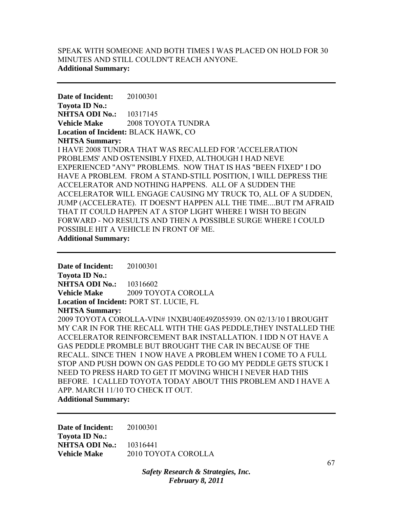## SPEAK WITH SOMEONE AND BOTH TIMES I WAS PLACED ON HOLD FOR 30 MINUTES AND STILL COULDN'T REACH ANYONE. **Additional Summary:**

**Date of Incident:** 20100301 **Toyota ID No.: NHTSA ODI No.:** 10317145 **Vehicle Make** 2008 TOYOTA TUNDRA **Location of Incident:** BLACK HAWK, CO **NHTSA Summary:**  I HAVE 2008 TUNDRA THAT WAS RECALLED FOR 'ACCELERATION PROBLEMS' AND OSTENSIBLY FIXED, ALTHOUGH I HAD NEVE EXPERIENCED "ANY" PROBLEMS. NOW THAT IS HAS "BEEN FIXED" I DO HAVE A PROBLEM. FROM A STAND-STILL POSITION, I WILL DEPRESS THE ACCELERATOR AND NOTHING HAPPENS. ALL OF A SUDDEN THE ACCELERATOR WILL ENGAGE CAUSING MY TRUCK TO, ALL OF A SUDDEN, JUMP (ACCELERATE). IT DOESN'T HAPPEN ALL THE TIME....BUT I'M AFRAID THAT IT COULD HAPPEN AT A STOP LIGHT WHERE I WISH TO BEGIN FORWARD - NO RESULTS AND THEN A POSSIBLE SURGE WHERE I COULD POSSIBLE HIT A VEHICLE IN FRONT OF ME. **Additional Summary:** 

**Date of Incident:** 20100301 **Toyota ID No.: NHTSA ODI No.:** 10316602 **Vehicle Make** 2009 TOYOTA COROLLA **Location of Incident:** PORT ST. LUCIE, FL **NHTSA Summary:**  2009 TOYOTA COROLLA-VIN# 1NXBU40E49Z055939. ON 02/13/10 I BROUGHT MY CAR IN FOR THE RECALL WITH THE GAS PEDDLE,THEY INSTALLED THE ACCELERATOR REINFORCEMENT BAR INSTALLATION. I IDD N OT HAVE A GAS PEDDLE PROMBLE BUT BROUGHT THE CAR IN BECAUSE OF THE RECALL. SINCE THEN I NOW HAVE A PROBLEM WHEN I COME TO A FULL STOP AND PUSH DOWN ON GAS PEDDLE TO GO MY PEDDLE GETS STUCK I NEED TO PRESS HARD TO GET IT MOVING WHICH I NEVER HAD THIS BEFORE. I CALLED TOYOTA TODAY ABOUT THIS PROBLEM AND I HAVE A APP. MARCH 11/10 TO CHECK IT OUT. **Additional Summary:** 

**Date of Incident:** 20100301 **Toyota ID No.: NHTSA ODI No.:** 10316441 **Vehicle Make** 2010 TOYOTA COROLLA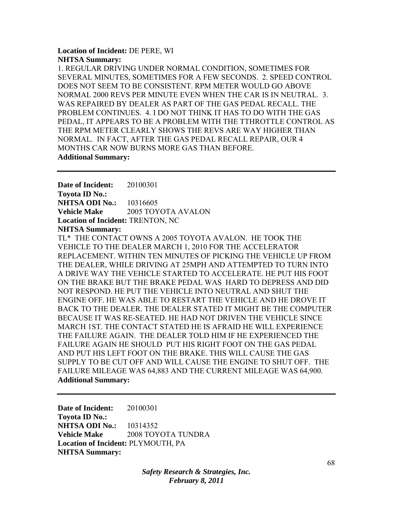## **Location of Incident:** DE PERE, WI **NHTSA Summary:**

1. REGULAR DRIVING UNDER NORMAL CONDITION, SOMETIMES FOR SEVERAL MINUTES, SOMETIMES FOR A FEW SECONDS. 2. SPEED CONTROL DOES NOT SEEM TO BE CONSISTENT. RPM METER WOULD GO ABOVE NORMAL 2000 REVS PER MINUTE EVEN WHEN THE CAR IS IN NEUTRAL. 3. WAS REPAIRED BY DEALER AS PART OF THE GAS PEDAL RECALL. THE PROBLEM CONTINUES. 4. I DO NOT THINK IT HAS TO DO WITH THE GAS PEDAL, IT APPEARS TO BE A PROBLEM WITH THE TTHROTTLE CONTROL AS THE RPM METER CLEARLY SHOWS THE REVS ARE WAY HIGHER THAN NORMAL. IN FACT, AFTER THE GAS PEDAL RECALL REPAIR, OUR 4 MONTHS CAR NOW BURNS MORE GAS THAN BEFORE. **Additional Summary:** 

**Date of Incident:** 20100301 **Toyota ID No.: NHTSA ODI No.:** 10316605 **Vehicle Make** 2005 TOYOTA AVALON **Location of Incident:** TRENTON, NC **NHTSA Summary:** 

TL\* THE CONTACT OWNS A 2005 TOYOTA AVALON. HE TOOK THE VEHICLE TO THE DEALER MARCH 1, 2010 FOR THE ACCELERATOR REPLACEMENT. WITHIN TEN MINUTES OF PICKING THE VEHICLE UP FROM THE DEALER, WHILE DRIVING AT 25MPH AND ATTEMPTED TO TURN INTO A DRIVE WAY THE VEHICLE STARTED TO ACCELERATE. HE PUT HIS FOOT ON THE BRAKE BUT THE BRAKE PEDAL WAS HARD TO DEPRESS AND DID NOT RESPOND. HE PUT THE VEHICLE INTO NEUTRAL AND SHUT THE ENGINE OFF. HE WAS ABLE TO RESTART THE VEHICLE AND HE DROVE IT BACK TO THE DEALER. THE DEALER STATED IT MIGHT BE THE COMPUTER BECAUSE IT WAS RE-SEATED. HE HAD NOT DRIVEN THE VEHICLE SINCE MARCH 1ST. THE CONTACT STATED HE IS AFRAID HE WILL EXPERIENCE THE FAILURE AGAIN. THE DEALER TOLD HIM IF HE EXPERIENCED THE FAILURE AGAIN HE SHOULD PUT HIS RIGHT FOOT ON THE GAS PEDAL AND PUT HIS LEFT FOOT ON THE BRAKE. THIS WILL CAUSE THE GAS SUPPLY TO BE CUT OFF AND WILL CAUSE THE ENGINE TO SHUT OFF. THE FAILURE MILEAGE WAS 64,883 AND THE CURRENT MILEAGE WAS 64,900. **Additional Summary:** 

**Date of Incident:** 20100301 **Toyota ID No.: NHTSA ODI No.:** 10314352 **Vehicle Make** 2008 TOYOTA TUNDRA **Location of Incident:** PLYMOUTH, PA **NHTSA Summary:**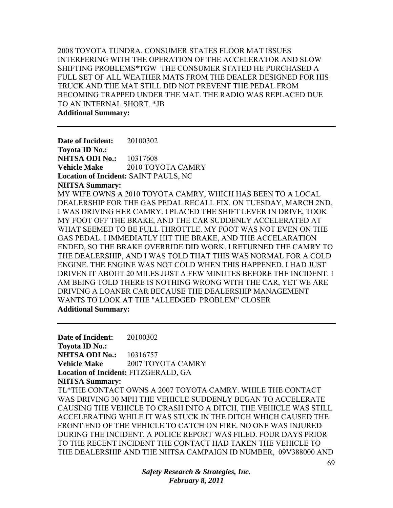2008 TOYOTA TUNDRA. CONSUMER STATES FLOOR MAT ISSUES INTERFERING WITH THE OPERATION OF THE ACCELERATOR AND SLOW SHIFTING PROBLEMS\*TGW THE CONSUMER STATED HE PURCHASED A FULL SET OF ALL WEATHER MATS FROM THE DEALER DESIGNED FOR HIS TRUCK AND THE MAT STILL DID NOT PREVENT THE PEDAL FROM BECOMING TRAPPED UNDER THE MAT. THE RADIO WAS REPLACED DUE TO AN INTERNAL SHORT. \*JB

**Additional Summary:** 

**Date of Incident:** 20100302 **Toyota ID No.: NHTSA ODI No.:** 10317608 **Vehicle Make** 2010 TOYOTA CAMRY **Location of Incident:** SAINT PAULS, NC **NHTSA Summary:**  MY WIFE OWNS A 2010 TOYOTA CAMRY, WHICH HAS BEEN TO A LOCAL DEALERSHIP FOR THE GAS PEDAL RECALL FIX. ON TUESDAY, MARCH 2ND, I WAS DRIVING HER CAMRY. I PLACED THE SHIFT LEVER IN DRIVE, TOOK MY FOOT OFF THE BRAKE, AND THE CAR SUDDENLY ACCELERATED AT WHAT SEEMED TO BE FULL THROTTLE. MY FOOT WAS NOT EVEN ON THE GAS PEDAL. I IMMEDIATLY HIT THE BRAKE, AND THE ACCELARATION ENDED, SO THE BRAKE OVERRIDE DID WORK. I RETURNED THE CAMRY TO THE DEALERSHIP, AND I WAS TOLD THAT THIS WAS NORMAL FOR A COLD ENGINE. THE ENGINE WAS NOT COLD WHEN THIS HAPPENED. I HAD JUST DRIVEN IT ABOUT 20 MILES JUST A FEW MINUTES BEFORE THE INCIDENT. I AM BEING TOLD THERE IS NOTHING WRONG WITH THE CAR, YET WE ARE DRIVING A LOANER CAR BECAUSE THE DEALERSHIP MANAGEMENT WANTS TO LOOK AT THE "ALLEDGED PROBLEM" CLOSER **Additional Summary:** 

**Date of Incident:** 20100302 **Toyota ID No.: NHTSA ODI No.:** 10316757 **Vehicle Make 2007 TOYOTA CAMRY Location of Incident:** FITZGERALD, GA **NHTSA Summary:**  TL\*THE CONTACT OWNS A 2007 TOYOTA CAMRY. WHILE THE CONTACT WAS DRIVING 30 MPH THE VEHICLE SUDDENLY BEGAN TO ACCELERATE CAUSING THE VEHICLE TO CRASH INTO A DITCH, THE VEHICLE WAS STILL ACCELERATING WHILE IT WAS STUCK IN THE DITCH WHICH CAUSED THE FRONT END OF THE VEHICLE TO CATCH ON FIRE. NO ONE WAS INJURED DURING THE INCIDENT. A POLICE REPORT WAS FILED. FOUR DAYS PRIOR TO THE RECENT INCIDENT THE CONTACT HAD TAKEN THE VEHICLE TO THE DEALERSHIP AND THE NHTSA CAMPAIGN ID NUMBER, 09V388000 AND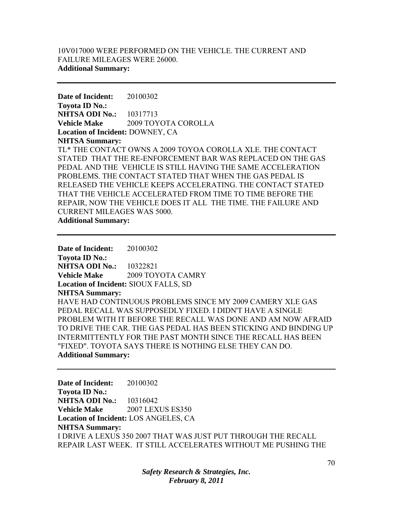## 10V017000 WERE PERFORMED ON THE VEHICLE. THE CURRENT AND FAILURE MILEAGES WERE 26000. **Additional Summary:**

**Date of Incident:** 20100302 **Toyota ID No.: NHTSA ODI No.:** 10317713 **Vehicle Make** 2009 TOYOTA COROLLA **Location of Incident:** DOWNEY, CA **NHTSA Summary:**  TL\* THE CONTACT OWNS A 2009 TOYOA COROLLA XLE. THE CONTACT STATED THAT THE RE-ENFORCEMENT BAR WAS REPLACED ON THE GAS PEDAL AND THE VEHICLE IS STILL HAVING THE SAME ACCELERATION PROBLEMS. THE CONTACT STATED THAT WHEN THE GAS PEDAL IS RELEASED THE VEHICLE KEEPS ACCELERATING. THE CONTACT STATED THAT THE VEHICLE ACCELERATED FROM TIME TO TIME BEFORE THE REPAIR, NOW THE VEHICLE DOES IT ALL THE TIME. THE FAILURE AND CURRENT MILEAGES WAS 5000. **Additional Summary:** 

**Date of Incident:** 20100302 **Toyota ID No.: NHTSA ODI No.:** 10322821 **Vehicle Make** 2009 TOYOTA CAMRY **Location of Incident:** SIOUX FALLS, SD **NHTSA Summary:**  HAVE HAD CONTINUOUS PROBLEMS SINCE MY 2009 CAMERY XLE GAS PEDAL RECALL WAS SUPPOSEDLY FIXED. I DIDN'T HAVE A SINGLE PROBLEM WITH IT BEFORE THE RECALL WAS DONE AND AM NOW AFRAID TO DRIVE THE CAR. THE GAS PEDAL HAS BEEN STICKING AND BINDING UP INTERMITTENTLY FOR THE PAST MONTH SINCE THE RECALL HAS BEEN "FIXED". TOYOTA SAYS THERE IS NOTHING ELSE THEY CAN DO. **Additional Summary:** 

**Date of Incident:** 20100302 **Toyota ID No.: NHTSA ODI No.:** 10316042 **Vehicle Make** 2007 LEXUS ES350 **Location of Incident:** LOS ANGELES, CA **NHTSA Summary:**  I DRIVE A LEXUS 350 2007 THAT WAS JUST PUT THROUGH THE RECALL REPAIR LAST WEEK. IT STILL ACCELERATES WITHOUT ME PUSHING THE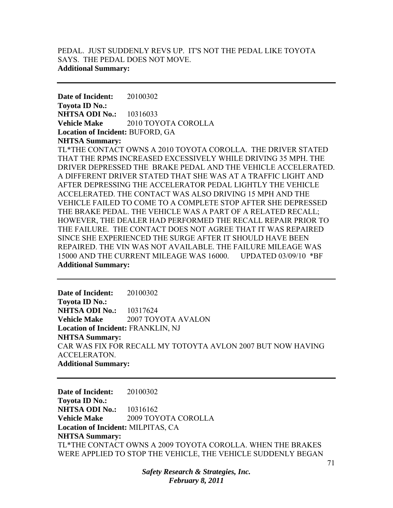## PEDAL. JUST SUDDENLY REVS UP. IT'S NOT THE PEDAL LIKE TOYOTA SAYS. THE PEDAL DOES NOT MOVE. **Additional Summary:**

**Date of Incident:** 20100302 **Toyota ID No.: NHTSA ODI No.:** 10316033 **Vehicle Make** 2010 TOYOTA COROLLA **Location of Incident:** BUFORD, GA **NHTSA Summary:** 

TL\*THE CONTACT OWNS A 2010 TOYOTA COROLLA. THE DRIVER STATED THAT THE RPMS INCREASED EXCESSIVELY WHILE DRIVING 35 MPH. THE DRIVER DEPRESSED THE BRAKE PEDAL AND THE VEHICLE ACCELERATED. A DIFFERENT DRIVER STATED THAT SHE WAS AT A TRAFFIC LIGHT AND AFTER DEPRESSING THE ACCELERATOR PEDAL LIGHTLY THE VEHICLE ACCELERATED. THE CONTACT WAS ALSO DRIVING 15 MPH AND THE VEHICLE FAILED TO COME TO A COMPLETE STOP AFTER SHE DEPRESSED THE BRAKE PEDAL. THE VEHICLE WAS A PART OF A RELATED RECALL; HOWEVER, THE DEALER HAD PERFORMED THE RECALL REPAIR PRIOR TO THE FAILURE. THE CONTACT DOES NOT AGREE THAT IT WAS REPAIRED SINCE SHE EXPERIENCED THE SURGE AFTER IT SHOULD HAVE BEEN REPAIRED. THE VIN WAS NOT AVAILABLE. THE FAILURE MILEAGE WAS 15000 AND THE CURRENT MILEAGE WAS 16000. UPDATED 03/09/10 \*BF **Additional Summary:** 

**Date of Incident:** 20100302 **Toyota ID No.: NHTSA ODI No.:** 10317624 **Vehicle Make** 2007 TOYOTA AVALON **Location of Incident:** FRANKLIN, NJ **NHTSA Summary:**  CAR WAS FIX FOR RECALL MY TOTOYTA AVLON 2007 BUT NOW HAVING ACCELERATON. **Additional Summary:** 

**Date of Incident:** 20100302 **Toyota ID No.: NHTSA ODI No.:** 10316162 **Vehicle Make** 2009 TOYOTA COROLLA **Location of Incident:** MILPITAS, CA **NHTSA Summary:**  TL\*THE CONTACT OWNS A 2009 TOYOTA COROLLA. WHEN THE BRAKES WERE APPLIED TO STOP THE VEHICLE, THE VEHICLE SUDDENLY BEGAN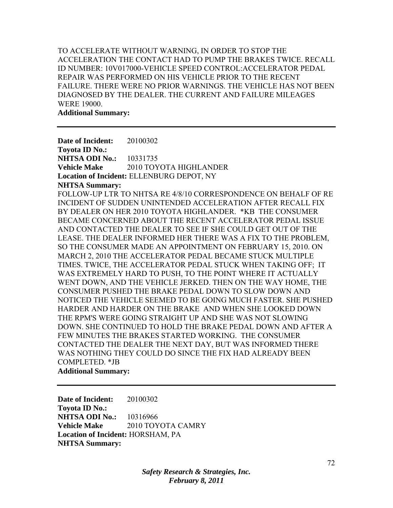TO ACCELERATE WITHOUT WARNING, IN ORDER TO STOP THE ACCELERATION THE CONTACT HAD TO PUMP THE BRAKES TWICE. RECALL ID NUMBER: 10V017000-VEHICLE SPEED CONTROL:ACCELERATOR PEDAL REPAIR WAS PERFORMED ON HIS VEHICLE PRIOR TO THE RECENT FAILURE. THERE WERE NO PRIOR WARNINGS. THE VEHICLE HAS NOT BEEN DIAGNOSED BY THE DEALER. THE CURRENT AND FAILURE MILEAGES WERE 19000.

**Additional Summary:** 

**Date of Incident:** 20100302 **Toyota ID No.: NHTSA ODI No.:** 10331735 **Vehicle Make** 2010 TOYOTA HIGHLANDER **Location of Incident:** ELLENBURG DEPOT, NY **NHTSA Summary:**  FOLLOW-UP LTR TO NHTSA RE 4/8/10 CORRESPONDENCE ON BEHALF OF RE INCIDENT OF SUDDEN UNINTENDED ACCELERATION AFTER RECALL FIX BY DEALER ON HER 2010 TOYOTA HIGHLANDER. \*KB THE CONSUMER BECAME CONCERNED ABOUT THE RECENT ACCELERATOR PEDAL ISSUE AND CONTACTED THE DEALER TO SEE IF SHE COULD GET OUT OF THE LEASE. THE DEALER INFORMED HER THERE WAS A FIX TO THE PROBLEM, SO THE CONSUMER MADE AN APPOINTMENT ON FEBRUARY 15, 2010. ON MARCH 2, 2010 THE ACCELERATOR PEDAL BECAME STUCK MULTIPLE TIMES. TWICE, THE ACCELERATOR PEDAL STUCK WHEN TAKING OFF; IT WAS EXTREMELY HARD TO PUSH, TO THE POINT WHERE IT ACTUALLY WENT DOWN, AND THE VEHICLE JERKED. THEN ON THE WAY HOME, THE CONSUMER PUSHED THE BRAKE PEDAL DOWN TO SLOW DOWN AND NOTICED THE VEHICLE SEEMED TO BE GOING MUCH FASTER. SHE PUSHED HARDER AND HARDER ON THE BRAKE AND WHEN SHE LOOKED DOWN THE RPM'S WERE GOING STRAIGHT UP AND SHE WAS NOT SLOWING DOWN. SHE CONTINUED TO HOLD THE BRAKE PEDAL DOWN AND AFTER A FEW MINUTES THE BRAKES STARTED WORKING. THE CONSUMER CONTACTED THE DEALER THE NEXT DAY, BUT WAS INFORMED THERE WAS NOTHING THEY COULD DO SINCE THE FIX HAD ALREADY BEEN COMPLETED. \*JB **Additional Summary:** 

**Date of Incident:** 20100302 **Toyota ID No.: NHTSA ODI No.:** 10316966 **Vehicle Make** 2010 TOYOTA CAMRY **Location of Incident:** HORSHAM, PA **NHTSA Summary:**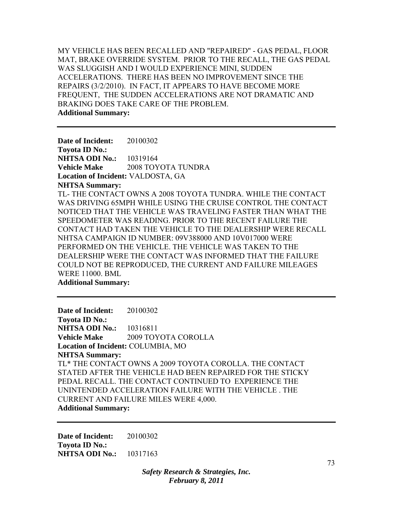MY VEHICLE HAS BEEN RECALLED AND "REPAIRED" - GAS PEDAL, FLOOR MAT, BRAKE OVERRIDE SYSTEM. PRIOR TO THE RECALL, THE GAS PEDAL WAS SLUGGISH AND I WOULD EXPERIENCE MINI, SUDDEN ACCELERATIONS. THERE HAS BEEN NO IMPROVEMENT SINCE THE REPAIRS (3/2/2010). IN FACT, IT APPEARS TO HAVE BECOME MORE FREQUENT, THE SUDDEN ACCELERATIONS ARE NOT DRAMATIC AND BRAKING DOES TAKE CARE OF THE PROBLEM. **Additional Summary:** 

**Date of Incident:** 20100302 **Toyota ID No.: NHTSA ODI No.:** 10319164 **Vehicle Make** 2008 TOYOTA TUNDRA **Location of Incident:** VALDOSTA, GA **NHTSA Summary:**  TL- THE CONTACT OWNS A 2008 TOYOTA TUNDRA. WHILE THE CONTACT WAS DRIVING 65MPH WHILE USING THE CRUISE CONTROL THE CONTACT NOTICED THAT THE VEHICLE WAS TRAVELING FASTER THAN WHAT THE SPEEDOMETER WAS READING. PRIOR TO THE RECENT FAILURE THE CONTACT HAD TAKEN THE VEHICLE TO THE DEALERSHIP WERE RECALL NHTSA CAMPAIGN ID NUMBER: 09V388000 AND 10V017000 WERE PERFORMED ON THE VEHICLE. THE VEHICLE WAS TAKEN TO THE DEALERSHIP WERE THE CONTACT WAS INFORMED THAT THE FAILURE COULD NOT BE REPRODUCED, THE CURRENT AND FAILURE MILEAGES WERE 11000. BML

**Additional Summary:** 

**Date of Incident:** 20100302 **Toyota ID No.: NHTSA ODI No.:** 10316811 **Vehicle Make** 2009 TOYOTA COROLLA **Location of Incident:** COLUMBIA, MO **NHTSA Summary:**  TL\* THE CONTACT OWNS A 2009 TOYOTA COROLLA. THE CONTACT STATED AFTER THE VEHICLE HAD BEEN REPAIRED FOR THE STICKY PEDAL RECALL. THE CONTACT CONTINUED TO EXPERIENCE THE UNINTENDED ACCELERATION FAILURE WITH THE VEHICLE . THE CURRENT AND FAILURE MILES WERE 4,000. **Additional Summary:** 

**Date of Incident:** 20100302 **Toyota ID No.: NHTSA ODI No.:** 10317163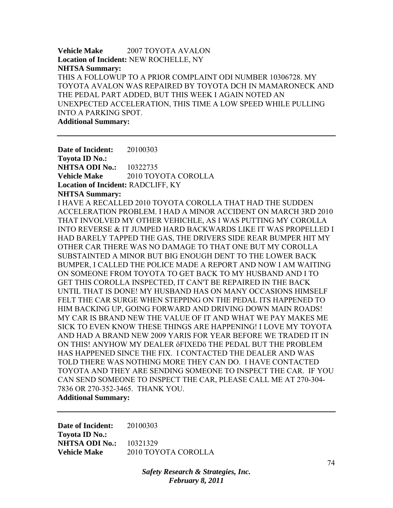**Vehicle Make** 2007 TOYOTA AVALON **Location of Incident:** NEW ROCHELLE, NY **NHTSA Summary:**  THIS A FOLLOWUP TO A PRIOR COMPLAINT ODI NUMBER 10306728. MY TOYOTA AVALON WAS REPAIRED BY TOYOTA DCH IN MAMARONECK AND THE PEDAL PART ADDED, BUT THIS WEEK I AGAIN NOTED AN UNEXPECTED ACCELERATION, THIS TIME A LOW SPEED WHILE PULLING INTO A PARKING SPOT. **Additional Summary:** 

**Date of Incident:** 20100303 **Toyota ID No.: NHTSA ODI No.:** 10322735 **Vehicle Make** 2010 TOYOTA COROLLA **Location of Incident:** RADCLIFF, KY **NHTSA Summary:**  I HAVE A RECALLED 2010 TOYOTA COROLLA THAT HAD THE SUDDEN ACCELERATION PROBLEM. I HAD A MINOR ACCIDENT ON MARCH 3RD 2010 THAT INVOLVED MY OTHER VEHICHLE, AS I WAS PUTTING MY COROLLA INTO REVERSE & IT JUMPED HARD BACKWARDS LIKE IT WAS PROPELLED I HAD BARELY TAPPED THE GAS, THE DRIVERS SIDE REAR BUMPER HIT MY OTHER CAR THERE WAS NO DAMAGE TO THAT ONE BUT MY COROLLA SUBSTAINTED A MINOR BUT BIG ENOUGH DENT TO THE LOWER BACK BUMPER, I CALLED THE POLICE MADE A REPORT AND NOW I AM WAITING ON SOMEONE FROM TOYOTA TO GET BACK TO MY HUSBAND AND I TO GET THIS COROLLA INSPECTED, IT CAN'T BE REPAIRED IN THE BACK UNTIL THAT IS DONE! MY HUSBAND HAS ON MANY OCCASIONS HIMSELF FELT THE CAR SURGE WHEN STEPPING ON THE PEDAL ITS HAPPENED TO HIM BACKING UP, GOING FORWARD AND DRIVING DOWN MAIN ROADS! MY CAR IS BRAND NEW THE VALUE OF IT AND WHAT WE PAY MAKES ME SICK TO EVEN KNOW THESE THINGS ARE HAPPENING! I LOVE MY TOYOTA AND HAD A BRAND NEW 2009 YARIS FOR YEAR BEFORE WE TRADED IT IN ON THIS! ANYHOW MY DEALER ôFIXEDö THE PEDAL BUT THE PROBLEM HAS HAPPENED SINCE THE FIX. I CONTACTED THE DEALER AND WAS TOLD THERE WAS NOTHING MORE THEY CAN DO. I HAVE CONTACTED TOYOTA AND THEY ARE SENDING SOMEONE TO INSPECT THE CAR. IF YOU CAN SEND SOMEONE TO INSPECT THE CAR, PLEASE CALL ME AT 270-304- 7836 OR 270-352-3465. THANK YOU. **Additional Summary:** 

**Date of Incident:** 20100303 **Toyota ID No.: NHTSA ODI No.:** 10321329 **Vehicle Make** 2010 TOYOTA COROLLA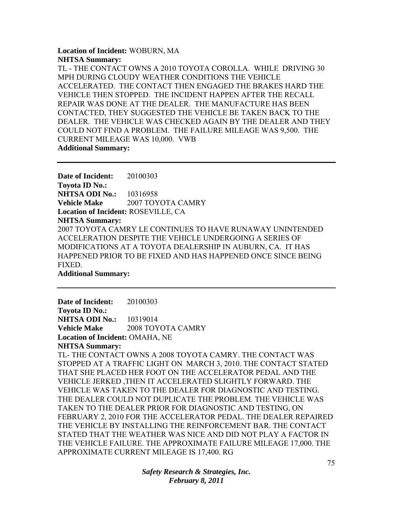#### **Location of Incident:** WOBURN, MA **NHTSA Summary:**

TL - THE CONTACT OWNS A 2010 TOYOTA COROLLA. WHILE DRIVING 30 MPH DURING CLOUDY WEATHER CONDITIONS THE VEHICLE ACCELERATED. THE CONTACT THEN ENGAGED THE BRAKES HARD THE VEHICLE THEN STOPPED. THE INCIDENT HAPPEN AFTER THE RECALL REPAIR WAS DONE AT THE DEALER. THE MANUFACTURE HAS BEEN CONTACTED, THEY SUGGESTED THE VEHICLE BE TAKEN BACK TO THE DEALER. THE VEHICLE WAS CHECKED AGAIN BY THE DEALER AND THEY COULD NOT FIND A PROBLEM. THE FAILURE MILEAGE WAS 9,500. THE CURRENT MILEAGE WAS 10,000. VWB **Additional Summary:** 

**Date of Incident:** 20100303 **Toyota ID No.: NHTSA ODI No.:** 10316958 **Vehicle Make** 2007 TOYOTA CAMRY **Location of Incident:** ROSEVILLE, CA **NHTSA Summary:**  2007 TOYOTA CAMRY LE CONTINUES TO HAVE RUNAWAY UNINTENDED ACCELERATION DESPITE THE VEHICLE UNDERGOING A SERIES OF MODIFICATIONS AT A TOYOTA DEALERSHIP IN AUBURN, CA. IT HAS HAPPENED PRIOR TO BE FIXED AND HAS HAPPENED ONCE SINCE BEING FIXED. **Additional Summary:** 

**Date of Incident:** 20100303 **Toyota ID No.: NHTSA ODI No.: 10319014 Vehicle Make** 2008 TOYOTA CAMRY **Location of Incident:** OMAHA, NE **NHTSA Summary:**  TL- THE CONTACT OWNS A 2008 TOYOTA CAMRY. THE CONTACT WAS STOPPED AT A TRAFFIC LIGHT ON MARCH 3, 2010. THE CONTACT STATED THAT SHE PLACED HER FOOT ON THE ACCELERATOR PEDAL AND THE VEHICLE JERKED ,THEN IT ACCELERATED SLIGHTLY FORWARD. THE VEHICLE WAS TAKEN TO THE DEALER FOR DIAGNOSTIC AND TESTING. THE DEALER COULD NOT DUPLICATE THE PROBLEM. THE VEHICLE WAS TAKEN TO THE DEALER PRIOR FOR DIAGNOSTIC AND TESTING, ON FEBRUARY 2, 2010 FOR THE ACCELERATOR PEDAL. THE DEALER REPAIRED THE VEHICLE BY INSTALLING THE REINFORCEMENT BAR. THE CONTACT STATED THAT THE WEATHER WAS NICE AND DID NOT PLAY A FACTOR IN THE VEHICLE FAILURE. THE APPROXIMATE FAILURE MILEAGE 17,000. THE APPROXIMATE CURRENT MILEAGE IS 17,400. RG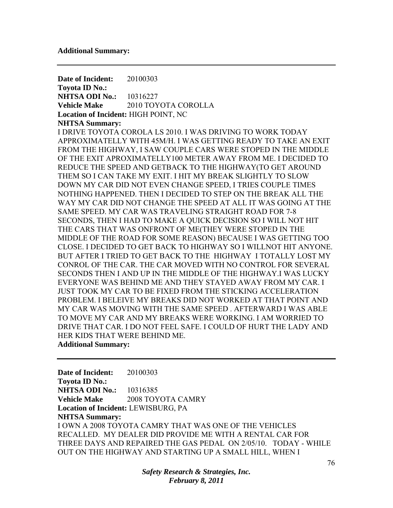**Date of Incident:** 20100303 **Toyota ID No.: NHTSA ODI No.:** 10316227 **Vehicle Make** 2010 TOYOTA COROLLA **Location of Incident:** HIGH POINT, NC **NHTSA Summary:**  I DRIVE TOYOTA COROLA LS 2010. I WAS DRIVING TO WORK TODAY APPROXIMATELLY WITH 45M/H. I WAS GETTING READY TO TAKE AN EXIT FROM THE HIGHWAY, I SAW COUPLE CARS WERE STOPED IN THE MIDDLE OF THE EXIT APROXIMATELLY100 METER AWAY FROM ME. I DECIDED TO REDUCE THE SPEED AND GETBACK TO THE HIGHWAY(TO GET AROUND THEM SO I CAN TAKE MY EXIT. I HIT MY BREAK SLIGHTLY TO SLOW DOWN MY CAR DID NOT EVEN CHANGE SPEED, I TRIES COUPLE TIMES NOTHING HAPPENED. THEN I DECIDED TO STEP ON THE BREAK ALL THE WAY MY CAR DID NOT CHANGE THE SPEED AT ALL IT WAS GOING AT THE SAME SPEED. MY CAR WAS TRAVELING STRAIGHT ROAD FOR 7-8 SECONDS, THEN I HAD TO MAKE A QUICK DECISION SO I WILL NOT HIT THE CARS THAT WAS ONFRONT OF ME(THEY WERE STOPED IN THE MIDDLE OF THE ROAD FOR SOME REASON) BECAUSE I WAS GETTING TOO CLOSE. I DECIDED TO GET BACK TO HIGHWAY SO I WILLNOT HIT ANYONE. BUT AFTER I TRIED TO GET BACK TO THE HIGHWAY I TOTALLY LOST MY CONROL OF THE CAR. THE CAR MOVED WITH NO CONTROL FOR SEVERAL SECONDS THEN I AND UP IN THE MIDDLE OF THE HIGHWAY.I WAS LUCKY EVERYONE WAS BEHIND ME AND THEY STAYED AWAY FROM MY CAR. I JUST TOOK MY CAR TO BE FIXED FROM THE STICKING ACCELERATION PROBLEM. I BELEIVE MY BREAKS DID NOT WORKED AT THAT POINT AND MY CAR WAS MOVING WITH THE SAME SPEED . AFTERWARD I WAS ABLE TO MOVE MY CAR AND MY BREAKS WERE WORKING. I AM WORRIED TO DRIVE THAT CAR. I DO NOT FEEL SAFE. I COULD OF HURT THE LADY AND HER KIDS THAT WERE BEHIND ME.

**Additional Summary:** 

**Date of Incident:** 20100303 **Toyota ID No.: NHTSA ODI No.:** 10316385 **Vehicle Make** 2008 TOYOTA CAMRY **Location of Incident:** LEWISBURG, PA **NHTSA Summary:**  I OWN A 2008 TOYOTA CAMRY THAT WAS ONE OF THE VEHICLES RECALLED. MY DEALER DID PROVIDE ME WITH A RENTAL CAR FOR THREE DAYS AND REPAIRED THE GAS PEDAL ON 2/05/10. TODAY - WHILE OUT ON THE HIGHWAY AND STARTING UP A SMALL HILL, WHEN I

> *Safety Research & Strategies, Inc. February 8, 2011*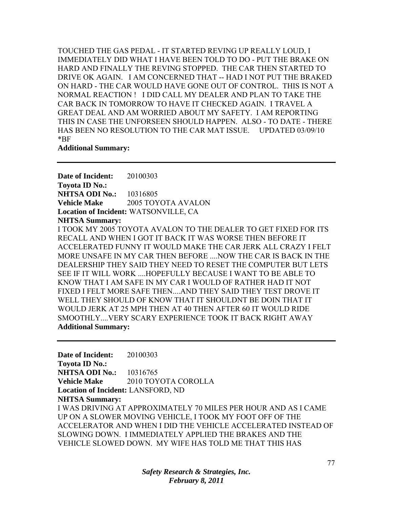TOUCHED THE GAS PEDAL - IT STARTED REVING UP REALLY LOUD, I IMMEDIATELY DID WHAT I HAVE BEEN TOLD TO DO - PUT THE BRAKE ON HARD AND FINALLY THE REVING STOPPED. THE CAR THEN STARTED TO DRIVE OK AGAIN. I AM CONCERNED THAT -- HAD I NOT PUT THE BRAKED ON HARD - THE CAR WOULD HAVE GONE OUT OF CONTROL. THIS IS NOT A NORMAL REACTION ! I DID CALL MY DEALER AND PLAN TO TAKE THE CAR BACK IN TOMORROW TO HAVE IT CHECKED AGAIN. I TRAVEL A GREAT DEAL AND AM WORRIED ABOUT MY SAFETY. I AM REPORTING THIS IN CASE THE UNFORSEEN SHOULD HAPPEN. ALSO - TO DATE - THERE HAS BEEN NO RESOLUTION TO THE CAR MAT ISSUE. UPDATED 03/09/10 \*BF

#### **Additional Summary:**

**Date of Incident:** 20100303 **Toyota ID No.: NHTSA ODI No.:** 10316805 **Vehicle Make** 2005 TOYOTA AVALON **Location of Incident:** WATSONVILLE, CA **NHTSA Summary:**  I TOOK MY 2005 TOYOTA AVALON TO THE DEALER TO GET FIXED FOR ITS RECALL AND WHEN I GOT IT BACK IT WAS WORSE THEN BEFORE IT ACCELERATED FUNNY IT WOULD MAKE THE CAR JERK ALL CRAZY I FELT MORE UNSAFE IN MY CAR THEN BEFORE ....NOW THE CAR IS BACK IN THE DEALERSHIP THEY SAID THEY NEED TO RESET THE COMPUTER BUT LETS SEE IF IT WILL WORK ....HOPEFULLY BECAUSE I WANT TO BE ABLE TO KNOW THAT I AM SAFE IN MY CAR I WOULD OF RATHER HAD IT NOT FIXED I FELT MORE SAFE THEN....AND THEY SAID THEY TEST DROVE IT WELL THEY SHOULD OF KNOW THAT IT SHOULDNT BE DOIN THAT IT WOULD JERK AT 25 MPH THEN AT 40 THEN AFTER 60 IT WOULD RIDE SMOOTHLY....VERY SCARY EXPERIENCE TOOK IT BACK RIGHT AWAY **Additional Summary:** 

**Date of Incident:** 20100303 **Toyota ID No.: NHTSA ODI No.:** 10316765 **Vehicle Make** 2010 TOYOTA COROLLA **Location of Incident:** LANSFORD, ND **NHTSA Summary:**  I WAS DRIVING AT APPROXIMATELY 70 MILES PER HOUR AND AS I CAME UP ON A SLOWER MOVING VEHICLE, I TOOK MY FOOT OFF OF THE ACCELERATOR AND WHEN I DID THE VEHICLE ACCELERATED INSTEAD OF SLOWING DOWN. I IMMEDIATELY APPLIED THE BRAKES AND THE VEHICLE SLOWED DOWN. MY WIFE HAS TOLD ME THAT THIS HAS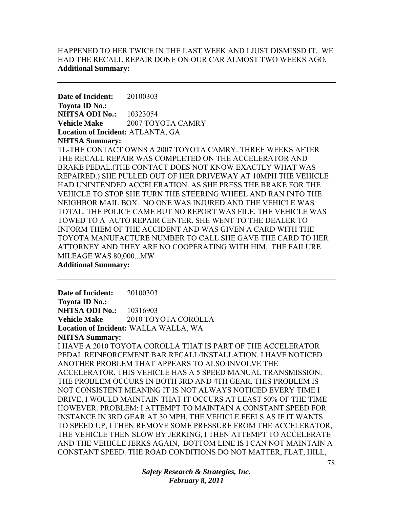## HAPPENED TO HER TWICE IN THE LAST WEEK AND I JUST DISMISSD IT. WE HAD THE RECALL REPAIR DONE ON OUR CAR ALMOST TWO WEEKS AGO. **Additional Summary:**

**Date of Incident:** 20100303 **Toyota ID No.: NHTSA ODI No.:** 10323054 **Vehicle Make** 2007 TOYOTA CAMRY **Location of Incident:** ATLANTA, GA **NHTSA Summary:** 

TL-THE CONTACT OWNS A 2007 TOYOTA CAMRY. THREE WEEKS AFTER THE RECALL REPAIR WAS COMPLETED ON THE ACCELERATOR AND BRAKE PEDAL.(THE CONTACT DOES NOT KNOW EXACTLY WHAT WAS REPAIRED.) SHE PULLED OUT OF HER DRIVEWAY AT 10MPH THE VEHICLE HAD UNINTENDED ACCELERATION. AS SHE PRESS THE BRAKE FOR THE VEHICLE TO STOP SHE TURN THE STEERING WHEEL AND RAN INTO THE NEIGHBOR MAIL BOX. NO ONE WAS INJURED AND THE VEHICLE WAS TOTAL. THE POLICE CAME BUT NO REPORT WAS FILE. THE VEHICLE WAS TOWED TO A AUTO REPAIR CENTER. SHE WENT TO THE DEALER TO INFORM THEM OF THE ACCIDENT AND WAS GIVEN A CARD WITH THE TOYOTA MANUFACTURE NUMBER TO CALL SHE GAVE THE CARD TO HER ATTORNEY AND THEY ARE NO COOPERATING WITH HIM. THE FAILURE MILEAGE WAS 80,000...MW

**Additional Summary:** 

**Date of Incident:** 20100303 **Toyota ID No.: NHTSA ODI No.:** 10316903 **Vehicle Make** 2010 TOYOTA COROLLA **Location of Incident:** WALLA WALLA, WA **NHTSA Summary:**  I HAVE A 2010 TOYOTA COROLLA THAT IS PART OF THE ACCELERATOR PEDAL REINFORCEMENT BAR RECALL/INSTALLATION. I HAVE NOTICED ANOTHER PROBLEM THAT APPEARS TO ALSO INVOLVE THE ACCELERATOR. THIS VEHICLE HAS A 5 SPEED MANUAL TRANSMISSION. THE PROBLEM OCCURS IN BOTH 3RD AND 4TH GEAR. THIS PROBLEM IS NOT CONSISTENT MEANING IT IS NOT ALWAYS NOTICED EVERY TIME I DRIVE, I WOULD MAINTAIN THAT IT OCCURS AT LEAST 50% OF THE TIME HOWEVER. PROBLEM: I ATTEMPT TO MAINTAIN A CONSTANT SPEED FOR INSTANCE IN 3RD GEAR AT 30 MPH, THE VEHICLE FEELS AS IF IT WANTS TO SPEED UP, I THEN REMOVE SOME PRESSURE FROM THE ACCELERATOR, THE VEHICLE THEN SLOW BY JERKING, I THEN ATTEMPT TO ACCELERATE AND THE VEHICLE JERKS AGAIN, BOTTOM LINE IS I CAN NOT MAINTAIN A CONSTANT SPEED. THE ROAD CONDITIONS DO NOT MATTER, FLAT, HILL,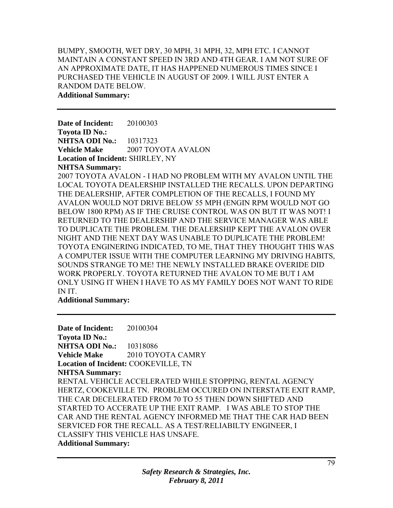## BUMPY, SMOOTH, WET DRY, 30 MPH, 31 MPH, 32, MPH ETC. I CANNOT MAINTAIN A CONSTANT SPEED IN 3RD AND 4TH GEAR. I AM NOT SURE OF AN APPROXIMATE DATE, IT HAS HAPPENED NUMEROUS TIMES SINCE I PURCHASED THE VEHICLE IN AUGUST OF 2009. I WILL JUST ENTER A RANDOM DATE BELOW.

**Additional Summary:** 

**Date of Incident:** 20100303 **Toyota ID No.: NHTSA ODI No.:** 10317323 **Vehicle Make** 2007 TOYOTA AVALON **Location of Incident:** SHIRLEY, NY **NHTSA Summary:**  2007 TOYOTA AVALON - I HAD NO PROBLEM WITH MY AVALON UNTIL THE LOCAL TOYOTA DEALERSHIP INSTALLED THE RECALLS. UPON DEPARTING

THE DEALERSHIP, AFTER COMPLETION OF THE RECALLS, I FOUND MY AVALON WOULD NOT DRIVE BELOW 55 MPH (ENGIN RPM WOULD NOT GO BELOW 1800 RPM) AS IF THE CRUISE CONTROL WAS ON BUT IT WAS NOT! I RETURNED TO THE DEALERSHIP AND THE SERVICE MANAGER WAS ABLE TO DUPLICATE THE PROBLEM. THE DEALERSHIP KEPT THE AVALON OVER NIGHT AND THE NEXT DAY WAS UNABLE TO DUPLICATE THE PROBLEM! TOYOTA ENGINERING INDICATED, TO ME, THAT THEY THOUGHT THIS WAS A COMPUTER ISSUE WITH THE COMPUTER LEARNING MY DRIVING HABITS, SOUNDS STRANGE TO ME! THE NEWLY INSTALLED BRAKE OVERIDE DID WORK PROPERLY. TOYOTA RETURNED THE AVALON TO ME BUT I AM ONLY USING IT WHEN I HAVE TO AS MY FAMILY DOES NOT WANT TO RIDE IN IT.

**Additional Summary:** 

**Date of Incident:** 20100304 **Toyota ID No.: NHTSA ODI No.:** 10318086 Vehicle Make 2010 TOYOTA CAMRY **Location of Incident:** COOKEVILLE, TN **NHTSA Summary:**  RENTAL VEHICLE ACCELERATED WHILE STOPPING, RENTAL AGENCY HERTZ, COOKEVILLE TN. PROBLEM OCCURED ON INTERSTATE EXIT RAMP, THE CAR DECELERATED FROM 70 TO 55 THEN DOWN SHIFTED AND STARTED TO ACCERATE UP THE EXIT RAMP. I WAS ABLE TO STOP THE CAR AND THE RENTAL AGENCY INFORMED ME THAT THE CAR HAD BEEN SERVICED FOR THE RECALL. AS A TEST/RELIABILTY ENGINEER, I CLASSIFY THIS VEHICLE HAS UNSAFE. **Additional Summary:**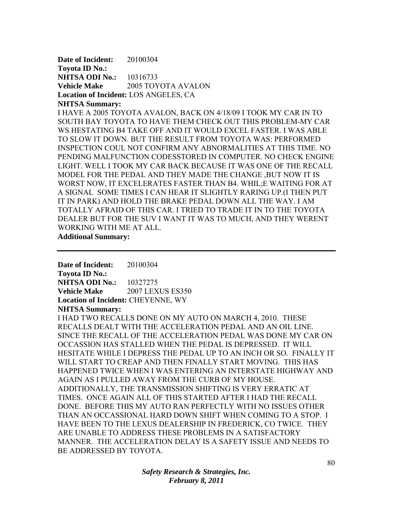**Date of Incident:** 20100304 **Toyota ID No.: NHTSA ODI No.:** 10316733 **Vehicle Make** 2005 TOYOTA AVALON **Location of Incident:** LOS ANGELES, CA **NHTSA Summary:** 

I HAVE A 2005 TOYOTA AVALON, BACK ON 4/18/09 I TOOK MY CAR IN TO SOUTH BAY TOYOTA TO HAVE THEM CHECK OUT THIS PROBLEM-MY CAR WS HESTATING B4 TAKE OFF AND IT WOULD EXCEL FASTER. I WAS ABLE TO SLOW IT DOWN. BUT THE RESULT FROM TOYOTA WAS: PERFORMED INSPECTION COUL NOT CONFIRM ANY ABNORMALITIES AT THIS TIME. NO PENDING MALFUNCTION CODESSTORED IN COMPUTER. NO CHECK ENGINE LIGHT. WELL I TOOK MY CAR BACK BECAUSE IT WAS ONE OF THE RECALL MODEL FOR THE PEDAL AND THEY MADE THE CHANGE ,BUT NOW IT IS WORST NOW, IT EXCELERATES FASTER THAN B4. WHIL;E WAITING FOR AT A SIGNAL SOME TIMES I CAN HEAR IT SLIGHTLY RARING UP.(I THEN PUT IT IN PARK) AND HOLD THE BRAKE PEDAL DOWN ALL THE WAY. I AM TOTALLY AFRAID OF THIS CAR. I TRIED TO TRADE IT IN TO THE TOYOTA DEALER BUT FOR THE SUV I WANT IT WAS TO MUCH, AND THEY WERENT WORKING WITH ME AT ALL.

**Additional Summary:** 

**Date of Incident:** 20100304 **Toyota ID No.: NHTSA ODI No.: 10327275 Vehicle Make** 2007 LEXUS ES350 Location of Incident: CHEYENNE, WY

**NHTSA Summary:** 

I HAD TWO RECALLS DONE ON MY AUTO ON MARCH 4, 2010. THESE RECALLS DEALT WITH THE ACCELERATION PEDAL AND AN OIL LINE. SINCE THE RECALL OF THE ACCELERATION PEDAL WAS DONE MY CAR ON OCCASSION HAS STALLED WHEN THE PEDAL IS DEPRESSED. IT WILL HESITATE WHILE I DEPRESS THE PEDAL UP TO AN INCH OR SO. FINALLY IT WILL START TO CREAP AND THEN FINALLY START MOVING. THIS HAS HAPPENED TWICE WHEN I WAS ENTERING AN INTERSTATE HIGHWAY AND AGAIN AS I PULLED AWAY FROM THE CURB OF MY HOUSE. ADDITIONALLY, THE TRANSMISSION SHIFTING IS VERY ERRATIC AT TIMES. ONCE AGAIN ALL OF THIS STARTED AFTER I HAD THE RECALL DONE. BEFORE THIS MY AUTO RAN PERFECTLY WITH NO ISSUES OTHER THAN AN OCCASSIONAL HARD DOWN SHIFT WHEN COMING TO A STOP. I HAVE BEEN TO THE LEXUS DEALERSHIP IN FREDERICK, CO TWICE. THEY ARE UNABLE TO ADDRESS THESE PROBLEMS IN A SATISFACTORY MANNER. THE ACCELERATION DELAY IS A SAFETY ISSUE AND NEEDS TO BE ADDRESSED BY TOYOTA.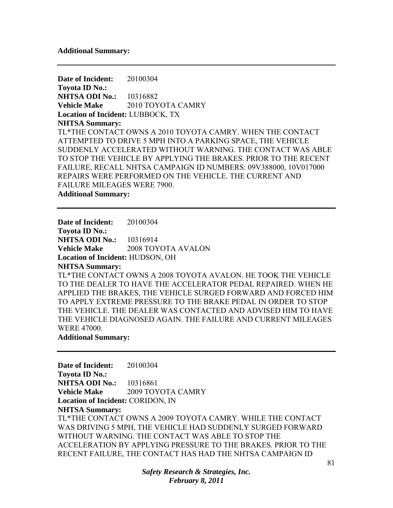#### **Additional Summary:**

**Date of Incident:** 20100304 **Toyota ID No.: NHTSA ODI No.:** 10316882 **Vehicle Make** 2010 TOYOTA CAMRY **Location of Incident:** LUBBOCK, TX **NHTSA Summary:**  TL\*THE CONTACT OWNS A 2010 TOYOTA CAMRY. WHEN THE CONTACT ATTEMPTED TO DRIVE 5 MPH INTO A PARKING SPACE, THE VEHICLE SUDDENLY ACCELERATED WITHOUT WARNING. THE CONTACT WAS ABLE TO STOP THE VEHICLE BY APPLYING THE BRAKES. PRIOR TO THE RECENT FAILURE, RECALL NHTSA CAMPAIGN ID NUMBERS: 09V388000, 10V017000 REPAIRS WERE PERFORMED ON THE VEHICLE. THE CURRENT AND FAILURE MILEAGES WERE 7900.

**Additional Summary:** 

**Date of Incident:** 20100304 **Toyota ID No.: NHTSA ODI No.:** 10316914 **Vehicle Make** 2008 TOYOTA AVALON **Location of Incident:** HUDSON, OH **NHTSA Summary:**  TL\*THE CONTACT OWNS A 2008 TOYOTA AVALON. HE TOOK THE VEHICLE TO THE DEALER TO HAVE THE ACCELERATOR PEDAL REPAIRED. WHEN HE APPLIED THE BRAKES, THE VEHICLE SURGED FORWARD AND FORCED HIM TO APPLY EXTREME PRESSURE TO THE BRAKE PEDAL IN ORDER TO STOP THE VEHICLE. THE DEALER WAS CONTACTED AND ADVISED HIM TO HAVE

THE VEHICLE DIAGNOSED AGAIN. THE FAILURE AND CURRENT MILEAGES WERE 47000.

**Additional Summary:** 

**Date of Incident:** 20100304 **Toyota ID No.: NHTSA ODI No.:** 10316861 **Vehicle Make** 2009 TOYOTA CAMRY **Location of Incident:** CORIDON, IN **NHTSA Summary:**  TL\*THE CONTACT OWNS A 2009 TOYOTA CAMRY. WHILE THE CONTACT WAS DRIVING 5 MPH, THE VEHICLE HAD SUDDENLY SURGED FORWARD WITHOUT WARNING. THE CONTACT WAS ABLE TO STOP THE ACCELERATION BY APPLYING PRESSURE TO THE BRAKES. PRIOR TO THE RECENT FAILURE, THE CONTACT HAS HAD THE NHTSA CAMPAIGN ID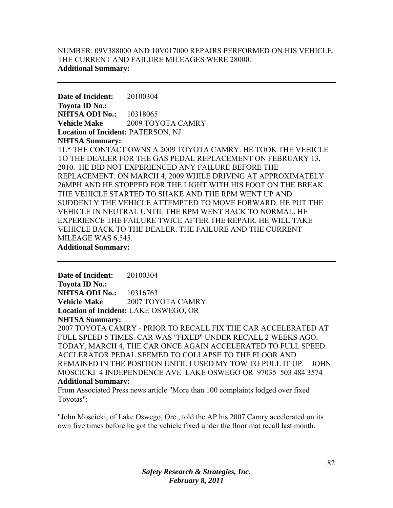## NUMBER: 09V388000 AND 10V017000 REPAIRS PERFORMED ON HIS VEHICLE. THE CURRENT AND FAILURE MILEAGES WERE 28000. **Additional Summary:**

**Date of Incident:** 20100304 **Toyota ID No.: NHTSA ODI No.:** 10318065 **Vehicle Make** 2009 TOYOTA CAMRY **Location of Incident:** PATERSON, NJ **NHTSA Summary:**  TL\* THE CONTACT OWNS A 2009 TOYOTA CAMRY. HE TOOK THE VEHICLE

TO THE DEALER FOR THE GAS PEDAL REPLACEMENT ON FEBRUARY 13, 2010. HE DID NOT EXPERIENCED ANY FAILURE BEFORE THE REPLACEMENT. ON MARCH 4, 2009 WHILE DRIVING AT APPROXIMATELY 26MPH AND HE STOPPED FOR THE LIGHT WITH HIS FOOT ON THE BREAK THE VEHICLE STARTED TO SHAKE AND THE RPM WENT UP AND SUDDENLY THE VEHICLE ATTEMPTED TO MOVE FORWARD. HE PUT THE VEHICLE IN NEUTRAL UNTIL THE RPM WENT BACK TO NORMAL. HE EXPERIENCE THE FAILURE TWICE AFTER THE REPAIR. HE WILL TAKE VEHICLE BACK TO THE DEALER. THE FAILURE AND THE CURRENT MILEAGE WAS 6,545. **Additional Summary:** 

**Date of Incident:** 20100304 **Toyota ID No.: NHTSA ODI No.:** 10316763 **Vehicle Make 2007 TOYOTA CAMRY Location of Incident:** LAKE OSWEGO, OR **NHTSA Summary:** 

2007 TOYOTA CAMRY - PRIOR TO RECALL FIX THE CAR ACCELERATED AT FULL SPEED 5 TIMES. CAR WAS "FIXED" UNDER RECALL 2 WEEKS AGO. TODAY, MARCH 4, THE CAR ONCE AGAIN ACCELERATED TO FULL SPEED. ACCLERATOR PEDAL SEEMED TO COLLAPSE TO THE FLOOR AND REMAINED IN THE POSITION UNTIL I USED MY TOW TO PULL IT UP. JOHN MOSCICKI 4 INDEPENDENCE AVE LAKE OSWEGO OR 97035 503 484 3574 **Additional Summary:** 

From Associated Press news article "More than 100 complaints lodged over fixed Toyotas":

"John Moscicki, of Lake Oswego, Ore., told the AP his 2007 Camry accelerated on its own five times before he got the vehicle fixed under the floor mat recall last month.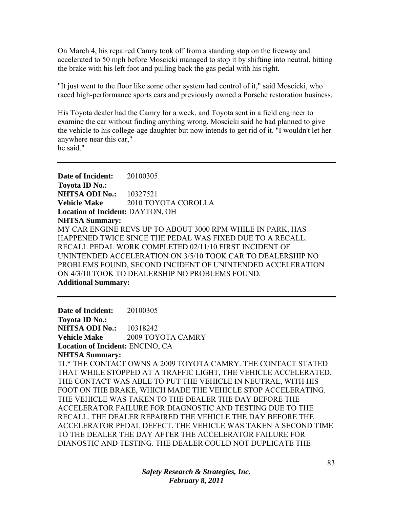On March 4, his repaired Camry took off from a standing stop on the freeway and accelerated to 50 mph before Moscicki managed to stop it by shifting into neutral, hitting the brake with his left foot and pulling back the gas pedal with his right.

"It just went to the floor like some other system had control of it," said Moscicki, who raced high-performance sports cars and previously owned a Porsche restoration business.

His Toyota dealer had the Camry for a week, and Toyota sent in a field engineer to examine the car without finding anything wrong. Moscicki said he had planned to give the vehicle to his college-age daughter but now intends to get rid of it. "I wouldn't let her anywhere near this car," he said."

**Date of Incident:** 20100305 **Toyota ID No.: NHTSA ODI No.:** 10327521 **Vehicle Make** 2010 TOYOTA COROLLA **Location of Incident:** DAYTON, OH **NHTSA Summary:**  MY CAR ENGINE REVS UP TO ABOUT 3000 RPM WHILE IN PARK, HAS HAPPENED TWICE SINCE THE PEDAL WAS FIXED DUE TO A RECALL. RECALL PEDAL WORK COMPLETED 02/11/10 FIRST INCIDENT OF UNINTENDED ACCELERATION ON 3/5/10 TOOK CAR TO DEALERSHIP NO PROBLEMS FOUND, SECOND INCIDENT OF UNINTENDED ACCELERATION ON 4/3/10 TOOK TO DEALERSHIP NO PROBLEMS FOUND. **Additional Summary:** 

**Date of Incident:** 20100305 **Toyota ID No.: NHTSA ODI No.:** 10318242 **Vehicle Make** 2009 TOYOTA CAMRY **Location of Incident:** ENCINO, CA **NHTSA Summary:**  TL\* THE CONTACT OWNS A 2009 TOYOTA CAMRY. THE CONTACT STATED THAT WHILE STOPPED AT A TRAFFIC LIGHT, THE VEHICLE ACCELERATED. THE CONTACT WAS ABLE TO PUT THE VEHICLE IN NEUTRAL, WITH HIS FOOT ON THE BRAKE, WHICH MADE THE VEHICLE STOP ACCELERATING. THE VEHICLE WAS TAKEN TO THE DEALER THE DAY BEFORE THE ACCELERATOR FAILURE FOR DIAGNOSTIC AND TESTING DUE TO THE RECALL. THE DEALER REPAIRED THE VEHICLE THE DAY BEFORE THE ACCELERATOR PEDAL DEFECT. THE VEHICLE WAS TAKEN A SECOND TIME TO THE DEALER THE DAY AFTER THE ACCELERATOR FAILURE FOR DIANOSTIC AND TESTING. THE DEALER COULD NOT DUPLICATE THE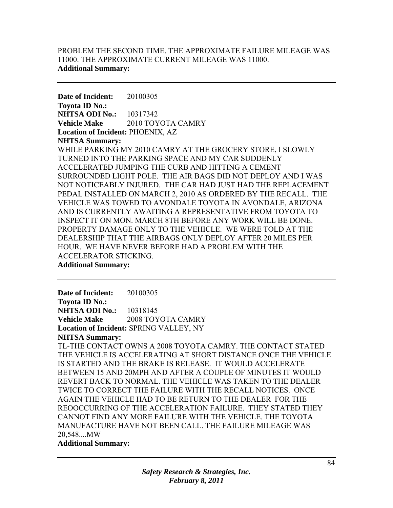## PROBLEM THE SECOND TIME. THE APPROXIMATE FAILURE MILEAGE WAS 11000. THE APPROXIMATE CURRENT MILEAGE WAS 11000. **Additional Summary:**

**Date of Incident:** 20100305 **Toyota ID No.: NHTSA ODI No.:** 10317342 **Vehicle Make** 2010 TOYOTA CAMRY **Location of Incident:** PHOENIX, AZ **NHTSA Summary:**  WHILE PARKING MY 2010 CAMRY AT THE GROCERY STORE, I SLOWLY TURNED INTO THE PARKING SPACE AND MY CAR SUDDENLY ACCELERATED JUMPING THE CURB AND HITTING A CEMENT SURROUNDED LIGHT POLE. THE AIR BAGS DID NOT DEPLOY AND I WAS NOT NOTICEABLY INJURED. THE CAR HAD JUST HAD THE REPLACEMENT PEDAL INSTALLED ON MARCH 2, 2010 AS ORDERED BY THE RECALL. THE VEHICLE WAS TOWED TO AVONDALE TOYOTA IN AVONDALE, ARIZONA AND IS CURRENTLY AWAITING A REPRESENTATIVE FROM TOYOTA TO INSPECT IT ON MON. MARCH 8TH BEFORE ANY WORK WILL BE DONE. PROPERTY DAMAGE ONLY TO THE VEHICLE. WE WERE TOLD AT THE DEALERSHIP THAT THE AIRBAGS ONLY DEPLOY AFTER 20 MILES PER HOUR. WE HAVE NEVER BEFORE HAD A PROBLEM WITH THE ACCELERATOR STICKING. **Additional Summary:** 

**Date of Incident:** 20100305 **Toyota ID No.: NHTSA ODI No.:** 10318145 **Vehicle Make** 2008 TOYOTA CAMRY **Location of Incident:** SPRING VALLEY, NY **NHTSA Summary:**  TL-THE CONTACT OWNS A 2008 TOYOTA CAMRY. THE CONTACT STATED THE VEHICLE IS ACCELERATING AT SHORT DISTANCE ONCE THE VEHICLE IS STARTED AND THE BRAKE IS RELEASE. IT WOULD ACCELERATE BETWEEN 15 AND 20MPH AND AFTER A COUPLE OF MINUTES IT WOULD REVERT BACK TO NORMAL. THE VEHICLE WAS TAKEN TO THE DEALER TWICE TO CORRECT THE FAILURE WITH THE RECALL NOTICES. ONCE AGAIN THE VEHICLE HAD TO BE RETURN TO THE DEALER FOR THE REOOCCURRING OF THE ACCELERATION FAILURE. THEY STATED THEY CANNOT FIND ANY MORE FAILURE WITH THE VEHICLE. THE TOYOTA MANUFACTURE HAVE NOT BEEN CALL. THE FAILURE MILEAGE WAS 20,548....MW

## **Additional Summary:**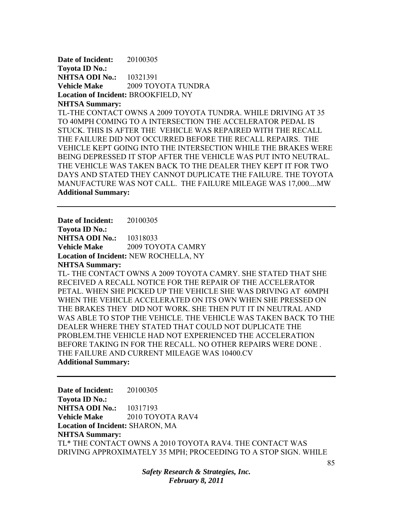**Date of Incident:** 20100305 **Toyota ID No.: NHTSA ODI No.:** 10321391 **Vehicle Make** 2009 TOYOTA TUNDRA **Location of Incident:** BROOKFIELD, NY **NHTSA Summary:**  TL-THE CONTACT OWNS A 2009 TOYOTA TUNDRA. WHILE DRIVING AT 35 TO 40MPH COMING TO A INTERSECTION THE ACCELERATOR PEDAL IS

STUCK. THIS IS AFTER THE VEHICLE WAS REPAIRED WITH THE RECALL THE FAILURE DID NOT OCCURRED BEFORE THE RECALL REPAIRS. THE VEHICLE KEPT GOING INTO THE INTERSECTION WHILE THE BRAKES WERE BEING DEPRESSED IT STOP AFTER THE VEHICLE WAS PUT INTO NEUTRAL. THE VEHICLE WAS TAKEN BACK TO THE DEALER THEY KEPT IT FOR TWO DAYS AND STATED THEY CANNOT DUPLICATE THE FAILURE. THE TOYOTA MANUFACTURE WAS NOT CALL. THE FAILURE MILEAGE WAS 17,000....MW **Additional Summary:** 

**Date of Incident:** 20100305 **Toyota ID No.: NHTSA ODI No.: 10318033 Vehicle Make** 2009 TOYOTA CAMRY **Location of Incident:** NEW ROCHELLA, NY

**NHTSA Summary:** 

TL- THE CONTACT OWNS A 2009 TOYOTA CAMRY. SHE STATED THAT SHE RECEIVED A RECALL NOTICE FOR THE REPAIR OF THE ACCELERATOR PETAL. WHEN SHE PICKED UP THE VEHICLE SHE WAS DRIVING AT 60MPH WHEN THE VEHICLE ACCELERATED ON ITS OWN WHEN SHE PRESSED ON THE BRAKES THEY DID NOT WORK. SHE THEN PUT IT IN NEUTRAL AND WAS ABLE TO STOP THE VEHICLE. THE VEHICLE WAS TAKEN BACK TO THE DEALER WHERE THEY STATED THAT COULD NOT DUPLICATE THE PROBLEM.THE VEHICLE HAD NOT EXPERIENCED THE ACCELERATION BEFORE TAKING IN FOR THE RECALL. NO OTHER REPAIRS WERE DONE . THE FAILURE AND CURRENT MILEAGE WAS 10400.CV **Additional Summary:** 

**Date of Incident:** 20100305 **Toyota ID No.: NHTSA ODI No.: 10317193 Vehicle Make** 2010 TOYOTA RAV4 **Location of Incident:** SHARON, MA **NHTSA Summary:**  TL\* THE CONTACT OWNS A 2010 TOYOTA RAV4. THE CONTACT WAS DRIVING APPROXIMATELY 35 MPH; PROCEEDING TO A STOP SIGN. WHILE

> *Safety Research & Strategies, Inc. February 8, 2011*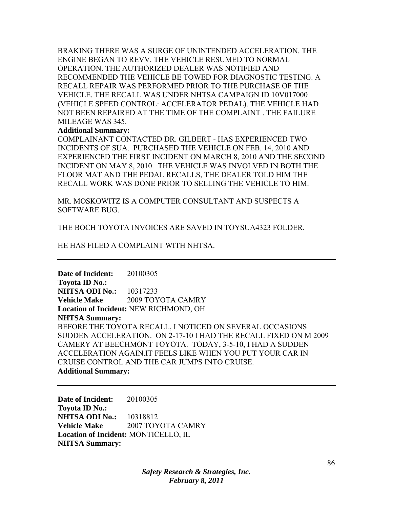BRAKING THERE WAS A SURGE OF UNINTENDED ACCELERATION. THE ENGINE BEGAN TO REVV. THE VEHICLE RESUMED TO NORMAL OPERATION. THE AUTHORIZED DEALER WAS NOTIFIED AND RECOMMENDED THE VEHICLE BE TOWED FOR DIAGNOSTIC TESTING. A RECALL REPAIR WAS PERFORMED PRIOR TO THE PURCHASE OF THE VEHICLE. THE RECALL WAS UNDER NHTSA CAMPAIGN ID 10V017000 (VEHICLE SPEED CONTROL: ACCELERATOR PEDAL). THE VEHICLE HAD NOT BEEN REPAIRED AT THE TIME OF THE COMPLAINT . THE FAILURE MILEAGE WAS 345.

#### **Additional Summary:**

COMPLAINANT CONTACTED DR. GILBERT - HAS EXPERIENCED TWO INCIDENTS OF SUA. PURCHASED THE VEHICLE ON FEB. 14, 2010 AND EXPERIENCED THE FIRST INCIDENT ON MARCH 8, 2010 AND THE SECOND INCIDENT ON MAY 8, 2010. THE VEHICLE WAS INVOLVED IN BOTH THE FLOOR MAT AND THE PEDAL RECALLS, THE DEALER TOLD HIM THE RECALL WORK WAS DONE PRIOR TO SELLING THE VEHICLE TO HIM.

MR. MOSKOWITZ IS A COMPUTER CONSULTANT AND SUSPECTS A SOFTWARE BUG.

THE BOCH TOYOTA INVOICES ARE SAVED IN TOYSUA4323 FOLDER.

HE HAS FILED A COMPLAINT WITH NHTSA.

**Date of Incident:** 20100305 **Toyota ID No.: NHTSA ODI No.:** 10317233 **Vehicle Make** 2009 TOYOTA CAMRY **Location of Incident:** NEW RICHMOND, OH **NHTSA Summary:**  BEFORE THE TOYOTA RECALL, I NOTICED ON SEVERAL OCCASIONS SUDDEN ACCELERATION. ON 2-17-10 I HAD THE RECALL FIXED ON M 2009 CAMERY AT BEECHMONT TOYOTA. TODAY, 3-5-10, I HAD A SUDDEN ACCELERATION AGAIN.IT FEELS LIKE WHEN YOU PUT YOUR CAR IN CRUISE CONTROL AND THE CAR JUMPS INTO CRUISE. **Additional Summary:** 

**Date of Incident:** 20100305 **Toyota ID No.: NHTSA ODI No.:** 10318812 **Vehicle Make 2007 TOYOTA CAMRY Location of Incident:** MONTICELLO, IL **NHTSA Summary:**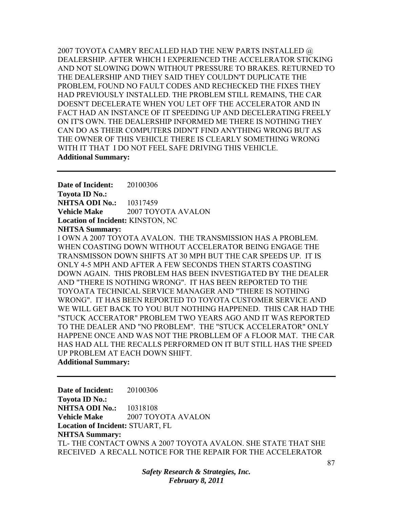2007 TOYOTA CAMRY RECALLED HAD THE NEW PARTS INSTALLED @ DEALERSHIP. AFTER WHICH I EXPERIENCED THE ACCELERATOR STICKING AND NOT SLOWING DOWN WITHOUT PRESSURE TO BRAKES. RETURNED TO THE DEALERSHIP AND THEY SAID THEY COULDN'T DUPLICATE THE PROBLEM, FOUND NO FAULT CODES AND RECHECKED THE FIXES THEY HAD PREVIOUSLY INSTALLED. THE PROBLEM STILL REMAINS, THE CAR DOESN'T DECELERATE WHEN YOU LET OFF THE ACCELERATOR AND IN FACT HAD AN INSTANCE OF IT SPEEDING UP AND DECELERATING FREELY ON IT'S OWN. THE DEALERSHIP INFORMED ME THERE IS NOTHING THEY CAN DO AS THEIR COMPUTERS DIDN'T FIND ANYTHING WRONG BUT AS THE OWNER OF THIS VEHICLE THERE IS CLEARLY SOMETHING WRONG WITH IT THAT I DO NOT FEEL SAFE DRIVING THIS VEHICLE. **Additional Summary:** 

**Date of Incident:** 20100306 **Toyota ID No.: NHTSA ODI No.:** 10317459 **Vehicle Make** 2007 TOYOTA AVALON **Location of Incident:** KINSTON, NC **NHTSA Summary:** 

I OWN A 2007 TOYOTA AVALON. THE TRANSMISSION HAS A PROBLEM. WHEN COASTING DOWN WITHOUT ACCELERATOR BEING ENGAGE THE TRANSMISSON DOWN SHIFTS AT 30 MPH BUT THE CAR SPEEDS UP. IT IS ONLY 4-5 MPH AND AFTER A FEW SECONDS THEN STARTS COASTING DOWN AGAIN. THIS PROBLEM HAS BEEN INVESTIGATED BY THE DEALER AND "THERE IS NOTHING WRONG". IT HAS BEEN REPORTED TO THE TOYOATA TECHNICAL SERVICE MANAGER AND "THERE IS NOTHING WRONG". IT HAS BEEN REPORTED TO TOYOTA CUSTOMER SERVICE AND WE WILL GET BACK TO YOU BUT NOTHING HAPPENED. THIS CAR HAD THE "STUCK ACCERATOR" PROBLEM TWO YEARS AGO AND IT WAS REPORTED TO THE DEALER AND "NO PROBLEM". THE "STUCK ACCELERATOR" ONLY HAPPENE ONCE AND WAS NOT THE PROBLLEM OF A FLOOR MAT. THE CAR HAS HAD ALL THE RECALLS PERFORMED ON IT BUT STILL HAS THE SPEED UP PROBLEM AT EACH DOWN SHIFT. **Additional Summary:** 

**Date of Incident:** 20100306 **Toyota ID No.: NHTSA ODI No.: 10318108 Vehicle Make** 2007 TOYOTA AVALON **Location of Incident:** STUART, FL **NHTSA Summary:**  TL- THE CONTACT OWNS A 2007 TOYOTA AVALON. SHE STATE THAT SHE RECEIVED A RECALL NOTICE FOR THE REPAIR FOR THE ACCELERATOR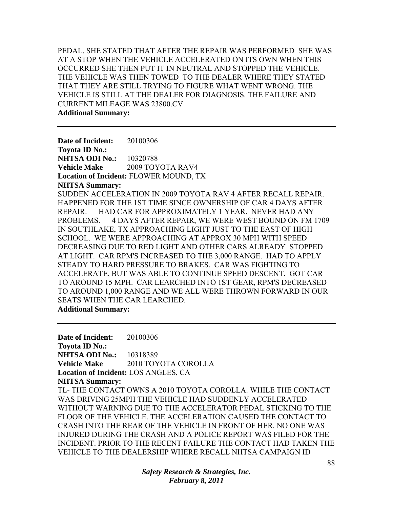PEDAL. SHE STATED THAT AFTER THE REPAIR WAS PERFORMED SHE WAS AT A STOP WHEN THE VEHICLE ACCELERATED ON ITS OWN WHEN THIS OCCURRED SHE THEN PUT IT IN NEUTRAL AND STOPPED THE VEHICLE. THE VEHICLE WAS THEN TOWED TO THE DEALER WHERE THEY STATED THAT THEY ARE STILL TRYING TO FIGURE WHAT WENT WRONG. THE VEHICLE IS STILL AT THE DEALER FOR DIAGNOSIS. THE FAILURE AND CURRENT MILEAGE WAS 23800.CV **Additional Summary:** 

**Date of Incident:** 20100306 **Toyota ID No.: NHTSA ODI No.:** 10320788 **Vehicle Make** 2009 TOYOTA RAV4 **Location of Incident:** FLOWER MOUND, TX **NHTSA Summary:**  SUDDEN ACCELERATION IN 2009 TOYOTA RAV 4 AFTER RECALL REPAIR. HAPPENED FOR THE 1ST TIME SINCE OWNERSHIP OF CAR 4 DAYS AFTER REPAIR. HAD CAR FOR APPROXIMATELY 1 YEAR. NEVER HAD ANY PROBLEMS. 4 DAYS AFTER REPAIR, WE WERE WEST BOUND ON FM 1709 IN SOUTHLAKE, TX APPROACHING LIGHT JUST TO THE EAST OF HIGH SCHOOL. WE WERE APPROACHING AT APPROX 30 MPH WITH SPEED DECREASING DUE TO RED LIGHT AND OTHER CARS ALREADY STOPPED AT LIGHT. CAR RPM'S INCREASED TO THE 3,000 RANGE. HAD TO APPLY STEADY TO HARD PRESSURE TO BRAKES. CAR WAS FIGHTING TO ACCELERATE, BUT WAS ABLE TO CONTINUE SPEED DESCENT. GOT CAR TO AROUND 15 MPH. CAR LEARCHED INTO 1ST GEAR, RPM'S DECREASED TO AROUND 1,000 RANGE AND WE ALL WERE THROWN FORWARD IN OUR SEATS WHEN THE CAR LEARCHED.

**Additional Summary:** 

**Date of Incident:** 20100306 **Toyota ID No.: NHTSA ODI No.:** 10318389 **Vehicle Make** 2010 TOYOTA COROLLA **Location of Incident:** LOS ANGLES, CA **NHTSA Summary:**  TL- THE CONTACT OWNS A 2010 TOYOTA COROLLA. WHILE THE CONTACT WAS DRIVING 25MPH THE VEHICLE HAD SUDDENLY ACCELERATED WITHOUT WARNING DUE TO THE ACCELERATOR PEDAL STICKING TO THE FLOOR OF THE VEHICLE. THE ACCELERATION CAUSED THE CONTACT TO CRASH INTO THE REAR OF THE VEHICLE IN FRONT OF HER. NO ONE WAS INJURED DURING THE CRASH AND A POLICE REPORT WAS FILED FOR THE INCIDENT. PRIOR TO THE RECENT FAILURE THE CONTACT HAD TAKEN THE VEHICLE TO THE DEALERSHIP WHERE RECALL NHTSA CAMPAIGN ID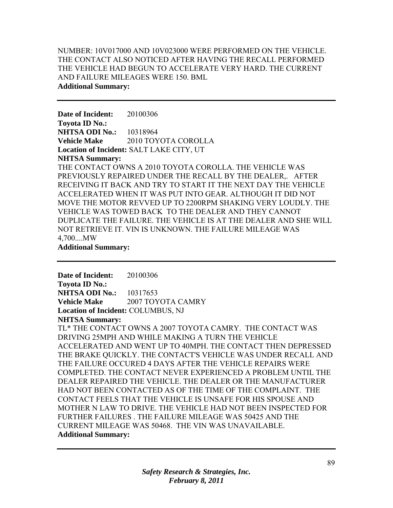NUMBER: 10V017000 AND 10V023000 WERE PERFORMED ON THE VEHICLE. THE CONTACT ALSO NOTICED AFTER HAVING THE RECALL PERFORMED THE VEHICLE HAD BEGUN TO ACCELERATE VERY HARD. THE CURRENT AND FAILURE MILEAGES WERE 150. BML **Additional Summary:** 

**Date of Incident:** 20100306 **Toyota ID No.: NHTSA ODI No.:** 10318964 **Vehicle Make** 2010 TOYOTA COROLLA **Location of Incident:** SALT LAKE CITY, UT **NHTSA Summary:**  THE CONTACT OWNS A 2010 TOYOTA COROLLA. THE VEHICLE WAS PREVIOUSLY REPAIRED UNDER THE RECALL BY THE DEALER, AFTER RECEIVING IT BACK AND TRY TO START IT THE NEXT DAY THE VEHICLE ACCELERATED WHEN IT WAS PUT INTO GEAR. ALTHOUGH IT DID NOT MOVE THE MOTOR REVVED UP TO 2200RPM SHAKING VERY LOUDLY. THE VEHICLE WAS TOWED BACK TO THE DEALER AND THEY CANNOT DUPLICATE THE FAILURE. THE VEHICLE IS AT THE DEALER AND SHE WILL NOT RETRIEVE IT. VIN IS UNKNOWN. THE FAILURE MILEAGE WAS 4,700....MW **Additional Summary:** 

**Date of Incident:** 20100306 **Toyota ID No.: NHTSA ODI No.:** 10317653 **Vehicle Make 2007 TOYOTA CAMRY Location of Incident:** COLUMBUS, NJ **NHTSA Summary:** 

TL\* THE CONTACT OWNS A 2007 TOYOTA CAMRY. THE CONTACT WAS DRIVING 25MPH AND WHILE MAKING A TURN THE VEHICLE ACCELERATED AND WENT UP TO 40MPH. THE CONTACT THEN DEPRESSED THE BRAKE QUICKLY. THE CONTACT'S VEHICLE WAS UNDER RECALL AND THE FAILURE OCCURED 4 DAYS AFTER THE VEHICLE REPAIRS WERE COMPLETED. THE CONTACT NEVER EXPERIENCED A PROBLEM UNTIL THE DEALER REPAIRED THE VEHICLE. THE DEALER OR THE MANUFACTURER HAD NOT BEEN CONTACTED AS OF THE TIME OF THE COMPLAINT. THE CONTACT FEELS THAT THE VEHICLE IS UNSAFE FOR HIS SPOUSE AND MOTHER N LAW TO DRIVE. THE VEHICLE HAD NOT BEEN INSPECTED FOR FURTHER FAILURES . THE FAILURE MILEAGE WAS 50425 AND THE CURRENT MILEAGE WAS 50468. THE VIN WAS UNAVAILABLE. **Additional Summary:**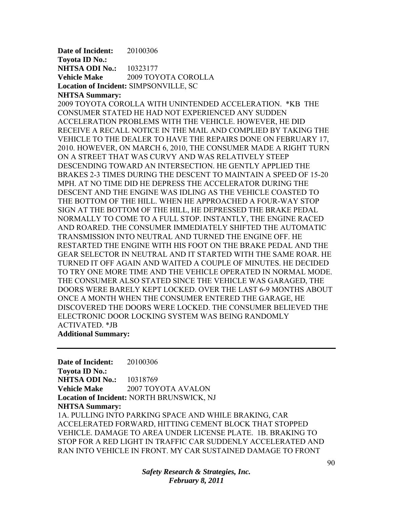**Date of Incident:** 20100306 **Toyota ID No.: NHTSA ODI No.:** 10323177 **Vehicle Make** 2009 TOYOTA COROLLA **Location of Incident:** SIMPSONVILLE, SC

#### **NHTSA Summary:**

2009 TOYOTA COROLLA WITH UNINTENDED ACCELERATION. \*KB THE CONSUMER STATED HE HAD NOT EXPERIENCED ANY SUDDEN ACCELERATION PROBLEMS WITH THE VEHICLE. HOWEVER, HE DID RECEIVE A RECALL NOTICE IN THE MAIL AND COMPLIED BY TAKING THE VEHICLE TO THE DEALER TO HAVE THE REPAIRS DONE ON FEBRUARY 17, 2010. HOWEVER, ON MARCH 6, 2010, THE CONSUMER MADE A RIGHT TURN ON A STREET THAT WAS CURVY AND WAS RELATIVELY STEEP DESCENDING TOWARD AN INTERSECTION. HE GENTLY APPLIED THE BRAKES 2-3 TIMES DURING THE DESCENT TO MAINTAIN A SPEED OF 15-20 MPH. AT NO TIME DID HE DEPRESS THE ACCELERATOR DURING THE DESCENT AND THE ENGINE WAS IDLING AS THE VEHICLE COASTED TO THE BOTTOM OF THE HILL. WHEN HE APPROACHED A FOUR-WAY STOP SIGN AT THE BOTTOM OF THE HILL, HE DEPRESSED THE BRAKE PEDAL NORMALLY TO COME TO A FULL STOP. INSTANTLY, THE ENGINE RACED AND ROARED. THE CONSUMER IMMEDIATELY SHIFTED THE AUTOMATIC TRANSMISSION INTO NEUTRAL AND TURNED THE ENGINE OFF. HE RESTARTED THE ENGINE WITH HIS FOOT ON THE BRAKE PEDAL AND THE GEAR SELECTOR IN NEUTRAL AND IT STARTED WITH THE SAME ROAR. HE TURNED IT OFF AGAIN AND WAITED A COUPLE OF MINUTES. HE DECIDED TO TRY ONE MORE TIME AND THE VEHICLE OPERATED IN NORMAL MODE. THE CONSUMER ALSO STATED SINCE THE VEHICLE WAS GARAGED, THE DOORS WERE BARELY KEPT LOCKED. OVER THE LAST 6-9 MONTHS ABOUT ONCE A MONTH WHEN THE CONSUMER ENTERED THE GARAGE, HE DISCOVERED THE DOORS WERE LOCKED. THE CONSUMER BELIEVED THE ELECTRONIC DOOR LOCKING SYSTEM WAS BEING RANDOMLY ACTIVATED. \*JB **Additional Summary:** 

**Date of Incident:** 20100306 **Toyota ID No.: NHTSA ODI No.:** 10318769 **Vehicle Make** 2007 TOYOTA AVALON **Location of Incident:** NORTH BRUNSWICK, NJ **NHTSA Summary:**  1A. PULLING INTO PARKING SPACE AND WHILE BRAKING, CAR ACCELERATED FORWARD, HITTING CEMENT BLOCK THAT STOPPED VEHICLE. DAMAGE TO AREA UNDER LICENSE PLATE. 1B. BRAKING TO STOP FOR A RED LIGHT IN TRAFFIC CAR SUDDENLY ACCELERATED AND RAN INTO VEHICLE IN FRONT. MY CAR SUSTAINED DAMAGE TO FRONT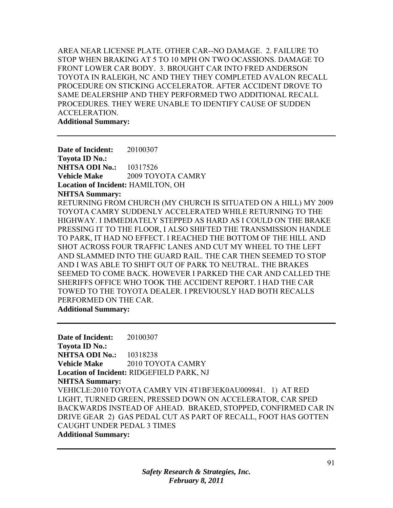AREA NEAR LICENSE PLATE. OTHER CAR--NO DAMAGE. 2. FAILURE TO STOP WHEN BRAKING AT 5 TO 10 MPH ON TWO OCASSIONS. DAMAGE TO FRONT LOWER CAR BODY. 3. BROUGHT CAR INTO FRED ANDERSON TOYOTA IN RALEIGH, NC AND THEY THEY COMPLETED AVALON RECALL PROCEDURE ON STICKING ACCELERATOR. AFTER ACCIDENT DROVE TO SAME DEALERSHIP AND THEY PERFORMED TWO ADDITIONAL RECALL PROCEDURES. THEY WERE UNABLE TO IDENTIFY CAUSE OF SUDDEN ACCELERATION. **Additional Summary:** 

**Date of Incident:** 20100307 **Toyota ID No.: NHTSA ODI No.:** 10317526 **Vehicle Make** 2009 TOYOTA CAMRY **Location of Incident:** HAMILTON, OH **NHTSA Summary:**  RETURNING FROM CHURCH (MY CHURCH IS SITUATED ON A HILL) MY 2009 TOYOTA CAMRY SUDDENLY ACCELERATED WHILE RETURNING TO THE HIGHWAY. I IMMEDIATELY STEPPED AS HARD AS I COULD ON THE BRAKE PRESSING IT TO THE FLOOR, I ALSO SHIFTED THE TRANSMISSION HANDLE TO PARK, IT HAD NO EFFECT. I REACHED THE BOTTOM OF THE HILL AND SHOT ACROSS FOUR TRAFFIC LANES AND CUT MY WHEEL TO THE LEFT AND SLAMMED INTO THE GUARD RAIL. THE CAR THEN SEEMED TO STOP AND I WAS ABLE TO SHIFT OUT OF PARK TO NEUTRAL. THE BRAKES SEEMED TO COME BACK. HOWEVER I PARKED THE CAR AND CALLED THE SHERIFFS OFFICE WHO TOOK THE ACCIDENT REPORT. I HAD THE CAR TOWED TO THE TOYOTA DEALER. I PREVIOUSLY HAD BOTH RECALLS PERFORMED ON THE CAR. **Additional Summary:** 

**Date of Incident:** 20100307 **Toyota ID No.: NHTSA ODI No.:** 10318238 **Vehicle Make** 2010 TOYOTA CAMRY **Location of Incident:** RIDGEFIELD PARK, NJ **NHTSA Summary:**  VEHICLE:2010 TOYOTA CAMRY VIN 4T1BF3EK0AU009841. 1) AT RED LIGHT, TURNED GREEN, PRESSED DOWN ON ACCELERATOR, CAR SPED BACKWARDS INSTEAD OF AHEAD. BRAKED, STOPPED, CONFIRMED CAR IN DRIVE GEAR 2) GAS PEDAL CUT AS PART OF RECALL, FOOT HAS GOTTEN CAUGHT UNDER PEDAL 3 TIMES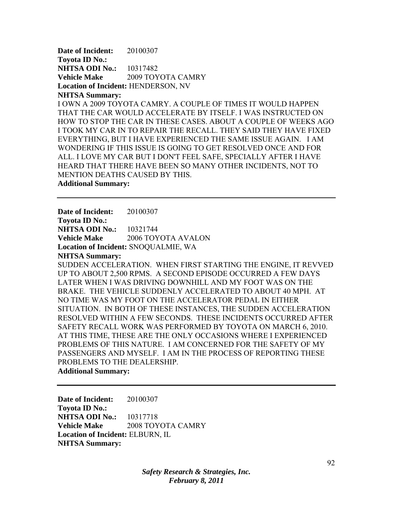**Date of Incident:** 20100307 **Toyota ID No.: NHTSA ODI No.:** 10317482 **Vehicle Make** 2009 TOYOTA CAMRY **Location of Incident:** HENDERSON, NV **NHTSA Summary:** 

## I OWN A 2009 TOYOTA CAMRY. A COUPLE OF TIMES IT WOULD HAPPEN THAT THE CAR WOULD ACCELERATE BY ITSELF. I WAS INSTRUCTED ON HOW TO STOP THE CAR IN THESE CASES. ABOUT A COUPLE OF WEEKS AGO I TOOK MY CAR IN TO REPAIR THE RECALL. THEY SAID THEY HAVE FIXED EVERYTHING, BUT I HAVE EXPERIENCED THE SAME ISSUE AGAIN. I AM WONDERING IF THIS ISSUE IS GOING TO GET RESOLVED ONCE AND FOR ALL. I LOVE MY CAR BUT I DON'T FEEL SAFE, SPECIALLY AFTER I HAVE HEARD THAT THERE HAVE BEEN SO MANY OTHER INCIDENTS, NOT TO MENTION DEATHS CAUSED BY THIS.

**Additional Summary:** 

**Date of Incident:** 20100307 **Toyota ID No.: NHTSA ODI No.:** 10321744 **Vehicle Make** 2006 TOYOTA AVALON **Location of Incident:** SNOQUALMIE, WA **NHTSA Summary:**  SUDDEN ACCELERATION. WHEN FIRST STARTING THE ENGINE, IT REVVED UP TO ABOUT 2,500 RPMS. A SECOND EPISODE OCCURRED A FEW DAYS LATER WHEN I WAS DRIVING DOWNHILL AND MY FOOT WAS ON THE BRAKE. THE VEHICLE SUDDENLY ACCELERATED TO ABOUT 40 MPH. AT NO TIME WAS MY FOOT ON THE ACCELERATOR PEDAL IN EITHER SITUATION. IN BOTH OF THESE INSTANCES, THE SUDDEN ACCELERATION RESOLVED WITHIN A FEW SECONDS. THESE INCIDENTS OCCURRED AFTER SAFETY RECALL WORK WAS PERFORMED BY TOYOTA ON MARCH 6, 2010. AT THIS TIME, THESE ARE THE ONLY OCCASIONS WHERE I EXPERIENCED PROBLEMS OF THIS NATURE. I AM CONCERNED FOR THE SAFETY OF MY PASSENGERS AND MYSELF. I AM IN THE PROCESS OF REPORTING THESE PROBLEMS TO THE DEALERSHIP. **Additional Summary:** 

**Date of Incident:** 20100307 **Toyota ID No.: NHTSA ODI No.:** 10317718 **Vehicle Make** 2008 TOYOTA CAMRY **Location of Incident:** ELBURN, IL **NHTSA Summary:**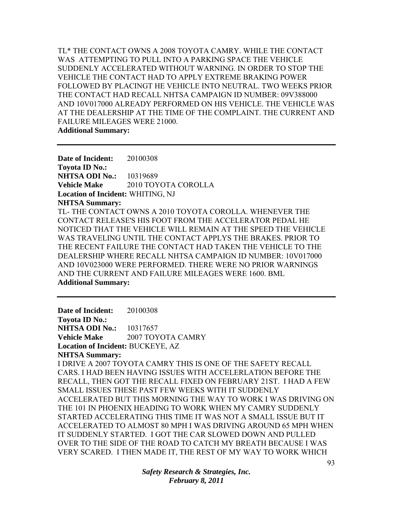TL\* THE CONTACT OWNS A 2008 TOYOTA CAMRY. WHILE THE CONTACT WAS ATTEMPTING TO PULL INTO A PARKING SPACE THE VEHICLE SUDDENLY ACCELERATED WITHOUT WARNING. IN ORDER TO STOP THE VEHICLE THE CONTACT HAD TO APPLY EXTREME BRAKING POWER FOLLOWED BY PLACINGT HE VEHICLE INTO NEUTRAL. TWO WEEKS PRIOR THE CONTACT HAD RECALL NHTSA CAMPAIGN ID NUMBER: 09V388000 AND 10V017000 ALREADY PERFORMED ON HIS VEHICLE. THE VEHICLE WAS AT THE DEALERSHIP AT THE TIME OF THE COMPLAINT. THE CURRENT AND FAILURE MILEAGES WERE 21000. **Additional Summary:** 

**Date of Incident:** 20100308 **Toyota ID No.: NHTSA ODI No.:** 10319689 **Vehicle Make** 2010 TOYOTA COROLLA **Location of Incident:** WHITING, NJ **NHTSA Summary:**  TL- THE CONTACT OWNS A 2010 TOYOTA COROLLA. WHENEVER THE CONTACT RELEASE'S HIS FOOT FROM THE ACCELERATOR PEDAL HE NOTICED THAT THE VEHICLE WILL REMAIN AT THE SPEED THE VEHICLE WAS TRAVELING UNTIL THE CONTACT APPLYS THE BRAKES. PRIOR TO THE RECENT FAILURE THE CONTACT HAD TAKEN THE VEHICLE TO THE DEALERSHIP WHERE RECALL NHTSA CAMPAIGN ID NUMBER: 10V017000 AND 10V023000 WERE PERFORMED. THERE WERE NO PRIOR WARNINGS AND THE CURRENT AND FAILURE MILEAGES WERE 1600. BML **Additional Summary:** 

**Date of Incident:** 20100308 **Toyota ID No.: NHTSA ODI No.:** 10317657 **Vehicle Make** 2007 TOYOTA CAMRY **Location of Incident:** BUCKEYE, AZ **NHTSA Summary:**  I DRIVE A 2007 TOYOTA CAMRY THIS IS ONE OF THE SAFETY RECALL CARS. I HAD BEEN HAVING ISSUES WITH ACCELERLATION BEFORE THE RECALL, THEN GOT THE RECALL FIXED ON FEBRUARY 21ST. I HAD A FEW SMALL ISSUES THESE PAST FEW WEEKS WITH IT SUDDENLY ACCELERATED BUT THIS MORNING THE WAY TO WORK I WAS DRIVING ON THE 101 IN PHOENIX HEADING TO WORK WHEN MY CAMRY SUDDENLY STARTED ACCELERATING THIS TIME IT WAS NOT A SMALL ISSUE BUT IT ACCELERATED TO ALMOST 80 MPH I WAS DRIVING AROUND 65 MPH WHEN IT SUDDENLY STARTED. I GOT THE CAR SLOWED DOWN AND PULLED OVER TO THE SIDE OF THE ROAD TO CATCH MY BREATH BECAUSE I WAS VERY SCARED. I THEN MADE IT, THE REST OF MY WAY TO WORK WHICH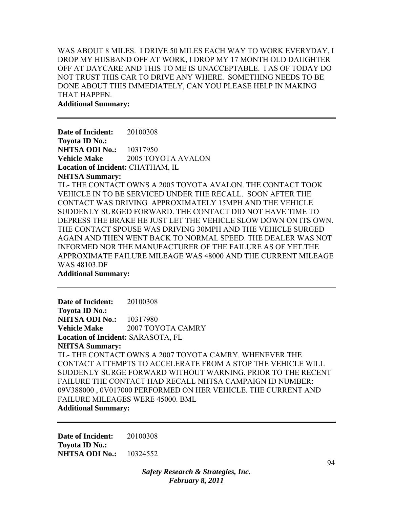WAS ABOUT 8 MILES. I DRIVE 50 MILES EACH WAY TO WORK EVERYDAY, I DROP MY HUSBAND OFF AT WORK, I DROP MY 17 MONTH OLD DAUGHTER OFF AT DAYCARE AND THIS TO ME IS UNACCEPTABLE. I AS OF TODAY DO NOT TRUST THIS CAR TO DRIVE ANY WHERE. SOMETHING NEEDS TO BE DONE ABOUT THIS IMMEDIATELY, CAN YOU PLEASE HELP IN MAKING THAT HAPPEN.

**Additional Summary:** 

**Date of Incident:** 20100308 **Toyota ID No.: NHTSA ODI No.: 10317950 Vehicle Make** 2005 TOYOTA AVALON **Location of Incident:** CHATHAM, IL **NHTSA Summary:**  TL- THE CONTACT OWNS A 2005 TOYOTA AVALON. THE CONTACT TOOK VEHICLE IN TO BE SERVICED UNDER THE RECALL. SOON AFTER THE CONTACT WAS DRIVING APPROXIMATELY 15MPH AND THE VEHICLE SUDDENLY SURGED FORWARD. THE CONTACT DID NOT HAVE TIME TO DEPRESS THE BRAKE HE JUST LET THE VEHICLE SLOW DOWN ON ITS OWN. THE CONTACT SPOUSE WAS DRIVING 30MPH AND THE VEHICLE SURGED AGAIN AND THEN WENT BACK TO NORMAL SPEED. THE DEALER WAS NOT INFORMED NOR THE MANUFACTURER OF THE FAILURE AS OF YET.THE APPROXIMATE FAILURE MILEAGE WAS 48000 AND THE CURRENT MILEAGE WAS 48103.DF **Additional Summary:** 

**Date of Incident:** 20100308 **Toyota ID No.: NHTSA ODI No.: 10317980 Vehicle Make** 2007 TOYOTA CAMRY **Location of Incident:** SARASOTA, FL **NHTSA Summary:**  TL- THE CONTACT OWNS A 2007 TOYOTA CAMRY. WHENEVER THE CONTACT ATTEMPTS TO ACCELERATE FROM A STOP THE VEHICLE WILL SUDDENLY SURGE FORWARD WITHOUT WARNING. PRIOR TO THE RECENT FAILURE THE CONTACT HAD RECALL NHTSA CAMPAIGN ID NUMBER: 09V388000 , 0V017000 PERFORMED ON HER VEHICLE. THE CURRENT AND FAILURE MILEAGES WERE 45000. BML **Additional Summary:** 

**Date of Incident:** 20100308 **Toyota ID No.: NHTSA ODI No.:** 10324552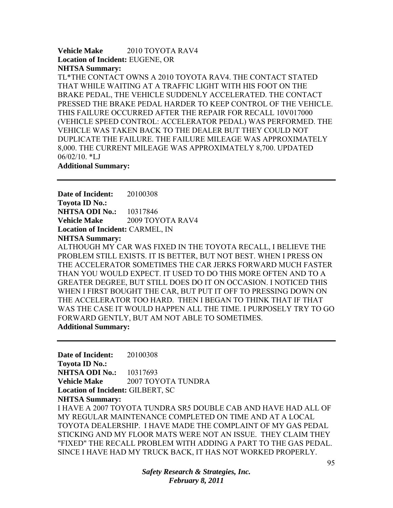## **Vehicle Make** 2010 TOYOTA RAV4 **Location of Incident:** EUGENE, OR **NHTSA Summary:**

TL\*THE CONTACT OWNS A 2010 TOYOTA RAV4. THE CONTACT STATED THAT WHILE WAITING AT A TRAFFIC LIGHT WITH HIS FOOT ON THE BRAKE PEDAL, THE VEHICLE SUDDENLY ACCELERATED. THE CONTACT PRESSED THE BRAKE PEDAL HARDER TO KEEP CONTROL OF THE VEHICLE. THIS FAILURE OCCURRED AFTER THE REPAIR FOR RECALL 10V017000 (VEHICLE SPEED CONTROL: ACCELERATOR PEDAL) WAS PERFORMED. THE VEHICLE WAS TAKEN BACK TO THE DEALER BUT THEY COULD NOT DUPLICATE THE FAILURE. THE FAILURE MILEAGE WAS APPROXIMATELY 8,000. THE CURRENT MILEAGE WAS APPROXIMATELY 8,700. UPDATED 06/02/10. \*LJ

## **Additional Summary:**

**Date of Incident:** 20100308 **Toyota ID No.: NHTSA ODI No.:** 10317846 **Vehicle Make** 2009 TOYOTA RAV4 **Location of Incident:** CARMEL, IN **NHTSA Summary:** 

ALTHOUGH MY CAR WAS FIXED IN THE TOYOTA RECALL, I BELIEVE THE PROBLEM STILL EXISTS. IT IS BETTER, BUT NOT BEST. WHEN I PRESS ON THE ACCELERATOR SOMETIMES THE CAR JERKS FORWARD MUCH FASTER THAN YOU WOULD EXPECT. IT USED TO DO THIS MORE OFTEN AND TO A GREATER DEGREE, BUT STILL DOES DO IT ON OCCASION. I NOTICED THIS WHEN I FIRST BOUGHT THE CAR, BUT PUT IT OFF TO PRESSING DOWN ON THE ACCELERATOR TOO HARD. THEN I BEGAN TO THINK THAT IF THAT WAS THE CASE IT WOULD HAPPEN ALL THE TIME. I PURPOSELY TRY TO GO FORWARD GENTLY, BUT AM NOT ABLE TO SOMETIMES. **Additional Summary:** 

**Date of Incident:** 20100308 **Toyota ID No.: NHTSA ODI No.:** 10317693 **Vehicle Make** 2007 TOYOTA TUNDRA **Location of Incident:** GILBERT, SC **NHTSA Summary:**  I HAVE A 2007 TOYOTA TUNDRA SR5 DOUBLE CAB AND HAVE HAD ALL OF MY REGULAR MAINTENANCE COMPLETED ON TIME AND AT A LOCAL TOYOTA DEALERSHIP. I HAVE MADE THE COMPLAINT OF MY GAS PEDAL STICKING AND MY FLOOR MATS WERE NOT AN ISSUE. THEY CLAIM THEY "FIXED" THE RECALL PROBLEM WITH ADDING A PART TO THE GAS PEDAL. SINCE I HAVE HAD MY TRUCK BACK, IT HAS NOT WORKED PROPERLY.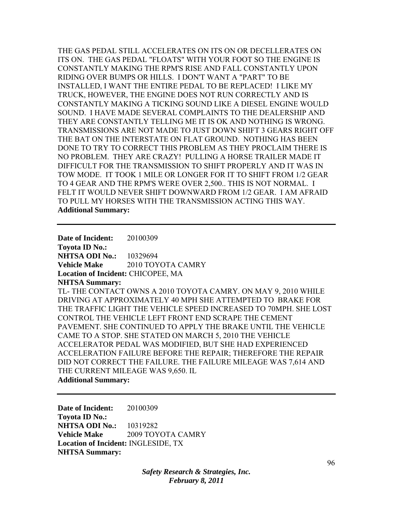THE GAS PEDAL STILL ACCELERATES ON ITS ON OR DECELLERATES ON ITS ON. THE GAS PEDAL "FLOATS" WITH YOUR FOOT SO THE ENGINE IS CONSTANTLY MAKING THE RPM'S RISE AND FALL CONSTANTLY UPON RIDING OVER BUMPS OR HILLS. I DON'T WANT A "PART" TO BE INSTALLED, I WANT THE ENTIRE PEDAL TO BE REPLACED! I LIKE MY TRUCK, HOWEVER, THE ENGINE DOES NOT RUN CORRECTLY AND IS CONSTANTLY MAKING A TICKING SOUND LIKE A DIESEL ENGINE WOULD SOUND. I HAVE MADE SEVERAL COMPLAINTS TO THE DEALERSHIP AND THEY ARE CONSTANTLY TELLING ME IT IS OK AND NOTHING IS WRONG. TRANSMISSIONS ARE NOT MADE TO JUST DOWN SHIFT 3 GEARS RIGHT OFF THE BAT ON THE INTERSTATE ON FLAT GROUND. NOTHING HAS BEEN DONE TO TRY TO CORRECT THIS PROBLEM AS THEY PROCLAIM THERE IS NO PROBLEM. THEY ARE CRAZY! PULLING A HORSE TRAILER MADE IT DIFFICULT FOR THE TRANSMISSION TO SHIFT PROPERLY AND IT WAS IN TOW MODE. IT TOOK 1 MILE OR LONGER FOR IT TO SHIFT FROM 1/2 GEAR TO 4 GEAR AND THE RPM'S WERE OVER 2,500.. THIS IS NOT NORMAL. I FELT IT WOULD NEVER SHIFT DOWNWARD FROM 1/2 GEAR. I AM AFRAID TO PULL MY HORSES WITH THE TRANSMISSION ACTING THIS WAY. **Additional Summary:** 

**Date of Incident:** 20100309 **Toyota ID No.: NHTSA ODI No.:** 10329694 **Vehicle Make 2010 TOYOTA CAMRY Location of Incident:** CHICOPEE, MA **NHTSA Summary:**  TL- THE CONTACT OWNS A 2010 TOYOTA CAMRY. ON MAY 9, 2010 WHILE DRIVING AT APPROXIMATELY 40 MPH SHE ATTEMPTED TO BRAKE FOR THE TRAFFIC LIGHT THE VEHICLE SPEED INCREASED TO 70MPH. SHE LOST CONTROL THE VEHICLE LEFT FRONT END SCRAPE THE CEMENT PAVEMENT. SHE CONTINUED TO APPLY THE BRAKE UNTIL THE VEHICLE CAME TO A STOP. SHE STATED ON MARCH 5, 2010 THE VEHICLE ACCELERATOR PEDAL WAS MODIFIED, BUT SHE HAD EXPERIENCED ACCELERATION FAILURE BEFORE THE REPAIR; THEREFORE THE REPAIR DID NOT CORRECT THE FAILURE. THE FAILURE MILEAGE WAS 7,614 AND THE CURRENT MILEAGE WAS 9,650. IL **Additional Summary:** 

**Date of Incident:** 20100309 **Toyota ID No.: NHTSA ODI No.:** 10319282 **Vehicle Make** 2009 TOYOTA CAMRY **Location of Incident:** INGLESIDE, TX **NHTSA Summary:** 

> *Safety Research & Strategies, Inc. February 8, 2011*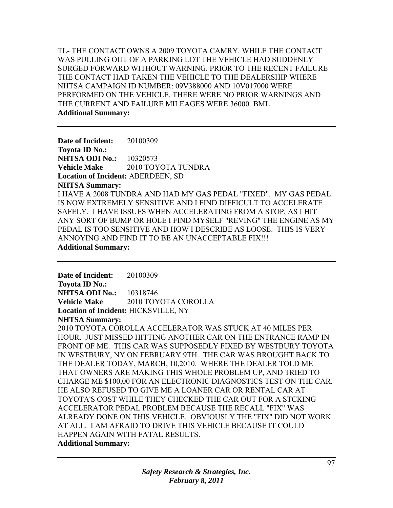TL- THE CONTACT OWNS A 2009 TOYOTA CAMRY. WHILE THE CONTACT WAS PULLING OUT OF A PARKING LOT THE VEHICLE HAD SUDDENLY SURGED FORWARD WITHOUT WARNING. PRIOR TO THE RECENT FAILURE THE CONTACT HAD TAKEN THE VEHICLE TO THE DEALERSHIP WHERE NHTSA CAMPAIGN ID NUMBER: 09V388000 AND 10V017000 WERE PERFORMED ON THE VEHICLE. THERE WERE NO PRIOR WARNINGS AND THE CURRENT AND FAILURE MILEAGES WERE 36000. BML **Additional Summary:** 

**Date of Incident:** 20100309 **Toyota ID No.: NHTSA ODI No.:** 10320573 **Vehicle Make** 2010 TOYOTA TUNDRA **Location of Incident:** ABERDEEN, SD **NHTSA Summary:**  I HAVE A 2008 TUNDRA AND HAD MY GAS PEDAL "FIXED". MY GAS PEDAL IS NOW EXTREMELY SENSITIVE AND I FIND DIFFICULT TO ACCELERATE SAFELY. I HAVE ISSUES WHEN ACCELERATING FROM A STOP, AS I HIT ANY SORT OF BUMP OR HOLE I FIND MYSELF "REVING" THE ENGINE AS MY PEDAL IS TOO SENSITIVE AND HOW I DESCRIBE AS LOOSE. THIS IS VERY ANNOYING AND FIND IT TO BE AN UNACCEPTABLE FIX!!! **Additional Summary:** 

**Date of Incident:** 20100309 **Toyota ID No.: NHTSA ODI No.:** 10318746 **Vehicle Make** 2010 TOYOTA COROLLA **Location of Incident:** HICKSVILLE, NY

**NHTSA Summary:** 

2010 TOYOTA COROLLA ACCELERATOR WAS STUCK AT 40 MILES PER HOUR. JUST MISSED HITTING ANOTHER CAR ON THE ENTRANCE RAMP IN FRONT OF ME. THIS CAR WAS SUPPOSEDLY FIXED BY WESTBURY TOYOTA IN WESTBURY, NY ON FEBRUARY 9TH. THE CAR WAS BROUGHT BACK TO THE DEALER TODAY, MARCH, 10,2010. WHERE THE DEALER TOLD ME THAT OWNERS ARE MAKING THIS WHOLE PROBLEM UP, AND TRIED TO CHARGE ME \$100,00 FOR AN ELECTRONIC DIAGNOSTICS TEST ON THE CAR. HE ALSO REFUSED TO GIVE ME A LOANER CAR OR RENTAL CAR AT TOYOTA'S COST WHILE THEY CHECKED THE CAR OUT FOR A STCKING ACCELERATOR PEDAL PROBLEM BECAUSE THE RECALL "FIX" WAS ALREADY DONE ON THIS VEHICLE. OBVIOUSLY THE "FIX" DID NOT WORK AT ALL. I AM AFRAID TO DRIVE THIS VEHICLE BECAUSE IT COULD HAPPEN AGAIN WITH FATAL RESULTS.

**Additional Summary:**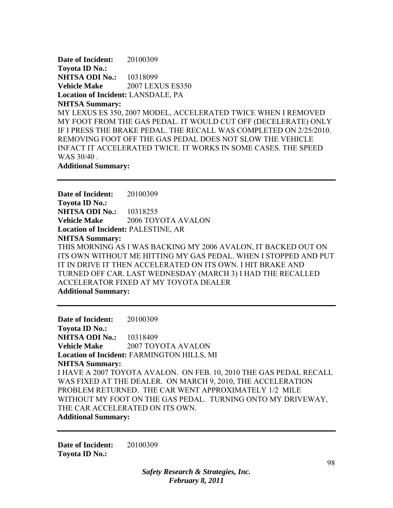**Date of Incident:** 20100309 **Toyota ID No.: NHTSA ODI No.:** 10318099 **Vehicle Make** 2007 LEXUS ES350 **Location of Incident:** LANSDALE, PA **NHTSA Summary:**  MY LEXUS ES 350, 2007 MODEL, ACCELERATED TWICE WHEN I REMOVED MY FOOT FROM THE GAS PEDAL. IT WOULD CUT OFF (DECELERATE) ONLY IF I PRESS THE BRAKE PEDAL. THE RECALL WAS COMPLETED ON 2/25/2010. REMOVING FOOT OFF THE GAS PEDAL DOES NOT SLOW THE VEHICLE INFACT IT ACCELERATED TWICE. IT WORKS IN SOME CASES. THE SPEED WAS 30/40 . **Additional Summary:** 

**Date of Incident:** 20100309 **Toyota ID No.: NHTSA ODI No.:** 10318255 **Vehicle Make** 2006 TOYOTA AVALON **Location of Incident:** PALESTINE, AR **NHTSA Summary:**  THIS MORNING AS I WAS BACKING MY 2006 AVALON, IT BACKED OUT ON ITS OWN WITHOUT ME HITTING MY GAS PEDAL. WHEN I STOPPED AND PUT IT IN DRIVE IT THEN ACCELERATED ON ITS OWN. I HIT BRAKE AND TURNED OFF CAR. LAST WEDNESDAY (MARCH 3) I HAD THE RECALLED ACCELERATOR FIXED AT MY TOYOTA DEALER **Additional Summary:** 

**Date of Incident:** 20100309 **Toyota ID No.: NHTSA ODI No.:** 10318409 **Vehicle Make** 2007 TOYOTA AVALON **Location of Incident:** FARMINGTON HILLS, MI **NHTSA Summary:**  I HAVE A 2007 TOYOTA AVALON. ON FEB. 10, 2010 THE GAS PEDAL RECALL WAS FIXED AT THE DEALER. ON MARCH 9, 2010, THE ACCELERATION PROBLEM RETURNED. THE CAR WENT APPROXIMATELY 1/2 MILE WITHOUT MY FOOT ON THE GAS PEDAL. TURNING ONTO MY DRIVEWAY, THE CAR ACCELERATED ON ITS OWN. **Additional Summary:** 

**Date of Incident:** 20100309 **Toyota ID No.:**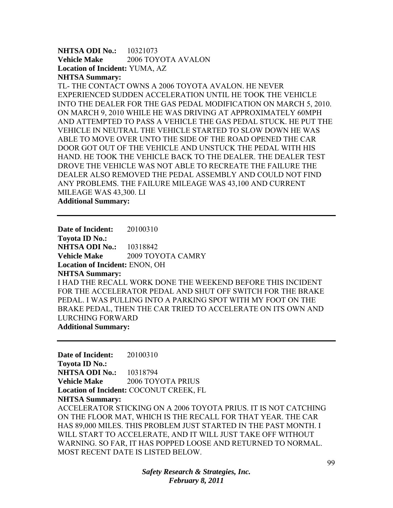**NHTSA ODI No.: 10321073 Vehicle Make** 2006 TOYOTA AVALON **Location of Incident:** YUMA, AZ **NHTSA Summary:** 

TL- THE CONTACT OWNS A 2006 TOYOTA AVALON. HE NEVER EXPERIENCED SUDDEN ACCELERATION UNTIL HE TOOK THE VEHICLE INTO THE DEALER FOR THE GAS PEDAL MODIFICATION ON MARCH 5, 2010. ON MARCH 9, 2010 WHILE HE WAS DRIVING AT APPROXIMATELY 60MPH AND ATTEMPTED TO PASS A VEHICLE THE GAS PEDAL STUCK. HE PUT THE VEHICLE IN NEUTRAL THE VEHICLE STARTED TO SLOW DOWN HE WAS ABLE TO MOVE OVER UNTO THE SIDE OF THE ROAD OPENED THE CAR DOOR GOT OUT OF THE VEHICLE AND UNSTUCK THE PEDAL WITH HIS HAND. HE TOOK THE VEHICLE BACK TO THE DEALER. THE DEALER TEST DROVE THE VEHICLE WAS NOT ABLE TO RECREATE THE FAILURE THE DEALER ALSO REMOVED THE PEDAL ASSEMBLY AND COULD NOT FIND ANY PROBLEMS. THE FAILURE MILEAGE WAS 43,100 AND CURRENT MILEAGE WAS 43,300. LI

**Additional Summary:** 

**Date of Incident:** 20100310 **Toyota ID No.: NHTSA ODI No.:** 10318842 **Vehicle Make** 2009 TOYOTA CAMRY **Location of Incident:** ENON, OH **NHTSA Summary:**  I HAD THE RECALL WORK DONE THE WEEKEND BEFORE THIS INCIDENT FOR THE ACCELERATOR PEDAL AND SHUT OFF SWITCH FOR THE BRAKE PEDAL. I WAS PULLING INTO A PARKING SPOT WITH MY FOOT ON THE BRAKE PEDAL, THEN THE CAR TRIED TO ACCELERATE ON ITS OWN AND LURCHING FORWARD **Additional Summary:** 

**Date of Incident:** 20100310 **Toyota ID No.: NHTSA ODI No.:** 10318794 **Vehicle Make** 2006 TOYOTA PRIUS **Location of Incident:** COCONUT CREEK, FL **NHTSA Summary:**  ACCELERATOR STICKING ON A 2006 TOYOTA PRIUS. IT IS NOT CATCHING ON THE FLOOR MAT, WHICH IS THE RECALL FOR THAT YEAR. THE CAR HAS 89,000 MILES. THIS PROBLEM JUST STARTED IN THE PAST MONTH. I WILL START TO ACCELERATE, AND IT WILL JUST TAKE OFF WITHOUT WARNING. SO FAR, IT HAS POPPED LOOSE AND RETURNED TO NORMAL. MOST RECENT DATE IS LISTED BELOW.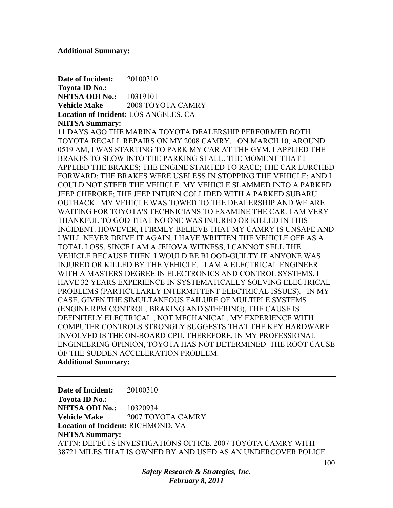**Date of Incident:** 20100310 **Toyota ID No.: NHTSA ODI No.:** 10319101 **Vehicle Make** 2008 TOYOTA CAMRY **Location of Incident:** LOS ANGELES, CA **NHTSA Summary:**  11 DAYS AGO THE MARINA TOYOTA DEALERSHIP PERFORMED BOTH TOYOTA RECALL REPAIRS ON MY 2008 CAMRY. ON MARCH 10, AROUND 0519 AM, I WAS STARTING TO PARK MY CAR AT THE GYM. I APPLIED THE BRAKES TO SLOW INTO THE PARKING STALL. THE MOMENT THAT I APPLIED THE BRAKES; THE ENGINE STARTED TO RACE; THE CAR LURCHED FORWARD; THE BRAKES WERE USELESS IN STOPPING THE VEHICLE; AND I COULD NOT STEER THE VEHICLE. MY VEHICLE SLAMMED INTO A PARKED JEEP CHEROKE; THE JEEP INTURN COLLIDED WITH A PARKED SUBARU OUTBACK. MY VEHICLE WAS TOWED TO THE DEALERSHIP AND WE ARE WAITING FOR TOYOTA'S TECHNICIANS TO EXAMINE THE CAR. I AM VERY THANKFUL TO GOD THAT NO ONE WAS INJURED OR KILLED IN THIS INCIDENT. HOWEVER, I FIRMLY BELIEVE THAT MY CAMRY IS UNSAFE AND I WILL NEVER DRIVE IT AGAIN. I HAVE WRITTEN THE VEHICLE OFF AS A TOTAL LOSS. SINCE I AM A JEHOVA WITNESS, I CANNOT SELL THE VEHICLE BECAUSE THEN I WOULD BE BLOOD-GUILTY IF ANYONE WAS INJURED OR KILLED BY THE VEHICLE. I AM A ELECTRICAL ENGINEER WITH A MASTERS DEGREE IN ELECTRONICS AND CONTROL SYSTEMS. I HAVE 32 YEARS EXPERIENCE IN SYSTEMATICALLY SOLVING ELECTRICAL PROBLEMS (PARTICULARLY INTERMITTENT ELECTRICAL ISSUES). IN MY CASE, GIVEN THE SIMULTANEOUS FAILURE OF MULTIPLE SYSTEMS (ENGINE RPM CONTROL, BRAKING AND STEERING), THE CAUSE IS DEFINITELY ELECTRICAL , NOT MECHANICAL. MY EXPERIENCE WITH COMPUTER CONTROLS STRONGLY SUGGESTS THAT THE KEY HARDWARE INVOLVED IS THE ON-BOARD CPU. THEREFORE, IN MY PROFESSIONAL ENGINEERING OPINION, TOYOTA HAS NOT DETERMINED THE ROOT CAUSE OF THE SUDDEN ACCELERATION PROBLEM. **Additional Summary:** 

**Date of Incident:** 20100310 **Toyota ID No.: NHTSA ODI No.:** 10320934 **Vehicle Make** 2007 TOYOTA CAMRY **Location of Incident:** RICHMOND, VA **NHTSA Summary:**  ATTN: DEFECTS INVESTIGATIONS OFFICE. 2007 TOYOTA CAMRY WITH 38721 MILES THAT IS OWNED BY AND USED AS AN UNDERCOVER POLICE

> *Safety Research & Strategies, Inc. February 8, 2011*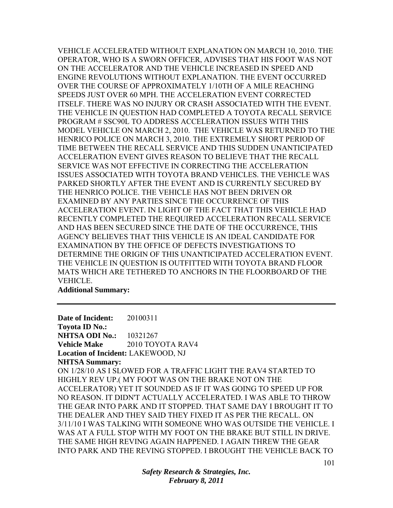VEHICLE ACCELERATED WITHOUT EXPLANATION ON MARCH 10, 2010. THE OPERATOR, WHO IS A SWORN OFFICER, ADVISES THAT HIS FOOT WAS NOT ON THE ACCELERATOR AND THE VEHICLE INCREASED IN SPEED AND ENGINE REVOLUTIONS WITHOUT EXPLANATION. THE EVENT OCCURRED OVER THE COURSE OF APPROXIMATELY 1/10TH OF A MILE REACHING SPEEDS JUST OVER 60 MPH. THE ACCELERATION EVENT CORRECTED ITSELF. THERE WAS NO INJURY OR CRASH ASSOCIATED WITH THE EVENT. THE VEHICLE IN QUESTION HAD COMPLETED A TOYOTA RECALL SERVICE PROGRAM # SSC90L TO ADDRESS ACCELERATION ISSUES WITH THIS MODEL VEHICLE ON MARCH 2, 2010. THE VEHICLE WAS RETURNED TO THE HENRICO POLICE ON MARCH 3, 2010. THE EXTREMELY SHORT PERIOD OF TIME BETWEEN THE RECALL SERVICE AND THIS SUDDEN UNANTICIPATED ACCELERATION EVENT GIVES REASON TO BELIEVE THAT THE RECALL SERVICE WAS NOT EFFECTIVE IN CORRECTING THE ACCELERATION ISSUES ASSOCIATED WITH TOYOTA BRAND VEHICLES. THE VEHICLE WAS PARKED SHORTLY AFTER THE EVENT AND IS CURRENTLY SECURED BY THE HENRICO POLICE. THE VEHICLE HAS NOT BEEN DRIVEN OR EXAMINED BY ANY PARTIES SINCE THE OCCURRENCE OF THIS ACCELERATION EVENT. IN LIGHT OF THE FACT THAT THIS VEHICLE HAD RECENTLY COMPLETED THE REQUIRED ACCELERATION RECALL SERVICE AND HAS BEEN SECURED SINCE THE DATE OF THE OCCURRENCE, THIS AGENCY BELIEVES THAT THIS VEHICLE IS AN IDEAL CANDIDATE FOR EXAMINATION BY THE OFFICE OF DEFECTS INVESTIGATIONS TO DETERMINE THE ORIGIN OF THIS UNANTICIPATED ACCELERATION EVENT. THE VEHICLE IN QUESTION IS OUTFITTED WITH TOYOTA BRAND FLOOR MATS WHICH ARE TETHERED TO ANCHORS IN THE FLOORBOARD OF THE VEHICLE.

**Additional Summary:** 

**Date of Incident:** 20100311 **Toyota ID No.: NHTSA ODI No.:** 10321267 **Vehicle Make** 2010 TOYOTA RAV4 **Location of Incident:** LAKEWOOD, NJ **NHTSA Summary:**  ON 1/28/10 AS I SLOWED FOR A TRAFFIC LIGHT THE RAV4 STARTED TO HIGHLY REV UP.( MY FOOT WAS ON THE BRAKE NOT ON THE ACCELERATOR) YET IT SOUNDED AS IF IT WAS GOING TO SPEED UP FOR NO REASON. IT DIDN'T ACTUALLY ACCELERATED. I WAS ABLE TO THROW THE GEAR INTO PARK AND IT STOPPED. THAT SAME DAY I BROUGHT IT TO THE DEALER AND THEY SAID THEY FIXED IT AS PER THE RECALL. ON 3/11/10 I WAS TALKING WITH SOMEONE WHO WAS OUTSIDE THE VEHICLE. I WAS AT A FULL STOP WITH MY FOOT ON THE BRAKE BUT STILL IN DRIVE. THE SAME HIGH REVING AGAIN HAPPENED. I AGAIN THREW THE GEAR INTO PARK AND THE REVING STOPPED. I BROUGHT THE VEHICLE BACK TO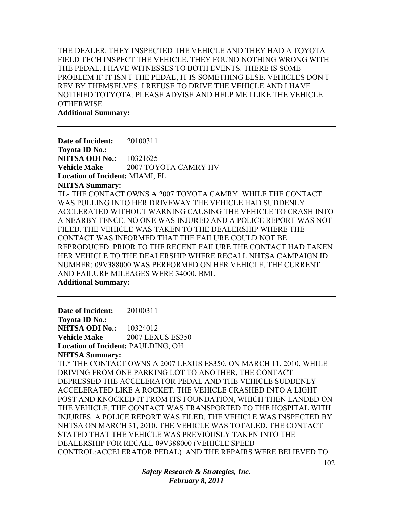THE DEALER. THEY INSPECTED THE VEHICLE AND THEY HAD A TOYOTA FIELD TECH INSPECT THE VEHICLE. THEY FOUND NOTHING WRONG WITH THE PEDAL. I HAVE WITNESSES TO BOTH EVENTS. THERE IS SOME PROBLEM IF IT ISN'T THE PEDAL, IT IS SOMETHING ELSE. VEHICLES DON'T REV BY THEMSELVES. I REFUSE TO DRIVE THE VEHICLE AND I HAVE NOTIFIED TOTYOTA. PLEASE ADVISE AND HELP ME I LIKE THE VEHICLE OTHERWISE.

**Additional Summary:** 

**Date of Incident:** 20100311 **Toyota ID No.: NHTSA ODI No.:** 10321625 **Vehicle Make** 2007 TOYOTA CAMRY HV **Location of Incident:** MIAMI, FL **NHTSA Summary:**  TL- THE CONTACT OWNS A 2007 TOYOTA CAMRY. WHILE THE CONTACT WAS PULLING INTO HER DRIVEWAY THE VEHICLE HAD SUDDENLY ACCLERATED WITHOUT WARNING CAUSING THE VEHICLE TO CRASH INTO A NEARBY FENCE. NO ONE WAS INJURED AND A POLICE REPORT WAS NOT FILED. THE VEHICLE WAS TAKEN TO THE DEALERSHIP WHERE THE CONTACT WAS INFORMED THAT THE FAILURE COULD NOT BE REPRODUCED. PRIOR TO THE RECENT FAILURE THE CONTACT HAD TAKEN HER VEHICLE TO THE DEALERSHIP WHERE RECALL NHTSA CAMPAIGN ID NUMBER: 09V388000 WAS PERFORMED ON HER VEHICLE. THE CURRENT AND FAILURE MILEAGES WERE 34000. BML

**Additional Summary:** 

**Date of Incident:** 20100311 **Toyota ID No.: NHTSA ODI No.:** 10324012 **Vehicle Make** 2007 LEXUS ES350 **Location of Incident:** PAULDING, OH **NHTSA Summary:**  TL\* THE CONTACT OWNS A 2007 LEXUS ES350. ON MARCH 11, 2010, WHILE DRIVING FROM ONE PARKING LOT TO ANOTHER, THE CONTACT DEPRESSED THE ACCELERATOR PEDAL AND THE VEHICLE SUDDENLY ACCELERATED LIKE A ROCKET. THE VEHICLE CRASHED INTO A LIGHT POST AND KNOCKED IT FROM ITS FOUNDATION, WHICH THEN LANDED ON THE VEHICLE. THE CONTACT WAS TRANSPORTED TO THE HOSPITAL WITH INJURIES. A POLICE REPORT WAS FILED. THE VEHICLE WAS INSPECTED BY NHTSA ON MARCH 31, 2010. THE VEHICLE WAS TOTALED. THE CONTACT STATED THAT THE VEHICLE WAS PREVIOUSLY TAKEN INTO THE DEALERSHIP FOR RECALL 09V388000 (VEHICLE SPEED CONTROL:ACCELERATOR PEDAL) AND THE REPAIRS WERE BELIEVED TO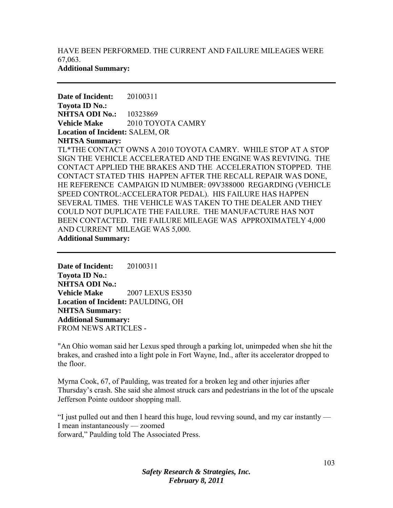HAVE BEEN PERFORMED. THE CURRENT AND FAILURE MILEAGES WERE 67,063. **Additional Summary:** 

**Date of Incident:** 20100311 **Toyota ID No.: NHTSA ODI No.:** 10323869 **Vehicle Make** 2010 TOYOTA CAMRY **Location of Incident:** SALEM, OR **NHTSA Summary:**  TL\*THE CONTACT OWNS A 2010 TOYOTA CAMRY. WHILE STOP AT A STOP SIGN THE VEHICLE ACCELERATED AND THE ENGINE WAS REVIVING. THE CONTACT APPLIED THE BRAKES AND THE ACCELERATION STOPPED. THE CONTACT STATED THIS HAPPEN AFTER THE RECALL REPAIR WAS DONE, HE REFERENCE CAMPAIGN ID NUMBER: 09V388000 REGARDING (VEHICLE SPEED CONTROL:ACCELERATOR PEDAL). HIS FAILURE HAS HAPPEN SEVERAL TIMES. THE VEHICLE WAS TAKEN TO THE DEALER AND THEY COULD NOT DUPLICATE THE FAILURE. THE MANUFACTURE HAS NOT BEEN CONTACTED. THE FAILURE MILEAGE WAS APPROXIMATELY 4,000 AND CURRENT MILEAGE WAS 5,000. **Additional Summary:** 

**Date of Incident:** 20100311 **Toyota ID No.: NHTSA ODI No.: Vehicle Make** 2007 LEXUS ES350 **Location of Incident:** PAULDING, OH **NHTSA Summary: Additional Summary:**  FROM NEWS ARTICLES -

"An Ohio woman said her Lexus sped through a parking lot, unimpeded when she hit the brakes, and crashed into a light pole in Fort Wayne, Ind., after its accelerator dropped to the floor.

Myrna Cook, 67, of Paulding, was treated for a broken leg and other injuries after Thursday's crash. She said she almost struck cars and pedestrians in the lot of the upscale Jefferson Pointe outdoor shopping mall.

"I just pulled out and then I heard this huge, loud revving sound, and my car instantly — I mean instantaneously — zoomed forward," Paulding told The Associated Press.

> *Safety Research & Strategies, Inc. February 8, 2011*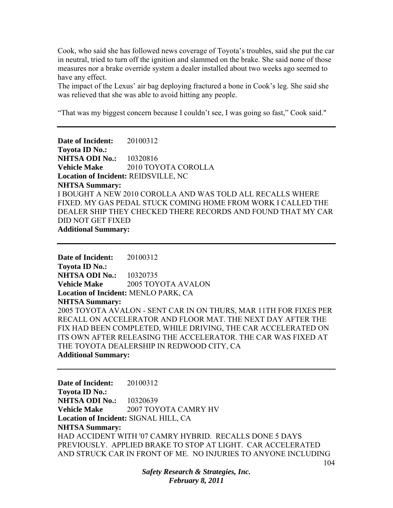Cook, who said she has followed news coverage of Toyota's troubles, said she put the car in neutral, tried to turn off the ignition and slammed on the brake. She said none of those measures nor a brake override system a dealer installed about two weeks ago seemed to have any effect.

The impact of the Lexus' air bag deploying fractured a bone in Cook's leg. She said she was relieved that she was able to avoid hitting any people.

"That was my biggest concern because I couldn't see, I was going so fast," Cook said."

**Date of Incident:** 20100312 **Toyota ID No.: NHTSA ODI No.:** 10320816 **Vehicle Make** 2010 TOYOTA COROLLA **Location of Incident:** REIDSVILLE, NC **NHTSA Summary:**  I BOUGHT A NEW 2010 COROLLA AND WAS TOLD ALL RECALLS WHERE FIXED. MY GAS PEDAL STUCK COMING HOME FROM WORK I CALLED THE DEALER SHIP THEY CHECKED THERE RECORDS AND FOUND THAT MY CAR DID NOT GET FIXED **Additional Summary:** 

**Date of Incident:** 20100312 **Toyota ID No.: NHTSA ODI No.:** 10320735 **Vehicle Make** 2005 TOYOTA AVALON **Location of Incident:** MENLO PARK, CA **NHTSA Summary:**  2005 TOYOTA AVALON - SENT CAR IN ON THURS, MAR 11TH FOR FIXES PER RECALL ON ACCELERATOR AND FLOOR MAT. THE NEXT DAY AFTER THE FIX HAD BEEN COMPLETED, WHILE DRIVING, THE CAR ACCELERATED ON ITS OWN AFTER RELEASING THE ACCELERATOR. THE CAR WAS FIXED AT THE TOYOTA DEALERSHIP IN REDWOOD CITY, CA **Additional Summary:** 

**Date of Incident:** 20100312 **Toyota ID No.: NHTSA ODI No.:** 10320639 **Vehicle Make** 2007 TOYOTA CAMRY HV **Location of Incident:** SIGNAL HILL, CA **NHTSA Summary:**  HAD ACCIDENT WITH '07 CAMRY HYBRID. RECALLS DONE 5 DAYS PREVIOUSLY. APPLIED BRAKE TO STOP AT LIGHT. CAR ACCELERATED AND STRUCK CAR IN FRONT OF ME. NO INJURIES TO ANYONE INCLUDING

> *Safety Research & Strategies, Inc. February 8, 2011*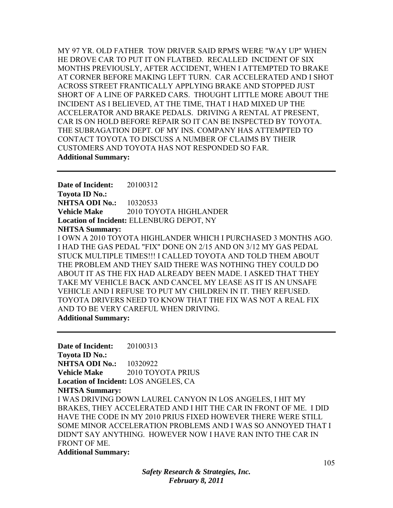MY 97 YR. OLD FATHER TOW DRIVER SAID RPM'S WERE "WAY UP" WHEN HE DROVE CAR TO PUT IT ON FLATBED. RECALLED INCIDENT OF SIX MONTHS PREVIOUSLY, AFTER ACCIDENT, WHEN I ATTEMPTED TO BRAKE AT CORNER BEFORE MAKING LEFT TURN. CAR ACCELERATED AND I SHOT ACROSS STREET FRANTICALLY APPLYING BRAKE AND STOPPED JUST SHORT OF A LINE OF PARKED CARS. THOUGHT LITTLE MORE ABOUT THE INCIDENT AS I BELIEVED, AT THE TIME, THAT I HAD MIXED UP THE ACCELERATOR AND BRAKE PEDALS. DRIVING A RENTAL AT PRESENT, CAR IS ON HOLD BEFORE REPAIR SO IT CAN BE INSPECTED BY TOYOTA. THE SUBRAGATION DEPT. OF MY INS. COMPANY HAS ATTEMPTED TO CONTACT TOYOTA TO DISCUSS A NUMBER OF CLAIMS BY THEIR CUSTOMERS AND TOYOTA HAS NOT RESPONDED SO FAR. **Additional Summary:** 

**Date of Incident:** 20100312 **Toyota ID No.: NHTSA ODI No.:** 10320533 **Vehicle Make** 2010 TOYOTA HIGHLANDER **Location of Incident:** ELLENBURG DEPOT, NY **NHTSA Summary:**  I OWN A 2010 TOYOTA HIGHLANDER WHICH I PURCHASED 3 MONTHS AGO. I HAD THE GAS PEDAL "FIX" DONE ON 2/15 AND ON 3/12 MY GAS PEDAL STUCK MULTIPLE TIMES!!! I CALLED TOYOTA AND TOLD THEM ABOUT THE PROBLEM AND THEY SAID THERE WAS NOTHING THEY COULD DO ABOUT IT AS THE FIX HAD ALREADY BEEN MADE. I ASKED THAT THEY TAKE MY VEHICLE BACK AND CANCEL MY LEASE AS IT IS AN UNSAFE VEHICLE AND I REFUSE TO PUT MY CHILDREN IN IT. THEY REFUSED. TOYOTA DRIVERS NEED TO KNOW THAT THE FIX WAS NOT A REAL FIX AND TO BE VERY CAREFUL WHEN DRIVING. **Additional Summary:** 

**Date of Incident:** 20100313 **Toyota ID No.: NHTSA ODI No.:** 10320922 **Vehicle Make** 2010 TOYOTA PRIUS **Location of Incident:** LOS ANGELES, CA **NHTSA Summary:**  I WAS DRIVING DOWN LAUREL CANYON IN LOS ANGELES, I HIT MY BRAKES, THEY ACCELERATED AND I HIT THE CAR IN FRONT OF ME. I DID HAVE THE CODE IN MY 2010 PRIUS FIXED HOWEVER THERE WERE STILL SOME MINOR ACCELERATION PROBLEMS AND I WAS SO ANNOYED THAT I DIDN'T SAY ANYTHING. HOWEVER NOW I HAVE RAN INTO THE CAR IN FRONT OF ME. **Additional Summary:**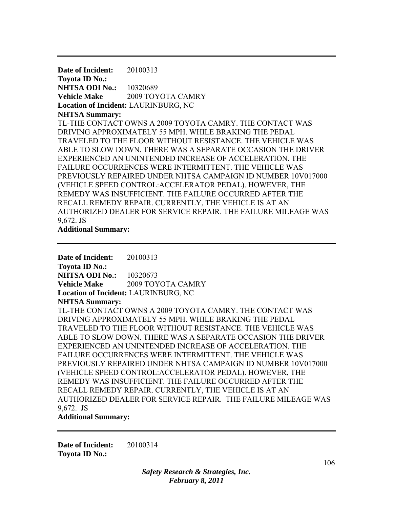**Date of Incident:** 20100313 **Toyota ID No.: NHTSA ODI No.:** 10320689 **Vehicle Make** 2009 TOYOTA CAMRY **Location of Incident:** LAURINBURG, NC **NHTSA Summary:**  TL-THE CONTACT OWNS A 2009 TOYOTA CAMRY. THE CONTACT WAS DRIVING APPROXIMATELY 55 MPH. WHILE BRAKING THE PEDAL TRAVELED TO THE FLOOR WITHOUT RESISTANCE. THE VEHICLE WAS ABLE TO SLOW DOWN. THERE WAS A SEPARATE OCCASION THE DRIVER EXPERIENCED AN UNINTENDED INCREASE OF ACCELERATION. THE FAILURE OCCURRENCES WERE INTERMITTENT. THE VEHICLE WAS PREVIOUSLY REPAIRED UNDER NHTSA CAMPAIGN ID NUMBER 10V017000 (VEHICLE SPEED CONTROL:ACCELERATOR PEDAL). HOWEVER, THE REMEDY WAS INSUFFICIENT. THE FAILURE OCCURRED AFTER THE RECALL REMEDY REPAIR. CURRENTLY, THE VEHICLE IS AT AN AUTHORIZED DEALER FOR SERVICE REPAIR. THE FAILURE MILEAGE WAS 9,672. JS

**Additional Summary:** 

**Date of Incident:** 20100313 **Toyota ID No.: NHTSA ODI No.:** 10320673 **Vehicle Make** 2009 TOYOTA CAMRY **Location of Incident:** LAURINBURG, NC **NHTSA Summary:**  TL-THE CONTACT OWNS A 2009 TOYOTA CAMRY. THE CONTACT WAS DRIVING APPROXIMATELY 55 MPH. WHILE BRAKING THE PEDAL TRAVELED TO THE FLOOR WITHOUT RESISTANCE. THE VEHICLE WAS ABLE TO SLOW DOWN. THERE WAS A SEPARATE OCCASION THE DRIVER EXPERIENCED AN UNINTENDED INCREASE OF ACCELERATION. THE FAILURE OCCURRENCES WERE INTERMITTENT. THE VEHICLE WAS PREVIOUSLY REPAIRED UNDER NHTSA CAMPAIGN ID NUMBER 10V017000 (VEHICLE SPEED CONTROL:ACCELERATOR PEDAL). HOWEVER, THE REMEDY WAS INSUFFICIENT. THE FAILURE OCCURRED AFTER THE RECALL REMEDY REPAIR. CURRENTLY, THE VEHICLE IS AT AN AUTHORIZED DEALER FOR SERVICE REPAIR. THE FAILURE MILEAGE WAS 9,672. JS

**Additional Summary:** 

**Date of Incident:** 20100314 **Toyota ID No.:**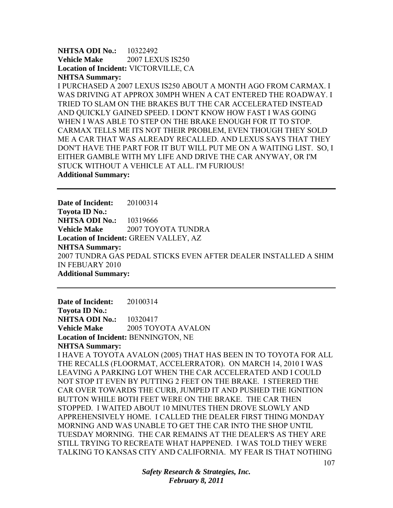**NHTSA ODI No.:** 10322492 **Vehicle Make** 2007 LEXUS IS250 **Location of Incident:** VICTORVILLE, CA **NHTSA Summary:** 

I PURCHASED A 2007 LEXUS IS250 ABOUT A MONTH AGO FROM CARMAX. I WAS DRIVING AT APPROX 30MPH WHEN A CAT ENTERED THE ROADWAY. I TRIED TO SLAM ON THE BRAKES BUT THE CAR ACCELERATED INSTEAD AND QUICKLY GAINED SPEED. I DON'T KNOW HOW FAST I WAS GOING WHEN I WAS ABLE TO STEP ON THE BRAKE ENOUGH FOR IT TO STOP. CARMAX TELLS ME ITS NOT THEIR PROBLEM, EVEN THOUGH THEY SOLD ME A CAR THAT WAS ALREADY RECALLED. AND LEXUS SAYS THAT THEY DON'T HAVE THE PART FOR IT BUT WILL PUT ME ON A WAITING LIST. SO, I EITHER GAMBLE WITH MY LIFE AND DRIVE THE CAR ANYWAY, OR I'M STUCK WITHOUT A VEHICLE AT ALL. I'M FURIOUS! **Additional Summary:** 

**Date of Incident:** 20100314 **Toyota ID No.: NHTSA ODI No.:** 10319666 **Vehicle Make** 2007 TOYOTA TUNDRA **Location of Incident:** GREEN VALLEY, AZ **NHTSA Summary:**  2007 TUNDRA GAS PEDAL STICKS EVEN AFTER DEALER INSTALLED A SHIM IN FEBUARY 2010 **Additional Summary:** 

**Date of Incident:** 20100314 **Toyota ID No.: NHTSA ODI No.: 10320417 Vehicle Make** 2005 TOYOTA AVALON **Location of Incident:** BENNINGTON, NE **NHTSA Summary:**  I HAVE A TOYOTA AVALON (2005) THAT HAS BEEN IN TO TOYOTA FOR ALL THE RECALLS (FLOORMAT, ACCELERRATOR). ON MARCH 14, 2010 I WAS LEAVING A PARKING LOT WHEN THE CAR ACCELERATED AND I COULD NOT STOP IT EVEN BY PUTTING 2 FEET ON THE BRAKE. I STEERED THE CAR OVER TOWARDS THE CURB, JUMPED IT AND PUSHED THE IGNITION BUTTON WHILE BOTH FEET WERE ON THE BRAKE. THE CAR THEN STOPPED. I WAITED ABOUT 10 MINUTES THEN DROVE SLOWLY AND APPREHENSIVELY HOME. I CALLED THE DEALER FIRST THING MONDAY MORNING AND WAS UNABLE TO GET THE CAR INTO THE SHOP UNTIL TUESDAY MORNING. THE CAR REMAINS AT THE DEALER'S AS THEY ARE STILL TRYING TO RECREATE WHAT HAPPENED. I WAS TOLD THEY WERE TALKING TO KANSAS CITY AND CALIFORNIA. MY FEAR IS THAT NOTHING

> *Safety Research & Strategies, Inc. February 8, 2011*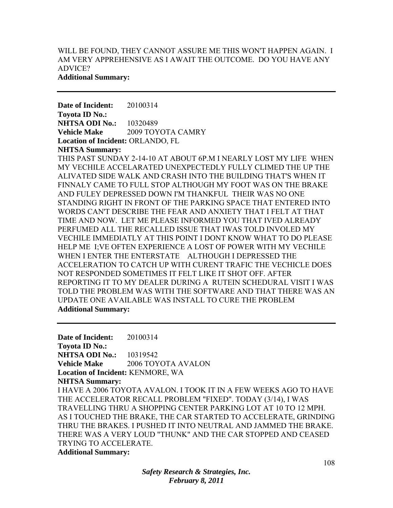# WILL BE FOUND, THEY CANNOT ASSURE ME THIS WON'T HAPPEN AGAIN. I AM VERY APPREHENSIVE AS I AWAIT THE OUTCOME. DO YOU HAVE ANY ADVICE?

### **Additional Summary:**

**Date of Incident:** 20100314 **Toyota ID No.: NHTSA ODI No.: 10320489 Vehicle Make** 2009 TOYOTA CAMRY **Location of Incident:** ORLANDO, FL **NHTSA Summary:** 

THIS PAST SUNDAY 2-14-10 AT ABOUT 6P.M I NEARLY LOST MY LIFE WHEN MY VECHILE ACCELARATED UNEXPECTEDLY FULLY CLIMED THE UP THE ALIVATED SIDE WALK AND CRASH INTO THE BUILDING THAT'S WHEN IT FINNALY CAME TO FULL STOP ALTHOUGH MY FOOT WAS ON THE BRAKE AND FULEY DEPRESSED DOWN I'M THANKFUL THEIR WAS NO ONE STANDING RIGHT IN FRONT OF THE PARKING SPACE THAT ENTERED INTO WORDS CAN'T DESCRIBE THE FEAR AND ANXIETY THAT I FELT AT THAT TIME AND NOW. LET ME PLEASE INFORMED YOU THAT IVED ALREADY PERFUMED ALL THE RECALLED ISSUE THAT IWAS TOLD INVOLED MY VECHILE IMMEDIATLY AT THIS POINT I DONT KNOW WHAT TO DO PLEASE HELP ME I;VE OFTEN EXPERIENCE A LOST OF POWER WITH MY VECHILE WHEN I ENTER THE ENTERSTATE ALTHOUGH I DEPRESSED THE ACCELERATION TO CATCH UP WITH CURENT TRAFIC THE VECHICLE DOES NOT RESPONDED SOMETIMES IT FELT LIKE IT SHOT OFF. AFTER REPORTING IT TO MY DEALER DURING A RUTEIN SCHEDURAL VISIT I WAS TOLD THE PROBLEM WAS WITH THE SOFTWARE AND THAT THERE WAS AN UPDATE ONE AVAILABLE WAS INSTALL TO CURE THE PROBLEM **Additional Summary:** 

**Date of Incident:** 20100314 **Toyota ID No.: NHTSA ODI No.:** 10319542 **Vehicle Make** 2006 TOYOTA AVALON **Location of Incident:** KENMORE, WA **NHTSA Summary:**  I HAVE A 2006 TOYOTA AVALON. I TOOK IT IN A FEW WEEKS AGO TO HAVE THE ACCELERATOR RECALL PROBLEM "FIXED". TODAY (3/14), I WAS TRAVELLING THRU A SHOPPING CENTER PARKING LOT AT 10 TO 12 MPH. AS I TOUCHED THE BRAKE, THE CAR STARTED TO ACCELERATE, GRINDING THRU THE BRAKES. I PUSHED IT INTO NEUTRAL AND JAMMED THE BRAKE. THERE WAS A VERY LOUD "THUNK" AND THE CAR STOPPED AND CEASED TRYING TO ACCELERATE. **Additional Summary:**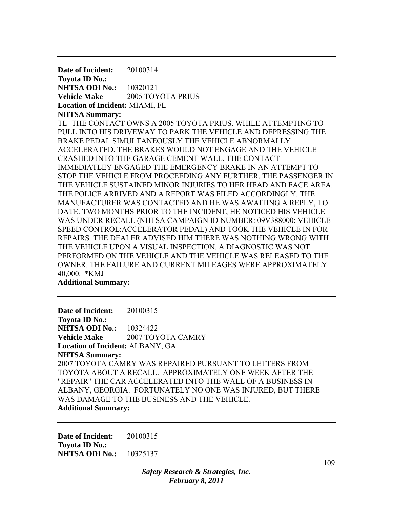**Date of Incident:** 20100314 **Toyota ID No.: NHTSA ODI No.:** 10320121 **Vehicle Make** 2005 TOYOTA PRIUS **Location of Incident:** MIAMI, FL **NHTSA Summary:**  TL- THE CONTACT OWNS A 2005 TOYOTA PRIUS. WHILE ATTEMPTING TO PULL INTO HIS DRIVEWAY TO PARK THE VEHICLE AND DEPRESSING THE BRAKE PEDAL SIMULTANEOUSLY THE VEHICLE ABNORMALLY ACCELERATED. THE BRAKES WOULD NOT ENGAGE AND THE VEHICLE CRASHED INTO THE GARAGE CEMENT WALL. THE CONTACT IMMEDIATLEY ENGAGED THE EMERGENCY BRAKE IN AN ATTEMPT TO STOP THE VEHICLE FROM PROCEEDING ANY FURTHER. THE PASSENGER IN THE VEHICLE SUSTAINED MINOR INJURIES TO HER HEAD AND FACE AREA. THE POLICE ARRIVED AND A REPORT WAS FILED ACCORDINGLY. THE MANUFACTURER WAS CONTACTED AND HE WAS AWAITING A REPLY, TO DATE. TWO MONTHS PRIOR TO THE INCIDENT, HE NOTICED HIS VEHICLE WAS UNDER RECALL (NHTSA CAMPAIGN ID NUMBER: 09V388000: VEHICLE SPEED CONTROL:ACCELERATOR PEDAL) AND TOOK THE VEHICLE IN FOR REPAIRS. THE DEALER ADVISED HIM THERE WAS NOTHING WRONG WITH THE VEHICLE UPON A VISUAL INSPECTION. A DIAGNOSTIC WAS NOT PERFORMED ON THE VEHICLE AND THE VEHICLE WAS RELEASED TO THE OWNER. THE FAILURE AND CURRENT MILEAGES WERE APPROXIMATELY 40,000. \*KMJ

**Additional Summary:** 

**Date of Incident:** 20100315 **Toyota ID No.: NHTSA ODI No.: 10324422 Vehicle Make** 2007 TOYOTA CAMRY **Location of Incident:** ALBANY, GA **NHTSA Summary:**  2007 TOYOTA CAMRY WAS REPAIRED PURSUANT TO LETTERS FROM TOYOTA ABOUT A RECALL. APPROXIMATELY ONE WEEK AFTER THE "REPAIR" THE CAR ACCELERATED INTO THE WALL OF A BUSINESS IN ALBANY, GEORGIA. FORTUNATELY NO ONE WAS INJURED, BUT THERE WAS DAMAGE TO THE BUSINESS AND THE VEHICLE. **Additional Summary:** 

**Date of Incident:** 20100315 **Toyota ID No.: NHTSA ODI No.:** 10325137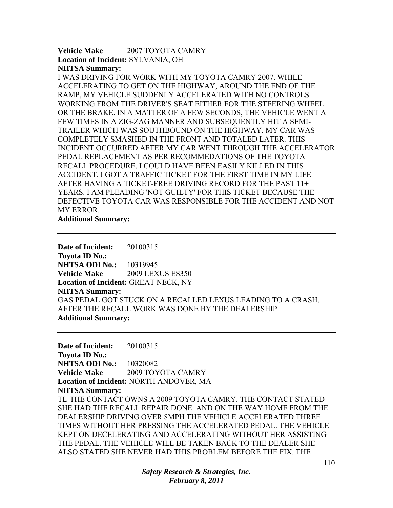## **Vehicle Make** 2007 TOYOTA CAMRY **Location of Incident:** SYLVANIA, OH **NHTSA Summary:**

I WAS DRIVING FOR WORK WITH MY TOYOTA CAMRY 2007. WHILE ACCELERATING TO GET ON THE HIGHWAY, AROUND THE END OF THE RAMP, MY VEHICLE SUDDENLY ACCELERATED WITH NO CONTROLS WORKING FROM THE DRIVER'S SEAT EITHER FOR THE STEERING WHEEL OR THE BRAKE. IN A MATTER OF A FEW SECONDS, THE VEHICLE WENT A FEW TIMES IN A ZIG-ZAG MANNER AND SUBSEQUENTLY HIT A SEMI-TRAILER WHICH WAS SOUTHBOUND ON THE HIGHWAY. MY CAR WAS COMPLETELY SMASHED IN THE FRONT AND TOTALED LATER. THIS INCIDENT OCCURRED AFTER MY CAR WENT THROUGH THE ACCELERATOR PEDAL REPLACEMENT AS PER RECOMMEDATIONS OF THE TOYOTA RECALL PROCEDURE. I COULD HAVE BEEN EASILY KILLED IN THIS ACCIDENT. I GOT A TRAFFIC TICKET FOR THE FIRST TIME IN MY LIFE AFTER HAVING A TICKET-FREE DRIVING RECORD FOR THE PAST 11+ YEARS. I AM PLEADING 'NOT GUILTY' FOR THIS TICKET BECAUSE THE DEFECTIVE TOYOTA CAR WAS RESPONSIBLE FOR THE ACCIDENT AND NOT MY ERROR.

**Additional Summary:** 

**Date of Incident:** 20100315 **Toyota ID No.: NHTSA ODI No.:** 10319945 **Vehicle Make** 2009 LEXUS ES350 **Location of Incident:** GREAT NECK, NY **NHTSA Summary:**  GAS PEDAL GOT STUCK ON A RECALLED LEXUS LEADING TO A CRASH, AFTER THE RECALL WORK WAS DONE BY THE DEALERSHIP. **Additional Summary:** 

**Date of Incident:** 20100315 **Toyota ID No.: NHTSA ODI No.:** 10320082 **Vehicle Make** 2009 TOYOTA CAMRY **Location of Incident:** NORTH ANDOVER, MA **NHTSA Summary:**  TL-THE CONTACT OWNS A 2009 TOYOTA CAMRY. THE CONTACT STATED SHE HAD THE RECALL REPAIR DONE AND ON THE WAY HOME FROM THE DEALERSHIP DRIVING OVER 8MPH THE VEHICLE ACCELERATED THREE TIMES WITHOUT HER PRESSING THE ACCELERATED PEDAL. THE VEHICLE KEPT ON DECELERATING AND ACCELERATING WITHOUT HER ASSISTING THE PEDAL. THE VEHICLE WILL BE TAKEN BACK TO THE DEALER SHE ALSO STATED SHE NEVER HAD THIS PROBLEM BEFORE THE FIX. THE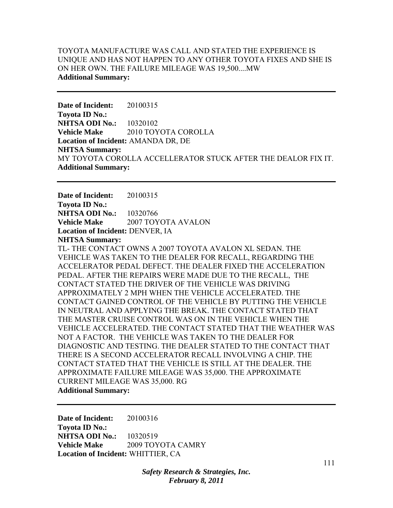# TOYOTA MANUFACTURE WAS CALL AND STATED THE EXPERIENCE IS UNIQUE AND HAS NOT HAPPEN TO ANY OTHER TOYOTA FIXES AND SHE IS ON HER OWN. THE FAILURE MILEAGE WAS 19,500....MW **Additional Summary:**

**Date of Incident:** 20100315 **Toyota ID No.: NHTSA ODI No.:** 10320102 **Vehicle Make** 2010 TOYOTA COROLLA **Location of Incident:** AMANDA DR, DE **NHTSA Summary:**  MY TOYOTA COROLLA ACCELLERATOR STUCK AFTER THE DEALOR FIX IT. **Additional Summary:** 

**Date of Incident:** 20100315 **Toyota ID No.: NHTSA ODI No.:** 10320766 **Vehicle Make** 2007 TOYOTA AVALON **Location of Incident:** DENVER, IA **NHTSA Summary:** 

TL- THE CONTACT OWNS A 2007 TOYOTA AVALON XL SEDAN. THE VEHICLE WAS TAKEN TO THE DEALER FOR RECALL, REGARDING THE ACCELERATOR PEDAL DEFECT. THE DEALER FIXED THE ACCELERATION PEDAL. AFTER THE REPAIRS WERE MADE DUE TO THE RECALL, THE CONTACT STATED THE DRIVER OF THE VEHICLE WAS DRIVING APPROXIMATELY 2 MPH WHEN THE VEHICLE ACCELERATED. THE CONTACT GAINED CONTROL OF THE VEHICLE BY PUTTING THE VEHICLE IN NEUTRAL AND APPLYING THE BREAK. THE CONTACT STATED THAT THE MASTER CRUISE CONTROL WAS ON IN THE VEHICLE WHEN THE VEHICLE ACCELERATED. THE CONTACT STATED THAT THE WEATHER WAS NOT A FACTOR. THE VEHICLE WAS TAKEN TO THE DEALER FOR DIAGNOSTIC AND TESTING. THE DEALER STATED TO THE CONTACT THAT THERE IS A SECOND ACCELERATOR RECALL INVOLVING A CHIP. THE CONTACT STATED THAT THE VEHICLE IS STILL AT THE DEALER. THE APPROXIMATE FAILURE MILEAGE WAS 35,000. THE APPROXIMATE CURRENT MILEAGE WAS 35,000. RG **Additional Summary:** 

**Date of Incident:** 20100316 **Toyota ID No.: NHTSA ODI No.:** 10320519 **Vehicle Make** 2009 TOYOTA CAMRY **Location of Incident:** WHITTIER, CA

> *Safety Research & Strategies, Inc. February 8, 2011*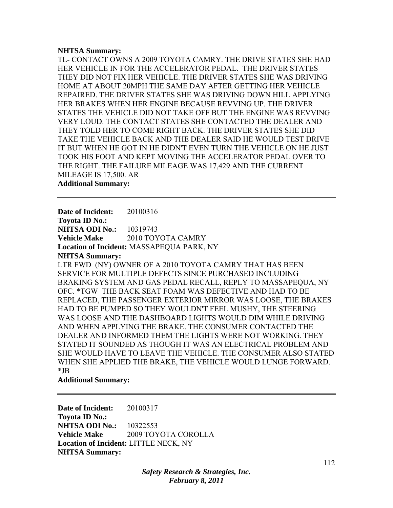#### **NHTSA Summary:**

TL- CONTACT OWNS A 2009 TOYOTA CAMRY. THE DRIVE STATES SHE HAD HER VEHICLE IN FOR THE ACCELERATOR PEDAL. THE DRIVER STATES THEY DID NOT FIX HER VEHICLE. THE DRIVER STATES SHE WAS DRIVING HOME AT ABOUT 20MPH THE SAME DAY AFTER GETTING HER VEHICLE REPAIRED. THE DRIVER STATES SHE WAS DRIVING DOWN HILL APPLYING HER BRAKES WHEN HER ENGINE BECAUSE REVVING UP. THE DRIVER STATES THE VEHICLE DID NOT TAKE OFF BUT THE ENGINE WAS REVVING VERY LOUD. THE CONTACT STATES SHE CONTACTED THE DEALER AND THEY TOLD HER TO COME RIGHT BACK. THE DRIVER STATES SHE DID TAKE THE VEHICLE BACK AND THE DEALER SAID HE WOULD TEST DRIVE IT BUT WHEN HE GOT IN HE DIDN'T EVEN TURN THE VEHICLE ON HE JUST TOOK HIS FOOT AND KEPT MOVING THE ACCELERATOR PEDAL OVER TO THE RIGHT. THE FAILURE MILEAGE WAS 17,429 AND THE CURRENT MILEAGE IS 17,500. AR **Additional Summary:** 

**Date of Incident:** 20100316 **Toyota ID No.: NHTSA ODI No.:** 10319743 **Vehicle Make** 2010 TOYOTA CAMRY **Location of Incident:** MASSAPEQUA PARK, NY **NHTSA Summary:**  LTR FWD (NY) OWNER OF A 2010 TOYOTA CAMRY THAT HAS BEEN SERVICE FOR MULTIPLE DEFECTS SINCE PURCHASED INCLUDING BRAKING SYSTEM AND GAS PEDAL RECALL, REPLY TO MASSAPEQUA, NY OFC. \*TGW THE BACK SEAT FOAM WAS DEFECTIVE AND HAD TO BE REPLACED, THE PASSENGER EXTERIOR MIRROR WAS LOOSE, THE BRAKES HAD TO BE PUMPED SO THEY WOULDN'T FEEL MUSHY, THE STEERING WAS LOOSE AND THE DASHBOARD LIGHTS WOULD DIM WHILE DRIVING AND WHEN APPLYING THE BRAKE. THE CONSUMER CONTACTED THE DEALER AND INFORMED THEM THE LIGHTS WERE NOT WORKING. THEY STATED IT SOUNDED AS THOUGH IT WAS AN ELECTRICAL PROBLEM AND SHE WOULD HAVE TO LEAVE THE VEHICLE. THE CONSUMER ALSO STATED WHEN SHE APPLIED THE BRAKE, THE VEHICLE WOULD LUNGE FORWARD. \*JB

#### **Additional Summary:**

**Date of Incident:** 20100317 **Toyota ID No.: NHTSA ODI No.:** 10322553 **Vehicle Make** 2009 TOYOTA COROLLA **Location of Incident:** LITTLE NECK, NY **NHTSA Summary:**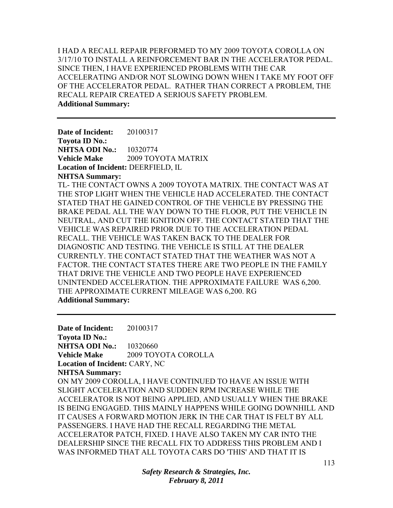I HAD A RECALL REPAIR PERFORMED TO MY 2009 TOYOTA COROLLA ON 3/17/10 TO INSTALL A REINFORCEMENT BAR IN THE ACCELERATOR PEDAL. SINCE THEN, I HAVE EXPERIENCED PROBLEMS WITH THE CAR ACCELERATING AND/OR NOT SLOWING DOWN WHEN I TAKE MY FOOT OFF OF THE ACCELERATOR PEDAL. RATHER THAN CORRECT A PROBLEM, THE RECALL REPAIR CREATED A SERIOUS SAFETY PROBLEM. **Additional Summary:** 

**Date of Incident:** 20100317 **Toyota ID No.: NHTSA ODI No.: 10320774 Vehicle Make** 2009 TOYOTA MATRIX **Location of Incident:** DEERFIELD, IL **NHTSA Summary:**  TL- THE CONTACT OWNS A 2009 TOYOTA MATRIX. THE CONTACT WAS AT THE STOP LIGHT WHEN THE VEHICLE HAD ACCELERATED. THE CONTACT STATED THAT HE GAINED CONTROL OF THE VEHICLE BY PRESSING THE BRAKE PEDAL ALL THE WAY DOWN TO THE FLOOR, PUT THE VEHICLE IN NEUTRAL, AND CUT THE IGNITION OFF. THE CONTACT STATED THAT THE VEHICLE WAS REPAIRED PRIOR DUE TO THE ACCELERATION PEDAL RECALL. THE VEHICLE WAS TAKEN BACK TO THE DEALER FOR DIAGNOSTIC AND TESTING. THE VEHICLE IS STILL AT THE DEALER CURRENTLY. THE CONTACT STATED THAT THE WEATHER WAS NOT A FACTOR. THE CONTACT STATES THERE ARE TWO PEOPLE IN THE FAMILY THAT DRIVE THE VEHICLE AND TWO PEOPLE HAVE EXPERIENCED UNINTENDED ACCELERATION. THE APPROXIMATE FAILURE WAS 6,200. THE APPROXIMATE CURRENT MILEAGE WAS 6,200. RG **Additional Summary:** 

**Date of Incident:** 20100317 **Toyota ID No.: NHTSA ODI No.:** 10320660 **Vehicle Make** 2009 TOYOTA COROLLA **Location of Incident:** CARY, NC **NHTSA Summary:**  ON MY 2009 COROLLA, I HAVE CONTINUED TO HAVE AN ISSUE WITH SLIGHT ACCELERATION AND SUDDEN RPM INCREASE WHILE THE ACCELERATOR IS NOT BEING APPLIED, AND USUALLY WHEN THE BRAKE IS BEING ENGAGED. THIS MAINLY HAPPENS WHILE GOING DOWNHILL AND IT CAUSES A FORWARD MOTION JERK IN THE CAR THAT IS FELT BY ALL PASSENGERS. I HAVE HAD THE RECALL REGARDING THE METAL ACCELERATOR PATCH, FIXED. I HAVE ALSO TAKEN MY CAR INTO THE DEALERSHIP SINCE THE RECALL FIX TO ADDRESS THIS PROBLEM AND I WAS INFORMED THAT ALL TOYOTA CARS DO 'THIS' AND THAT IT IS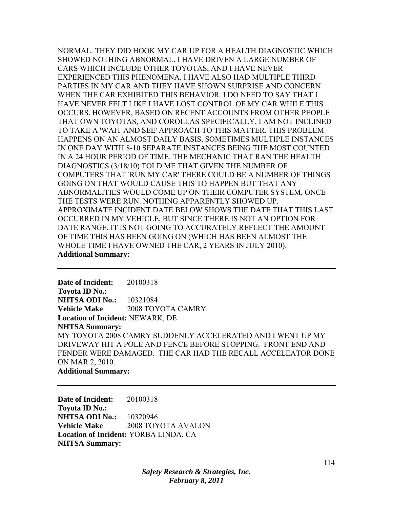NORMAL. THEY DID HOOK MY CAR UP FOR A HEALTH DIAGNOSTIC WHICH SHOWED NOTHING ABNORMAL. I HAVE DRIVEN A LARGE NUMBER OF CARS WHICH INCLUDE OTHER TOYOTAS, AND I HAVE NEVER EXPERIENCED THIS PHENOMENA. I HAVE ALSO HAD MULTIPLE THIRD PARTIES IN MY CAR AND THEY HAVE SHOWN SURPRISE AND CONCERN WHEN THE CAR EXHIBITED THIS BEHAVIOR. I DO NEED TO SAY THAT I HAVE NEVER FELT LIKE I HAVE LOST CONTROL OF MY CAR WHILE THIS OCCURS. HOWEVER, BASED ON RECENT ACCOUNTS FROM OTHER PEOPLE THAT OWN TOYOTAS, AND COROLLAS SPECIFICALLY, I AM NOT INCLINED TO TAKE A 'WAIT AND SEE' APPROACH TO THIS MATTER. THIS PROBLEM HAPPENS ON AN ALMOST DAILY BASIS, SOMETIMES MULTIPLE INSTANCES IN ONE DAY WITH 8-10 SEPARATE INSTANCES BEING THE MOST COUNTED IN A 24 HOUR PERIOD OF TIME. THE MECHANIC THAT RAN THE HEALTH DIAGNOSTICS (3/18/10) TOLD ME THAT GIVEN THE NUMBER OF COMPUTERS THAT 'RUN MY CAR' THERE COULD BE A NUMBER OF THINGS GOING ON THAT WOULD CAUSE THIS TO HAPPEN BUT THAT ANY ABNORMALITIES WOULD COME UP ON THEIR COMPUTER SYSTEM, ONCE THE TESTS WERE RUN. NOTHING APPARENTLY SHOWED UP. APPROXIMATE INCIDENT DATE BELOW SHOWS THE DATE THAT THIS LAST OCCURRED IN MY VEHICLE, BUT SINCE THERE IS NOT AN OPTION FOR DATE RANGE, IT IS NOT GOING TO ACCURATELY REFLECT THE AMOUNT OF TIME THIS HAS BEEN GOING ON (WHICH HAS BEEN ALMOST THE WHOLE TIME I HAVE OWNED THE CAR, 2 YEARS IN JULY 2010). **Additional Summary:** 

**Date of Incident:** 20100318 **Toyota ID No.: NHTSA ODI No.:** 10321084 **Vehicle Make** 2008 TOYOTA CAMRY **Location of Incident:** NEWARK, DE **NHTSA Summary:**  MY TOYOTA 2008 CAMRY SUDDENLY ACCELERATED AND I WENT UP MY DRIVEWAY HIT A POLE AND FENCE BEFORE STOPPING. FRONT END AND FENDER WERE DAMAGED. THE CAR HAD THE RECALL ACCELEATOR DONE ON MAR 2, 2010. **Additional Summary:** 

**Date of Incident:** 20100318 **Toyota ID No.: NHTSA ODI No.:** 10320946 **Vehicle Make** 2008 TOYOTA AVALON **Location of Incident:** YORBA LINDA, CA **NHTSA Summary:**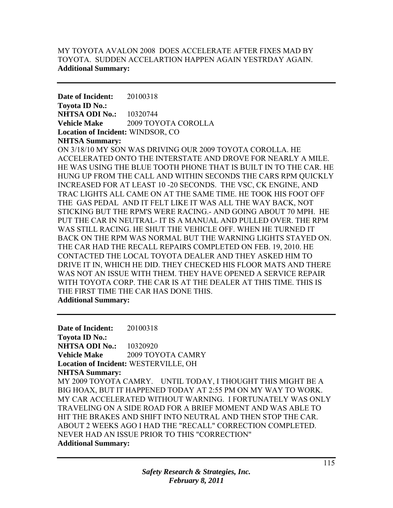# MY TOYOTA AVALON 2008 DOES ACCELERATE AFTER FIXES MAD BY TOYOTA. SUDDEN ACCELARTION HAPPEN AGAIN YESTRDAY AGAIN. **Additional Summary:**

**Date of Incident:** 20100318 **Toyota ID No.: NHTSA ODI No.:** 10320744 **Vehicle Make** 2009 TOYOTA COROLLA **Location of Incident:** WINDSOR, CO **NHTSA Summary:** 

ON 3/18/10 MY SON WAS DRIVING OUR 2009 TOYOTA COROLLA. HE ACCELERATED ONTO THE INTERSTATE AND DROVE FOR NEARLY A MILE. HE WAS USING THE BLUE TOOTH PHONE THAT IS BUILT IN TO THE CAR. HE HUNG UP FROM THE CALL AND WITHIN SECONDS THE CARS RPM QUICKLY INCREASED FOR AT LEAST 10 -20 SECONDS. THE VSC, CK ENGINE, AND TRAC LIGHTS ALL CAME ON AT THE SAME TIME. HE TOOK HIS FOOT OFF THE GAS PEDAL AND IT FELT LIKE IT WAS ALL THE WAY BACK, NOT STICKING BUT THE RPM'S WERE RACING.- AND GOING ABOUT 70 MPH. HE PUT THE CAR IN NEUTRAL- IT IS A MANUAL AND PULLED OVER. THE RPM WAS STILL RACING. HE SHUT THE VEHICLE OFF. WHEN HE TURNED IT BACK ON THE RPM WAS NORMAL BUT THE WARNING LIGHTS STAYED ON. THE CAR HAD THE RECALL REPAIRS COMPLETED ON FEB. 19, 2010. HE CONTACTED THE LOCAL TOYOTA DEALER AND THEY ASKED HIM TO DRIVE IT IN, WHICH HE DID. THEY CHECKED HIS FLOOR MATS AND THERE WAS NOT AN ISSUE WITH THEM. THEY HAVE OPENED A SERVICE REPAIR WITH TOYOTA CORP. THE CAR IS AT THE DEALER AT THIS TIME. THIS IS THE FIRST TIME THE CAR HAS DONE THIS. **Additional Summary:** 

**Date of Incident:** 20100318 **Toyota ID No.: NHTSA ODI No.:** 10320920 **Vehicle Make** 2009 TOYOTA CAMRY **Location of Incident:** WESTERVILLE, OH **NHTSA Summary:**  MY 2009 TOYOTA CAMRY. UNTIL TODAY, I THOUGHT THIS MIGHT BE A BIG HOAX, BUT IT HAPPENED TODAY AT 2:55 PM ON MY WAY TO WORK. MY CAR ACCELERATED WITHOUT WARNING. I FORTUNATELY WAS ONLY TRAVELING ON A SIDE ROAD FOR A BRIEF MOMENT AND WAS ABLE TO HIT THE BRAKES AND SHIFT INTO NEUTRAL AND THEN STOP THE CAR. ABOUT 2 WEEKS AGO I HAD THE "RECALL" CORRECTION COMPLETED. NEVER HAD AN ISSUE PRIOR TO THIS "CORRECTION" **Additional Summary:**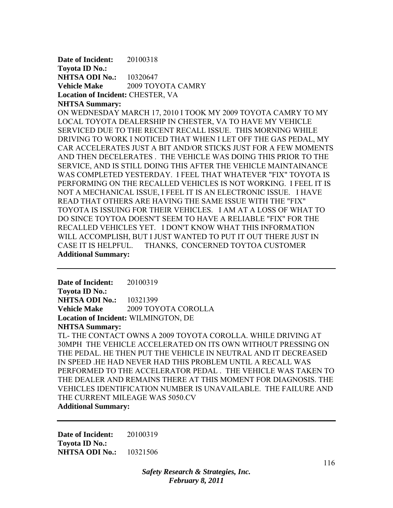**Date of Incident:** 20100318 **Toyota ID No.: NHTSA ODI No.:** 10320647 **Vehicle Make** 2009 TOYOTA CAMRY **Location of Incident:** CHESTER, VA **NHTSA Summary:** 

ON WEDNESDAY MARCH 17, 2010 I TOOK MY 2009 TOYOTA CAMRY TO MY LOCAL TOYOTA DEALERSHIP IN CHESTER, VA TO HAVE MY VEHICLE SERVICED DUE TO THE RECENT RECALL ISSUE. THIS MORNING WHILE DRIVING TO WORK I NOTICED THAT WHEN I LET OFF THE GAS PEDAL, MY CAR ACCELERATES JUST A BIT AND/OR STICKS JUST FOR A FEW MOMENTS AND THEN DECELERATES . THE VEHICLE WAS DOING THIS PRIOR TO THE SERVICE, AND IS STILL DOING THIS AFTER THE VEHICLE MAINTAINANCE WAS COMPLETED YESTERDAY. I FEEL THAT WHATEVER "FIX" TOYOTA IS PERFORMING ON THE RECALLED VEHICLES IS NOT WORKING. I FEEL IT IS NOT A MECHANICAL ISSUE, I FEEL IT IS AN ELECTRONIC ISSUE. I HAVE READ THAT OTHERS ARE HAVING THE SAME ISSUE WITH THE "FIX" TOYOTA IS ISSUING FOR THEIR VEHICLES. I AM AT A LOSS OF WHAT TO DO SINCE TOYTOA DOESN'T SEEM TO HAVE A RELIABLE "FIX" FOR THE RECALLED VEHICLES YET. I DON'T KNOW WHAT THIS INFORMATION WILL ACCOMPLISH, BUT I JUST WANTED TO PUT IT OUT THERE JUST IN CASE IT IS HELPFUL. THANKS, CONCERNED TOYTOA CUSTOMER **Additional Summary:** 

**Date of Incident:** 20100319 **Toyota ID No.: NHTSA ODI No.:** 10321399 **Vehicle Make** 2009 TOYOTA COROLLA **Location of Incident:** WILMINGTON, DE **NHTSA Summary:**  TL- THE CONTACT OWNS A 2009 TOYOTA COROLLA. WHILE DRIVING AT

30MPH THE VEHICLE ACCELERATED ON ITS OWN WITHOUT PRESSING ON THE PEDAL. HE THEN PUT THE VEHICLE IN NEUTRAL AND IT DECREASED IN SPEED .HE HAD NEVER HAD THIS PROBLEM UNTIL A RECALL WAS PERFORMED TO THE ACCELERATOR PEDAL . THE VEHICLE WAS TAKEN TO THE DEALER AND REMAINS THERE AT THIS MOMENT FOR DIAGNOSIS. THE VEHICLES IDENTIFICATION NUMBER IS UNAVAILABLE. THE FAILURE AND THE CURRENT MILEAGE WAS 5050.CV **Additional Summary:** 

**Date of Incident:** 20100319 **Toyota ID No.: NHTSA ODI No.:** 10321506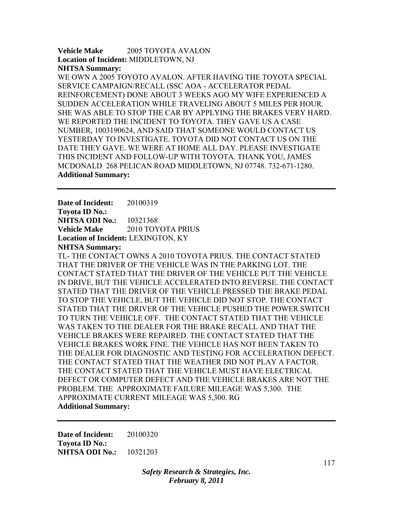**Vehicle Make** 2005 TOYOTA AVALON **Location of Incident:** MIDDLETOWN, NJ **NHTSA Summary:** 

WE OWN A 2005 TOYOTO AVALON. AFTER HAVING THE TOYOTA SPECIAL SERVICE CAMPAIGN/RECALL (SSC AOA - ACCELERATOR PEDAL REINFORCEMENT) DONE ABOUT 3 WEEKS AGO MY WIFE EXPERIENCED A SUDDEN ACCELERATION WHILE TRAVELING ABOUT 5 MILES PER HOUR. SHE WAS ABLE TO STOP THE CAR BY APPLYING THE BRAKES VERY HARD. WE REPORTED THE INCIDENT TO TOYOTA. THEY GAVE US A CASE NUMBER, 1003190624, AND SAID THAT SOMEONE WOULD CONTACT US YESTERDAY TO INVESTIGATE. TOYOTA DID NOT CONTACT US ON THE DATE THEY GAVE. WE WERE AT HOME ALL DAY. PLEASE INVESTIGATE THIS INCIDENT AND FOLLOW-UP WITH TOYOTA. THANK YOU, JAMES MCDONALD 268 PELICAN ROAD MIDDLETOWN, NJ 07748. 732-671-1280. **Additional Summary:** 

**Date of Incident:** 20100319 **Toyota ID No.: NHTSA ODI No.:** 10321368 **Vehicle Make** 2010 TOYOTA PRIUS **Location of Incident:** LEXINGTON, KY **NHTSA Summary:** 

TL- THE CONTACT OWNS A 2010 TOYOTA PRIUS. THE CONTACT STATED THAT THE DRIVER OF THE VEHICLE WAS IN THE PARKING LOT. THE CONTACT STATED THAT THE DRIVER OF THE VEHICLE PUT THE VEHICLE IN DRIVE, BUT THE VEHICLE ACCELERATED INTO REVERSE. THE CONTACT STATED THAT THE DRIVER OF THE VEHICLE PRESSED THE BRAKE PEDAL TO STOP THE VEHICLE, BUT THE VEHICLE DID NOT STOP. THE CONTACT STATED THAT THE DRIVER OF THE VEHICLE PUSHED THE POWER SWITCH TO TURN THE VEHICLE OFF. THE CONTACT STATED THAT THE VEHICLE WAS TAKEN TO THE DEALER FOR THE BRAKE RECALL AND THAT THE VEHICLE BRAKES WERE REPAIRED. THE CONTACT STATED THAT THE VEHICLE BRAKES WORK FINE. THE VEHICLE HAS NOT BEEN TAKEN TO THE DEALER FOR DIAGNOSTIC AND TESTING FOR ACCELERATION DEFECT. THE CONTACT STATED THAT THE WEATHER DID NOT PLAY A FACTOR. THE CONTACT STATED THAT THE VEHICLE MUST HAVE ELECTRICAL DEFECT OR COMPUTER DEFECT AND THE VEHICLE BRAKES ARE NOT THE PROBLEM. THE APPROXIMATE FAILURE MILEAGE WAS 5,300. THE APPROXIMATE CURRENT MILEAGE WAS 5,300. RG **Additional Summary:** 

**Date of Incident:** 20100320 **Toyota ID No.: NHTSA ODI No.:** 10321203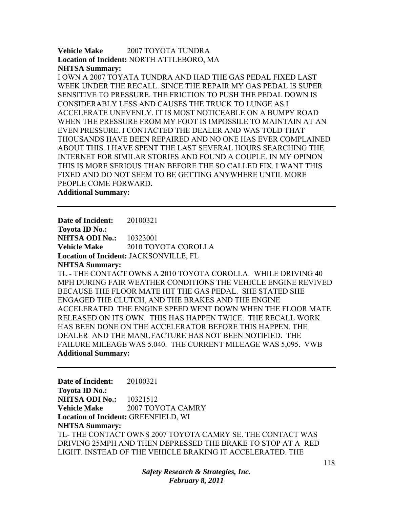**Vehicle Make** 2007 TOYOTA TUNDRA **Location of Incident:** NORTH ATTLEBORO, MA **NHTSA Summary:** 

I OWN A 2007 TOYATA TUNDRA AND HAD THE GAS PEDAL FIXED LAST WEEK UNDER THE RECALL. SINCE THE REPAIR MY GAS PEDAL IS SUPER SENSITIVE TO PRESSURE. THE FRICTION TO PUSH THE PEDAL DOWN IS CONSIDERABLY LESS AND CAUSES THE TRUCK TO LUNGE AS I ACCELERATE UNEVENLY. IT IS MOST NOTICEABLE ON A BUMPY ROAD WHEN THE PRESSURE FROM MY FOOT IS IMPOSSILE TO MAINTAIN AT AN EVEN PRESSURE. I CONTACTED THE DEALER AND WAS TOLD THAT THOUSANDS HAVE BEEN REPAIRED AND NO ONE HAS EVER COMPLAINED ABOUT THIS. I HAVE SPENT THE LAST SEVERAL HOURS SEARCHING THE INTERNET FOR SIMILAR STORIES AND FOUND A COUPLE. IN MY OPINON THIS IS MORE SERIOUS THAN BEFORE THE SO CALLED FIX. I WANT THIS FIXED AND DO NOT SEEM TO BE GETTING ANYWHERE UNTIL MORE PEOPLE COME FORWARD.

**Additional Summary:** 

**Date of Incident:** 20100321 **Toyota ID No.: NHTSA ODI No.: 10323001 Vehicle Make** 2010 TOYOTA COROLLA **Location of Incident:** JACKSONVILLE, FL

**NHTSA Summary:** 

TL - THE CONTACT OWNS A 2010 TOYOTA COROLLA. WHILE DRIVING 40 MPH DURING FAIR WEATHER CONDITIONS THE VEHICLE ENGINE REVIVED BECAUSE THE FLOOR MATE HIT THE GAS PEDAL. SHE STATED SHE ENGAGED THE CLUTCH, AND THE BRAKES AND THE ENGINE ACCELERATED THE ENGINE SPEED WENT DOWN WHEN THE FLOOR MATE RELEASED ON ITS OWN. THIS HAS HAPPEN TWICE. THE RECALL WORK HAS BEEN DONE ON THE ACCELERATOR BEFORE THIS HAPPEN. THE DEALER AND THE MANUFACTURE HAS NOT BEEN NOTIFIED. THE FAILURE MILEAGE WAS 5.040. THE CURRENT MILEAGE WAS 5,095. VWB **Additional Summary:** 

**Date of Incident:** 20100321 **Toyota ID No.: NHTSA ODI No.:** 10321512 **Vehicle Make** 2007 TOYOTA CAMRY **Location of Incident:** GREENFIELD, WI **NHTSA Summary:**  TL- THE CONTACT OWNS 2007 TOYOTA CAMRY SE. THE CONTACT WAS DRIVING 25MPH AND THEN DEPRESSED THE BRAKE TO STOP AT A RED LIGHT. INSTEAD OF THE VEHICLE BRAKING IT ACCELERATED. THE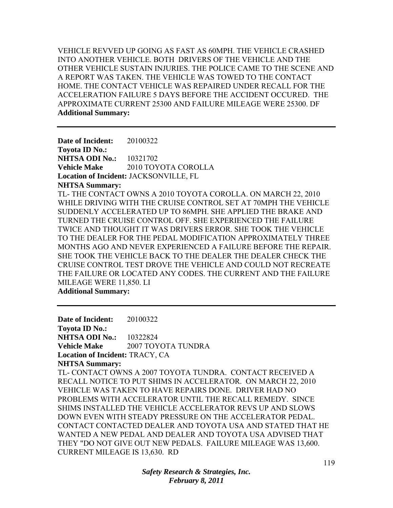VEHICLE REVVED UP GOING AS FAST AS 60MPH. THE VEHICLE CRASHED INTO ANOTHER VEHICLE. BOTH DRIVERS OF THE VEHICLE AND THE OTHER VEHICLE SUSTAIN INJURIES. THE POLICE CAME TO THE SCENE AND A REPORT WAS TAKEN. THE VEHICLE WAS TOWED TO THE CONTACT HOME. THE CONTACT VEHICLE WAS REPAIRED UNDER RECALL FOR THE ACCELERATION FAILURE 5 DAYS BEFORE THE ACCIDENT OCCURED. THE APPROXIMATE CURRENT 25300 AND FAILURE MILEAGE WERE 25300. DF **Additional Summary:** 

**Date of Incident:** 20100322 **Toyota ID No.: NHTSA ODI No.:** 10321702 **Vehicle Make** 2010 TOYOTA COROLLA **Location of Incident:** JACKSONVILLE, FL **NHTSA Summary:**  TL- THE CONTACT OWNS A 2010 TOYOTA COROLLA. ON MARCH 22, 2010 WHILE DRIVING WITH THE CRUISE CONTROL SET AT 70MPH THE VEHICLE SUDDENLY ACCELERATED UP TO 86MPH. SHE APPLIED THE BRAKE AND TURNED THE CRUISE CONTROL OFF. SHE EXPERIENCED THE FAILURE TWICE AND THOUGHT IT WAS DRIVERS ERROR. SHE TOOK THE VEHICLE TO THE DEALER FOR THE PEDAL MODIFICATION APPROXIMATELY THREE MONTHS AGO AND NEVER EXPERIENCED A FAILURE BEFORE THE REPAIR. SHE TOOK THE VEHICLE BACK TO THE DEALER THE DEALER CHECK THE CRUISE CONTROL TEST DROVE THE VEHICLE AND COULD NOT RECREATE THE FAILURE OR LOCATED ANY CODES. THE CURRENT AND THE FAILURE MILEAGE WERE 11,850. LI

**Additional Summary:** 

**Date of Incident:** 20100322 **Toyota ID No.: NHTSA ODI No.:** 10322824 **Vehicle Make** 2007 TOYOTA TUNDRA **Location of Incident:** TRACY, CA **NHTSA Summary:**  TL- CONTACT OWNS A 2007 TOYOTA TUNDRA. CONTACT RECEIVED A RECALL NOTICE TO PUT SHIMS IN ACCELERATOR. ON MARCH 22, 2010 VEHICLE WAS TAKEN TO HAVE REPAIRS DONE. DRIVER HAD NO PROBLEMS WITH ACCELERATOR UNTIL THE RECALL REMEDY. SINCE SHIMS INSTALLED THE VEHICLE ACCELERATOR REVS UP AND SLOWS DOWN EVEN WITH STEADY PRESSURE ON THE ACCELERATOR PEDAL. CONTACT CONTACTED DEALER AND TOYOTA USA AND STATED THAT HE WANTED A NEW PEDAL AND DEALER AND TOYOTA USA ADVISED THAT THEY "DO NOT GIVE OUT NEW PEDALS. FAILURE MILEAGE WAS 13,600. CURRENT MILEAGE IS 13,630. RD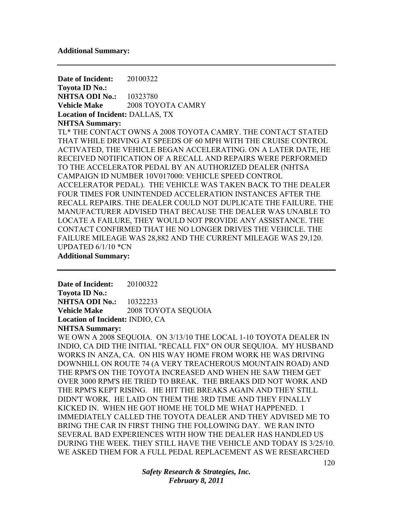**Date of Incident:** 20100322 **Toyota ID No.: NHTSA ODI No.:** 10323780 **Vehicle Make** 2008 TOYOTA CAMRY **Location of Incident:** DALLAS, TX **NHTSA Summary:**  TL\* THE CONTACT OWNS A 2008 TOYOTA CAMRY. THE CONTACT STATED THAT WHILE DRIVING AT SPEEDS OF 60 MPH WITH THE CRUISE CONTROL ACTIVATED, THE VEHICLE BEGAN ACCELERATING. ON A LATER DATE, HE RECEIVED NOTIFICATION OF A RECALL AND REPAIRS WERE PERFORMED TO THE ACCELERATOR PEDAL BY AN AUTHORIZED DEALER (NHTSA CAMPAIGN ID NUMBER 10V017000: VEHICLE SPEED CONTROL ACCELERATOR PEDAL). THE VEHICLE WAS TAKEN BACK TO THE DEALER FOUR TIMES FOR UNINTENDED ACCELERATION INSTANCES AFTER THE RECALL REPAIRS. THE DEALER COULD NOT DUPLICATE THE FAILURE. THE MANUFACTURER ADVISED THAT BECAUSE THE DEALER WAS UNABLE TO LOCATE A FAILURE, THEY WOULD NOT PROVIDE ANY ASSISTANCE. THE CONTACT CONFIRMED THAT HE NO LONGER DRIVES THE VEHICLE. THE FAILURE MILEAGE WAS 28,882 AND THE CURRENT MILEAGE WAS 29,120. UPDATED 6/1/10 \*CN **Additional Summary:** 

**Date of Incident:** 20100322 **Toyota ID No.: NHTSA ODI No.:** 10322233 **Vehicle Make** 2008 TOYOTA SEQUOIA

**Location of Incident:** INDIO, CA

**NHTSA Summary:** 

WE OWN A 2008 SEQUOIA. ON 3/13/10 THE LOCAL 1-10 TOYOTA DEALER IN INDIO, CA DID THE INITIAL "RECALL FIX" ON OUR SEQUIOA. MY HUSBAND WORKS IN ANZA, CA. ON HIS WAY HOME FROM WORK HE WAS DRIVING DOWNHILL ON ROUTE 74 (A VERY TREACHEROUS MOUNTAIN ROAD) AND THE RPM'S ON THE TOYOTA INCREASED AND WHEN HE SAW THEM GET OVER 3000 RPM'S HE TRIED TO BREAK. THE BREAKS DID NOT WORK AND THE RPM'S KEPT RISING. HE HIT THE BREAKS AGAIN AND THEY STILL DIDN'T WORK. HE LAID ON THEM THE 3RD TIME AND THEY FINALLY KICKED IN. WHEN HE GOT HOME HE TOLD ME WHAT HAPPENED. I IMMEDIATELY CALLED THE TOYOTA DEALER AND THEY ADVISED ME TO BRING THE CAR IN FIRST THING THE FOLLOWING DAY. WE RAN INTO SEVERAL BAD EXPERIENCES WITH HOW THE DEALER HAS HANDLED US DURING THE WEEK. THEY STILL HAVE THE VEHICLE AND TODAY IS 3/25/10. WE ASKED THEM FOR A FULL PEDAL REPLACEMENT AS WE RESEARCHED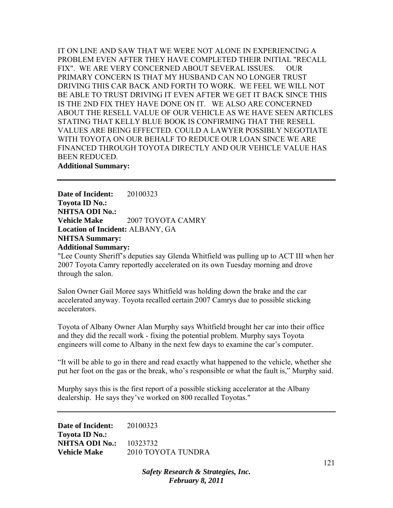IT ON LINE AND SAW THAT WE WERE NOT ALONE IN EXPERIENCING A PROBLEM EVEN AFTER THEY HAVE COMPLETED THEIR INITIAL "RECALL FIX". WE ARE VERY CONCERNED ABOUT SEVERAL ISSUES. OUR PRIMARY CONCERN IS THAT MY HUSBAND CAN NO LONGER TRUST DRIVING THIS CAR BACK AND FORTH TO WORK. WE FEEL WE WILL NOT BE ABLE TO TRUST DRIVING IT EVEN AFTER WE GET IT BACK SINCE THIS IS THE 2ND FIX THEY HAVE DONE ON IT. WE ALSO ARE CONCERNED ABOUT THE RESELL VALUE OF OUR VEHICLE AS WE HAVE SEEN ARTICLES STATING THAT KELLY BLUE BOOK IS CONFIRMING THAT THE RESELL VALUES ARE BEING EFFECTED. COULD A LAWYER POSSIBLY NEGOTIATE WITH TOYOTA ON OUR BEHALF TO REDUCE OUR LOAN SINCE WE ARE FINANCED THROUGH TOYOTA DIRECTLY AND OUR VEHICLE VALUE HAS BEEN REDUCED. **Additional Summary:** 

**Date of Incident:** 20100323 **Toyota ID No.: NHTSA ODI No.: Vehicle Make 2007 TOYOTA CAMRY Location of Incident:** ALBANY, GA **NHTSA Summary: Additional Summary:** 

"Lee County Sheriff's deputies say Glenda Whitfield was pulling up to ACT III when her 2007 Toyota Camry reportedly accelerated on its own Tuesday morning and drove through the salon.

Salon Owner Gail Moree says Whitfield was holding down the brake and the car accelerated anyway. Toyota recalled certain 2007 Camrys due to possible sticking accelerators.

Toyota of Albany Owner Alan Murphy says Whitfield brought her car into their office and they did the recall work - fixing the potential problem. Murphy says Toyota engineers will come to Albany in the next few days to examine the car's computer.

"It will be able to go in there and read exactly what happened to the vehicle, whether she put her foot on the gas or the break, who's responsible or what the fault is," Murphy said.

Murphy says this is the first report of a possible sticking accelerator at the Albany dealership. He says they've worked on 800 recalled Toyotas."

**Date of Incident:** 20100323 **Toyota ID No.: NHTSA ODI No.:** 10323732 **Vehicle Make** 2010 TOYOTA TUNDRA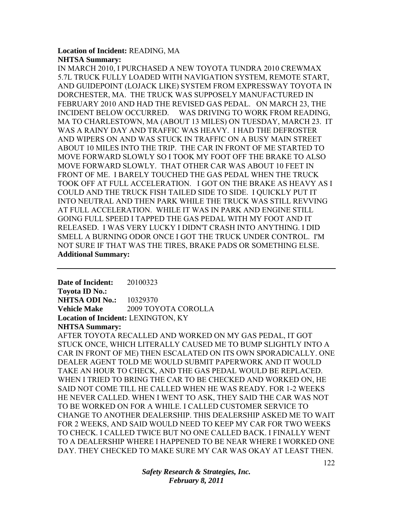## **Location of Incident:** READING, MA **NHTSA Summary:**

IN MARCH 2010, I PURCHASED A NEW TOYOTA TUNDRA 2010 CREWMAX 5.7L TRUCK FULLY LOADED WITH NAVIGATION SYSTEM, REMOTE START, AND GUIDEPOINT (LOJACK LIKE) SYSTEM FROM EXPRESSWAY TOYOTA IN DORCHESTER, MA. THE TRUCK WAS SUPPOSELY MANUFACTURED IN FEBRUARY 2010 AND HAD THE REVISED GAS PEDAL. ON MARCH 23, THE INCIDENT BELOW OCCURRED. WAS DRIVING TO WORK FROM READING, MA TO CHARLESTOWN, MA (ABOUT 13 MILES) ON TUESDAY, MARCH 23. IT WAS A RAINY DAY AND TRAFFIC WAS HEAVY. I HAD THE DEFROSTER AND WIPERS ON AND WAS STUCK IN TRAFFIC ON A BUSY MAIN STREET ABOUT 10 MILES INTO THE TRIP. THE CAR IN FRONT OF ME STARTED TO MOVE FORWARD SLOWLY SO I TOOK MY FOOT OFF THE BRAKE TO ALSO MOVE FORWARD SLOWLY. THAT OTHER CAR WAS ABOUT 10 FEET IN FRONT OF ME. I BARELY TOUCHED THE GAS PEDAL WHEN THE TRUCK TOOK OFF AT FULL ACCELERATION. I GOT ON THE BRAKE AS HEAVY AS I COULD AND THE TRUCK FISH TAILED SIDE TO SIDE. I QUICKLY PUT IT INTO NEUTRAL AND THEN PARK WHILE THE TRUCK WAS STILL REVVING AT FULL ACCELERATION. WHILE IT WAS IN PARK AND ENGINE STILL GOING FULL SPEED I TAPPED THE GAS PEDAL WITH MY FOOT AND IT RELEASED. I WAS VERY LUCKY I DIDN'T CRASH INTO ANYTHING. I DID SMELL A BURNING ODOR ONCE I GOT THE TRUCK UNDER CONTROL. I'M NOT SURE IF THAT WAS THE TIRES, BRAKE PADS OR SOMETHING ELSE. **Additional Summary:** 

**Date of Incident:** 20100323 **Toyota ID No.: NHTSA ODI No.:** 10329370 **Vehicle Make** 2009 TOYOTA COROLLA **Location of Incident:** LEXINGTON, KY **NHTSA Summary:** 

AFTER TOYOTA RECALLED AND WORKED ON MY GAS PEDAL, IT GOT STUCK ONCE, WHICH LITERALLY CAUSED ME TO BUMP SLIGHTLY INTO A CAR IN FRONT OF ME) THEN ESCALATED ON ITS OWN SPORADICALLY. ONE DEALER AGENT TOLD ME WOULD SUBMIT PAPERWORK AND IT WOULD TAKE AN HOUR TO CHECK, AND THE GAS PEDAL WOULD BE REPLACED. WHEN I TRIED TO BRING THE CAR TO BE CHECKED AND WORKED ON, HE SAID NOT COME TILL HE CALLED WHEN HE WAS READY. FOR 1-2 WEEKS HE NEVER CALLED. WHEN I WENT TO ASK, THEY SAID THE CAR WAS NOT TO BE WORKED ON FOR A WHILE. I CALLED CUSTOMER SERVICE TO CHANGE TO ANOTHER DEALERSHIP. THIS DEALERSHIP ASKED ME TO WAIT FOR 2 WEEKS, AND SAID WOULD NEED TO KEEP MY CAR FOR TWO WEEKS TO CHECK. I CALLED TWICE BUT NO ONE CALLED BACK. I FINALLY WENT TO A DEALERSHIP WHERE I HAPPENED TO BE NEAR WHERE I WORKED ONE DAY. THEY CHECKED TO MAKE SURE MY CAR WAS OKAY AT LEAST THEN.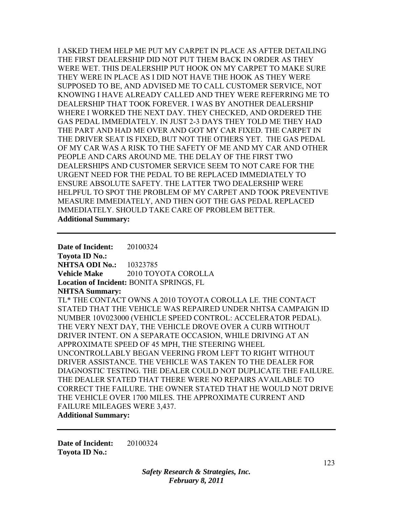I ASKED THEM HELP ME PUT MY CARPET IN PLACE AS AFTER DETAILING THE FIRST DEALERSHIP DID NOT PUT THEM BACK IN ORDER AS THEY WERE WET. THIS DEALERSHIP PUT HOOK ON MY CARPET TO MAKE SURE THEY WERE IN PLACE AS I DID NOT HAVE THE HOOK AS THEY WERE SUPPOSED TO BE, AND ADVISED ME TO CALL CUSTOMER SERVICE, NOT KNOWING I HAVE ALREADY CALLED AND THEY WERE REFERRING ME TO DEALERSHIP THAT TOOK FOREVER. I WAS BY ANOTHER DEALERSHIP WHERE I WORKED THE NEXT DAY. THEY CHECKED, AND ORDERED THE GAS PEDAL IMMEDIATELY. IN JUST 2-3 DAYS THEY TOLD ME THEY HAD THE PART AND HAD ME OVER AND GOT MY CAR FIXED. THE CARPET IN THE DRIVER SEAT IS FIXED, BUT NOT THE OTHERS YET. THE GAS PEDAL OF MY CAR WAS A RISK TO THE SAFETY OF ME AND MY CAR AND OTHER PEOPLE AND CARS AROUND ME. THE DELAY OF THE FIRST TWO DEALERSHIPS AND CUSTOMER SERVICE SEEM TO NOT CARE FOR THE URGENT NEED FOR THE PEDAL TO BE REPLACED IMMEDIATELY TO ENSURE ABSOLUTE SAFETY. THE LATTER TWO DEALERSHIP WERE HELPFUL TO SPOT THE PROBLEM OF MY CARPET AND TOOK PREVENTIVE MEASURE IMMEDIATELY, AND THEN GOT THE GAS PEDAL REPLACED IMMEDIATELY. SHOULD TAKE CARE OF PROBLEM BETTER. **Additional Summary:** 

**Date of Incident:** 20100324 **Toyota ID No.: NHTSA ODI No.:** 10323785 **Vehicle Make** 2010 TOYOTA COROLLA **Location of Incident:** BONITA SPRINGS, FL **NHTSA Summary:**  TL\* THE CONTACT OWNS A 2010 TOYOTA COROLLA LE. THE CONTACT STATED THAT THE VEHICLE WAS REPAIRED UNDER NHTSA CAMPAIGN ID NUMBER 10V023000 (VEHICLE SPEED CONTROL: ACCELERATOR PEDAL). THE VERY NEXT DAY, THE VEHICLE DROVE OVER A CURB WITHOUT DRIVER INTENT. ON A SEPARATE OCCASION, WHILE DRIVING AT AN APPROXIMATE SPEED OF 45 MPH, THE STEERING WHEEL UNCONTROLLABLY BEGAN VEERING FROM LEFT TO RIGHT WITHOUT DRIVER ASSISTANCE. THE VEHICLE WAS TAKEN TO THE DEALER FOR DIAGNOSTIC TESTING. THE DEALER COULD NOT DUPLICATE THE FAILURE. THE DEALER STATED THAT THERE WERE NO REPAIRS AVAILABLE TO CORRECT THE FAILURE. THE OWNER STATED THAT HE WOULD NOT DRIVE THE VEHICLE OVER 1700 MILES. THE APPROXIMATE CURRENT AND FAILURE MILEAGES WERE 3,437.

## **Additional Summary:**

**Date of Incident:** 20100324 **Toyota ID No.:**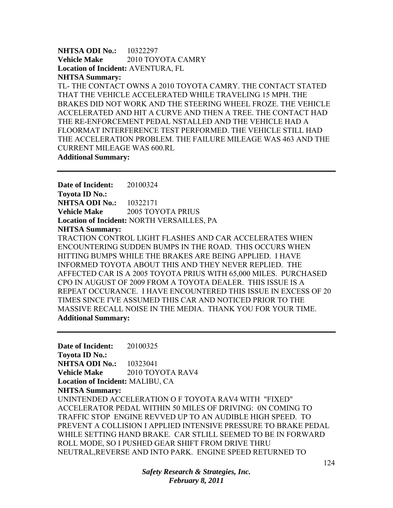**NHTSA ODI No.:** 10322297 **Vehicle Make** 2010 TOYOTA CAMRY **Location of Incident:** AVENTURA, FL **NHTSA Summary:** 

TL- THE CONTACT OWNS A 2010 TOYOTA CAMRY. THE CONTACT STATED THAT THE VEHICLE ACCELERATED WHILE TRAVELING 15 MPH. THE BRAKES DID NOT WORK AND THE STEERING WHEEL FROZE. THE VEHICLE ACCELERATED AND HIT A CURVE AND THEN A TREE. THE CONTACT HAD THE RE-ENFORCEMENT PEDAL NSTALLED AND THE VEHICLE HAD A FLOORMAT INTERFERENCE TEST PERFORMED. THE VEHICLE STILL HAD THE ACCELERATION PROBLEM. THE FAILURE MILEAGE WAS 463 AND THE CURRENT MILEAGE WAS 600.RL

**Additional Summary:** 

**Date of Incident:** 20100324 **Toyota ID No.: NHTSA ODI No.:** 10322171 **Vehicle Make** 2005 TOYOTA PRIUS **Location of Incident:** NORTH VERSAILLES, PA **NHTSA Summary:**  TRACTION CONTROL LIGHT FLASHES AND CAR ACCELERATES WHEN ENCOUNTERING SUDDEN BUMPS IN THE ROAD. THIS OCCURS WHEN HITTING BUMPS WHILE THE BRAKES ARE BEING APPLIED. I HAVE INFORMED TOYOTA ABOUT THIS AND THEY NEVER REPLIED. THE AFFECTED CAR IS A 2005 TOYOTA PRIUS WITH 65,000 MILES. PURCHASED CPO IN AUGUST OF 2009 FROM A TOYOTA DEALER. THIS ISSUE IS A REPEAT OCCURANCE. I HAVE ENCOUNTERED THIS ISSUE IN EXCESS OF 20 TIMES SINCE I'VE ASSUMED THIS CAR AND NOTICED PRIOR TO THE MASSIVE RECALL NOISE IN THE MEDIA. THANK YOU FOR YOUR TIME. **Additional Summary:** 

**Date of Incident:** 20100325 **Toyota ID No.: NHTSA ODI No.:** 10323041 **Vehicle Make** 2010 TOYOTA RAV4 **Location of Incident:** MALIBU, CA **NHTSA Summary:**  UNINTENDED ACCELERATION O F TOYOTA RAV4 WITH "FIXED" ACCELERATOR PEDAL WITHIN 50 MILES OF DRIVING: 0N COMING TO TRAFFIC STOP ENGINE REVVED UP TO AN AUDIBLE HIGH SPEED. TO PREVENT A COLLISION I APPLIED INTENSIVE PRESSURE TO BRAKE PEDAL WHILE SETTING HAND BRAKE. CAR STLILL SEEMED TO BE IN FORWARD ROLL MODE, SO I PUSHED GEAR SHIFT FROM DRIVE THRU NEUTRAL,REVERSE AND INTO PARK. ENGINE SPEED RETURNED TO

> *Safety Research & Strategies, Inc. February 8, 2011*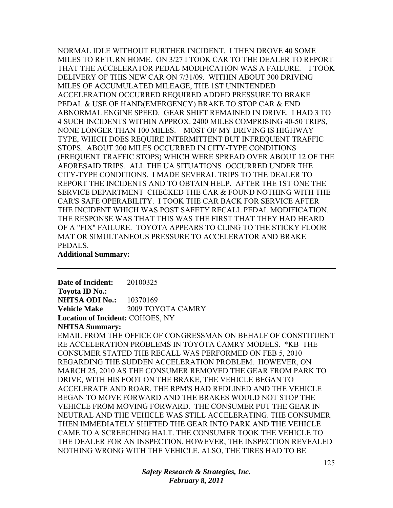NORMAL IDLE WITHOUT FURTHER INCIDENT. I THEN DROVE 40 SOME MILES TO RETURN HOME. ON 3/27 I TOOK CAR TO THE DEALER TO REPORT THAT THE ACCELERATOR PEDAL MODIFICATION WAS A FAILURE. I TOOK DELIVERY OF THIS NEW CAR ON 7/31/09. WITHIN ABOUT 300 DRIVING MILES OF ACCUMULATED MILEAGE, THE 1ST UNINTENDED ACCELERATION OCCURRED REQUIRED ADDED PRESSURE TO BRAKE PEDAL & USE OF HAND(EMERGENCY) BRAKE TO STOP CAR & END ABNORMAL ENGINE SPEED. GEAR SHIFT REMAINED IN DRIVE. I HAD 3 TO 4 SUCH INCIDENTS WITHIN APPROX. 2400 MILES COMPRISING 40-50 TRIPS, NONE LONGER THAN 100 MILES. MOST OF MY DRIVING IS HIGHWAY TYPE, WHICH DOES REQUIRE INTERMITTENT BUT INFREQUENT TRAFFIC STOPS. ABOUT 200 MILES OCCURRED IN CITY-TYPE CONDITIONS (FREQUENT TRAFFIC STOPS) WHICH WERE SPREAD OVER ABOUT 12 OF THE AFORESAID TRIPS. ALL THE UA SITUATIONS OCCURRED UNDER THE CITY-TYPE CONDITIONS. I MADE SEVERAL TRIPS TO THE DEALER TO REPORT THE INCIDENTS AND TO OBTAIN HELP. AFTER THE 1ST ONE THE SERVICE DEPARTMENT CHECKED THE CAR & FOUND NOTHING WITH THE CAR'S SAFE OPERABILITY. I TOOK THE CAR BACK FOR SERVICE AFTER THE INCIDENT WHICH WAS POST SAFETY RECALL PEDAL MODIFICATION. THE RESPONSE WAS THAT THIS WAS THE FIRST THAT THEY HAD HEARD OF A "FIX" FAILURE. TOYOTA APPEARS TO CLING TO THE STICKY FLOOR MAT OR SIMULTANEOUS PRESSURE TO ACCELERATOR AND BRAKE PEDALS.

**Additional Summary:** 

**Date of Incident:** 20100325 **Toyota ID No.: NHTSA ODI No.:** 10370169 **Vehicle Make** 2009 TOYOTA CAMRY **Location of Incident:** COHOES, NY

**NHTSA Summary:** 

EMAIL FROM THE OFFICE OF CONGRESSMAN ON BEHALF OF CONSTITUENT RE ACCELERATION PROBLEMS IN TOYOTA CAMRY MODELS. \*KB THE CONSUMER STATED THE RECALL WAS PERFORMED ON FEB 5, 2010 REGARDING THE SUDDEN ACCELERATION PROBLEM. HOWEVER, ON MARCH 25, 2010 AS THE CONSUMER REMOVED THE GEAR FROM PARK TO DRIVE, WITH HIS FOOT ON THE BRAKE, THE VEHICLE BEGAN TO ACCELERATE AND ROAR, THE RPM'S HAD REDLINED AND THE VEHICLE BEGAN TO MOVE FORWARD AND THE BRAKES WOULD NOT STOP THE VEHICLE FROM MOVING FORWARD. THE CONSUMER PUT THE GEAR IN NEUTRAL AND THE VEHICLE WAS STILL ACCELERATING. THE CONSUMER THEN IMMEDIATELY SHIFTED THE GEAR INTO PARK AND THE VEHICLE CAME TO A SCREECHING HALT. THE CONSUMER TOOK THE VEHICLE TO THE DEALER FOR AN INSPECTION. HOWEVER, THE INSPECTION REVEALED NOTHING WRONG WITH THE VEHICLE. ALSO, THE TIRES HAD TO BE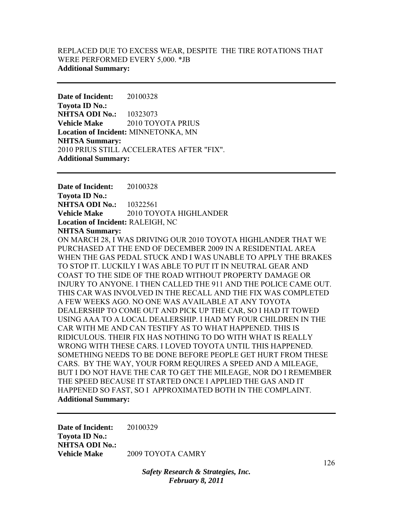# REPLACED DUE TO EXCESS WEAR, DESPITE THE TIRE ROTATIONS THAT WERE PERFORMED EVERY 5,000. \*JB **Additional Summary:**

**Date of Incident:** 20100328 **Toyota ID No.: NHTSA ODI No.:** 10323073 **Vehicle Make** 2010 TOYOTA PRIUS **Location of Incident:** MINNETONKA, MN **NHTSA Summary:**  2010 PRIUS STILL ACCELERATES AFTER "FIX". **Additional Summary:** 

**Date of Incident:** 20100328 **Toyota ID No.: NHTSA ODI No.:** 10322561 **Vehicle Make** 2010 TOYOTA HIGHLANDER **Location of Incident:** RALEIGH, NC **NHTSA Summary:**  ON MARCH 28, I WAS DRIVING OUR 2010 TOYOTA HIGHLANDER THAT WE PURCHASED AT THE END OF DECEMBER 2009 IN A RESIDENTIAL AREA WHEN THE GAS PEDAL STUCK AND I WAS UNABLE TO APPLY THE BRAKES TO STOP IT. LUCKILY I WAS ABLE TO PUT IT IN NEUTRAL GEAR AND COAST TO THE SIDE OF THE ROAD WITHOUT PROPERTY DAMAGE OR INJURY TO ANYONE. I THEN CALLED THE 911 AND THE POLICE CAME OUT. THIS CAR WAS INVOLVED IN THE RECALL AND THE FIX WAS COMPLETED A FEW WEEKS AGO. NO ONE WAS AVAILABLE AT ANY TOYOTA DEALERSHIP TO COME OUT AND PICK UP THE CAR, SO I HAD IT TOWED USING AAA TO A LOCAL DEALERSHIP. I HAD MY FOUR CHILDREN IN THE CAR WITH ME AND CAN TESTIFY AS TO WHAT HAPPENED. THIS IS RIDICULOUS. THEIR FIX HAS NOTHING TO DO WITH WHAT IS REALLY WRONG WITH THESE CARS. I LOVED TOYOTA UNTIL THIS HAPPENED. SOMETHING NEEDS TO BE DONE BEFORE PEOPLE GET HURT FROM THESE CARS. BY THE WAY, YOUR FORM REQUIRES A SPEED AND A MILEAGE, BUT I DO NOT HAVE THE CAR TO GET THE MILEAGE, NOR DO I REMEMBER THE SPEED BECAUSE IT STARTED ONCE I APPLIED THE GAS AND IT HAPPENED SO FAST, SO I APPROXIMATED BOTH IN THE COMPLAINT. **Additional Summary:** 

**Date of Incident:** 20100329 **Toyota ID No.: NHTSA ODI No.: Vehicle Make** 2009 TOYOTA CAMRY

> *Safety Research & Strategies, Inc. February 8, 2011*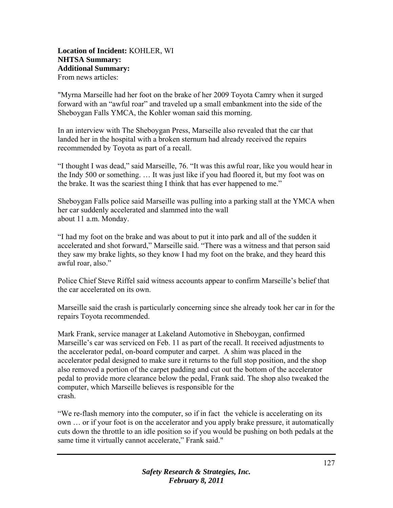# **Location of Incident:** KOHLER, WI **NHTSA Summary: Additional Summary:**  From news articles:

"Myrna Marseille had her foot on the brake of her 2009 Toyota Camry when it surged forward with an "awful roar" and traveled up a small embankment into the side of the Sheboygan Falls YMCA, the Kohler woman said this morning.

In an interview with The Sheboygan Press, Marseille also revealed that the car that landed her in the hospital with a broken sternum had already received the repairs recommended by Toyota as part of a recall.

"I thought I was dead," said Marseille, 76. "It was this awful roar, like you would hear in the Indy 500 or something. … It was just like if you had floored it, but my foot was on the brake. It was the scariest thing I think that has ever happened to me."

Sheboygan Falls police said Marseille was pulling into a parking stall at the YMCA when her car suddenly accelerated and slammed into the wall about 11 a.m. Monday.

"I had my foot on the brake and was about to put it into park and all of the sudden it accelerated and shot forward," Marseille said. "There was a witness and that person said they saw my brake lights, so they know I had my foot on the brake, and they heard this awful roar, also."

Police Chief Steve Riffel said witness accounts appear to confirm Marseille's belief that the car accelerated on its own.

Marseille said the crash is particularly concerning since she already took her car in for the repairs Toyota recommended.

Mark Frank, service manager at Lakeland Automotive in Sheboygan, confirmed Marseille's car was serviced on Feb. 11 as part of the recall. It received adjustments to the accelerator pedal, on-board computer and carpet. A shim was placed in the accelerator pedal designed to make sure it returns to the full stop position, and the shop also removed a portion of the carpet padding and cut out the bottom of the accelerator pedal to provide more clearance below the pedal, Frank said. The shop also tweaked the computer, which Marseille believes is responsible for the crash.

"We re-flash memory into the computer, so if in fact the vehicle is accelerating on its own … or if your foot is on the accelerator and you apply brake pressure, it automatically cuts down the throttle to an idle position so if you would be pushing on both pedals at the same time it virtually cannot accelerate," Frank said."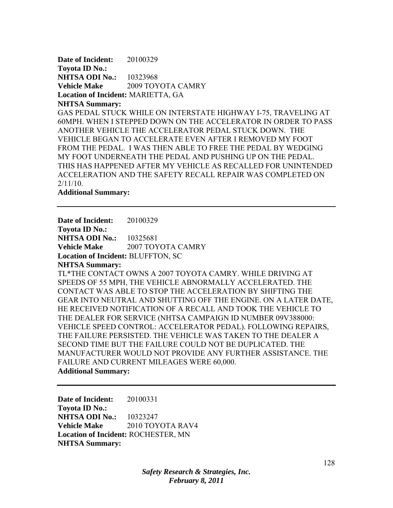**Date of Incident:** 20100329 **Toyota ID No.: NHTSA ODI No.:** 10323968 **Vehicle Make** 2009 TOYOTA CAMRY **Location of Incident:** MARIETTA, GA **NHTSA Summary:**  GAS PEDAL STUCK WHILE ON INTERSTATE HIGHWAY I-75, TRAVELING AT 60MPH. WHEN I STEPPED DOWN ON THE ACCELERATOR IN ORDER TO PASS ANOTHER VEHICLE THE ACCELERATOR PEDAL STUCK DOWN. THE VEHICLE BEGAN TO ACCELERATE EVEN AFTER I REMOVED MY FOOT FROM THE PEDAL. I WAS THEN ABLE TO FREE THE PEDAL BY WEDGING MY FOOT UNDERNEATH THE PEDAL AND PUSHING UP ON THE PEDAL. THIS HAS HAPPENED AFTER MY VEHICLE AS RECALLED FOR UNINTENDED ACCELERATION AND THE SAFETY RECALL REPAIR WAS COMPLETED ON 2/11/10.

**Additional Summary:** 

**Date of Incident:** 20100329

**Toyota ID No.:** 

**NHTSA ODI No.:** 10325681

**Vehicle Make** 2007 TOYOTA CAMRY

**Location of Incident:** BLUFFTON, SC

#### **NHTSA Summary:**

TL\*THE CONTACT OWNS A 2007 TOYOTA CAMRY. WHILE DRIVING AT SPEEDS OF 55 MPH, THE VEHICLE ABNORMALLY ACCELERATED. THE CONTACT WAS ABLE TO STOP THE ACCELERATION BY SHIFTING THE GEAR INTO NEUTRAL AND SHUTTING OFF THE ENGINE. ON A LATER DATE, HE RECEIVED NOTIFICATION OF A RECALL AND TOOK THE VEHICLE TO THE DEALER FOR SERVICE (NHTSA CAMPAIGN ID NUMBER 09V388000: VEHICLE SPEED CONTROL: ACCELERATOR PEDAL). FOLLOWING REPAIRS, THE FAILURE PERSISTED. THE VEHICLE WAS TAKEN TO THE DEALER A SECOND TIME BUT THE FAILURE COULD NOT BE DUPLICATED. THE MANUFACTURER WOULD NOT PROVIDE ANY FURTHER ASSISTANCE. THE FAILURE AND CURRENT MILEAGES WERE 60,000. **Additional Summary:** 

**Date of Incident:** 20100331 **Toyota ID No.: NHTSA ODI No.:** 10323247 **Vehicle Make** 2010 TOYOTA RAV4 **Location of Incident:** ROCHESTER, MN **NHTSA Summary:** 

> *Safety Research & Strategies, Inc. February 8, 2011*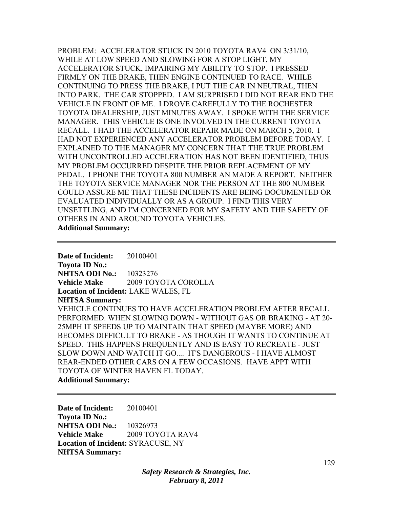PROBLEM: ACCELERATOR STUCK IN 2010 TOYOTA RAV4 ON 3/31/10, WHILE AT LOW SPEED AND SLOWING FOR A STOP LIGHT, MY ACCELERATOR STUCK, IMPAIRING MY ABILITY TO STOP. I PRESSED FIRMLY ON THE BRAKE, THEN ENGINE CONTINUED TO RACE. WHILE CONTINUING TO PRESS THE BRAKE, I PUT THE CAR IN NEUTRAL, THEN INTO PARK. THE CAR STOPPED. I AM SURPRISED I DID NOT REAR END THE VEHICLE IN FRONT OF ME. I DROVE CAREFULLY TO THE ROCHESTER TOYOTA DEALERSHIP, JUST MINUTES AWAY. I SPOKE WITH THE SERVICE MANAGER. THIS VEHICLE IS ONE INVOLVED IN THE CURRENT TOYOTA RECALL. I HAD THE ACCELERATOR REPAIR MADE ON MARCH 5, 2010. I HAD NOT EXPERIENCED ANY ACCELERATOR PROBLEM BEFORE TODAY. I EXPLAINED TO THE MANAGER MY CONCERN THAT THE TRUE PROBLEM WITH UNCONTROLLED ACCELERATION HAS NOT BEEN IDENTIFIED, THUS MY PROBLEM OCCURRED DESPITE THE PRIOR REPLACEMENT OF MY PEDAL. I PHONE THE TOYOTA 800 NUMBER AN MADE A REPORT. NEITHER THE TOYOTA SERVICE MANAGER NOR THE PERSON AT THE 800 NUMBER COULD ASSURE ME THAT THESE INCIDENTS ARE BEING DOCUMENTED OR EVALUATED INDIVIDUALLY OR AS A GROUP. I FIND THIS VERY UNSETTLING, AND I'M CONCERNED FOR MY SAFETY AND THE SAFETY OF OTHERS IN AND AROUND TOYOTA VEHICLES. **Additional Summary:** 

**Date of Incident:** 20100401 **Toyota ID No.: NHTSA ODI No.:** 10323276 **Vehicle Make** 2009 TOYOTA COROLLA **Location of Incident:** LAKE WALES, FL **NHTSA Summary:**  VEHICLE CONTINUES TO HAVE ACCELERATION PROBLEM AFTER RECALL PERFORMED. WHEN SLOWING DOWN - WITHOUT GAS OR BRAKING - AT 20- 25MPH IT SPEEDS UP TO MAINTAIN THAT SPEED (MAYBE MORE) AND BECOMES DIFFICULT TO BRAKE - AS THOUGH IT WANTS TO CONTINUE AT SPEED. THIS HAPPENS FREQUENTLY AND IS EASY TO RECREATE - JUST SLOW DOWN AND WATCH IT GO.... IT'S DANGEROUS - I HAVE ALMOST REAR-ENDED OTHER CARS ON A FEW OCCASIONS. HAVE APPT WITH TOYOTA OF WINTER HAVEN FL TODAY. **Additional Summary:** 

**Date of Incident:** 20100401 **Toyota ID No.: NHTSA ODI No.:** 10326973 **Vehicle Make** 2009 TOYOTA RAV4 **Location of Incident:** SYRACUSE, NY **NHTSA Summary:** 

> *Safety Research & Strategies, Inc. February 8, 2011*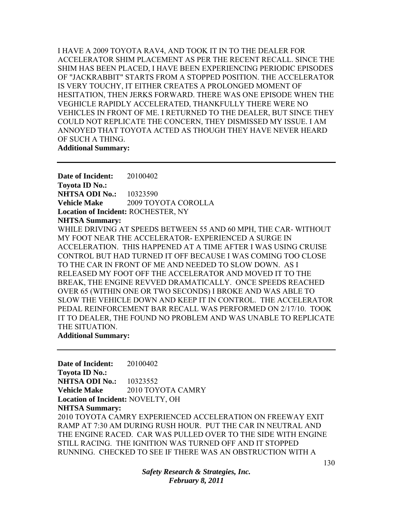I HAVE A 2009 TOYOTA RAV4, AND TOOK IT IN TO THE DEALER FOR ACCELERATOR SHIM PLACEMENT AS PER THE RECENT RECALL. SINCE THE SHIM HAS BEEN PLACED, I HAVE BEEN EXPERIENCING PERIODIC EPISODES OF "JACKRABBIT" STARTS FROM A STOPPED POSITION. THE ACCELERATOR IS VERY TOUCHY, IT EITHER CREATES A PROLONGED MOMENT OF HESITATION, THEN JERKS FORWARD. THERE WAS ONE EPISODE WHEN THE VEGHICLE RAPIDLY ACCELERATED, THANKFULLY THERE WERE NO VEHICLES IN FRONT OF ME. I RETURNED TO THE DEALER, BUT SINCE THEY COULD NOT REPLICATE THE CONCERN, THEY DISMISSED MY ISSUE. I AM ANNOYED THAT TOYOTA ACTED AS THOUGH THEY HAVE NEVER HEARD OF SUCH A THING. **Additional Summary:** 

**Date of Incident:** 20100402 **Toyota ID No.: NHTSA ODI No.:** 10323590 **Vehicle Make** 2009 TOYOTA COROLLA **Location of Incident:** ROCHESTER, NY **NHTSA Summary:**  WHILE DRIVING AT SPEEDS BETWEEN 55 AND 60 MPH, THE CAR- WITHOUT MY FOOT NEAR THE ACCELERATOR- EXPERIENCED A SURGE IN ACCELERATION. THIS HAPPENED AT A TIME AFTER I WAS USING CRUISE CONTROL BUT HAD TURNED IT OFF BECAUSE I WAS COMING TOO CLOSE TO THE CAR IN FRONT OF ME AND NEEDED TO SLOW DOWN. AS I RELEASED MY FOOT OFF THE ACCELERATOR AND MOVED IT TO THE BREAK, THE ENGINE REVVED DRAMATICALLY. ONCE SPEEDS REACHED OVER 65 (WITHIN ONE OR TWO SECONDS) I BROKE AND WAS ABLE TO SLOW THE VEHICLE DOWN AND KEEP IT IN CONTROL. THE ACCELERATOR PEDAL REINFORCEMENT BAR RECALL WAS PERFORMED ON 2/17/10. TOOK IT TO DEALER, THE FOUND NO PROBLEM AND WAS UNABLE TO REPLICATE THE SITUATION.

**Additional Summary:** 

**Date of Incident:** 20100402 **Toyota ID No.: NHTSA ODI No.:** 10323552 **Vehicle Make 2010 TOYOTA CAMRY Location of Incident:** NOVELTY, OH **NHTSA Summary:**  2010 TOYOTA CAMRY EXPERIENCED ACCELERATION ON FREEWAY EXIT RAMP AT 7:30 AM DURING RUSH HOUR. PUT THE CAR IN NEUTRAL AND THE ENGINE RACED. CAR WAS PULLED OVER TO THE SIDE WITH ENGINE STILL RACING. THE IGNITION WAS TURNED OFF AND IT STOPPED RUNNING. CHECKED TO SEE IF THERE WAS AN OBSTRUCTION WITH A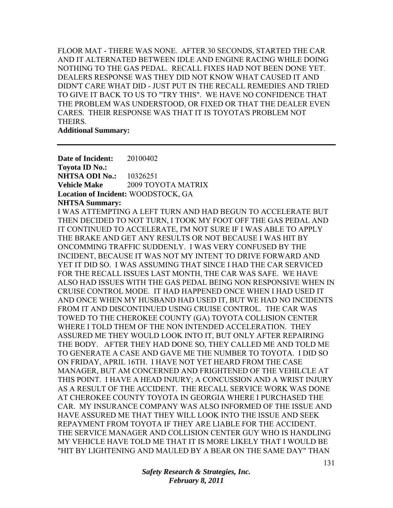FLOOR MAT - THERE WAS NONE. AFTER 30 SECONDS, STARTED THE CAR AND IT ALTERNATED BETWEEN IDLE AND ENGINE RACING WHILE DOING NOTHING TO THE GAS PEDAL. RECALL FIXES HAD NOT BEEN DONE YET. DEALERS RESPONSE WAS THEY DID NOT KNOW WHAT CAUSED IT AND DIDN'T CARE WHAT DID - JUST PUT IN THE RECALL REMEDIES AND TRIED TO GIVE IT BACK TO US TO "TRY THIS". WE HAVE NO CONFIDENCE THAT THE PROBLEM WAS UNDERSTOOD, OR FIXED OR THAT THE DEALER EVEN CARES. THEIR RESPONSE WAS THAT IT IS TOYOTA'S PROBLEM NOT THEIRS.

**Additional Summary:** 

**Date of Incident:** 20100402 **Toyota ID No.: NHTSA ODI No.:** 10326251 **Vehicle Make** 2009 TOYOTA MATRIX **Location of Incident:** WOODSTOCK, GA **NHTSA Summary:**  I WAS ATTEMPTING A LEFT TURN AND HAD BEGUN TO ACCELERATE BUT THEN DECIDED TO NOT TURN, I TOOK MY FOOT OFF THE GAS PEDAL AND IT CONTINUED TO ACCELERATE, I'M NOT SURE IF I WAS ABLE TO APPLY THE BRAKE AND GET ANY RESULTS OR NOT BECAUSE I WAS HIT BY ONCOMMING TRAFFIC SUDDENLY. I WAS VERY CONFUSED BY THE INCIDENT, BECAUSE IT WAS NOT MY INTENT TO DRIVE FORWARD AND YET IT DID SO. I WAS ASSUMING THAT SINCE I HAD THE CAR SERVICED FOR THE RECALL ISSUES LAST MONTH, THE CAR WAS SAFE. WE HAVE ALSO HAD ISSUES WITH THE GAS PEDAL BEING NON RESPONSIVE WHEN IN CRUISE CONTROL MODE. IT HAD HAPPENED ONCE WHEN I HAD USED IT AND ONCE WHEN MY HUSBAND HAD USED IT, BUT WE HAD NO INCIDENTS FROM IT AND DISCONTINUED USING CRUISE CONTROL. THE CAR WAS TOWED TO THE CHEROKEE COUNTY (GA) TOYOTA COLLISION CENTER WHERE I TOLD THEM OF THE NON INTENDED ACCELERATION. THEY ASSURED ME THEY WOULD LOOK INTO IT, BUT ONLY AFTER REPAIRING THE BODY. AFTER THEY HAD DONE SO, THEY CALLED ME AND TOLD ME TO GENERATE A CASE AND GAVE ME THE NUMBER TO TOYOTA. I DID SO ON FRIDAY, APRIL 16TH. I HAVE NOT YET HEARD FROM THE CASE MANAGER, BUT AM CONCERNED AND FRIGHTENED OF THE VEHILCLE AT THIS POINT. I HAVE A HEAD INJURY; A CONCUSSION AND A WRIST INJURY AS A RESULT OF THE ACCIDENT. THE RECALL SERVICE WORK WAS DONE AT CHEROKEE COUNTY TOYOTA IN GEORGIA WHERE I PURCHASED THE CAR. MY INSURANCE COMPANY WAS ALSO INFORMED OF THE ISSUE AND HAVE ASSURED ME THAT THEY WILL LOOK INTO THE ISSUE AND SEEK REPAYMENT FROM TOYOTA IF THEY ARE LIABLE FOR THE ACCIDENT. THE SERVICE MANAGER AND COLLISION CENTER GUY WHO IS HANDLING MY VEHICLE HAVE TOLD ME THAT IT IS MORE LIKELY THAT I WOULD BE "HIT BY LIGHTENING AND MAULED BY A BEAR ON THE SAME DAY" THAN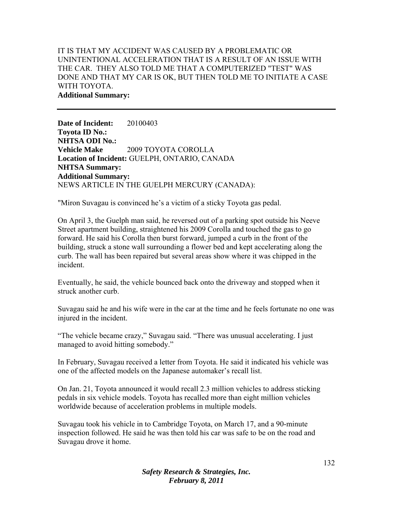# IT IS THAT MY ACCIDENT WAS CAUSED BY A PROBLEMATIC OR UNINTENTIONAL ACCELERATION THAT IS A RESULT OF AN ISSUE WITH THE CAR. THEY ALSO TOLD ME THAT A COMPUTERIZED "TEST" WAS DONE AND THAT MY CAR IS OK, BUT THEN TOLD ME TO INITIATE A CASE WITH TOYOTA. **Additional Summary:**

**Date of Incident:** 20100403 **Toyota ID No.: NHTSA ODI No.: Vehicle Make** 2009 TOYOTA COROLLA **Location of Incident:** GUELPH, ONTARIO, CANADA **NHTSA Summary: Additional Summary:**  NEWS ARTICLE IN THE GUELPH MERCURY (CANADA):

"Miron Suvagau is convinced he's a victim of a sticky Toyota gas pedal.

On April 3, the Guelph man said, he reversed out of a parking spot outside his Neeve Street apartment building, straightened his 2009 Corolla and touched the gas to go forward. He said his Corolla then burst forward, jumped a curb in the front of the building, struck a stone wall surrounding a flower bed and kept accelerating along the curb. The wall has been repaired but several areas show where it was chipped in the incident.

Eventually, he said, the vehicle bounced back onto the driveway and stopped when it struck another curb.

Suvagau said he and his wife were in the car at the time and he feels fortunate no one was injured in the incident.

"The vehicle became crazy," Suvagau said. "There was unusual accelerating. I just managed to avoid hitting somebody."

In February, Suvagau received a letter from Toyota. He said it indicated his vehicle was one of the affected models on the Japanese automaker's recall list.

On Jan. 21, Toyota announced it would recall 2.3 million vehicles to address sticking pedals in six vehicle models. Toyota has recalled more than eight million vehicles worldwide because of acceleration problems in multiple models.

Suvagau took his vehicle in to Cambridge Toyota, on March 17, and a 90-minute inspection followed. He said he was then told his car was safe to be on the road and Suvagau drove it home.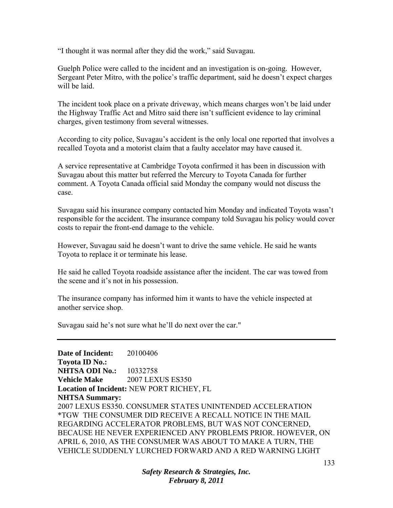"I thought it was normal after they did the work," said Suvagau.

Guelph Police were called to the incident and an investigation is on-going. However, Sergeant Peter Mitro, with the police's traffic department, said he doesn't expect charges will be laid.

The incident took place on a private driveway, which means charges won't be laid under the Highway Traffic Act and Mitro said there isn't sufficient evidence to lay criminal charges, given testimony from several witnesses.

According to city police, Suvagau's accident is the only local one reported that involves a recalled Toyota and a motorist claim that a faulty accelator may have caused it.

A service representative at Cambridge Toyota confirmed it has been in discussion with Suvagau about this matter but referred the Mercury to Toyota Canada for further comment. A Toyota Canada official said Monday the company would not discuss the case.

Suvagau said his insurance company contacted him Monday and indicated Toyota wasn't responsible for the accident. The insurance company told Suvagau his policy would cover costs to repair the front-end damage to the vehicle.

However, Suvagau said he doesn't want to drive the same vehicle. He said he wants Toyota to replace it or terminate his lease.

He said he called Toyota roadside assistance after the incident. The car was towed from the scene and it's not in his possession.

The insurance company has informed him it wants to have the vehicle inspected at another service shop.

Suvagau said he's not sure what he'll do next over the car."

**Date of Incident:** 20100406 **Toyota ID No.: NHTSA ODI No.:** 10332758 **Vehicle Make** 2007 LEXUS ES350 **Location of Incident:** NEW PORT RICHEY, FL **NHTSA Summary:**  2007 LEXUS ES350. CONSUMER STATES UNINTENDED ACCELERATION \*TGW THE CONSUMER DID RECEIVE A RECALL NOTICE IN THE MAIL REGARDING ACCELERATOR PROBLEMS, BUT WAS NOT CONCERNED, BECAUSE HE NEVER EXPERIENCED ANY PROBLEMS PRIOR. HOWEVER, ON APRIL 6, 2010, AS THE CONSUMER WAS ABOUT TO MAKE A TURN, THE VEHICLE SUDDENLY LURCHED FORWARD AND A RED WARNING LIGHT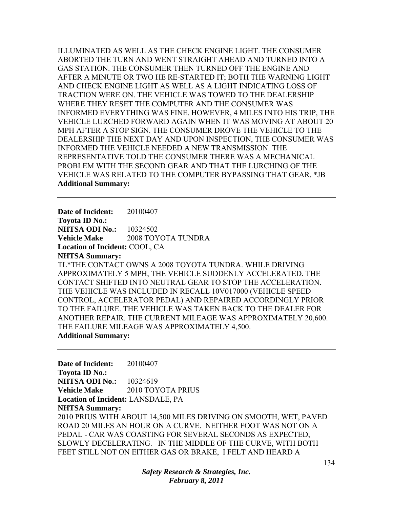ILLUMINATED AS WELL AS THE CHECK ENGINE LIGHT. THE CONSUMER ABORTED THE TURN AND WENT STRAIGHT AHEAD AND TURNED INTO A GAS STATION. THE CONSUMER THEN TURNED OFF THE ENGINE AND AFTER A MINUTE OR TWO HE RE-STARTED IT; BOTH THE WARNING LIGHT AND CHECK ENGINE LIGHT AS WELL AS A LIGHT INDICATING LOSS OF TRACTION WERE ON. THE VEHICLE WAS TOWED TO THE DEALERSHIP WHERE THEY RESET THE COMPUTER AND THE CONSUMER WAS INFORMED EVERYTHING WAS FINE. HOWEVER, 4 MILES INTO HIS TRIP, THE VEHICLE LURCHED FORWARD AGAIN WHEN IT WAS MOVING AT ABOUT 20 MPH AFTER A STOP SIGN. THE CONSUMER DROVE THE VEHICLE TO THE DEALERSHIP THE NEXT DAY AND UPON INSPECTION, THE CONSUMER WAS INFORMED THE VEHICLE NEEDED A NEW TRANSMISSION. THE REPRESENTATIVE TOLD THE CONSUMER THERE WAS A MECHANICAL PROBLEM WITH THE SECOND GEAR AND THAT THE LURCHING OF THE VEHICLE WAS RELATED TO THE COMPUTER BYPASSING THAT GEAR. \*JB **Additional Summary:** 

**Date of Incident:** 20100407 **Toyota ID No.: NHTSA ODI No.:** 10324502 **Vehicle Make** 2008 TOYOTA TUNDRA **Location of Incident:** COOL, CA **NHTSA Summary:**  TL\*THE CONTACT OWNS A 2008 TOYOTA TUNDRA. WHILE DRIVING APPROXIMATELY 5 MPH, THE VEHICLE SUDDENLY ACCELERATED. THE CONTACT SHIFTED INTO NEUTRAL GEAR TO STOP THE ACCELERATION. THE VEHICLE WAS INCLUDED IN RECALL 10V017000 (VEHICLE SPEED CONTROL, ACCELERATOR PEDAL) AND REPAIRED ACCORDINGLY PRIOR TO THE FAILURE. THE VEHICLE WAS TAKEN BACK TO THE DEALER FOR ANOTHER REPAIR. THE CURRENT MILEAGE WAS APPROXIMATELY 20,600. THE FAILURE MILEAGE WAS APPROXIMATELY 4,500. **Additional Summary:** 

**Date of Incident:** 20100407 **Toyota ID No.: NHTSA ODI No.:** 10324619 **Vehicle Make** 2010 TOYOTA PRIUS **Location of Incident:** LANSDALE, PA **NHTSA Summary:**  2010 PRIUS WITH ABOUT 14,500 MILES DRIVING ON SMOOTH, WET, PAVED ROAD 20 MILES AN HOUR ON A CURVE. NEITHER FOOT WAS NOT ON A PEDAL - CAR WAS COASTING FOR SEVERAL SECONDS AS EXPECTED, SLOWLY DECELERATING. IN THE MIDDLE OF THE CURVE, WITH BOTH FEET STILL NOT ON EITHER GAS OR BRAKE, I FELT AND HEARD A

> *Safety Research & Strategies, Inc. February 8, 2011*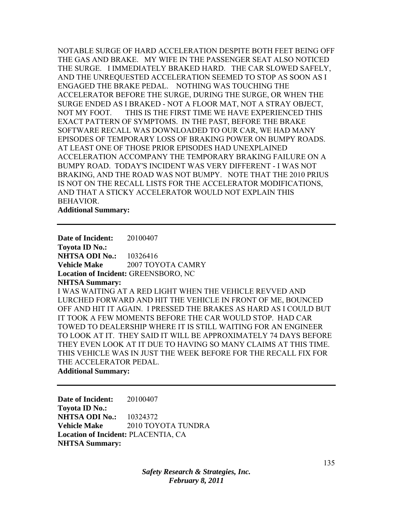NOTABLE SURGE OF HARD ACCELERATION DESPITE BOTH FEET BEING OFF THE GAS AND BRAKE. MY WIFE IN THE PASSENGER SEAT ALSO NOTICED THE SURGE. I IMMEDIATELY BRAKED HARD. THE CAR SLOWED SAFELY, AND THE UNREQUESTED ACCELERATION SEEMED TO STOP AS SOON AS I ENGAGED THE BRAKE PEDAL. NOTHING WAS TOUCHING THE ACCELERATOR BEFORE THE SURGE, DURING THE SURGE, OR WHEN THE SURGE ENDED AS I BRAKED - NOT A FLOOR MAT, NOT A STRAY OBJECT, NOT MY FOOT. THIS IS THE FIRST TIME WE HAVE EXPERIENCED THIS EXACT PATTERN OF SYMPTOMS. IN THE PAST, BEFORE THE BRAKE SOFTWARE RECALL WAS DOWNLOADED TO OUR CAR, WE HAD MANY EPISODES OF TEMPORARY LOSS OF BRAKING POWER ON BUMPY ROADS. AT LEAST ONE OF THOSE PRIOR EPISODES HAD UNEXPLAINED ACCELERATION ACCOMPANY THE TEMPORARY BRAKING FAILURE ON A BUMPY ROAD. TODAY'S INCIDENT WAS VERY DIFFERENT - I WAS NOT BRAKING, AND THE ROAD WAS NOT BUMPY. NOTE THAT THE 2010 PRIUS IS NOT ON THE RECALL LISTS FOR THE ACCELERATOR MODIFICATIONS, AND THAT A STICKY ACCELERATOR WOULD NOT EXPLAIN THIS BEHAVIOR.

**Additional Summary:** 

**Date of Incident:** 20100407 **Toyota ID No.: NHTSA ODI No.:** 10326416 **Vehicle Make** 2007 TOYOTA CAMRY **Location of Incident:** GREENSBORO, NC **NHTSA Summary:**  I WAS WAITING AT A RED LIGHT WHEN THE VEHICLE REVVED AND LURCHED FORWARD AND HIT THE VEHICLE IN FRONT OF ME, BOUNCED OFF AND HIT IT AGAIN. I PRESSED THE BRAKES AS HARD AS I COULD BUT IT TOOK A FEW MOMENTS BEFORE THE CAR WOULD STOP. HAD CAR TOWED TO DEALERSHIP WHERE IT IS STILL WAITING FOR AN ENGINEER TO LOOK AT IT. THEY SAID IT WILL BE APPROXIMATELY 74 DAYS BEFORE THEY EVEN LOOK AT IT DUE TO HAVING SO MANY CLAIMS AT THIS TIME. THIS VEHICLE WAS IN JUST THE WEEK BEFORE FOR THE RECALL FIX FOR THE ACCELERATOR PEDAL. **Additional Summary:** 

**Date of Incident:** 20100407 **Toyota ID No.: NHTSA ODI No.:** 10324372 **Vehicle Make** 2010 TOYOTA TUNDRA **Location of Incident:** PLACENTIA, CA **NHTSA Summary:**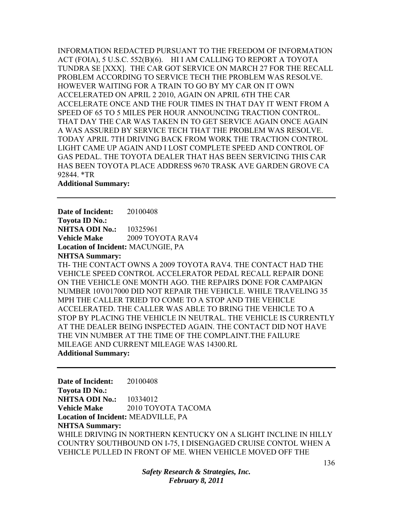INFORMATION REDACTED PURSUANT TO THE FREEDOM OF INFORMATION ACT (FOIA), 5 U.S.C. 552(B)(6). HI I AM CALLING TO REPORT A TOYOTA TUNDRA SE [XXX]. THE CAR GOT SERVICE ON MARCH 27 FOR THE RECALL PROBLEM ACCORDING TO SERVICE TECH THE PROBLEM WAS RESOLVE. HOWEVER WAITING FOR A TRAIN TO GO BY MY CAR ON IT OWN ACCELERATED ON APRIL 2 2010, AGAIN ON APRIL 6TH THE CAR ACCELERATE ONCE AND THE FOUR TIMES IN THAT DAY IT WENT FROM A SPEED OF 65 TO 5 MILES PER HOUR ANNOUNCING TRACTION CONTROL. THAT DAY THE CAR WAS TAKEN IN TO GET SERVICE AGAIN ONCE AGAIN A WAS ASSURED BY SERVICE TECH THAT THE PROBLEM WAS RESOLVE. TODAY APRIL 7TH DRIVING BACK FROM WORK THE TRACTION CONTROL LIGHT CAME UP AGAIN AND I LOST COMPLETE SPEED AND CONTROL OF GAS PEDAL. THE TOYOTA DEALER THAT HAS BEEN SERVICING THIS CAR HAS BEEN TOYOTA PLACE ADDRESS 9670 TRASK AVE GARDEN GROVE CA 92844. \*TR

#### **Additional Summary:**

**Date of Incident:** 20100408 **Toyota ID No.: NHTSA ODI No.:** 10325961 **Vehicle Make** 2009 TOYOTA RAV4 **Location of Incident:** MACUNGIE, PA **NHTSA Summary:**  TH- THE CONTACT OWNS A 2009 TOYOTA RAV4. THE CONTACT HAD THE VEHICLE SPEED CONTROL ACCELERATOR PEDAL RECALL REPAIR DONE ON THE VEHICLE ONE MONTH AGO. THE REPAIRS DONE FOR CAMPAIGN NUMBER 10V017000 DID NOT REPAIR THE VEHICLE. WHILE TRAVELING 35 MPH THE CALLER TRIED TO COME TO A STOP AND THE VEHICLE ACCELERATED. THE CALLER WAS ABLE TO BRING THE VEHICLE TO A STOP BY PLACING THE VEHICLE IN NEUTRAL. THE VEHICLE IS CURRENTLY AT THE DEALER BEING INSPECTED AGAIN. THE CONTACT DID NOT HAVE THE VIN NUMBER AT THE TIME OF THE COMPLAINT.THE FAILURE MILEAGE AND CURRENT MILEAGE WAS 14300.RL **Additional Summary:** 

**Date of Incident:** 20100408 **Toyota ID No.: NHTSA ODI No.:** 10334012 **Vehicle Make 2010 TOYOTA TACOMA Location of Incident:** MEADVILLE, PA **NHTSA Summary:**  WHILE DRIVING IN NORTHERN KENTUCKY ON A SLIGHT INCLINE IN HILLY COUNTRY SOUTHBOUND ON I-75, I DISENGAGED CRUISE CONTOL WHEN A VEHICLE PULLED IN FRONT OF ME. WHEN VEHICLE MOVED OFF THE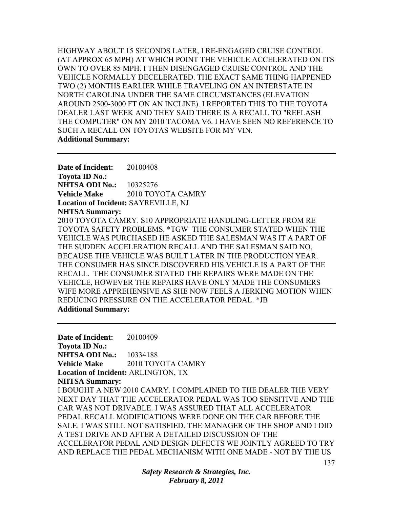HIGHWAY ABOUT 15 SECONDS LATER, I RE-ENGAGED CRUISE CONTROL (AT APPROX 65 MPH) AT WHICH POINT THE VEHICLE ACCELERATED ON ITS OWN TO OVER 85 MPH. I THEN DISENGAGED CRUISE CONTROL AND THE VEHICLE NORMALLY DECELERATED. THE EXACT SAME THING HAPPENED TWO (2) MONTHS EARLIER WHILE TRAVELING ON AN INTERSTATE IN NORTH CAROLINA UNDER THE SAME CIRCUMSTANCES (ELEVATION AROUND 2500-3000 FT ON AN INCLINE). I REPORTED THIS TO THE TOYOTA DEALER LAST WEEK AND THEY SAID THERE IS A RECALL TO "REFLASH THE COMPUTER" ON MY 2010 TACOMA V6. I HAVE SEEN NO REFERENCE TO SUCH A RECALL ON TOYOTAS WEBSITE FOR MY VIN. **Additional Summary:** 

**Date of Incident:** 20100408 **Toyota ID No.: NHTSA ODI No.:** 10325276 **Vehicle Make** 2010 TOYOTA CAMRY **Location of Incident:** SAYREVILLE, NJ **NHTSA Summary:**  2010 TOYOTA CAMRY. S10 APPROPRIATE HANDLING-LETTER FROM RE TOYOTA SAFETY PROBLEMS. \*TGW THE CONSUMER STATED WHEN THE VEHICLE WAS PURCHASED HE ASKED THE SALESMAN WAS IT A PART OF THE SUDDEN ACCELERATION RECALL AND THE SALESMAN SAID NO, BECAUSE THE VEHICLE WAS BUILT LATER IN THE PRODUCTION YEAR. THE CONSUMER HAS SINCE DISCOVERED HIS VEHICLE IS A PART OF THE RECALL. THE CONSUMER STATED THE REPAIRS WERE MADE ON THE VEHICLE, HOWEVER THE REPAIRS HAVE ONLY MADE THE CONSUMERS WIFE MORE APPREHENSIVE AS SHE NOW FEELS A JERKING MOTION WHEN REDUCING PRESSURE ON THE ACCELERATOR PEDAL. \*JB **Additional Summary:** 

**Date of Incident:** 20100409 **Toyota ID No.: NHTSA ODI No.:** 10334188 **Vehicle Make** 2010 TOYOTA CAMRY **Location of Incident:** ARLINGTON, TX **NHTSA Summary:**  I BOUGHT A NEW 2010 CAMRY. I COMPLAINED TO THE DEALER THE VERY NEXT DAY THAT THE ACCELERATOR PEDAL WAS TOO SENSITIVE AND THE CAR WAS NOT DRIVABLE. I WAS ASSURED THAT ALL ACCELERATOR PEDAL RECALL MODIFICATIONS WERE DONE ON THE CAR BEFORE THE SALE. I WAS STILL NOT SATISFIED. THE MANAGER OF THE SHOP AND I DID A TEST DRIVE AND AFTER A DETAILED DISCUSSION OF THE ACCELERATOR PEDAL AND DESIGN DEFECTS WE JOINTLY AGREED TO TRY AND REPLACE THE PEDAL MECHANISM WITH ONE MADE - NOT BY THE US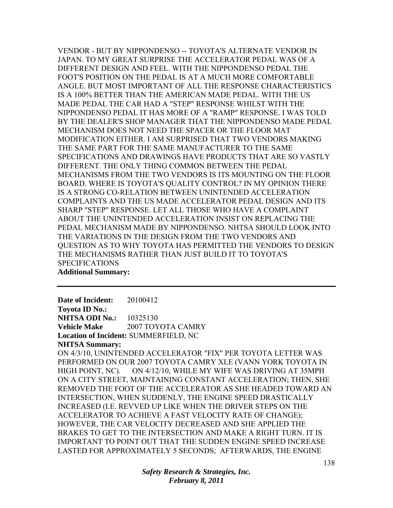VENDOR - BUT BY NIPPONDENSO -- TOYOTA'S ALTERNATE VENDOR IN JAPAN. TO MY GREAT SURPRISE THE ACCELERATOR PEDAL WAS OF A DIFFERENT DESIGN AND FEEL. WITH THE NIPPONDENSO PEDAL THE FOOT'S POSITION ON THE PEDAL IS AT A MUCH MORE COMFORTABLE ANGLE. BUT MOST IMPORTANT OF ALL THE RESPONSE CHARACTERISTICS IS A 100% BETTER THAN THE AMERICAN MADE PEDAL. WITH THE US MADE PEDAL THE CAR HAD A "STEP" RESPONSE WHILST WITH THE NIPPONDENSO PEDAL IT HAS MORE OF A "RAMP" RESPONSE. I WAS TOLD BY THE DEALER'S SHOP MANAGER THAT THE NIPPONDENSO MADE PEDAL MECHANISM DOES NOT NEED THE SPACER OR THE FLOOR MAT MODIFICATION EITHER. I AM SURPRISED THAT TWO VENDORS MAKING THE SAME PART FOR THE SAME MANUFACTURER TO THE SAME SPECIFICATIONS AND DRAWINGS HAVE PRODUCTS THAT ARE SO VASTLY DIFFERENT. THE ONLY THING COMMON BETWEEN THE PEDAL MECHANISMS FROM THE TWO VENDORS IS ITS MOUNTING ON THE FLOOR BOARD. WHERE IS TOYOTA'S QUALITY CONTROL? IN MY OPINION THERE IS A STRONG CO-RELATION BETWEEN UNINTENDED ACCELERATION COMPLAINTS AND THE US MADE ACCELERATOR PEDAL DESIGN AND ITS SHARP "STEP" RESPONSE. LET ALL THOSE WHO HAVE A COMPLAINT ABOUT THE UNINTENDED ACCELERATION INSIST ON REPLACING THE PEDAL MECHANISM MADE BY NIPPONDENSO. NHTSA SHOULD LOOK INTO THE VARIATIONS IN THE DESIGN FROM THE TWO VENDORS AND QUESTION AS TO WHY TOYOTA HAS PERMITTED THE VENDORS TO DESIGN THE MECHANISMS RATHER THAN JUST BUILD IT TO TOYOTA'S SPECIFICATIONS

## **Additional Summary:**

**Date of Incident:** 20100412 **Toyota ID No.: NHTSA ODI No.:** 10325130 **Vehicle Make** 2007 TOYOTA CAMRY **Location of Incident:** SUMMERFIELD, NC **NHTSA Summary:** 

ON 4/3/10, UNINTENDED ACCELERATOR "FIX" PER TOYOTA LETTER WAS PERFORMED ON OUR 2007 TOYOTA CAMRY XLE (VANN YORK TOYOTA IN HIGH POINT, NC). ON 4/12/10, WHILE MY WIFE WAS DRIVING AT 35MPH ON A CITY STREET, MAINTAINING CONSTANT ACCELERATION; THEN, SHE REMOVED THE FOOT OF THE ACCELERATOR AS SHE HEADED TOWARD AN INTERSECTION, WHEN SUDDENLY, THE ENGINE SPEED DRASTICALLY INCREASED (I.E. REVVED UP LIKE WHEN THE DRIVER STEPS ON THE ACCELERATOR TO ACHIEVE A FAST VELOCITY RATE OF CHANGE); HOWEVER, THE CAR VELOCITY DECREASED AND SHE APPLIED THE BRAKES TO GET TO THE INTERSECTION AND MAKE A RIGHT TURN. IT IS IMPORTANT TO POINT OUT THAT THE SUDDEN ENGINE SPEED INCREASE LASTED FOR APPROXIMATELY 5 SECONDS; AFTERWARDS, THE ENGINE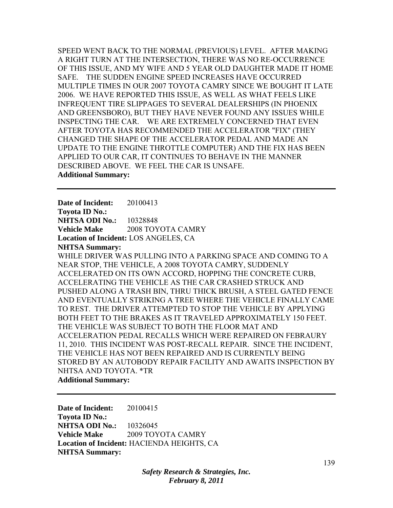SPEED WENT BACK TO THE NORMAL (PREVIOUS) LEVEL. AFTER MAKING A RIGHT TURN AT THE INTERSECTION, THERE WAS NO RE-OCCURRENCE OF THIS ISSUE, AND MY WIFE AND 5 YEAR OLD DAUGHTER MADE IT HOME SAFE. THE SUDDEN ENGINE SPEED INCREASES HAVE OCCURRED MULTIPLE TIMES IN OUR 2007 TOYOTA CAMRY SINCE WE BOUGHT IT LATE 2006. WE HAVE REPORTED THIS ISSUE, AS WELL AS WHAT FEELS LIKE INFREQUENT TIRE SLIPPAGES TO SEVERAL DEALERSHIPS (IN PHOENIX AND GREENSBORO), BUT THEY HAVE NEVER FOUND ANY ISSUES WHILE INSPECTING THE CAR. WE ARE EXTREMELY CONCERNED THAT EVEN AFTER TOYOTA HAS RECOMMENDED THE ACCELERATOR "FIX" (THEY CHANGED THE SHAPE OF THE ACCELERATOR PEDAL AND MADE AN UPDATE TO THE ENGINE THROTTLE COMPUTER) AND THE FIX HAS BEEN APPLIED TO OUR CAR, IT CONTINUES TO BEHAVE IN THE MANNER DESCRIBED ABOVE. WE FEEL THE CAR IS UNSAFE. **Additional Summary:** 

**Date of Incident:** 20100413 **Toyota ID No.: NHTSA ODI No.:** 10328848 **Vehicle Make** 2008 TOYOTA CAMRY **Location of Incident:** LOS ANGELES, CA **NHTSA Summary:**  WHILE DRIVER WAS PULLING INTO A PARKING SPACE AND COMING TO A NEAR STOP, THE VEHICLE, A 2008 TOYOTA CAMRY, SUDDENLY ACCELERATED ON ITS OWN ACCORD, HOPPING THE CONCRETE CURB, ACCELERATING THE VEHICLE AS THE CAR CRASHED STRUCK AND PUSHED ALONG A TRASH BIN, THRU THICK BRUSH, A STEEL GATED FENCE AND EVENTUALLY STRIKING A TREE WHERE THE VEHICLE FINALLY CAME TO REST. THE DRIVER ATTEMPTED TO STOP THE VEHICLE BY APPLYING BOTH FEET TO THE BRAKES AS IT TRAVELED APPROXIMATELY 150 FEET. THE VEHICLE WAS SUBJECT TO BOTH THE FLOOR MAT AND ACCELERATION PEDAL RECALLS WHICH WERE REPAIRED ON FEBRAURY 11, 2010. THIS INCIDENT WAS POST-RECALL REPAIR. SINCE THE INCIDENT, THE VEHICLE HAS NOT BEEN REPAIRED AND IS CURRENTLY BEING STORED BY AN AUTOBODY REPAIR FACILITY AND AWAITS INSPECTION BY NHTSA AND TOYOTA. \*TR

**Additional Summary:** 

**Date of Incident:** 20100415 **Toyota ID No.: NHTSA ODI No.:** 10326045 **Vehicle Make** 2009 TOYOTA CAMRY **Location of Incident:** HACIENDA HEIGHTS, CA **NHTSA Summary:** 

> *Safety Research & Strategies, Inc. February 8, 2011*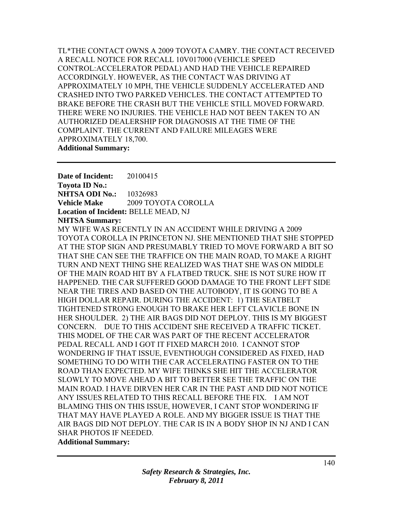TL\*THE CONTACT OWNS A 2009 TOYOTA CAMRY. THE CONTACT RECEIVED A RECALL NOTICE FOR RECALL 10V017000 (VEHICLE SPEED CONTROL:ACCELERATOR PEDAL) AND HAD THE VEHICLE REPAIRED ACCORDINGLY. HOWEVER, AS THE CONTACT WAS DRIVING AT APPROXIMATELY 10 MPH, THE VEHICLE SUDDENLY ACCELERATED AND CRASHED INTO TWO PARKED VEHICLES. THE CONTACT ATTEMPTED TO BRAKE BEFORE THE CRASH BUT THE VEHICLE STILL MOVED FORWARD. THERE WERE NO INJURIES. THE VEHICLE HAD NOT BEEN TAKEN TO AN AUTHORIZED DEALERSHIP FOR DIAGNOSIS AT THE TIME OF THE COMPLAINT. THE CURRENT AND FAILURE MILEAGES WERE APPROXIMATELY 18,700. **Additional Summary:** 

**Date of Incident:** 20100415 **Toyota ID No.: NHTSA ODI No.:** 10326983 **Vehicle Make** 2009 TOYOTA COROLLA **Location of Incident:** BELLE MEAD, NJ **NHTSA Summary:** 

MY WIFE WAS RECENTLY IN AN ACCIDENT WHILE DRIVING A 2009 TOYOTA COROLLA IN PRINCETON NJ. SHE MENTIONED THAT SHE STOPPED AT THE STOP SIGN AND PRESUMABLY TRIED TO MOVE FORWARD A BIT SO THAT SHE CAN SEE THE TRAFFICE ON THE MAIN ROAD, TO MAKE A RIGHT TURN AND NEXT THING SHE REALIZED WAS THAT SHE WAS ON MIDDLE OF THE MAIN ROAD HIT BY A FLATBED TRUCK. SHE IS NOT SURE HOW IT HAPPENED. THE CAR SUFFERED GOOD DAMAGE TO THE FRONT LEFT SIDE NEAR THE TIRES AND BASED ON THE AUTOBODY, IT IS GOING TO BE A HIGH DOLLAR REPAIR. DURING THE ACCIDENT: 1) THE SEATBELT TIGHTENED STRONG ENOUGH TO BRAKE HER LEFT CLAVICLE BONE IN HER SHOULDER. 2) THE AIR BAGS DID NOT DEPLOY. THIS IS MY BIGGEST CONCERN. DUE TO THIS ACCIDENT SHE RECEIVED A TRAFFIC TICKET. THIS MODEL OF THE CAR WAS PART OF THE RECENT ACCELERATOR PEDAL RECALL AND I GOT IT FIXED MARCH 2010. I CANNOT STOP WONDERING IF THAT ISSUE, EVENTHOUGH CONSIDERED AS FIXED, HAD SOMETHING TO DO WITH THE CAR ACCELERATING FASTER ON TO THE ROAD THAN EXPECTED. MY WIFE THINKS SHE HIT THE ACCELERATOR SLOWLY TO MOVE AHEAD A BIT TO BETTER SEE THE TRAFFIC ON THE MAIN ROAD. I HAVE DIRVEN HER CAR IN THE PAST AND DID NOT NOTICE ANY ISSUES RELATED TO THIS RECALL BEFORE THE FIX. I AM NOT BLAMING THIS ON THIS ISSUE, HOWEVER, I CANT STOP WONDERING IF THAT MAY HAVE PLAYED A ROLE. AND MY BIGGER ISSUE IS THAT THE AIR BAGS DID NOT DEPLOY. THE CAR IS IN A BODY SHOP IN NJ AND I CAN SHAR PHOTOS IF NEEDED.

# **Additional Summary:**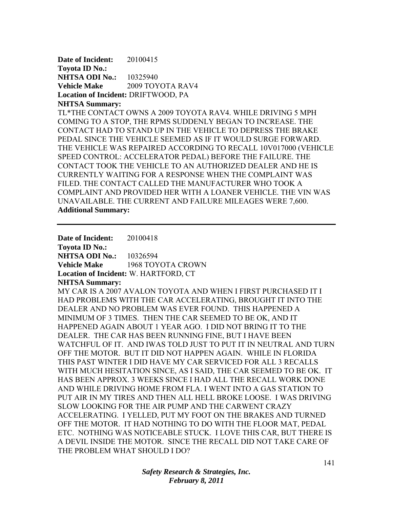**Date of Incident:** 20100415 **Toyota ID No.: NHTSA ODI No.:** 10325940 **Vehicle Make** 2009 TOYOTA RAV4 **Location of Incident:** DRIFTWOOD, PA **NHTSA Summary:** 

TL\*THE CONTACT OWNS A 2009 TOYOTA RAV4. WHILE DRIVING 5 MPH COMING TO A STOP, THE RPMS SUDDENLY BEGAN TO INCREASE. THE CONTACT HAD TO STAND UP IN THE VEHICLE TO DEPRESS THE BRAKE PEDAL SINCE THE VEHICLE SEEMED AS IF IT WOULD SURGE FORWARD. THE VEHICLE WAS REPAIRED ACCORDING TO RECALL 10V017000 (VEHICLE SPEED CONTROL: ACCELERATOR PEDAL) BEFORE THE FAILURE. THE CONTACT TOOK THE VEHICLE TO AN AUTHORIZED DEALER AND HE IS CURRENTLY WAITING FOR A RESPONSE WHEN THE COMPLAINT WAS FILED. THE CONTACT CALLED THE MANUFACTURER WHO TOOK A COMPLAINT AND PROVIDED HER WITH A LOANER VEHICLE. THE VIN WAS UNAVAILABLE. THE CURRENT AND FAILURE MILEAGES WERE 7,600. **Additional Summary:** 

**Date of Incident:** 20100418 **Toyota ID No.: NHTSA ODI No.:** 10326594 **Vehicle Make** 1968 TOYOTA CROWN **Location of Incident:** W. HARTFORD, CT **NHTSA Summary:**  MY CAR IS A 2007 AVALON TOYOTA AND WHEN I FIRST PURCHASED IT I HAD PROBLEMS WITH THE CAR ACCELERATING, BROUGHT IT INTO THE DEALER AND NO PROBLEM WAS EVER FOUND. THIS HAPPENED A MINIMUM OF 3 TIMES. THEN THE CAR SEEMED TO BE OK, AND IT HAPPENED AGAIN ABOUT 1 YEAR AGO. I DID NOT BRING IT TO THE DEALER. THE CAR HAS BEEN RUNNING FINE, BUT I HAVE BEEN WATCHFUL OF IT. AND IWAS TOLD JUST TO PUT IT IN NEUTRAL AND TURN OFF THE MOTOR. BUT IT DID NOT HAPPEN AGAIN. WHILE IN FLORIDA THIS PAST WINTER I DID HAVE MY CAR SERVICED FOR ALL 3 RECALLS WITH MUCH HESITATION SINCE, AS I SAID, THE CAR SEEMED TO BE OK. IT HAS BEEN APPROX. 3 WEEKS SINCE I HAD ALL THE RECALL WORK DONE AND WHILE DRIVING HOME FROM FLA. I WENT INTO A GAS STATION TO PUT AIR IN MY TIRES AND THEN ALL HELL BROKE LOOSE. I WAS DRIVING SLOW LOOKING FOR THE AIR PUMP AND THE CARWENT CRAZY ACCELERATING. I YELLED, PUT MY FOOT ON THE BRAKES AND TURNED OFF THE MOTOR. IT HAD NOTHING TO DO WITH THE FLOOR MAT, PEDAL ETC. NOTHING WAS NOTICEABLE STUCK. I LOVE THIS CAR, BUT THERE IS A DEVIL INSIDE THE MOTOR. SINCE THE RECALL DID NOT TAKE CARE OF THE PROBLEM WHAT SHOULD I DO?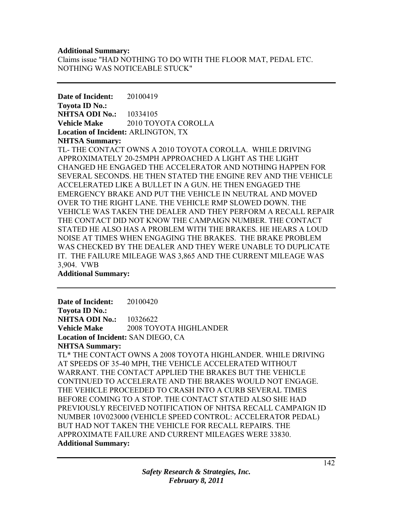#### **Additional Summary:**

Claims issue "HAD NOTHING TO DO WITH THE FLOOR MAT, PEDAL ETC. NOTHING WAS NOTICEABLE STUCK"

**Date of Incident:** 20100419 **Toyota ID No.: NHTSA ODI No.:** 10334105 **Vehicle Make** 2010 TOYOTA COROLLA **Location of Incident:** ARLINGTON, TX **NHTSA Summary:** 

TL- THE CONTACT OWNS A 2010 TOYOTA COROLLA. WHILE DRIVING APPROXIMATELY 20-25MPH APPROACHED A LIGHT AS THE LIGHT CHANGED HE ENGAGED THE ACCELERATOR AND NOTHING HAPPEN FOR SEVERAL SECONDS. HE THEN STATED THE ENGINE REV AND THE VEHICLE ACCELERATED LIKE A BULLET IN A GUN. HE THEN ENGAGED THE EMERGENCY BRAKE AND PUT THE VEHICLE IN NEUTRAL AND MOVED OVER TO THE RIGHT LANE. THE VEHICLE RMP SLOWED DOWN. THE VEHICLE WAS TAKEN THE DEALER AND THEY PERFORM A RECALL REPAIR THE CONTACT DID NOT KNOW THE CAMPAIGN NUMBER. THE CONTACT STATED HE ALSO HAS A PROBLEM WITH THE BRAKES. HE HEARS A LOUD NOISE AT TIMES WHEN ENGAGING THE BRAKES. THE BRAKE PROBLEM WAS CHECKED BY THE DEALER AND THEY WERE UNABLE TO DUPLICATE IT. THE FAILURE MILEAGE WAS 3,865 AND THE CURRENT MILEAGE WAS 3,904. VWB

**Additional Summary:** 

**Date of Incident:** 20100420 **Toyota ID No.: NHTSA ODI No.: 10326622 Vehicle Make** 2008 TOYOTA HIGHLANDER **Location of Incident:** SAN DIEGO, CA **NHTSA Summary:**  TL\* THE CONTACT OWNS A 2008 TOYOTA HIGHLANDER. WHILE DRIVING AT SPEEDS OF 35-40 MPH, THE VEHICLE ACCELERATED WITHOUT WARRANT. THE CONTACT APPLIED THE BRAKES BUT THE VEHICLE CONTINUED TO ACCELERATE AND THE BRAKES WOULD NOT ENGAGE. THE VEHICLE PROCEEDED TO CRASH INTO A CURB SEVERAL TIMES BEFORE COMING TO A STOP. THE CONTACT STATED ALSO SHE HAD PREVIOUSLY RECEIVED NOTIFICATION OF NHTSA RECALL CAMPAIGN ID NUMBER 10V023000 (VEHICLE SPEED CONTROL: ACCELERATOR PEDAL) BUT HAD NOT TAKEN THE VEHICLE FOR RECALL REPAIRS. THE APPROXIMATE FAILURE AND CURRENT MILEAGES WERE 33830. **Additional Summary:**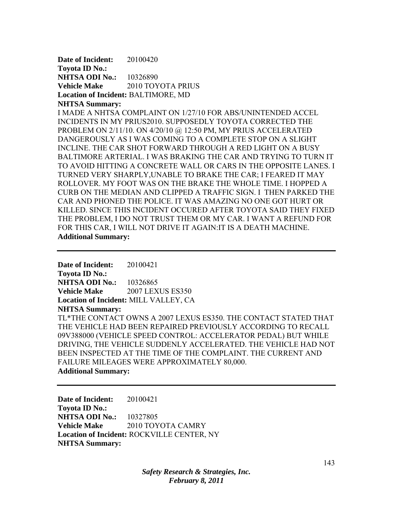**Date of Incident:** 20100420 **Toyota ID No.: NHTSA ODI No.:** 10326890 **Vehicle Make** 2010 TOYOTA PRIUS **Location of Incident:** BALTIMORE, MD **NHTSA Summary:** 

I MADE A NHTSA COMPLAINT ON 1/27/10 FOR ABS/UNINTENDED ACCEL INCIDENTS IN MY PRIUS2010. SUPPOSEDLY TOYOTA CORRECTED THE PROBLEM ON 2/11/10. ON 4/20/10 @ 12:50 PM, MY PRIUS ACCELERATED DANGEROUSLY AS I WAS COMING TO A COMPLETE STOP ON A SLIGHT INCLINE. THE CAR SHOT FORWARD THROUGH A RED LIGHT ON A BUSY BALTIMORE ARTERIAL. I WAS BRAKING THE CAR AND TRYING TO TURN IT TO AVOID HITTING A CONCRETE WALL OR CARS IN THE OPPOSITE LANES. I TURNED VERY SHARPLY,UNABLE TO BRAKE THE CAR; I FEARED IT MAY ROLLOVER. MY FOOT WAS ON THE BRAKE THE WHOLE TIME. I HOPPED A CURB ON THE MEDIAN AND CLIPPED A TRAFFIC SIGN. I THEN PARKED THE CAR AND PHONED THE POLICE. IT WAS AMAZING NO ONE GOT HURT OR KILLED. SINCE THIS INCIDENT OCCURED AFTER TOYOTA SAID THEY FIXED THE PROBLEM, I DO NOT TRUST THEM OR MY CAR. I WANT A REFUND FOR FOR THIS CAR, I WILL NOT DRIVE IT AGAIN:IT IS A DEATH MACHINE. **Additional Summary:** 

**Date of Incident:** 20100421 **Toyota ID No.: NHTSA ODI No.: 10326865 Vehicle Make** 2007 LEXUS ES350 **Location of Incident:** MILL VALLEY, CA **NHTSA Summary:**  TL\*THE CONTACT OWNS A 2007 LEXUS ES350. THE CONTACT STATED THAT THE VEHICLE HAD BEEN REPAIRED PREVIOUSLY ACCORDING TO RECALL 09V388000 (VEHICLE SPEED CONTROL: ACCELERATOR PEDAL) BUT WHILE DRIVING, THE VEHICLE SUDDENLY ACCELERATED. THE VEHICLE HAD NOT BEEN INSPECTED AT THE TIME OF THE COMPLAINT. THE CURRENT AND FAILURE MILEAGES WERE APPROXIMATELY 80,000. **Additional Summary:** 

**Date of Incident:** 20100421 **Toyota ID No.: NHTSA ODI No.:** 10327805 **Vehicle Make** 2010 TOYOTA CAMRY **Location of Incident:** ROCKVILLE CENTER, NY **NHTSA Summary:**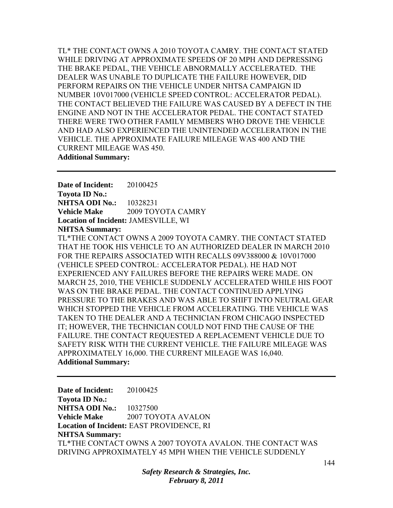TL\* THE CONTACT OWNS A 2010 TOYOTA CAMRY. THE CONTACT STATED WHILE DRIVING AT APPROXIMATE SPEEDS OF 20 MPH AND DEPRESSING THE BRAKE PEDAL, THE VEHICLE ABNORMALLY ACCELERATED. THE DEALER WAS UNABLE TO DUPLICATE THE FAILURE HOWEVER, DID PERFORM REPAIRS ON THE VEHICLE UNDER NHTSA CAMPAIGN ID NUMBER 10V017000 (VEHICLE SPEED CONTROL: ACCELERATOR PEDAL). THE CONTACT BELIEVED THE FAILURE WAS CAUSED BY A DEFECT IN THE ENGINE AND NOT IN THE ACCELERATOR PEDAL. THE CONTACT STATED THERE WERE TWO OTHER FAMILY MEMBERS WHO DROVE THE VEHICLE AND HAD ALSO EXPERIENCED THE UNINTENDED ACCELERATION IN THE VEHICLE. THE APPROXIMATE FAILURE MILEAGE WAS 400 AND THE CURRENT MILEAGE WAS 450. **Additional Summary:** 

**Date of Incident:** 20100425 **Toyota ID No.: NHTSA ODI No.:** 10328231 **Vehicle Make** 2009 TOYOTA CAMRY **Location of Incident:** JAMESVILLE, WI **NHTSA Summary:** 

TL\*THE CONTACT OWNS A 2009 TOYOTA CAMRY. THE CONTACT STATED THAT HE TOOK HIS VEHICLE TO AN AUTHORIZED DEALER IN MARCH 2010 FOR THE REPAIRS ASSOCIATED WITH RECALLS 09V388000 & 10V017000 (VEHICLE SPEED CONTROL: ACCELERATOR PEDAL). HE HAD NOT EXPERIENCED ANY FAILURES BEFORE THE REPAIRS WERE MADE. ON MARCH 25, 2010, THE VEHICLE SUDDENLY ACCELERATED WHILE HIS FOOT WAS ON THE BRAKE PEDAL. THE CONTACT CONTINUED APPLYING PRESSURE TO THE BRAKES AND WAS ABLE TO SHIFT INTO NEUTRAL GEAR WHICH STOPPED THE VEHICLE FROM ACCELERATING. THE VEHICLE WAS TAKEN TO THE DEALER AND A TECHNICIAN FROM CHICAGO INSPECTED IT; HOWEVER, THE TECHNICIAN COULD NOT FIND THE CAUSE OF THE FAILURE. THE CONTACT REQUESTED A REPLACEMENT VEHICLE DUE TO SAFETY RISK WITH THE CURRENT VEHICLE. THE FAILURE MILEAGE WAS APPROXIMATELY 16,000. THE CURRENT MILEAGE WAS 16,040. **Additional Summary:** 

**Date of Incident:** 20100425 **Toyota ID No.: NHTSA ODI No.: 10327500 Vehicle Make** 2007 TOYOTA AVALON **Location of Incident:** EAST PROVIDENCE, RI **NHTSA Summary:**  TL\*THE CONTACT OWNS A 2007 TOYOTA AVALON. THE CONTACT WAS DRIVING APPROXIMATELY 45 MPH WHEN THE VEHICLE SUDDENLY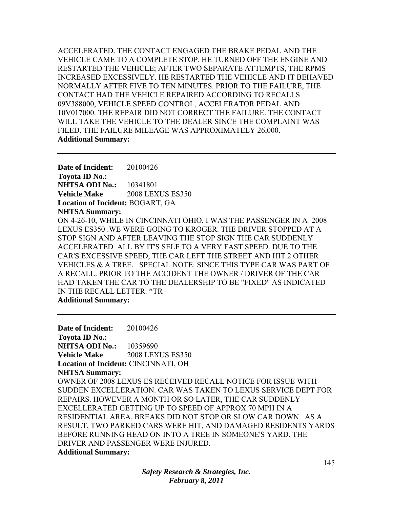ACCELERATED. THE CONTACT ENGAGED THE BRAKE PEDAL AND THE VEHICLE CAME TO A COMPLETE STOP. HE TURNED OFF THE ENGINE AND RESTARTED THE VEHICLE; AFTER TWO SEPARATE ATTEMPTS, THE RPMS INCREASED EXCESSIVELY. HE RESTARTED THE VEHICLE AND IT BEHAVED NORMALLY AFTER FIVE TO TEN MINUTES. PRIOR TO THE FAILURE, THE CONTACT HAD THE VEHICLE REPAIRED ACCORDING TO RECALLS 09V388000, VEHICLE SPEED CONTROL, ACCELERATOR PEDAL AND 10V017000. THE REPAIR DID NOT CORRECT THE FAILURE. THE CONTACT WILL TAKE THE VEHICLE TO THE DEALER SINCE THE COMPLAINT WAS FILED. THE FAILURE MILEAGE WAS APPROXIMATELY 26,000. **Additional Summary:** 

**Date of Incident:** 20100426 **Toyota ID No.: NHTSA ODI No.:** 10341801 **Vehicle Make** 2008 LEXUS ES350 **Location of Incident:** BOGART, GA **NHTSA Summary:**  ON 4-26-10, WHILE IN CINCINNATI OHIO, I WAS THE PASSENGER IN A 2008 LEXUS ES350 .WE WERE GOING TO KROGER. THE DRIVER STOPPED AT A STOP SIGN AND AFTER LEAVING THE STOP SIGN THE CAR SUDDENLY ACCELERATED ALL BY IT'S SELF TO A VERY FAST SPEED. DUE TO THE CAR'S EXCESSIVE SPEED, THE CAR LEFT THE STREET AND HIT 2 OTHER VEHICLES & A TREE. SPECIAL NOTE: SINCE THIS TYPE CAR WAS PART OF A RECALL. PRIOR TO THE ACCIDENT THE OWNER / DRIVER OF THE CAR HAD TAKEN THE CAR TO THE DEALERSHIP TO BE "FIXED" AS INDICATED IN THE RECALL LETTER. \*TR **Additional Summary:** 

**Date of Incident:** 20100426 **Toyota ID No.: NHTSA ODI No.:** 10359690 **Vehicle Make** 2008 LEXUS ES350 **Location of Incident:** CINCINNATI, OH **NHTSA Summary:**  OWNER OF 2008 LEXUS ES RECEIVED RECALL NOTICE FOR ISSUE WITH SUDDEN EXCELLERATION. CAR WAS TAKEN TO LEXUS SERVICE DEPT FOR REPAIRS. HOWEVER A MONTH OR SO LATER, THE CAR SUDDENLY EXCELLERATED GETTING UP TO SPEED OF APPROX 70 MPH IN A RESIDENTIAL AREA. BREAKS DID NOT STOP OR SLOW CAR DOWN. AS A RESULT, TWO PARKED CARS WERE HIT, AND DAMAGED RESIDENTS YARDS BEFORE RUNNING HEAD ON INTO A TREE IN SOMEONE'S YARD. THE DRIVER AND PASSENGER WERE INJURED. **Additional Summary:**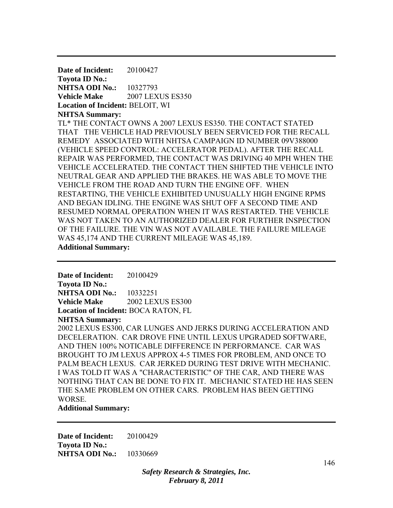**Date of Incident:** 20100427 **Toyota ID No.: NHTSA ODI No.:** 10327793 **Vehicle Make** 2007 LEXUS ES350 **Location of Incident:** BELOIT, WI **NHTSA Summary:**  TL\* THE CONTACT OWNS A 2007 LEXUS ES350. THE CONTACT STATED THAT THE VEHICLE HAD PREVIOUSLY BEEN SERVICED FOR THE RECALL REMEDY ASSOCIATED WITH NHTSA CAMPAIGN ID NUMBER 09V388000 (VEHICLE SPEED CONTROL: ACCELERATOR PEDAL). AFTER THE RECALL REPAIR WAS PERFORMED, THE CONTACT WAS DRIVING 40 MPH WHEN THE VEHICLE ACCELERATED. THE CONTACT THEN SHIFTED THE VEHICLE INTO NEUTRAL GEAR AND APPLIED THE BRAKES. HE WAS ABLE TO MOVE THE VEHICLE FROM THE ROAD AND TURN THE ENGINE OFF. WHEN RESTARTING, THE VEHICLE EXHIBITED UNUSUALLY HIGH ENGINE RPMS AND BEGAN IDLING. THE ENGINE WAS SHUT OFF A SECOND TIME AND RESUMED NORMAL OPERATION WHEN IT WAS RESTARTED. THE VEHICLE WAS NOT TAKEN TO AN AUTHORIZED DEALER FOR FURTHER INSPECTION OF THE FAILURE. THE VIN WAS NOT AVAILABLE. THE FAILURE MILEAGE WAS 45,174 AND THE CURRENT MILEAGE WAS 45,189. **Additional Summary:** 

**Date of Incident:** 20100429 **Toyota ID No.: NHTSA ODI No.:** 10332251 **Vehicle Make** 2002 LEXUS ES300 **Location of Incident:** BOCA RATON, FL

**NHTSA Summary:** 

2002 LEXUS ES300, CAR LUNGES AND JERKS DURING ACCELERATION AND DECELERATION. CAR DROVE FINE UNTIL LEXUS UPGRADED SOFTWARE, AND THEN 100% NOTICABLE DIFFERENCE IN PERFORMANCE. CAR WAS BROUGHT TO JM LEXUS APPROX 4-5 TIMES FOR PROBLEM, AND ONCE TO PALM BEACH LEXUS. CAR JERKED DURING TEST DRIVE WITH MECHANIC. I WAS TOLD IT WAS A "CHARACTERISTIC" OF THE CAR, AND THERE WAS NOTHING THAT CAN BE DONE TO FIX IT. MECHANIC STATED HE HAS SEEN THE SAME PROBLEM ON OTHER CARS. PROBLEM HAS BEEN GETTING WORSE.

**Additional Summary:** 

**Date of Incident:** 20100429 **Toyota ID No.: NHTSA ODI No.:** 10330669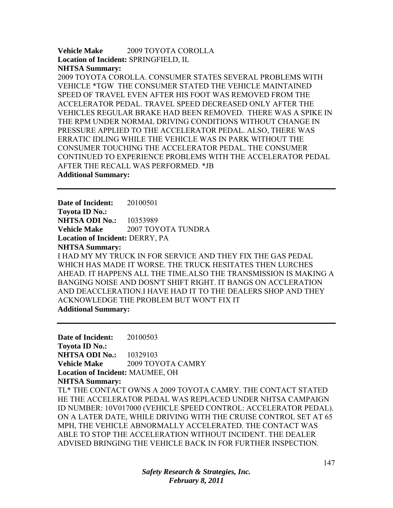**Vehicle Make** 2009 TOYOTA COROLLA **Location of Incident:** SPRINGFIELD, IL **NHTSA Summary:** 

2009 TOYOTA COROLLA. CONSUMER STATES SEVERAL PROBLEMS WITH VEHICLE \*TGW THE CONSUMER STATED THE VEHICLE MAINTAINED SPEED OF TRAVEL EVEN AFTER HIS FOOT WAS REMOVED FROM THE ACCELERATOR PEDAL. TRAVEL SPEED DECREASED ONLY AFTER THE VEHICLES REGULAR BRAKE HAD BEEN REMOVED. THERE WAS A SPIKE IN THE RPM UNDER NORMAL DRIVING CONDITIONS WITHOUT CHANGE IN PRESSURE APPLIED TO THE ACCELERATOR PEDAL. ALSO, THERE WAS ERRATIC IDLING WHILE THE VEHICLE WAS IN PARK WITHOUT THE CONSUMER TOUCHING THE ACCELERATOR PEDAL. THE CONSUMER CONTINUED TO EXPERIENCE PROBLEMS WITH THE ACCELERATOR PEDAL AFTER THE RECALL WAS PERFORMED. \*JB **Additional Summary:** 

**Date of Incident:** 20100501 **Toyota ID No.: NHTSA ODI No.:** 10353989 **Vehicle Make** 2007 TOYOTA TUNDRA **Location of Incident:** DERRY, PA **NHTSA Summary:**  I HAD MY MY TRUCK IN FOR SERVICE AND THEY FIX THE GAS PEDAL WHICH HAS MADE IT WORSE. THE TRUCK HESITATES THEN LURCHES AHEAD. IT HAPPENS ALL THE TIME.ALSO THE TRANSMISSION IS MAKING A BANGING NOISE AND DOSN'T SHIFT RIGHT. IT BANGS ON ACCLERATION AND DEACCLERATION.I HAVE HAD IT TO THE DEALERS SHOP AND THEY ACKNOWLEDGE THE PROBLEM BUT WON'T FIX IT **Additional Summary:** 

**Date of Incident:** 20100503 **Toyota ID No.: NHTSA ODI No.:** 10329103 **Vehicle Make** 2009 TOYOTA CAMRY **Location of Incident:** MAUMEE, OH **NHTSA Summary:**  TL\* THE CONTACT OWNS A 2009 TOYOTA CAMRY. THE CONTACT STATED HE THE ACCELERATOR PEDAL WAS REPLACED UNDER NHTSA CAMPAIGN ID NUMBER: 10V017000 (VEHICLE SPEED CONTROL: ACCELERATOR PEDAL). ON A LATER DATE, WHILE DRIVING WITH THE CRUISE CONTROL SET AT 65 MPH, THE VEHICLE ABNORMALLY ACCELERATED. THE CONTACT WAS ABLE TO STOP THE ACCELERATION WITHOUT INCIDENT. THE DEALER ADVISED BRINGING THE VEHICLE BACK IN FOR FURTHER INSPECTION.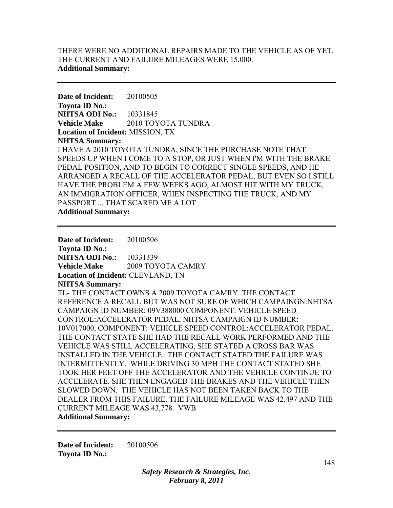# THERE WERE NO ADDITIONAL REPAIRS MADE TO THE VEHICLE AS OF YET. THE CURRENT AND FAILURE MILEAGES WERE 15,000. **Additional Summary:**

**Date of Incident:** 20100505 **Toyota ID No.: NHTSA ODI No.:** 10331845 **Vehicle Make 2010 TOYOTA TUNDRA Location of Incident:** MISSION, TX **NHTSA Summary:**  I HAVE A 2010 TOYOTA TUNDRA, SINCE THE PURCHASE NOTE THAT SPEEDS UP WHEN I COME TO A STOP, OR JUST WHEN I'M WITH THE BRAKE PEDAL POSITION, AND TO BEGIN TO CORRECT SINGLE SPEEDS, AND HE ARRANGED A RECALL OF THE ACCELERATOR PEDAL, BUT EVEN SO I STILL HAVE THE PROBLEM A FEW WEEKS AGO, ALMOST HIT WITH MY TRUCK, AN IMMIGRATION OFFICER, WHEN INSPECTING THE TRUCK, AND MY PASSPORT ... THAT SCARED ME A LOT **Additional Summary:** 

**Date of Incident:** 20100506 **Toyota ID No.: NHTSA ODI No.:** 10331339 **Vehicle Make** 2009 TOYOTA CAMRY **Location of Incident:** CLEVLAND, TN **NHTSA Summary:**  TL- THE CONTACT OWNS A 2009 TOYOTA CAMRY. THE CONTACT REFERENCE A RECALL BUT WAS NOT SURE OF WHICH CAMPAINGN:NHTSA CAMPAIGN ID NUMBER: 09V388000 COMPONENT: VEHICLE SPEED CONTROL:ACCELERATOR PEDAL, NHTSA CAMPAIGN ID NUMBER: 10V017000, COMPONENT: VEHICLE SPEED CONTROL:ACCELERATOR PEDAL. THE CONTACT STATE SHE HAD THE RECALL WORK PERFORMED AND THE VEHICLE WAS STILL ACCELERATING, SHE STATED A CROSS BAR WAS INSTALLED IN THE VEHICLE. THE CONTACT STATED THE FAILURE WAS INTERMITTENTLY. WHILE DRIVING 30 MPH THE CONTACT STATED SHE TOOK HER FEET OFF THE ACCELERATOR AND THE VEHICLE CONTINUE TO ACCELERATE. SHE THEN ENGAGED THE BRAKES AND THE VEHICLE THEN SLOWED DOWN. THE VEHICLE HAS NOT BEEN TAKEN BACK TO THE DEALER FROM THIS FAILURE. THE FAILURE MILEAGE WAS 42,497 AND THE CURRENT MILEAGE WAS 43,778. VWB **Additional Summary:** 

**Date of Incident:** 20100506 **Toyota ID No.:**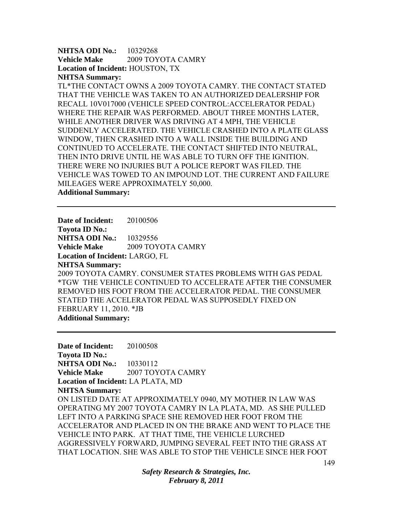**NHTSA ODI No.:** 10329268 **Vehicle Make** 2009 TOYOTA CAMRY **Location of Incident:** HOUSTON, TX **NHTSA Summary:** 

TL\*THE CONTACT OWNS A 2009 TOYOTA CAMRY. THE CONTACT STATED THAT THE VEHICLE WAS TAKEN TO AN AUTHORIZED DEALERSHIP FOR RECALL 10V017000 (VEHICLE SPEED CONTROL:ACCELERATOR PEDAL) WHERE THE REPAIR WAS PERFORMED. ABOUT THREE MONTHS LATER, WHILE ANOTHER DRIVER WAS DRIVING AT 4 MPH, THE VEHICLE SUDDENLY ACCELERATED. THE VEHICLE CRASHED INTO A PLATE GLASS WINDOW, THEN CRASHED INTO A WALL INSIDE THE BUILDING AND CONTINUED TO ACCELERATE. THE CONTACT SHIFTED INTO NEUTRAL, THEN INTO DRIVE UNTIL HE WAS ABLE TO TURN OFF THE IGNITION. THERE WERE NO INJURIES BUT A POLICE REPORT WAS FILED. THE VEHICLE WAS TOWED TO AN IMPOUND LOT. THE CURRENT AND FAILURE MILEAGES WERE APPROXIMATELY 50,000. **Additional Summary:** 

**Date of Incident:** 20100506 **Toyota ID No.: NHTSA ODI No.: 10329556 Vehicle Make** 2009 TOYOTA CAMRY **Location of Incident:** LARGO, FL **NHTSA Summary:**  2009 TOYOTA CAMRY. CONSUMER STATES PROBLEMS WITH GAS PEDAL \*TGW THE VEHICLE CONTINUED TO ACCELERATE AFTER THE CONSUMER REMOVED HIS FOOT FROM THE ACCELERATOR PEDAL. THE CONSUMER STATED THE ACCELERATOR PEDAL WAS SUPPOSEDLY FIXED ON FEBRUARY 11, 2010. \*JB **Additional Summary:** 

**Date of Incident:** 20100508 **Toyota ID No.: NHTSA ODI No.:** 10330112 **Vehicle Make**  2007 TOYOTA CAMRY **Location of Incident:** LA PLATA, MD **NHTSA Summary:**  ON LISTED DATE AT APPROXIMATELY 0940, MY MOTHER IN LAW WAS OPERATING MY 2007 TOYOTA CAMRY IN LA PLATA, MD. AS SHE PULLED LEFT INTO A PARKING SPACE SHE REMOVED HER FOOT FROM THE ACCELERATOR AND PLACED IN ON THE BRAKE AND WENT TO PLACE THE VEHICLE INTO PARK. AT THAT TIME, THE VEHICLE LURCHED AGGRESSIVELY FORWARD, JUMPING SEVERAL FEET INTO THE GRASS AT THAT LOCATION. SHE WAS ABLE TO STOP THE VEHICLE SINCE HER FOOT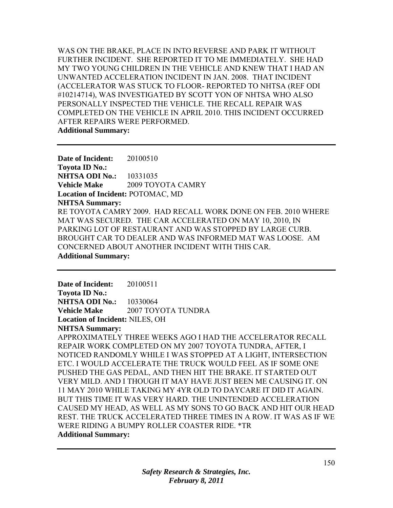WAS ON THE BRAKE, PLACE IN INTO REVERSE AND PARK IT WITHOUT FURTHER INCIDENT. SHE REPORTED IT TO ME IMMEDIATELY. SHE HAD MY TWO YOUNG CHILDREN IN THE VEHICLE AND KNEW THAT I HAD AN UNWANTED ACCELERATION INCIDENT IN JAN. 2008. THAT INCIDENT (ACCELERATOR WAS STUCK TO FLOOR- REPORTED TO NHTSA (REF ODI #10214714), WAS INVESTIGATED BY SCOTT YON OF NHTSA WHO ALSO PERSONALLY INSPECTED THE VEHICLE. THE RECALL REPAIR WAS COMPLETED ON THE VEHICLE IN APRIL 2010. THIS INCIDENT OCCURRED AFTER REPAIRS WERE PERFORMED. **Additional Summary:** 

**Date of Incident:** 20100510 **Toyota ID No.: NHTSA ODI No.:** 10331035 **Vehicle Make** 2009 TOYOTA CAMRY **Location of Incident:** POTOMAC, MD **NHTSA Summary:**  RE TOYOTA CAMRY 2009. HAD RECALL WORK DONE ON FEB. 2010 WHERE MAT WAS SECURED. THE CAR ACCELERATED ON MAY 10, 2010, IN PARKING LOT OF RESTAURANT AND WAS STOPPED BY LARGE CURB. BROUGHT CAR TO DEALER AND WAS INFORMED MAT WAS LOOSE. AM CONCERNED ABOUT ANOTHER INCIDENT WITH THIS CAR. **Additional Summary:** 

**Date of Incident:** 20100511 **Toyota ID No.: NHTSA ODI No.:** 10330064 **Vehicle Make** 2007 TOYOTA TUNDRA **Location of Incident:** NILES, OH **NHTSA Summary:**  APPROXIMATELY THREE WEEKS AGO I HAD THE ACCELERATOR RECALL REPAIR WORK COMPLETED ON MY 2007 TOYOTA TUNDRA, AFTER, I NOTICED RANDOMLY WHILE I WAS STOPPED AT A LIGHT, INTERSECTION ETC. I WOULD ACCELERATE THE TRUCK WOULD FEEL AS IF SOME ONE PUSHED THE GAS PEDAL, AND THEN HIT THE BRAKE. IT STARTED OUT VERY MILD. AND I THOUGH IT MAY HAVE JUST BEEN ME CAUSING IT. ON 11 MAY 2010 WHILE TAKING MY 4YR OLD TO DAYCARE IT DID IT AGAIN. BUT THIS TIME IT WAS VERY HARD. THE UNINTENDED ACCELERATION CAUSED MY HEAD, AS WELL AS MY SONS TO GO BACK AND HIT OUR HEAD REST. THE TRUCK ACCELERATED THREE TIMES IN A ROW. IT WAS AS IF WE WERE RIDING A BUMPY ROLLER COASTER RIDE. \*TR **Additional Summary:**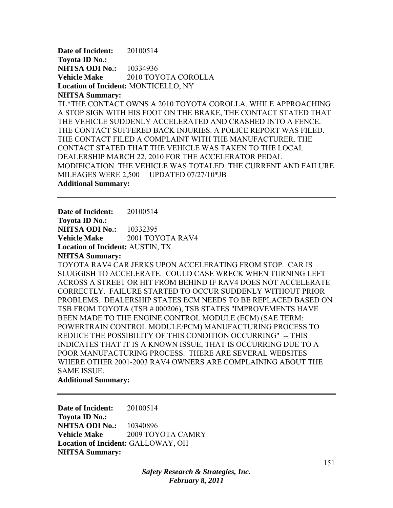**Date of Incident:** 20100514 **Toyota ID No.: NHTSA ODI No.:** 10334936 **Vehicle Make** 2010 TOYOTA COROLLA **Location of Incident:** MONTICELLO, NY **NHTSA Summary:** 

TL\*THE CONTACT OWNS A 2010 TOYOTA COROLLA. WHILE APPROACHING A STOP SIGN WITH HIS FOOT ON THE BRAKE, THE CONTACT STATED THAT THE VEHICLE SUDDENLY ACCELERATED AND CRASHED INTO A FENCE. THE CONTACT SUFFERED BACK INJURIES. A POLICE REPORT WAS FILED. THE CONTACT FILED A COMPLAINT WITH THE MANUFACTURER. THE CONTACT STATED THAT THE VEHICLE WAS TAKEN TO THE LOCAL DEALERSHIP MARCH 22, 2010 FOR THE ACCELERATOR PEDAL MODIFICATION. THE VEHICLE WAS TOTALED. THE CURRENT AND FAILURE MILEAGES WERE 2,500 UPDATED 07/27/10\*JB **Additional Summary:** 

**Date of Incident:** 20100514

**Toyota ID No.: NHTSA ODI No.:** 10332395 **Vehicle Make** 2001 TOYOTA RAV4 **Location of Incident:** AUSTIN, TX

**NHTSA Summary:** 

TOYOTA RAV4 CAR JERKS UPON ACCELERATING FROM STOP. CAR IS SLUGGISH TO ACCELERATE. COULD CASE WRECK WHEN TURNING LEFT ACROSS A STREET OR HIT FROM BEHIND IF RAV4 DOES NOT ACCELERATE CORRECTLY. FAILURE STARTED TO OCCUR SUDDENLY WITHOUT PRIOR PROBLEMS. DEALERSHIP STATES ECM NEEDS TO BE REPLACED BASED ON TSB FROM TOYOTA (TSB # 000206), TSB STATES "IMPROVEMENTS HAVE BEEN MADE TO THE ENGINE CONTROL MODULE (ECM) (SAE TERM: POWERTRAIN CONTROL MODULE/PCM) MANUFACTURING PROCESS TO REDUCE THE POSSIBILITY OF THIS CONDITION OCCURRING" -- THIS INDICATES THAT IT IS A KNOWN ISSUE, THAT IS OCCURRING DUE TO A POOR MANUFACTURING PROCESS. THERE ARE SEVERAL WEBSITES WHERE OTHER 2001-2003 RAV4 OWNERS ARE COMPLAINING ABOUT THE SAME ISSUE.

## **Additional Summary:**

**Date of Incident:** 20100514 **Toyota ID No.: NHTSA ODI No.:** 10340896 **Vehicle Make** 2009 TOYOTA CAMRY **Location of Incident:** GALLOWAY, OH **NHTSA Summary:**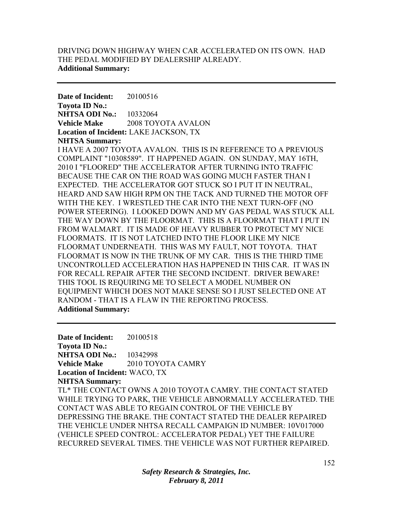# DRIVING DOWN HIGHWAY WHEN CAR ACCELERATED ON ITS OWN. HAD THE PEDAL MODIFIED BY DEALERSHIP ALREADY. **Additional Summary:**

**Date of Incident:** 20100516 **Toyota ID No.: NHTSA ODI No.:** 10332064 **Vehicle Make** 2008 TOYOTA AVALON **Location of Incident:** LAKE JACKSON, TX **NHTSA Summary:** 

I HAVE A 2007 TOYOTA AVALON. THIS IS IN REFERENCE TO A PREVIOUS COMPLAINT "10308589". IT HAPPENED AGAIN. ON SUNDAY, MAY 16TH, 2010 I "FLOORED" THE ACCELERATOR AFTER TURNING INTO TRAFFIC BECAUSE THE CAR ON THE ROAD WAS GOING MUCH FASTER THAN I EXPECTED. THE ACCELERATOR GOT STUCK SO I PUT IT IN NEUTRAL, HEARD AND SAW HIGH RPM ON THE TACK AND TURNED THE MOTOR OFF WITH THE KEY. I WRESTLED THE CAR INTO THE NEXT TURN-OFF (NO POWER STEERING). I LOOKED DOWN AND MY GAS PEDAL WAS STUCK ALL THE WAY DOWN BY THE FLOORMAT. THIS IS A FLOORMAT THAT I PUT IN FROM WALMART. IT IS MADE OF HEAVY RUBBER TO PROTECT MY NICE FLOORMATS. IT IS NOT LATCHED INTO THE FLOOR LIKE MY NICE FLOORMAT UNDERNEATH. THIS WAS MY FAULT, NOT TOYOTA. THAT FLOORMAT IS NOW IN THE TRUNK OF MY CAR. THIS IS THE THIRD TIME UNCONTROLLED ACCELERATION HAS HAPPENED IN THIS CAR. IT WAS IN FOR RECALL REPAIR AFTER THE SECOND INCIDENT. DRIVER BEWARE! THIS TOOL IS REQUIRING ME TO SELECT A MODEL NUMBER ON EQUIPMENT WHICH DOES NOT MAKE SENSE SO I JUST SELECTED ONE AT RANDOM - THAT IS A FLAW IN THE REPORTING PROCESS. **Additional Summary:** 

**Date of Incident:** 20100518 **Toyota ID No.: NHTSA ODI No.: 10342998 Vehicle Make** 2010 TOYOTA CAMRY **Location of Incident:** WACO, TX **NHTSA Summary:**  TL\* THE CONTACT OWNS A 2010 TOYOTA CAMRY. THE CONTACT STATED WHILE TRYING TO PARK, THE VEHICLE ABNORMALLY ACCELERATED. THE CONTACT WAS ABLE TO REGAIN CONTROL OF THE VEHICLE BY DEPRESSING THE BRAKE. THE CONTACT STATED THE DEALER REPAIRED THE VEHICLE UNDER NHTSA RECALL CAMPAIGN ID NUMBER: 10V017000 (VEHICLE SPEED CONTROL: ACCELERATOR PEDAL) YET THE FAILURE RECURRED SEVERAL TIMES. THE VEHICLE WAS NOT FURTHER REPAIRED.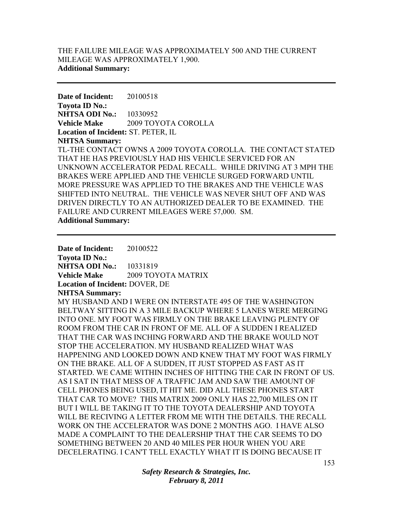## THE FAILURE MILEAGE WAS APPROXIMATELY 500 AND THE CURRENT MILEAGE WAS APPROXIMATELY 1,900. **Additional Summary:**

**Date of Incident:** 20100518 **Toyota ID No.: NHTSA ODI No.:** 10330952 **Vehicle Make** 2009 TOYOTA COROLLA **Location of Incident:** ST. PETER, IL **NHTSA Summary:**  TL-THE CONTACT OWNS A 2009 TOYOTA COROLLA. THE CONTACT STATED THAT HE HAS PREVIOUSLY HAD HIS VEHICLE SERVICED FOR AN UNKNOWN ACCELERATOR PEDAL RECALL. WHILE DRIVING AT 3 MPH THE BRAKES WERE APPLIED AND THE VEHICLE SURGED FORWARD UNTIL MORE PRESSURE WAS APPLIED TO THE BRAKES AND THE VEHICLE WAS SHIFTED INTO NEUTRAL. THE VEHICLE WAS NEVER SHUT OFF AND WAS DRIVEN DIRECTLY TO AN AUTHORIZED DEALER TO BE EXAMINED. THE FAILURE AND CURRENT MILEAGES WERE 57,000. SM. **Additional Summary:** 

**Date of Incident:** 20100522 **Toyota ID No.: NHTSA ODI No.:** 10331819 **Vehicle Make** 2009 TOYOTA MATRIX **Location of Incident:** DOVER, DE **NHTSA Summary:**  MY HUSBAND AND I WERE ON INTERSTATE 495 OF THE WASHINGTON BELTWAY SITTING IN A 3 MILE BACKUP WHERE 5 LANES WERE MERGING INTO ONE. MY FOOT WAS FIRMLY ON THE BRAKE LEAVING PLENTY OF ROOM FROM THE CAR IN FRONT OF ME. ALL OF A SUDDEN I REALIZED THAT THE CAR WAS INCHING FORWARD AND THE BRAKE WOULD NOT STOP THE ACCELERATION. MY HUSBAND REALIZED WHAT WAS HAPPENING AND LOOKED DOWN AND KNEW THAT MY FOOT WAS FIRMLY ON THE BRAKE. ALL OF A SUDDEN, IT JUST STOPPED AS FAST AS IT STARTED. WE CAME WITHIN INCHES OF HITTING THE CAR IN FRONT OF US. AS I SAT IN THAT MESS OF A TRAFFIC JAM AND SAW THE AMOUNT OF CELL PHONES BEING USED, IT HIT ME. DID ALL THESE PHONES START THAT CAR TO MOVE? THIS MATRIX 2009 ONLY HAS 22,700 MILES ON IT BUT I WILL BE TAKING IT TO THE TOYOTA DEALERSHIP AND TOYOTA WILL BE RECIVING A LETTER FROM ME WITH THE DETAILS. THE RECALL WORK ON THE ACCELERATOR WAS DONE 2 MONTHS AGO. I HAVE ALSO MADE A COMPLAINT TO THE DEALERSHIP THAT THE CAR SEEMS TO DO SOMETHING BETWEEN 20 AND 40 MILES PER HOUR WHEN YOU ARE DECELERATING. I CAN'T TELL EXACTLY WHAT IT IS DOING BECAUSE IT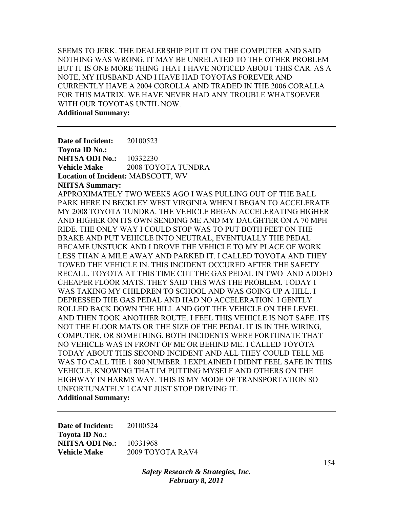SEEMS TO JERK. THE DEALERSHIP PUT IT ON THE COMPUTER AND SAID NOTHING WAS WRONG. IT MAY BE UNRELATED TO THE OTHER PROBLEM BUT IT IS ONE MORE THING THAT I HAVE NOTICED ABOUT THIS CAR. AS A NOTE, MY HUSBAND AND I HAVE HAD TOYOTAS FOREVER AND CURRENTLY HAVE A 2004 COROLLA AND TRADED IN THE 2006 CORALLA FOR THIS MATRIX. WE HAVE NEVER HAD ANY TROUBLE WHATSOEVER WITH OUR TOYOTAS UNTIL NOW. **Additional Summary:** 

**Date of Incident:** 20100523 **Toyota ID No.: NHTSA ODI No.:** 10332230 **Vehicle Make** 2008 TOYOTA TUNDRA **Location of Incident:** MABSCOTT, WV **NHTSA Summary:**  APPROXIMATELY TWO WEEKS AGO I WAS PULLING OUT OF THE BALL PARK HERE IN BECKLEY WEST VIRGINIA WHEN I BEGAN TO ACCELERATE MY 2008 TOYOTA TUNDRA. THE VEHICLE BEGAN ACCELERATING HIGHER AND HIGHER ON ITS OWN SENDING ME AND MY DAUGHTER ON A 70 MPH RIDE. THE ONLY WAY I COULD STOP WAS TO PUT BOTH FEET ON THE BRAKE AND PUT VEHICLE INTO NEUTRAL, EVENTUALLY THE PEDAL BECAME UNSTUCK AND I DROVE THE VEHICLE TO MY PLACE OF WORK LESS THAN A MILE AWAY AND PARKED IT. I CALLED TOYOTA AND THEY TOWED THE VEHICLE IN. THIS INCIDENT OCCURED AFTER THE SAFETY RECALL. TOYOTA AT THIS TIME CUT THE GAS PEDAL IN TWO AND ADDED CHEAPER FLOOR MATS. THEY SAID THIS WAS THE PROBLEM. TODAY I WAS TAKING MY CHILDREN TO SCHOOL AND WAS GOING UP A HILL. I DEPRESSED THE GAS PEDAL AND HAD NO ACCELERATION. I GENTLY ROLLED BACK DOWN THE HILL AND GOT THE VEHICLE ON THE LEVEL AND THEN TOOK ANOTHER ROUTE. I FEEL THIS VEHICLE IS NOT SAFE. ITS NOT THE FLOOR MATS OR THE SIZE OF THE PEDAL IT IS IN THE WIRING, COMPUTER, OR SOMETHING. BOTH INCIDENTS WERE FORTUNATE THAT NO VEHICLE WAS IN FRONT OF ME OR BEHIND ME. I CALLED TOYOTA TODAY ABOUT THIS SECOND INCIDENT AND ALL THEY COULD TELL ME WAS TO CALL THE 1 800 NUMBER. I EXPLAINED I DIDNT FEEL SAFE IN THIS VEHICLE, KNOWING THAT IM PUTTING MYSELF AND OTHERS ON THE HIGHWAY IN HARMS WAY. THIS IS MY MODE OF TRANSPORTATION SO UNFORTUNATELY I CANT JUST STOP DRIVING IT. **Additional Summary:** 

**Date of Incident:** 20100524 **Toyota ID No.: NHTSA ODI No.:** 10331968 **Vehicle Make** 2009 TOYOTA RAV4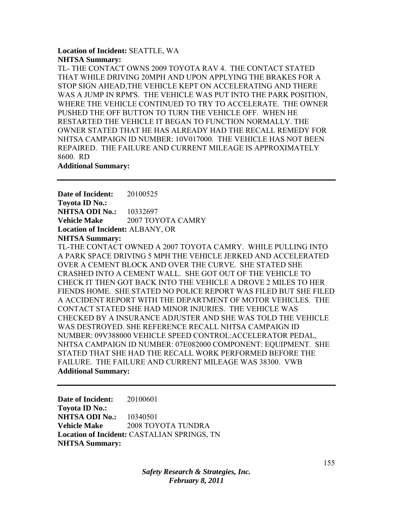## **Location of Incident:** SEATTLE, WA **NHTSA Summary:**

TL- THE CONTACT OWNS 2009 TOYOTA RAV 4. THE CONTACT STATED THAT WHILE DRIVING 20MPH AND UPON APPLYING THE BRAKES FOR A STOP SIGN AHEAD,THE VEHICLE KEPT ON ACCELERATING AND THERE WAS A JUMP IN RPM'S. THE VEHICLE WAS PUT INTO THE PARK POSITION, WHERE THE VEHICLE CONTINUED TO TRY TO ACCELERATE. THE OWNER PUSHED THE OFF BUTTON TO TURN THE VEHICLE OFF. WHEN HE RESTARTED THE VEHICLE IT BEGAN TO FUNCTION NORMALLY. THE OWNER STATED THAT HE HAS ALREADY HAD THE RECALL REMEDY FOR NHTSA CAMPAIGN ID NUMBER: 10V017000. THE VEHICLE HAS NOT BEEN REPAIRED. THE FAILURE AND CURRENT MILEAGE IS APPROXIMATELY 8600. RD

### **Additional Summary:**

**Date of Incident:** 20100525 **Toyota ID No.: NHTSA ODI No.:** 10332697 **Vehicle Make** 2007 TOYOTA CAMRY **Location of Incident:** ALBANY, OR **NHTSA Summary:** 

TL-THE CONTACT OWNED A 2007 TOYOTA CAMRY. WHILE PULLING INTO A PARK SPACE DRIVING 5 MPH THE VEHICLE JERKED AND ACCELERATED OVER A CEMENT BLOCK AND OVER THE CURVE. SHE STATED SHE CRASHED INTO A CEMENT WALL. SHE GOT OUT OF THE VEHICLE TO CHECK IT THEN GOT BACK INTO THE VEHICLE A DROVE 2 MILES TO HER FIENDS HOME. SHE STATED NO POLICE REPORT WAS FILED BUT SHE FILED A ACCIDENT REPORT WITH THE DEPARTMENT OF MOTOR VEHICLES. THE CONTACT STATED SHE HAD MINOR INJURIES. THE VEHICLE WAS CHECKED BY A INSURANCE ADJUSTER AND SHE WAS TOLD THE VEHICLE WAS DESTROYED. SHE REFERENCE RECALL NHTSA CAMPAIGN ID NUMBER: 09V388000 VEHICLE SPEED CONTROL:ACCELERATOR PEDAL, NHTSA CAMPAIGN ID NUMBER: 07E082000 COMPONENT: EQUIPMENT. SHE STATED THAT SHE HAD THE RECALL WORK PERFORMED BEFORE THE FAILURE. THE FAILURE AND CURRENT MILEAGE WAS 38300. VWB **Additional Summary:** 

**Date of Incident:** 20100601 **Toyota ID No.: NHTSA ODI No.:** 10340501 **Vehicle Make** 2008 TOYOTA TUNDRA **Location of Incident:** CASTALIAN SPRINGS, TN **NHTSA Summary:**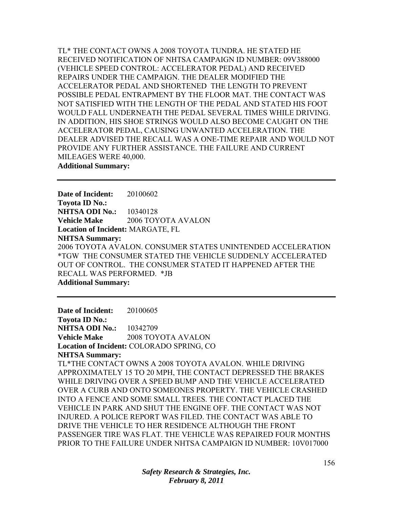TL\* THE CONTACT OWNS A 2008 TOYOTA TUNDRA. HE STATED HE RECEIVED NOTIFICATION OF NHTSA CAMPAIGN ID NUMBER: 09V388000 (VEHICLE SPEED CONTROL: ACCELERATOR PEDAL) AND RECEIVED REPAIRS UNDER THE CAMPAIGN. THE DEALER MODIFIED THE ACCELERATOR PEDAL AND SHORTENED THE LENGTH TO PREVENT POSSIBLE PEDAL ENTRAPMENT BY THE FLOOR MAT. THE CONTACT WAS NOT SATISFIED WITH THE LENGTH OF THE PEDAL AND STATED HIS FOOT WOULD FALL UNDERNEATH THE PEDAL SEVERAL TIMES WHILE DRIVING. IN ADDITION, HIS SHOE STRINGS WOULD ALSO BECOME CAUGHT ON THE ACCELERATOR PEDAL, CAUSING UNWANTED ACCELERATION. THE DEALER ADVISED THE RECALL WAS A ONE-TIME REPAIR AND WOULD NOT PROVIDE ANY FURTHER ASSISTANCE. THE FAILURE AND CURRENT MILEAGES WERE 40,000. **Additional Summary:** 

**Date of Incident:** 20100602 **Toyota ID No.: NHTSA ODI No.:** 10340128 **Vehicle Make** 2006 TOYOTA AVALON **Location of Incident:** MARGATE, FL **NHTSA Summary:**  2006 TOYOTA AVALON. CONSUMER STATES UNINTENDED ACCELERATION \*TGW THE CONSUMER STATED THE VEHICLE SUDDENLY ACCELERATED OUT OF CONTROL. THE CONSUMER STATED IT HAPPENED AFTER THE RECALL WAS PERFORMED. \*JB **Additional Summary:** 

**Date of Incident:** 20100605 **Toyota ID No.: NHTSA ODI No.:** 10342709 **Vehicle Make** 2008 TOYOTA AVALON **Location of Incident:** COLORADO SPRING, CO **NHTSA Summary:**  TL\*THE CONTACT OWNS A 2008 TOYOTA AVALON. WHILE DRIVING APPROXIMATELY 15 TO 20 MPH, THE CONTACT DEPRESSED THE BRAKES WHILE DRIVING OVER A SPEED BUMP AND THE VEHICLE ACCELERATED OVER A CURB AND ONTO SOMEONES PROPERTY. THE VEHICLE CRASHED INTO A FENCE AND SOME SMALL TREES. THE CONTACT PLACED THE VEHICLE IN PARK AND SHUT THE ENGINE OFF. THE CONTACT WAS NOT INJURED. A POLICE REPORT WAS FILED. THE CONTACT WAS ABLE TO DRIVE THE VEHICLE TO HER RESIDENCE ALTHOUGH THE FRONT PASSENGER TIRE WAS FLAT. THE VEHICLE WAS REPAIRED FOUR MONTHS PRIOR TO THE FAILURE UNDER NHTSA CAMPAIGN ID NUMBER: 10V017000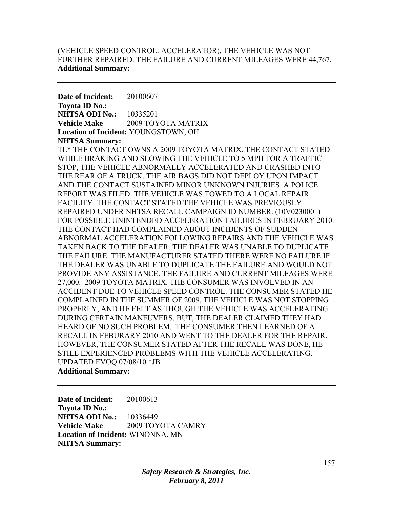# (VEHICLE SPEED CONTROL: ACCELERATOR). THE VEHICLE WAS NOT FURTHER REPAIRED. THE FAILURE AND CURRENT MILEAGES WERE 44,767. **Additional Summary:**

**Date of Incident:** 20100607 **Toyota ID No.: NHTSA ODI No.:** 10335201 **Vehicle Make** 2009 TOYOTA MATRIX **Location of Incident:** YOUNGSTOWN, OH **NHTSA Summary:** 

TL\* THE CONTACT OWNS A 2009 TOYOTA MATRIX. THE CONTACT STATED WHILE BRAKING AND SLOWING THE VEHICLE TO 5 MPH FOR A TRAFFIC STOP, THE VEHICLE ABNORMALLY ACCELERATED AND CRASHED INTO THE REAR OF A TRUCK. THE AIR BAGS DID NOT DEPLOY UPON IMPACT AND THE CONTACT SUSTAINED MINOR UNKNOWN INJURIES. A POLICE REPORT WAS FILED. THE VEHICLE WAS TOWED TO A LOCAL REPAIR FACILITY. THE CONTACT STATED THE VEHICLE WAS PREVIOUSLY REPAIRED UNDER NHTSA RECALL CAMPAIGN ID NUMBER: (10V023000 ) FOR POSSIBLE UNINTENDED ACCELERATION FAILURES IN FEBRUARY 2010. THE CONTACT HAD COMPLAINED ABOUT INCIDENTS OF SUDDEN ABNORMAL ACCELERATION FOLLOWING REPAIRS AND THE VEHICLE WAS TAKEN BACK TO THE DEALER. THE DEALER WAS UNABLE TO DUPLICATE THE FAILURE. THE MANUFACTURER STATED THERE WERE NO FAILURE IF THE DEALER WAS UNABLE TO DUPLICATE THE FAILURE AND WOULD NOT PROVIDE ANY ASSISTANCE. THE FAILURE AND CURRENT MILEAGES WERE 27,000. 2009 TOYOTA MATRIX. THE CONSUMER WAS INVOLVED IN AN ACCIDENT DUE TO VEHICLE SPEED CONTROL. THE CONSUMER STATED HE COMPLAINED IN THE SUMMER OF 2009, THE VEHICLE WAS NOT STOPPING PROPERLY, AND HE FELT AS THOUGH THE VEHICLE WAS ACCELERATING DURING CERTAIN MANEUVERS. BUT, THE DEALER CLAIMED THEY HAD HEARD OF NO SUCH PROBLEM. THE CONSUMER THEN LEARNED OF A RECALL IN FEBURARY 2010 AND WENT TO THE DEALER FOR THE REPAIR. HOWEVER, THE CONSUMER STATED AFTER THE RECALL WAS DONE, HE STILL EXPERIENCED PROBLEMS WITH THE VEHICLE ACCELERATING. UPDATED EVOQ 07/08/10 \*JB **Additional Summary:** 

**Date of Incident:** 20100613 **Toyota ID No.: NHTSA ODI No.:** 10336449 **Vehicle Make** 2009 TOYOTA CAMRY **Location of Incident:** WINONNA, MN **NHTSA Summary:**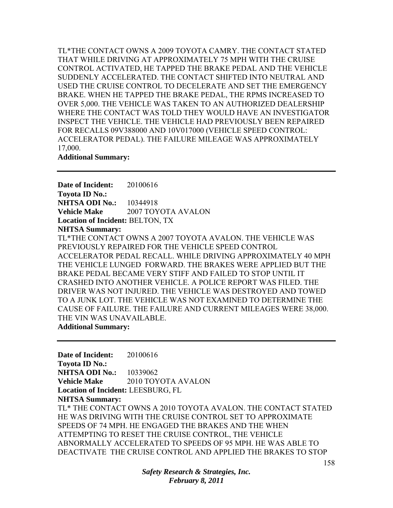TL\*THE CONTACT OWNS A 2009 TOYOTA CAMRY. THE CONTACT STATED THAT WHILE DRIVING AT APPROXIMATELY 75 MPH WITH THE CRUISE CONTROL ACTIVATED, HE TAPPED THE BRAKE PEDAL AND THE VEHICLE SUDDENLY ACCELERATED. THE CONTACT SHIFTED INTO NEUTRAL AND USED THE CRUISE CONTROL TO DECELERATE AND SET THE EMERGENCY BRAKE. WHEN HE TAPPED THE BRAKE PEDAL, THE RPMS INCREASED TO OVER 5,000. THE VEHICLE WAS TAKEN TO AN AUTHORIZED DEALERSHIP WHERE THE CONTACT WAS TOLD THEY WOULD HAVE AN INVESTIGATOR INSPECT THE VEHICLE. THE VEHICLE HAD PREVIOUSLY BEEN REPAIRED FOR RECALLS 09V388000 AND 10V017000 (VEHICLE SPEED CONTROL: ACCELERATOR PEDAL). THE FAILURE MILEAGE WAS APPROXIMATELY 17,000.

#### **Additional Summary:**

**Date of Incident:** 20100616 **Toyota ID No.: NHTSA ODI No.:** 10344918 **Vehicle Make** 2007 TOYOTA AVALON **Location of Incident:** BELTON, TX **NHTSA Summary:**  TL\*THE CONTACT OWNS A 2007 TOYOTA AVALON. THE VEHICLE WAS PREVIOUSLY REPAIRED FOR THE VEHICLE SPEED CONTROL ACCELERATOR PEDAL RECALL. WHILE DRIVING APPROXIMATELY 40 MPH THE VEHICLE LUNGED FORWARD. THE BRAKES WERE APPLIED BUT THE BRAKE PEDAL BECAME VERY STIFF AND FAILED TO STOP UNTIL IT CRASHED INTO ANOTHER VEHICLE. A POLICE REPORT WAS FILED. THE DRIVER WAS NOT INJURED. THE VEHICLE WAS DESTROYED AND TOWED TO A JUNK LOT. THE VEHICLE WAS NOT EXAMINED TO DETERMINE THE CAUSE OF FAILURE. THE FAILURE AND CURRENT MILEAGES WERE 38,000. THE VIN WAS UNAVAILABLE.

#### **Additional Summary:**

**Date of Incident:** 20100616 **Toyota ID No.: NHTSA ODI No.:** 10339062 **Vehicle Make 2010 TOYOTA AVALON Location of Incident:** LEESBURG, FL **NHTSA Summary:**  TL\* THE CONTACT OWNS A 2010 TOYOTA AVALON. THE CONTACT STATED HE WAS DRIVING WITH THE CRUISE CONTROL SET TO APPROXIMATE SPEEDS OF 74 MPH. HE ENGAGED THE BRAKES AND THE WHEN ATTEMPTING TO RESET THE CRUISE CONTROL, THE VEHICLE ABNORMALLY ACCELERATED TO SPEEDS OF 95 MPH. HE WAS ABLE TO DEACTIVATE THE CRUISE CONTROL AND APPLIED THE BRAKES TO STOP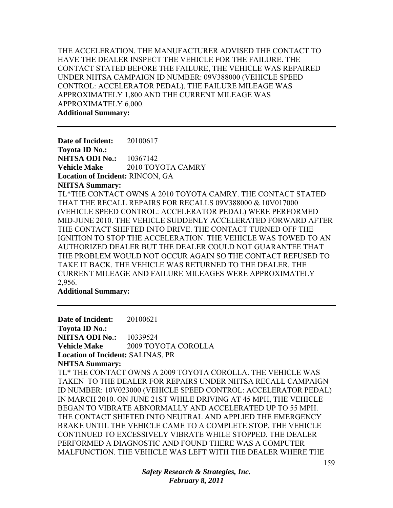THE ACCELERATION. THE MANUFACTURER ADVISED THE CONTACT TO HAVE THE DEALER INSPECT THE VEHICLE FOR THE FAILURE. THE CONTACT STATED BEFORE THE FAILURE, THE VEHICLE WAS REPAIRED UNDER NHTSA CAMPAIGN ID NUMBER: 09V388000 (VEHICLE SPEED CONTROL: ACCELERATOR PEDAL). THE FAILURE MILEAGE WAS APPROXIMATELY 1,800 AND THE CURRENT MILEAGE WAS APPROXIMATELY 6,000. **Additional Summary:** 

**Date of Incident:** 20100617 **Toyota ID No.: NHTSA ODI No.:** 10367142 **Vehicle Make** 2010 TOYOTA CAMRY **Location of Incident:** RINCON, GA **NHTSA Summary:**  TL\*THE CONTACT OWNS A 2010 TOYOTA CAMRY. THE CONTACT STATED THAT THE RECALL REPAIRS FOR RECALLS 09V388000 & 10V017000 (VEHICLE SPEED CONTROL: ACCELERATOR PEDAL) WERE PERFORMED MID-JUNE 2010. THE VEHICLE SUDDENLY ACCELERATED FORWARD AFTER THE CONTACT SHIFTED INTO DRIVE. THE CONTACT TURNED OFF THE IGNITION TO STOP THE ACCELERATION. THE VEHICLE WAS TOWED TO AN AUTHORIZED DEALER BUT THE DEALER COULD NOT GUARANTEE THAT THE PROBLEM WOULD NOT OCCUR AGAIN SO THE CONTACT REFUSED TO TAKE IT BACK. THE VEHICLE WAS RETURNED TO THE DEALER. THE CURRENT MILEAGE AND FAILURE MILEAGES WERE APPROXIMATELY 2,956.

**Additional Summary:** 

**Date of Incident:** 20100621 **Toyota ID No.: NHTSA ODI No.:** 10339524 **Vehicle Make** 2009 TOYOTA COROLLA **Location of Incident:** SALINAS, PR

**NHTSA Summary:** 

TL\* THE CONTACT OWNS A 2009 TOYOTA COROLLA. THE VEHICLE WAS TAKEN TO THE DEALER FOR REPAIRS UNDER NHTSA RECALL CAMPAIGN ID NUMBER: 10V023000 (VEHICLE SPEED CONTROL: ACCELERATOR PEDAL) IN MARCH 2010. ON JUNE 21ST WHILE DRIVING AT 45 MPH, THE VEHICLE BEGAN TO VIBRATE ABNORMALLY AND ACCELERATED UP TO 55 MPH. THE CONTACT SHIFTED INTO NEUTRAL AND APPLIED THE EMERGENCY BRAKE UNTIL THE VEHICLE CAME TO A COMPLETE STOP. THE VEHICLE CONTINUED TO EXCESSIVELY VIBRATE WHILE STOPPED. THE DEALER PERFORMED A DIAGNOSTIC AND FOUND THERE WAS A COMPUTER MALFUNCTION. THE VEHICLE WAS LEFT WITH THE DEALER WHERE THE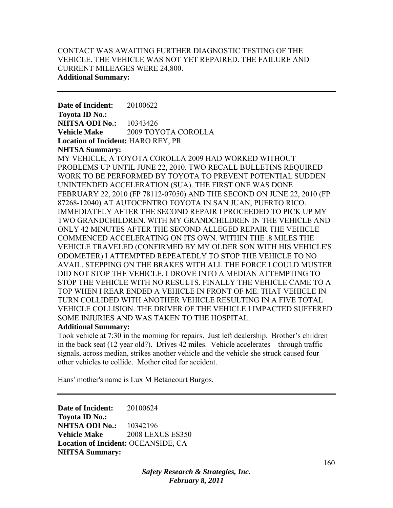## CONTACT WAS AWAITING FURTHER DIAGNOSTIC TESTING OF THE VEHICLE. THE VEHICLE WAS NOT YET REPAIRED. THE FAILURE AND CURRENT MILEAGES WERE 24,800. **Additional Summary:**

**Date of Incident:** 20100622 **Toyota ID No.: NHTSA ODI No.: 10343426 Vehicle Make** 2009 TOYOTA COROLLA **Location of Incident:** HARO REY, PR **NHTSA Summary:** 

MY VEHICLE, A TOYOTA COROLLA 2009 HAD WORKED WITHOUT PROBLEMS UP UNTIL JUNE 22, 2010. TWO RECALL BULLETINS REQUIRED WORK TO BE PERFORMED BY TOYOTA TO PREVENT POTENTIAL SUDDEN UNINTENDED ACCELERATION (SUA). THE FIRST ONE WAS DONE FEBRUARY 22, 2010 (FP 78112-07050) AND THE SECOND ON JUNE 22, 2010 (FP 87268-12040) AT AUTOCENTRO TOYOTA IN SAN JUAN, PUERTO RICO. IMMEDIATELY AFTER THE SECOND REPAIR I PROCEEDED TO PICK UP MY TWO GRANDCHILDREN. WITH MY GRANDCHILDREN IN THE VEHICLE AND ONLY 42 MINUTES AFTER THE SECOND ALLEGED REPAIR THE VEHICLE COMMENCED ACCELERATING ON ITS OWN. WITHIN THE .8 MILES THE VEHICLE TRAVELED (CONFIRMED BY MY OLDER SON WITH HIS VEHICLE'S ODOMETER) I ATTEMPTED REPEATEDLY TO STOP THE VEHICLE TO NO AVAIL. STEPPING ON THE BRAKES WITH ALL THE FORCE I COULD MUSTER DID NOT STOP THE VEHICLE. I DROVE INTO A MEDIAN ATTEMPTING TO STOP THE VEHICLE WITH NO RESULTS. FINALLY THE VEHICLE CAME TO A TOP WHEN I REAR ENDED A VEHICLE IN FRONT OF ME. THAT VEHICLE IN TURN COLLIDED WITH ANOTHER VEHICLE RESULTING IN A FIVE TOTAL VEHICLE COLLISION. THE DRIVER OF THE VEHICLE I IMPACTED SUFFERED SOME INJURIES AND WAS TAKEN TO THE HOSPITAL.

## **Additional Summary:**

Took vehicle at 7:30 in the morning for repairs. Just left dealership. Brother's children in the back seat (12 year old?). Drives 42 miles. Vehicle accelerates – through traffic signals, across median, strikes another vehicle and the vehicle she struck caused four other vehicles to collide. Mother cited for accident.

Hans' mother's name is Lux M Betancourt Burgos.

**Date of Incident:** 20100624 **Toyota ID No.: NHTSA ODI No.:** 10342196 **Vehicle Make** 2008 LEXUS ES350 **Location of Incident:** OCEANSIDE, CA **NHTSA Summary:**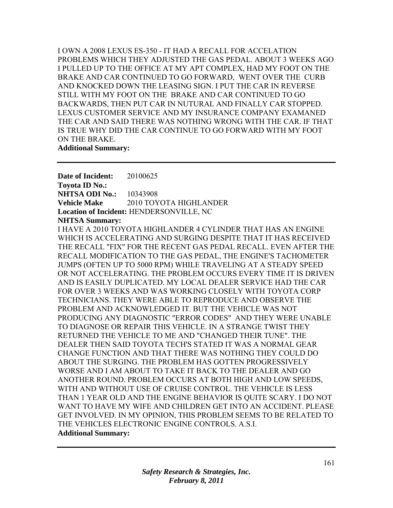I OWN A 2008 LEXUS ES-350 - IT HAD A RECALL FOR ACCELATION PROBLEMS WHICH THEY ADJUSTED THE GAS PEDAL. ABOUT 3 WEEKS AGO I PULLED UP TO THE OFFICE AT MY APT COMPLEX, HAD MY FOOT ON THE BRAKE AND CAR CONTINUED TO GO FORWARD, WENT OVER THE CURB AND KNOCKED DOWN THE LEASING SIGN. I PUT THE CAR IN REVERSE STILL WITH MY FOOT ON THE BRAKE AND CAR CONTINUED TO GO BACKWARDS, THEN PUT CAR IN NUTURAL AND FINALLY CAR STOPPED. LEXUS CUSTOMER SERVICE AND MY INSURANCE COMPANY EXAMANED THE CAR AND SAID THERE WAS NOTHING WRONG WITH THE CAR. IF THAT IS TRUE WHY DID THE CAR CONTINUE TO GO FORWARD WITH MY FOOT ON THE BRAKE. **Additional Summary:** 

**Date of Incident:** 20100625 **Toyota ID No.: NHTSA ODI No.:** 10343908 **Vehicle Make** 2010 TOYOTA HIGHLANDER **Location of Incident:** HENDERSONVILLE, NC **NHTSA Summary:** 

I HAVE A 2010 TOYOTA HIGHLANDER 4 CYLINDER THAT HAS AN ENGINE WHICH IS ACCELERATING AND SURGING DESPITE THAT IT HAS RECEIVED THE RECALL "FIX" FOR THE RECENT GAS PEDAL RECALL. EVEN AFTER THE RECALL MODIFICATION TO THE GAS PEDAL, THE ENGINE'S TACHOMETER JUMPS (OFTEN UP TO 5000 RPM) WHILE TRAVELING AT A STEADY SPEED OR NOT ACCELERATING. THE PROBLEM OCCURS EVERY TIME IT IS DRIVEN AND IS EASILY DUPLICATED. MY LOCAL DEALER SERVICE HAD THE CAR FOR OVER 3 WEEKS AND WAS WORKING CLOSELY WITH TOYOTA CORP TECHNICIANS. THEY WERE ABLE TO REPRODUCE AND OBSERVE THE PROBLEM AND ACKNOWLEDGED IT. BUT THE VEHICLE WAS NOT PRODUCING ANY DIAGNOSTIC "ERROR CODES" AND THEY WERE UNABLE TO DIAGNOSE OR REPAIR THIS VEHICLE. IN A STRANGE TWIST THEY RETURNED THE VEHICLE TO ME AND "CHANGED THEIR TUNE". THE DEALER THEN SAID TOYOTA TECH'S STATED IT WAS A NORMAL GEAR CHANGE FUNCTION AND THAT THERE WAS NOTHING THEY COULD DO ABOUT THE SURGING. THE PROBLEM HAS GOTTEN PROGRESSIVELY WORSE AND I AM ABOUT TO TAKE IT BACK TO THE DEALER AND GO ANOTHER ROUND. PROBLEM OCCURS AT BOTH HIGH AND LOW SPEEDS, WITH AND WITHOUT USE OF CRUISE CONTROL. THE VEHICLE IS LESS THAN 1 YEAR OLD AND THE ENGINE BEHAVIOR IS QUITE SCARY. I DO NOT WANT TO HAVE MY WIFE AND CHILDREN GET INTO AN ACCIDENT. PLEASE GET INVOLVED. IN MY OPINION, THIS PROBLEM SEEMS TO BE RELATED TO THE VEHICLES ELECTRONIC ENGINE CONTROLS. A.S.I. **Additional Summary:**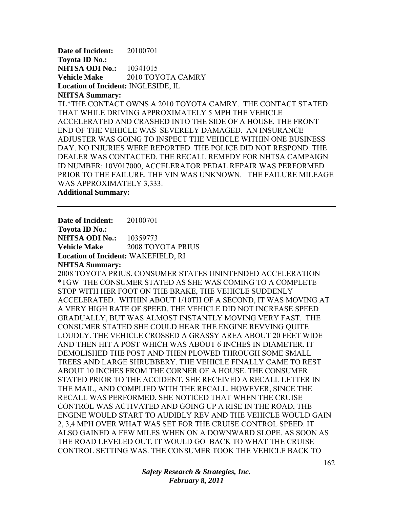**Date of Incident:** 20100701 **Toyota ID No.: NHTSA ODI No.:** 10341015 Vehicle Make 2010 TOYOTA CAMRY **Location of Incident:** INGLESIDE, IL

### **NHTSA Summary:**

TL\*THE CONTACT OWNS A 2010 TOYOTA CAMRY. THE CONTACT STATED THAT WHILE DRIVING APPROXIMATELY 5 MPH THE VEHICLE ACCELERATED AND CRASHED INTO THE SIDE OF A HOUSE. THE FRONT END OF THE VEHICLE WAS SEVERELY DAMAGED. AN INSURANCE ADJUSTER WAS GOING TO INSPECT THE VEHICLE WITHIN ONE BUSINESS DAY. NO INJURIES WERE REPORTED. THE POLICE DID NOT RESPOND. THE DEALER WAS CONTACTED. THE RECALL REMEDY FOR NHTSA CAMPAIGN ID NUMBER: 10V017000, ACCELERATOR PEDAL REPAIR WAS PERFORMED PRIOR TO THE FAILURE. THE VIN WAS UNKNOWN. THE FAILURE MILEAGE WAS APPROXIMATELY 3,333.

**Additional Summary:** 

**Date of Incident:** 20100701 **Toyota ID No.:** 

**NHTSA ODI No.: 10359773 Vehicle Make** 2008 TOYOTA PRIUS **Location of Incident:** WAKEFIELD, RI

## **NHTSA Summary:**

2008 TOYOTA PRIUS. CONSUMER STATES UNINTENDED ACCELERATION \*TGW THE CONSUMER STATED AS SHE WAS COMING TO A COMPLETE STOP WITH HER FOOT ON THE BRAKE, THE VEHICLE SUDDENLY ACCELERATED. WITHIN ABOUT 1/10TH OF A SECOND, IT WAS MOVING AT A VERY HIGH RATE OF SPEED. THE VEHICLE DID NOT INCREASE SPEED GRADUALLY, BUT WAS ALMOST INSTANTLY MOVING VERY FAST. THE CONSUMER STATED SHE COULD HEAR THE ENGINE REVVING QUITE LOUDLY. THE VEHICLE CROSSED A GRASSY AREA ABOUT 20 FEET WIDE AND THEN HIT A POST WHICH WAS ABOUT 6 INCHES IN DIAMETER. IT DEMOLISHED THE POST AND THEN PLOWED THROUGH SOME SMALL TREES AND LARGE SHRUBBERY. THE VEHICLE FINALLY CAME TO REST ABOUT 10 INCHES FROM THE CORNER OF A HOUSE. THE CONSUMER STATED PRIOR TO THE ACCIDENT, SHE RECEIVED A RECALL LETTER IN THE MAIL, AND COMPLIED WITH THE RECALL. HOWEVER, SINCE THE RECALL WAS PERFORMED, SHE NOTICED THAT WHEN THE CRUISE CONTROL WAS ACTIVATED AND GOING UP A RISE IN THE ROAD, THE ENGINE WOULD START TO AUDIBLY REV AND THE VEHICLE WOULD GAIN 2, 3,4 MPH OVER WHAT WAS SET FOR THE CRUISE CONTROL SPEED. IT ALSO GAINED A FEW MILES WHEN ON A DOWNWARD SLOPE. AS SOON AS THE ROAD LEVELED OUT, IT WOULD GO BACK TO WHAT THE CRUISE CONTROL SETTING WAS. THE CONSUMER TOOK THE VEHICLE BACK TO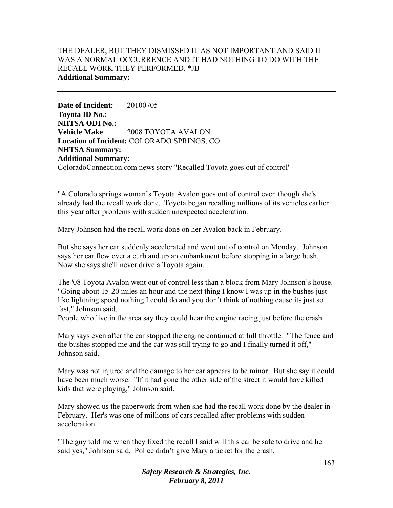# THE DEALER, BUT THEY DISMISSED IT AS NOT IMPORTANT AND SAID IT WAS A NORMAL OCCURRENCE AND IT HAD NOTHING TO DO WITH THE RECALL WORK THEY PERFORMED. \*JB **Additional Summary:**

**Date of Incident:** 20100705 **Toyota ID No.: NHTSA ODI No.: Vehicle Make** 2008 TOYOTA AVALON **Location of Incident:** COLORADO SPRINGS, CO **NHTSA Summary: Additional Summary:**  ColoradoConnection.com news story "Recalled Toyota goes out of control"

"A Colorado springs woman's Toyota Avalon goes out of control even though she's already had the recall work done. Toyota began recalling millions of its vehicles earlier this year after problems with sudden unexpected acceleration.

Mary Johnson had the recall work done on her Avalon back in February.

But she says her car suddenly accelerated and went out of control on Monday. Johnson says her car flew over a curb and up an embankment before stopping in a large bush. Now she says she'll never drive a Toyota again.

The '08 Toyota Avalon went out of control less than a block from Mary Johnson's house. "Going about 15-20 miles an hour and the next thing I know I was up in the bushes just like lightning speed nothing I could do and you don't think of nothing cause its just so fast," Johnson said.

People who live in the area say they could hear the engine racing just before the crash.

Mary says even after the car stopped the engine continued at full throttle. "The fence and the bushes stopped me and the car was still trying to go and I finally turned it off," Johnson said.

Mary was not injured and the damage to her car appears to be minor. But she say it could have been much worse. "If it had gone the other side of the street it would have killed kids that were playing," Johnson said.

Mary showed us the paperwork from when she had the recall work done by the dealer in February. Her's was one of millions of cars recalled after problems with sudden acceleration.

"The guy told me when they fixed the recall I said will this car be safe to drive and he said yes," Johnson said. Police didn't give Mary a ticket for the crash.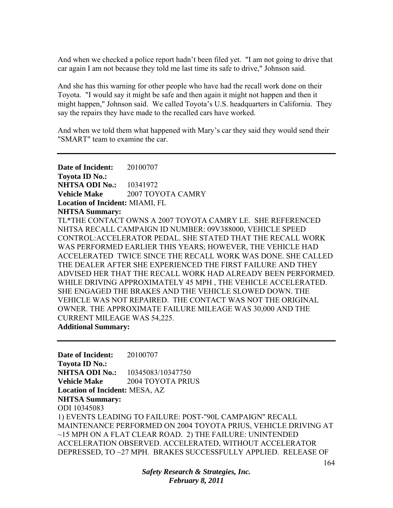And when we checked a police report hadn't been filed yet. "I am not going to drive that car again I am not because they told me last time its safe to drive," Johnson said.

And she has this warning for other people who have had the recall work done on their Toyota. "I would say it might be safe and then again it might not happen and then it might happen," Johnson said. We called Toyota's U.S. headquarters in California. They say the repairs they have made to the recalled cars have worked.

And when we told them what happened with Mary's car they said they would send their "SMART" team to examine the car.

**Date of Incident:** 20100707 **Toyota ID No.: NHTSA ODI No.:** 10341972 **Vehicle Make 2007 TOYOTA CAMRY Location of Incident:** MIAMI, FL **NHTSA Summary:**  TL\*THE CONTACT OWNS A 2007 TOYOTA CAMRY LE. SHE REFERENCED NHTSA RECALL CAMPAIGN ID NUMBER: 09V388000, VEHICLE SPEED CONTROL:ACCELERATOR PEDAL. SHE STATED THAT THE RECALL WORK WAS PERFORMED EARLIER THIS YEARS; HOWEVER, THE VEHICLE HAD ACCELERATED TWICE SINCE THE RECALL WORK WAS DONE. SHE CALLED THE DEALER AFTER SHE EXPERIENCED THE FIRST FAILURE AND THEY ADVISED HER THAT THE RECALL WORK HAD ALREADY BEEN PERFORMED. WHILE DRIVING APPROXIMATELY 45 MPH , THE VEHICLE ACCELERATED. SHE ENGAGED THE BRAKES AND THE VEHICLE SLOWED DOWN. THE VEHICLE WAS NOT REPAIRED. THE CONTACT WAS NOT THE ORIGINAL OWNER. THE APPROXIMATE FAILURE MILEAGE WAS 30,000 AND THE CURRENT MILEAGE WAS 54,225. **Additional Summary:** 

**Date of Incident:** 20100707 **Toyota ID No.: NHTSA ODI No.:** 10345083/10347750 **Vehicle Make** 2004 TOYOTA PRIUS **Location of Incident:** MESA, AZ **NHTSA Summary:**  ODI 10345083 1) EVENTS LEADING TO FAILURE: POST-"90L CAMPAIGN" RECALL MAINTENANCE PERFORMED ON 2004 TOYOTA PRIUS, VEHICLE DRIVING AT ~15 MPH ON A FLAT CLEAR ROAD. 2) THE FAILURE: UNINTENDED ACCELERATION OBSERVED. ACCELERATED, WITHOUT ACCELERATOR DEPRESSED, TO ~27 MPH. BRAKES SUCCESSFULLY APPLIED. RELEASE OF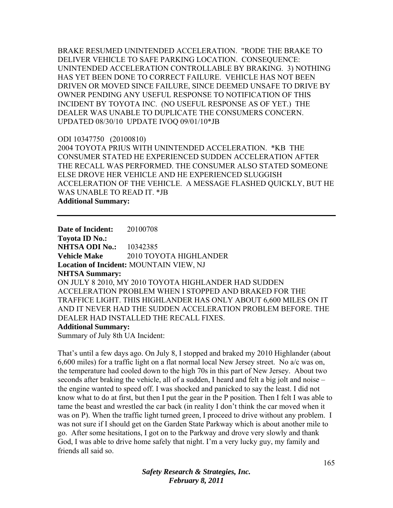BRAKE RESUMED UNINTENDED ACCELERATION. "RODE THE BRAKE TO DELIVER VEHICLE TO SAFE PARKING LOCATION. CONSEQUENCE: UNINTENDED ACCELERATION CONTROLLABLE BY BRAKING. 3) NOTHING HAS YET BEEN DONE TO CORRECT FAILURE. VEHICLE HAS NOT BEEN DRIVEN OR MOVED SINCE FAILURE, SINCE DEEMED UNSAFE TO DRIVE BY OWNER PENDING ANY USEFUL RESPONSE TO NOTIFICATION OF THIS INCIDENT BY TOYOTA INC. (NO USEFUL RESPONSE AS OF YET.) THE DEALER WAS UNABLE TO DUPLICATE THE CONSUMERS CONCERN. UPDATED 08/30/10 UPDATE IVOQ 09/01/10\*JB

#### ODI 10347750 (20100810)

2004 TOYOTA PRIUS WITH UNINTENDED ACCELERATION. \*KB THE CONSUMER STATED HE EXPERIENCED SUDDEN ACCELERATION AFTER THE RECALL WAS PERFORMED. THE CONSUMER ALSO STATED SOMEONE ELSE DROVE HER VEHICLE AND HE EXPERIENCED SLUGGISH ACCELERATION OF THE VEHICLE. A MESSAGE FLASHED QUICKLY, BUT HE WAS UNABLE TO READ IT. \*JB **Additional Summary:** 

**Date of Incident:** 20100708 **Toyota ID No.: NHTSA ODI No.:** 10342385 **Vehicle Make** 2010 TOYOTA HIGHLANDER **Location of Incident:** MOUNTAIN VIEW, NJ **NHTSA Summary:**  ON JULY 8 2010, MY 2010 TOYOTA HIGHLANDER HAD SUDDEN ACCELERATION PROBLEM WHEN I STOPPED AND BRAKED FOR THE TRAFFICE LIGHT. THIS HIGHLANDER HAS ONLY ABOUT 6,600 MILES ON IT AND IT NEVER HAD THE SUDDEN ACCELERATION PROBLEM BEFORE. THE DEALER HAD INSTALLED THE RECALL FIXES.

## **Additional Summary:**

Summary of July 8th UA Incident:

That's until a few days ago. On July 8, I stopped and braked my 2010 Highlander (about 6,600 miles) for a traffic light on a flat normal local New Jersey street. No a/c was on, the temperature had cooled down to the high 70s in this part of New Jersey. About two seconds after braking the vehicle, all of a sudden, I heard and felt a big jolt and noise – the engine wanted to speed off. I was shocked and panicked to say the least. I did not know what to do at first, but then I put the gear in the P position. Then I felt I was able to tame the beast and wrestled the car back (in reality I don't think the car moved when it was on P). When the traffic light turned green, I proceed to drive without any problem. I was not sure if I should get on the Garden State Parkway which is about another mile to go. After some hesitations, I got on to the Parkway and drove very slowly and thank God, I was able to drive home safely that night. I'm a very lucky guy, my family and friends all said so.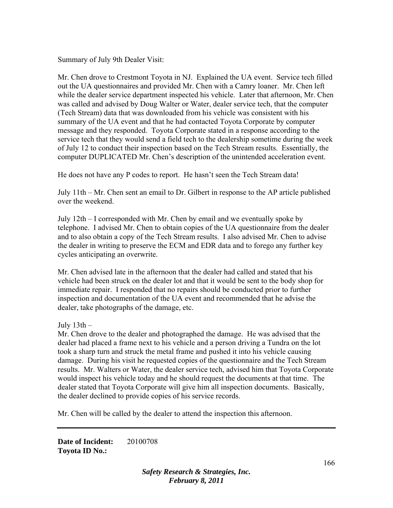Summary of July 9th Dealer Visit:

Mr. Chen drove to Crestmont Toyota in NJ. Explained the UA event. Service tech filled out the UA questionnaires and provided Mr. Chen with a Camry loaner. Mr. Chen left while the dealer service department inspected his vehicle. Later that afternoon, Mr. Chen was called and advised by Doug Walter or Water, dealer service tech, that the computer (Tech Stream) data that was downloaded from his vehicle was consistent with his summary of the UA event and that he had contacted Toyota Corporate by computer message and they responded. Toyota Corporate stated in a response according to the service tech that they would send a field tech to the dealership sometime during the week of July 12 to conduct their inspection based on the Tech Stream results. Essentially, the computer DUPLICATED Mr. Chen's description of the unintended acceleration event.

He does not have any P codes to report. He hasn't seen the Tech Stream data!

July 11th – Mr. Chen sent an email to Dr. Gilbert in response to the AP article published over the weekend.

July 12th – I corresponded with Mr. Chen by email and we eventually spoke by telephone. I advised Mr. Chen to obtain copies of the UA questionnaire from the dealer and to also obtain a copy of the Tech Stream results. I also advised Mr. Chen to advise the dealer in writing to preserve the ECM and EDR data and to forego any further key cycles anticipating an overwrite.

Mr. Chen advised late in the afternoon that the dealer had called and stated that his vehicle had been struck on the dealer lot and that it would be sent to the body shop for immediate repair. I responded that no repairs should be conducted prior to further inspection and documentation of the UA event and recommended that he advise the dealer, take photographs of the damage, etc.

July 13th –

Mr. Chen drove to the dealer and photographed the damage. He was advised that the dealer had placed a frame next to his vehicle and a person driving a Tundra on the lot took a sharp turn and struck the metal frame and pushed it into his vehicle causing damage. During his visit he requested copies of the questionnaire and the Tech Stream results. Mr. Walters or Water, the dealer service tech, advised him that Toyota Corporate would inspect his vehicle today and he should request the documents at that time. The dealer stated that Toyota Corporate will give him all inspection documents. Basically, the dealer declined to provide copies of his service records.

Mr. Chen will be called by the dealer to attend the inspection this afternoon.

**Date of Incident:** 20100708 **Toyota ID No.:**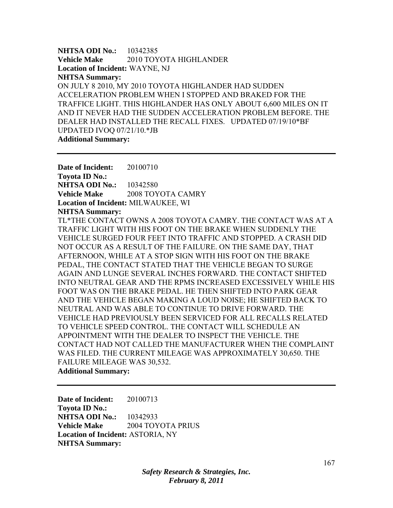**NHTSA ODI No.:** 10342385 **Vehicle Make** 2010 TOYOTA HIGHLANDER **Location of Incident:** WAYNE, NJ **NHTSA Summary:**  ON JULY 8 2010, MY 2010 TOYOTA HIGHLANDER HAD SUDDEN ACCELERATION PROBLEM WHEN I STOPPED AND BRAKED FOR THE TRAFFICE LIGHT. THIS HIGHLANDER HAS ONLY ABOUT 6,600 MILES ON IT AND IT NEVER HAD THE SUDDEN ACCELERATION PROBLEM BEFORE. THE DEALER HAD INSTALLED THE RECALL FIXES. UPDATED 07/19/10\*BF UPDATED IVOQ 07/21/10.\*JB **Additional Summary:** 

**Date of Incident:** 20100710 **Toyota ID No.: NHTSA ODI No.:** 10342580 **Vehicle Make** 2008 TOYOTA CAMRY **Location of Incident:** MILWAUKEE, WI **NHTSA Summary:** 

TL\*THE CONTACT OWNS A 2008 TOYOTA CAMRY. THE CONTACT WAS AT A TRAFFIC LIGHT WITH HIS FOOT ON THE BRAKE WHEN SUDDENLY THE VEHICLE SURGED FOUR FEET INTO TRAFFIC AND STOPPED. A CRASH DID NOT OCCUR AS A RESULT OF THE FAILURE. ON THE SAME DAY, THAT AFTERNOON, WHILE AT A STOP SIGN WITH HIS FOOT ON THE BRAKE PEDAL, THE CONTACT STATED THAT THE VEHICLE BEGAN TO SURGE AGAIN AND LUNGE SEVERAL INCHES FORWARD. THE CONTACT SHIFTED INTO NEUTRAL GEAR AND THE RPMS INCREASED EXCESSIVELY WHILE HIS FOOT WAS ON THE BRAKE PEDAL. HE THEN SHIFTED INTO PARK GEAR AND THE VEHICLE BEGAN MAKING A LOUD NOISE; HE SHIFTED BACK TO NEUTRAL AND WAS ABLE TO CONTINUE TO DRIVE FORWARD. THE VEHICLE HAD PREVIOUSLY BEEN SERVICED FOR ALL RECALLS RELATED TO VEHICLE SPEED CONTROL. THE CONTACT WILL SCHEDULE AN APPOINTMENT WITH THE DEALER TO INSPECT THE VEHICLE. THE CONTACT HAD NOT CALLED THE MANUFACTURER WHEN THE COMPLAINT WAS FILED. THE CURRENT MILEAGE WAS APPROXIMATELY 30,650. THE FAILURE MILEAGE WAS 30,532.

**Additional Summary:** 

**Date of Incident:** 20100713 **Toyota ID No.: NHTSA ODI No.:** 10342933 **Vehicle Make** 2004 TOYOTA PRIUS **Location of Incident:** ASTORIA, NY **NHTSA Summary:**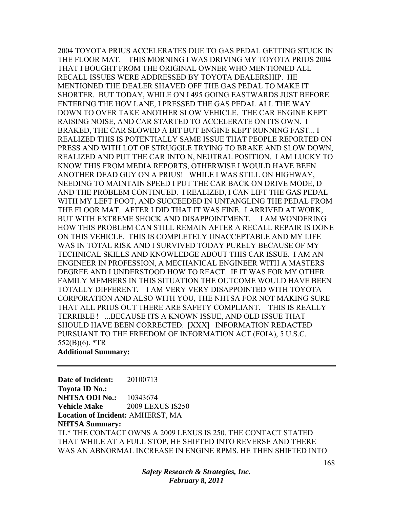2004 TOYOTA PRIUS ACCELERATES DUE TO GAS PEDAL GETTING STUCK IN THE FLOOR MAT. THIS MORNING I WAS DRIVING MY TOYOTA PRIUS 2004 THAT I BOUGHT FROM THE ORIGINAL OWNER WHO MENTIONED ALL RECALL ISSUES WERE ADDRESSED BY TOYOTA DEALERSHIP. HE MENTIONED THE DEALER SHAVED OFF THE GAS PEDAL TO MAKE IT SHORTER. BUT TODAY, WHILE ON I 495 GOING EASTWARDS JUST BEFORE ENTERING THE HOV LANE, I PRESSED THE GAS PEDAL ALL THE WAY DOWN TO OVER TAKE ANOTHER SLOW VEHICLE. THE CAR ENGINE KEPT RAISING NOISE, AND CAR STARTED TO ACCELERATE ON ITS OWN. I BRAKED, THE CAR SLOWED A BIT BUT ENGINE KEPT RUNNING FAST... I REALIZED THIS IS POTENTIALLY SAME ISSUE THAT PEOPLE REPORTED ON PRESS AND WITH LOT OF STRUGGLE TRYING TO BRAKE AND SLOW DOWN, REALIZED AND PUT THE CAR INTO N, NEUTRAL POSITION. I AM LUCKY TO KNOW THIS FROM MEDIA REPORTS, OTHERWISE I WOULD HAVE BEEN ANOTHER DEAD GUY ON A PRIUS! WHILE I WAS STILL ON HIGHWAY, NEEDING TO MAINTAIN SPEED I PUT THE CAR BACK ON DRIVE MODE, D AND THE PROBLEM CONTINUED. I REALIZED, I CAN LIFT THE GAS PEDAL WITH MY LEFT FOOT, AND SUCCEEDED IN UNTANGLING THE PEDAL FROM THE FLOOR MAT. AFTER I DID THAT IT WAS FINE. I ARRIVED AT WORK, BUT WITH EXTREME SHOCK AND DISAPPOINTMENT. I AM WONDERING HOW THIS PROBLEM CAN STILL REMAIN AFTER A RECALL REPAIR IS DONE ON THIS VEHICLE. THIS IS COMPLETELY UNACCEPTABLE AND MY LIFE WAS IN TOTAL RISK AND I SURVIVED TODAY PURELY BECAUSE OF MY TECHNICAL SKILLS AND KNOWLEDGE ABOUT THIS CAR ISSUE. I AM AN ENGINEER IN PROFESSION, A MECHANICAL ENGINEER WITH A MASTERS DEGREE AND I UNDERSTOOD HOW TO REACT. IF IT WAS FOR MY OTHER FAMILY MEMBERS IN THIS SITUATION THE OUTCOME WOULD HAVE BEEN TOTALLY DIFFERENT. I AM VERY VERY DISAPPOINTED WITH TOYOTA CORPORATION AND ALSO WITH YOU, THE NHTSA FOR NOT MAKING SURE THAT ALL PRIUS OUT THERE ARE SAFETY COMPLIANT. THIS IS REALLY TERRIBLE ! ...BECAUSE ITS A KNOWN ISSUE, AND OLD ISSUE THAT SHOULD HAVE BEEN CORRECTED. [XXX] INFORMATION REDACTED PURSUANT TO THE FREEDOM OF INFORMATION ACT (FOIA), 5 U.S.C. 552(B)(6). \*TR **Additional Summary:** 

**Date of Incident:** 20100713 **Toyota ID No.: NHTSA ODI No.:** 10343674 **Vehicle Make** 2009 LEXUS IS250 **Location of Incident:** AMHERST, MA **NHTSA Summary:**  TL\* THE CONTACT OWNS A 2009 LEXUS IS 250. THE CONTACT STATED THAT WHILE AT A FULL STOP, HE SHIFTED INTO REVERSE AND THERE WAS AN ABNORMAL INCREASE IN ENGINE RPMS. HE THEN SHIFTED INTO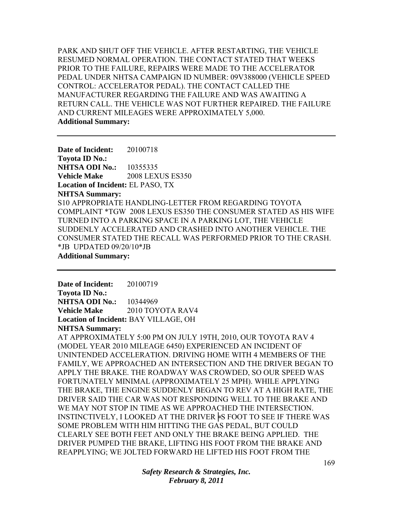PARK AND SHUT OFF THE VEHICLE. AFTER RESTARTING, THE VEHICLE RESUMED NORMAL OPERATION. THE CONTACT STATED THAT WEEKS PRIOR TO THE FAILURE, REPAIRS WERE MADE TO THE ACCELERATOR PEDAL UNDER NHTSA CAMPAIGN ID NUMBER: 09V388000 (VEHICLE SPEED CONTROL: ACCELERATOR PEDAL). THE CONTACT CALLED THE MANUFACTURER REGARDING THE FAILURE AND WAS AWAITING A RETURN CALL. THE VEHICLE WAS NOT FURTHER REPAIRED. THE FAILURE AND CURRENT MILEAGES WERE APPROXIMATELY 5,000. **Additional Summary:** 

**Date of Incident:** 20100718 **Toyota ID No.: NHTSA ODI No.:** 10355335 **Vehicle Make** 2008 LEXUS ES350 **Location of Incident:** EL PASO, TX **NHTSA Summary:**  S10 APPROPRIATE HANDLING-LETTER FROM REGARDING TOYOTA COMPLAINT \*TGW 2008 LEXUS ES350 THE CONSUMER STATED AS HIS WIFE TURNED INTO A PARKING SPACE IN A PARKING LOT, THE VEHICLE SUDDENLY ACCELERATED AND CRASHED INTO ANOTHER VEHICLE. THE CONSUMER STATED THE RECALL WAS PERFORMED PRIOR TO THE CRASH. \*JB UPDATED 09/20/10\*JB **Additional Summary:** 

**Date of Incident:** 20100719 **Toyota ID No.: NHTSA ODI No.:** 10344969 **Vehicle Make** 2010 TOYOTA RAV4 **Location of Incident:** BAY VILLAGE, OH

**NHTSA Summary:** 

AT APPROXIMATELY 5:00 PM ON JULY 19TH, 2010, OUR TOYOTA RAV 4 (MODEL YEAR 2010 MILEAGE 6450) EXPERIENCED AN INCIDENT OF UNINTENDED ACCELERATION. DRIVING HOME WITH 4 MEMBERS OF THE FAMILY, WE APPROACHED AN INTERSECTION AND THE DRIVER BEGAN TO APPLY THE BRAKE. THE ROADWAY WAS CROWDED, SO OUR SPEED WAS FORTUNATELY MINIMAL (APPROXIMATELY 25 MPH). WHILE APPLYING THE BRAKE, THE ENGINE SUDDENLY BEGAN TO REV AT A HIGH RATE, THE DRIVER SAID THE CAR WAS NOT RESPONDING WELL TO THE BRAKE AND WE MAY NOT STOP IN TIME AS WE APPROACHED THE INTERSECTION. INSTINCTIVELY, I LOOKED AT THE DRIVER ⊧S FOOT TO SEE IF THERE WAS SOME PROBLEM WITH HIM HITTING THE GAS PEDAL, BUT COULD CLEARLY SEE BOTH FEET AND ONLY THE BRAKE BEING APPLIED. THE DRIVER PUMPED THE BRAKE, LIFTING HIS FOOT FROM THE BRAKE AND REAPPLYING; WE JOLTED FORWARD HE LIFTED HIS FOOT FROM THE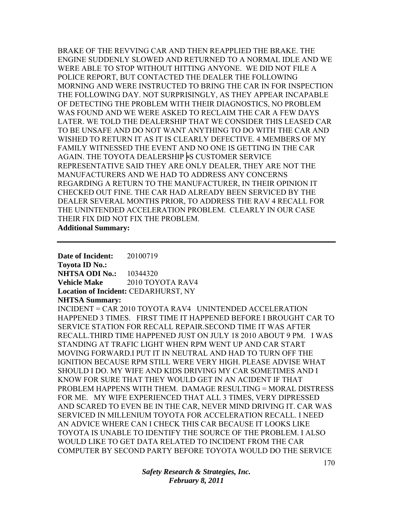BRAKE OF THE REVVING CAR AND THEN REAPPLIED THE BRAKE. THE ENGINE SUDDENLY SLOWED AND RETURNED TO A NORMAL IDLE AND WE WERE ABLE TO STOP WITHOUT HITTING ANYONE. WE DID NOT FILE A POLICE REPORT, BUT CONTACTED THE DEALER THE FOLLOWING MORNING AND WERE INSTRUCTED TO BRING THE CAR IN FOR INSPECTION THE FOLLOWING DAY. NOT SURPRISINGLY, AS THEY APPEAR INCAPABLE OF DETECTING THE PROBLEM WITH THEIR DIAGNOSTICS, NO PROBLEM WAS FOUND AND WE WERE ASKED TO RECLAIM THE CAR A FEW DAYS LATER. WE TOLD THE DEALERSHIP THAT WE CONSIDER THIS LEASED CAR TO BE UNSAFE AND DO NOT WANT ANYTHING TO DO WITH THE CAR AND WISHED TO RETURN IT AS IT IS CLEARLY DEFECTIVE. 4 MEMBERS OF MY FAMILY WITNESSED THE EVENT AND NO ONE IS GETTING IN THE CAR AGAIN. THE TOYOTA DEALERSHIP FS CUSTOMER SERVICE REPRESENTATIVE SAID THEY ARE ONLY DEALER, THEY ARE NOT THE MANUFACTURERS AND WE HAD TO ADDRESS ANY CONCERNS REGARDING A RETURN TO THE MANUFACTURER, IN THEIR OPINION IT CHECKED OUT FINE. THE CAR HAD ALREADY BEEN SERVICED BY THE DEALER SEVERAL MONTHS PRIOR, TO ADDRESS THE RAV 4 RECALL FOR THE UNINTENDED ACCELERATION PROBLEM. CLEARLY IN OUR CASE THEIR FIX DID NOT FIX THE PROBLEM.

**Additional Summary:** 

**Date of Incident:** 20100719 **Toyota ID No.: NHTSA ODI No.:** 10344320 **Vehicle Make** 2010 TOYOTA RAV4 **Location of Incident:** CEDARHURST, NY **NHTSA Summary:**  INCIDENT = CAR 2010 TOYOTA RAV4 UNINTENDED ACCELERATION HAPPENED 3 TIMES. FIRST TIME IT HAPPENED BEFORE I BROUGHT CAR TO SERVICE STATION FOR RECALL REPAIR.SECOND TIME IT WAS AFTER RECALL.THIRD TIME HAPPENED JUST ON JULY 18 2010 ABOUT 9 PM. I WAS STANDING AT TRAFIC LIGHT WHEN RPM WENT UP AND CAR START MOVING FORWARD.I PUT IT IN NEUTRAL AND HAD TO TURN OFF THE IGNITION BECAUSE RPM STILL WERE VERY HIGH. PLEASE ADVISE WHAT SHOULD I DO. MY WIFE AND KIDS DRIVING MY CAR SOMETIMES AND I KNOW FOR SURE THAT THEY WOULD GET IN AN ACIDENT IF THAT PROBLEM HAPPENS WITH THEM. DAMAGE RESULTING = MORAL DISTRESS FOR ME. MY WIFE EXPERIENCED THAT ALL 3 TIMES, VERY DIPRESSED AND SCARED TO EVEN BE IN THE CAR, NEVER MIND DRIVING IT. CAR WAS SERVICED IN MILLENIUM TOYOTA FOR ACCELERATION RECALL. I NEED AN ADVICE WHERE CAN I CHECK THIS CAR BECAUSE IT LOOKS LIKE TOYOTA IS UNABLE TO IDENTIFY THE SOURCE OF THE PROBLEM. I ALSO WOULD LIKE TO GET DATA RELATED TO INCIDENT FROM THE CAR COMPUTER BY SECOND PARTY BEFORE TOYOTA WOULD DO THE SERVICE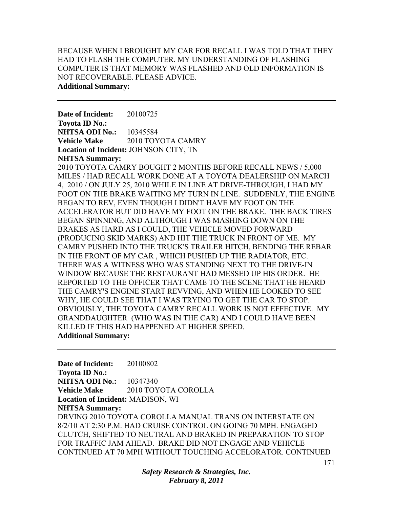BECAUSE WHEN I BROUGHT MY CAR FOR RECALL I WAS TOLD THAT THEY HAD TO FLASH THE COMPUTER. MY UNDERSTANDING OF FLASHING COMPUTER IS THAT MEMORY WAS FLASHED AND OLD INFORMATION IS NOT RECOVERABLE. PLEASE ADVICE. **Additional Summary:** 

**Date of Incident:** 20100725 **Toyota ID No.: NHTSA ODI No.:** 10345584 **Vehicle Make** 2010 TOYOTA CAMRY **Location of Incident:** JOHNSON CITY, TN **NHTSA Summary:**  2010 TOYOTA CAMRY BOUGHT 2 MONTHS BEFORE RECALL NEWS / 5,000 MILES / HAD RECALL WORK DONE AT A TOYOTA DEALERSHIP ON MARCH 4, 2010 / ON JULY 25, 2010 WHILE IN LINE AT DRIVE-THROUGH, I HAD MY FOOT ON THE BRAKE WAITING MY TURN IN LINE. SUDDENLY, THE ENGINE BEGAN TO REV, EVEN THOUGH I DIDN'T HAVE MY FOOT ON THE ACCELERATOR BUT DID HAVE MY FOOT ON THE BRAKE. THE BACK TIRES BEGAN SPINNING, AND ALTHOUGH I WAS MASHING DOWN ON THE BRAKES AS HARD AS I COULD, THE VEHICLE MOVED FORWARD (PRODUCING SKID MARKS) AND HIT THE TRUCK IN FRONT OF ME. MY CAMRY PUSHED INTO THE TRUCK'S TRAILER HITCH, BENDING THE REBAR IN THE FRONT OF MY CAR , WHICH PUSHED UP THE RADIATOR, ETC. THERE WAS A WITNESS WHO WAS STANDING NEXT TO THE DRIVE-IN WINDOW BECAUSE THE RESTAURANT HAD MESSED UP HIS ORDER. HE

REPORTED TO THE OFFICER THAT CAME TO THE SCENE THAT HE HEARD THE CAMRY'S ENGINE START REVVING, AND WHEN HE LOOKED TO SEE WHY, HE COULD SEE THAT I WAS TRYING TO GET THE CAR TO STOP. OBVIOUSLY, THE TOYOTA CAMRY RECALL WORK IS NOT EFFECTIVE. MY GRANDDAUGHTER (WHO WAS IN THE CAR) AND I COULD HAVE BEEN KILLED IF THIS HAD HAPPENED AT HIGHER SPEED.

**Additional Summary:** 

**Date of Incident:** 20100802 **Toyota ID No.: NHTSA ODI No.:** 10347340 **Vehicle Make** 2010 TOYOTA COROLLA **Location of Incident:** MADISON, WI **NHTSA Summary:**  DRVING 2010 TOYOTA COROLLA MANUAL TRANS ON INTERSTATE ON 8/2/10 AT 2:30 P.M. HAD CRUISE CONTROL ON GOING 70 MPH. ENGAGED CLUTCH, SHIFTED TO NEUTRAL AND BRAKED IN PREPARATION TO STOP FOR TRAFFIC JAM AHEAD. BRAKE DID NOT ENGAGE AND VEHICLE CONTINUED AT 70 MPH WITHOUT TOUCHING ACCELORATOR. CONTINUED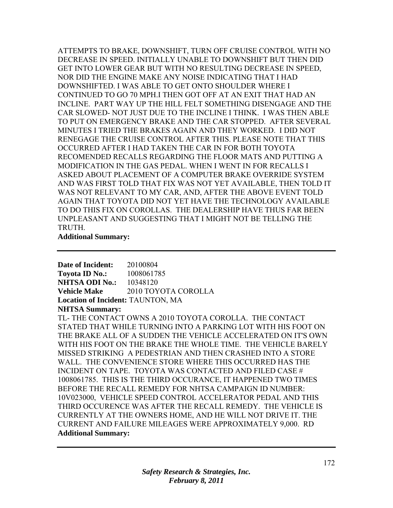ATTEMPTS TO BRAKE, DOWNSHIFT, TURN OFF CRUISE CONTROL WITH NO DECREASE IN SPEED. INITIALLY UNABLE TO DOWNSHIFT BUT THEN DID GET INTO LOWER GEAR BUT WITH NO RESULTING DECREASE IN SPEED, NOR DID THE ENGINE MAKE ANY NOISE INDICATING THAT I HAD DOWNSHIFTED. I WAS ABLE TO GET ONTO SHOULDER WHERE I CONTINUED TO GO 70 MPH.I THEN GOT OFF AT AN EXIT THAT HAD AN INCLINE. PART WAY UP THE HILL FELT SOMETHING DISENGAGE AND THE CAR SLOWED- NOT JUST DUE TO THE INCLINE I THINK. I WAS THEN ABLE TO PUT ON EMERGENCY BRAKE AND THE CAR STOPPED. AFTER SEVERAL MINUTES I TRIED THE BRAKES AGAIN AND THEY WORKED. I DID NOT RENEGAGE THE CRUISE CONTROL AFTER THIS. PLEASE NOTE THAT THIS OCCURRED AFTER I HAD TAKEN THE CAR IN FOR BOTH TOYOTA RECOMENDED RECALLS REGARDING THE FLOOR MATS AND PUTTING A MODIFICATION IN THE GAS PEDAL. WHEN I WENT IN FOR RECALLS I ASKED ABOUT PLACEMENT OF A COMPUTER BRAKE OVERRIDE SYSTEM AND WAS FIRST TOLD THAT FIX WAS NOT YET AVAILABLE, THEN TOLD IT WAS NOT RELEVANT TO MY CAR, AND, AFTER THE ABOVE EVENT TOLD AGAIN THAT TOYOTA DID NOT YET HAVE THE TECHNOLOGY AVAILABLE TO DO THIS FIX ON COROLLAS. THE DEALERSHIP HAVE THUS FAR BEEN UNPLEASANT AND SUGGESTING THAT I MIGHT NOT BE TELLING THE TRUTH.

#### **Additional Summary:**

**Date of Incident:** 20100804 **Toyota ID No.:** 1008061785 **NHTSA ODI No.: 10348120 Vehicle Make** 2010 TOYOTA COROLLA **Location of Incident:** TAUNTON, MA

# **NHTSA Summary:**

TL- THE CONTACT OWNS A 2010 TOYOTA COROLLA. THE CONTACT STATED THAT WHILE TURNING INTO A PARKING LOT WITH HIS FOOT ON THE BRAKE ALL OF A SUDDEN THE VEHICLE ACCELERATED ON IT'S OWN WITH HIS FOOT ON THE BRAKE THE WHOLE TIME. THE VEHICLE BARELY MISSED STRIKING A PEDESTRIAN AND THEN CRASHED INTO A STORE WALL. THE CONVENIENCE STORE WHERE THIS OCCURRED HAS THE INCIDENT ON TAPE. TOYOTA WAS CONTACTED AND FILED CASE # 1008061785. THIS IS THE THIRD OCCURANCE, IT HAPPENED TWO TIMES BEFORE THE RECALL REMEDY FOR NHTSA CAMPAIGN ID NUMBER: 10V023000, VEHICLE SPEED CONTROL ACCELERATOR PEDAL AND THIS THIRD OCCURENCE WAS AFTER THE RECALL REMEDY. THE VEHICLE IS CURRENTLY AT THE OWNERS HOME, AND HE WILL NOT DRIVE IT. THE CURRENT AND FAILURE MILEAGES WERE APPROXIMATELY 9,000. RD **Additional Summary:**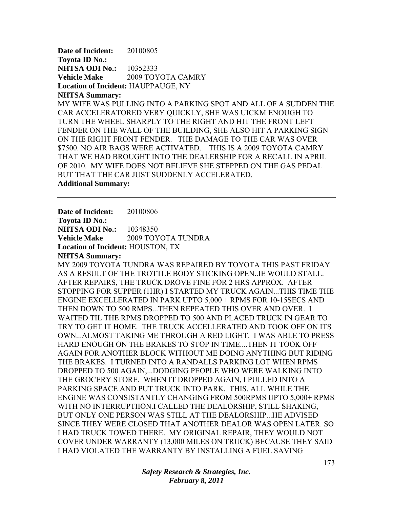**Date of Incident:** 20100805 **Toyota ID No.: NHTSA ODI No.:** 10352333 **Vehicle Make** 2009 TOYOTA CAMRY **Location of Incident:** HAUPPAUGE, NY

# **NHTSA Summary:**  MY WIFE WAS PULLING INTO A PARKING SPOT AND ALL OF A SUDDEN THE CAR ACCELERATORED VERY QUICKLY, SHE WAS UICKM ENOUGH TO TURN THE WHEEL SHARPLY TO THE RIGHT AND HIT THE FRONT LEFT FENDER ON THE WALL OF THE BUILDING, SHE ALSO HIT A PARKING SIGN ON THE RIGHT FRONT FENDER. THE DAMAGE TO THE CAR WAS OVER \$7500. NO AIR BAGS WERE ACTIVATED. THIS IS A 2009 TOYOTA CAMRY THAT WE HAD BROUGHT INTO THE DEALERSHIP FOR A RECALL IN APRIL OF 2010. MY WIFE DOES NOT BELIEVE SHE STEPPED ON THE GAS PEDAL BUT THAT THE CAR JUST SUDDENLY ACCELERATED.

**Additional Summary:** 

**Date of Incident:** 20100806

**Toyota ID No.: NHTSA ODI No.:** 10348350 **Vehicle Make** 2009 TOYOTA TUNDRA **Location of Incident:** HOUSTON, TX **NHTSA Summary:** 

MY 2009 TOYOTA TUNDRA WAS REPAIRED BY TOYOTA THIS PAST FRIDAY AS A RESULT OF THE TROTTLE BODY STICKING OPEN..IE WOULD STALL. AFTER REPAIRS, THE TRUCK DROVE FINE FOR 2 HRS APPROX. AFTER STOPPING FOR SUPPER (1HR) I STARTED MY TRUCK AGAIN...THIS TIME THE ENGINE EXCELLERATED IN PARK UPTO 5,000 + RPMS FOR 10-15SECS AND THEN DOWN TO 500 RMPS...THEN REPEATED THIS OVER AND OVER. I WAITED TIL THE RPMS DROPPED TO 500 AND PLACED TRUCK IN GEAR TO TRY TO GET IT HOME. THE TRUCK ACCELLERATED AND TOOK OFF ON ITS OWN...ALMOST TAKING ME THROUGH A RED LIGHT. I WAS ABLE TO PRESS HARD ENOUGH ON THE BRAKES TO STOP IN TIME....THEN IT TOOK OFF AGAIN FOR ANOTHER BLOCK WITHOUT ME DOING ANYTHING BUT RIDING THE BRAKES. I TURNED INTO A RANDALLS PARKING LOT WHEN RPMS DROPPED TO 500 AGAIN,...DODGING PEOPLE WHO WERE WALKING INTO THE GROCERY STORE. WHEN IT DROPPED AGAIN, I PULLED INTO A PARKING SPACE AND PUT TRUCK INTO PARK. THIS, ALL WHILE THE ENGINE WAS CONSISTANTLY CHANGING FROM 500RPMS UPTO 5,000+ RPMS WITH NO INTERRUPTIION.I CALLED THE DEALORSHIP, STILL SHAKING, BUT ONLY ONE PERSON WAS STILL AT THE DEALORSHIP...HE ADVISED SINCE THEY WERE CLOSED THAT ANOTHER DEALOR WAS OPEN LATER. SO I HAD TRUCK TOWED THERE. MY ORIGINAL REPAIR, THEY WOULD NOT COVER UNDER WARRANTY (13,000 MILES ON TRUCK) BECAUSE THEY SAID I HAD VIOLATED THE WARRANTY BY INSTALLING A FUEL SAVING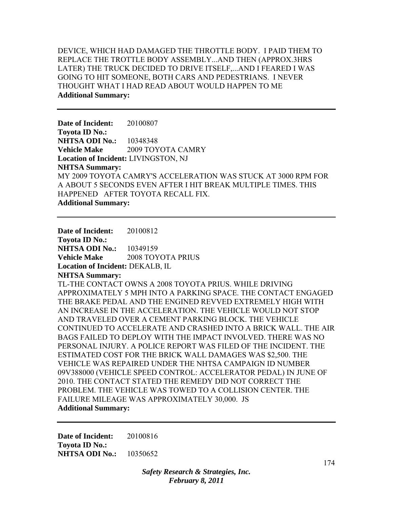DEVICE, WHICH HAD DAMAGED THE THROTTLE BODY. I PAID THEM TO REPLACE THE TROTTLE BODY ASSEMBLY...AND THEN (APPROX.3HRS LATER) THE TRUCK DECIDED TO DRIVE ITSELF,...AND I FEARED I WAS GOING TO HIT SOMEONE, BOTH CARS AND PEDESTRIANS. I NEVER THOUGHT WHAT I HAD READ ABOUT WOULD HAPPEN TO ME **Additional Summary:** 

**Date of Incident:** 20100807 **Toyota ID No.: NHTSA ODI No.:** 10348348 **Vehicle Make**  2009 TOYOTA CAMRY **Location of Incident:** LIVINGSTON, NJ **NHTSA Summary:**  MY 2009 TOYOTA CAMRY'S ACCELERATION WAS STUCK AT 3000 RPM FOR A ABOUT 5 SECONDS EVEN AFTER I HIT BREAK MULTIPLE TIMES. THIS HAPPENED AFTER TOYOTA RECALL FIX. **Additional Summary:** 

**Date of Incident:** 20100812 **Toyota ID No.: NHTSA ODI No.:** 10349159 **Vehicle Make** 2008 TOYOTA PRIUS **Location of Incident:** DEKALB, IL **NHTSA Summary:**  TL-THE CONTACT OWNS A 2008 TOYOTA PRIUS. WHILE DRIVING APPROXIMATELY 5 MPH INTO A PARKING SPACE. THE CONTACT ENGAGED THE BRAKE PEDAL AND THE ENGINED REVVED EXTREMELY HIGH WITH AN INCREASE IN THE ACCELERATION. THE VEHICLE WOULD NOT STOP AND TRAVELED OVER A CEMENT PARKING BLOCK. THE VEHICLE CONTINUED TO ACCELERATE AND CRASHED INTO A BRICK WALL. THE AIR BAGS FAILED TO DEPLOY WITH THE IMPACT INVOLVED. THERE WAS NO PERSONAL INJURY. A POLICE REPORT WAS FILED OF THE INCIDENT. THE ESTIMATED COST FOR THE BRICK WALL DAMAGES WAS \$2,500. THE VEHICLE WAS REPAIRED UNDER THE NHTSA CAMPAIGN ID NUMBER 09V388000 (VEHICLE SPEED CONTROL: ACCELERATOR PEDAL) IN JUNE OF 2010. THE CONTACT STATED THE REMEDY DID NOT CORRECT THE PROBLEM. THE VEHICLE WAS TOWED TO A COLLISION CENTER. THE FAILURE MILEAGE WAS APPROXIMATELY 30,000. JS **Additional Summary:** 

**Date of Incident:** 20100816 **Toyota ID No.: NHTSA ODI No.:** 10350652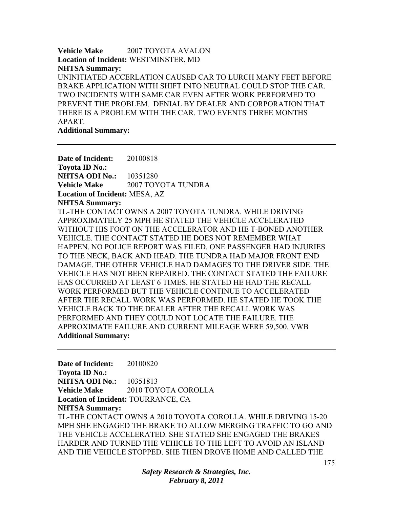**Vehicle Make 2007 TOYOTA AVALON Location of Incident:** WESTMINSTER, MD **NHTSA Summary:**  UNINITIATED ACCERLATION CAUSED CAR TO LURCH MANY FEET BEFORE BRAKE APPLICATION WITH SHIFT INTO NEUTRAL COULD STOP THE CAR. TWO INCIDENTS WITH SAME CAR EVEN AFTER WORK PERFORMED TO PREVENT THE PROBLEM. DENIAL BY DEALER AND CORPORATION THAT THERE IS A PROBLEM WITH THE CAR. TWO EVENTS THREE MONTHS APART.

**Additional Summary:** 

**Date of Incident:** 20100818 **Toyota ID No.: NHTSA ODI No.:** 10351280 **Vehicle Make** 2007 TOYOTA TUNDRA **Location of Incident:** MESA, AZ **NHTSA Summary:**  TL-THE CONTACT OWNS A 2007 TOYOTA TUNDRA. WHILE DRIVING APPROXIMATELY 25 MPH HE STATED THE VEHICLE ACCELERATED WITHOUT HIS FOOT ON THE ACCELERATOR AND HE T-BONED ANOTHER VEHICLE. THE CONTACT STATED HE DOES NOT REMEMBER WHAT HAPPEN. NO POLICE REPORT WAS FILED. ONE PASSENGER HAD INJURIES TO THE NECK, BACK AND HEAD. THE TUNDRA HAD MAJOR FRONT END DAMAGE. THE OTHER VEHICLE HAD DAMAGES TO THE DRIVER SIDE. THE VEHICLE HAS NOT BEEN REPAIRED. THE CONTACT STATED THE FAILURE HAS OCCURRED AT LEAST 6 TIMES. HE STATED HE HAD THE RECALL WORK PERFORMED BUT THE VEHICLE CONTINUE TO ACCELERATED AFTER THE RECALL WORK WAS PERFORMED. HE STATED HE TOOK THE VEHICLE BACK TO THE DEALER AFTER THE RECALL WORK WAS PERFORMED AND THEY COULD NOT LOCATE THE FAILURE. THE APPROXIMATE FAILURE AND CURRENT MILEAGE WERE 59,500. VWB **Additional Summary:** 

**Date of Incident:** 20100820 **Toyota ID No.: NHTSA ODI No.:** 10351813 **Vehicle Make** 2010 TOYOTA COROLLA **Location of Incident:** TOURRANCE, CA **NHTSA Summary:**  TL-THE CONTACT OWNS A 2010 TOYOTA COROLLA. WHILE DRIVING 15-20 MPH SHE ENGAGED THE BRAKE TO ALLOW MERGING TRAFFIC TO GO AND THE VEHICLE ACCELERATED. SHE STATED SHE ENGAGED THE BRAKES HARDER AND TURNED THE VEHICLE TO THE LEFT TO AVOID AN ISLAND AND THE VEHICLE STOPPED. SHE THEN DROVE HOME AND CALLED THE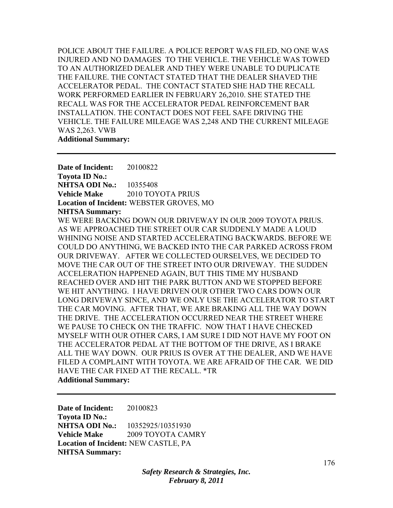POLICE ABOUT THE FAILURE. A POLICE REPORT WAS FILED, NO ONE WAS INJURED AND NO DAMAGES TO THE VEHICLE. THE VEHICLE WAS TOWED TO AN AUTHORIZED DEALER AND THEY WERE UNABLE TO DUPLICATE THE FAILURE. THE CONTACT STATED THAT THE DEALER SHAVED THE ACCELERATOR PEDAL. THE CONTACT STATED SHE HAD THE RECALL WORK PERFORMED EARLIER IN FEBRUARY 26,2010. SHE STATED THE RECALL WAS FOR THE ACCELERATOR PEDAL REINFORCEMENT BAR INSTALLATION. THE CONTACT DOES NOT FEEL SAFE DRIVING THE VEHICLE. THE FAILURE MILEAGE WAS 2,248 AND THE CURRENT MILEAGE WAS 2,263. VWB **Additional Summary:** 

**Date of Incident:** 20100822 **Toyota ID No.: NHTSA ODI No.:** 10355408 **Vehicle Make** 2010 TOYOTA PRIUS **Location of Incident:** WEBSTER GROVES, MO

#### **NHTSA Summary:**

WE WERE BACKING DOWN OUR DRIVEWAY IN OUR 2009 TOYOTA PRIUS. AS WE APPROACHED THE STREET OUR CAR SUDDENLY MADE A LOUD WHINING NOISE AND STARTED ACCELERATING BACKWARDS. BEFORE WE COULD DO ANYTHING, WE BACKED INTO THE CAR PARKED ACROSS FROM OUR DRIVEWAY. AFTER WE COLLECTED OURSELVES, WE DECIDED TO MOVE THE CAR OUT OF THE STREET INTO OUR DRIVEWAY. THE SUDDEN ACCELERATION HAPPENED AGAIN, BUT THIS TIME MY HUSBAND REACHED OVER AND HIT THE PARK BUTTON AND WE STOPPED BEFORE WE HIT ANYTHING. I HAVE DRIVEN OUR OTHER TWO CARS DOWN OUR LONG DRIVEWAY SINCE, AND WE ONLY USE THE ACCELERATOR TO START THE CAR MOVING. AFTER THAT, WE ARE BRAKING ALL THE WAY DOWN THE DRIVE. THE ACCELERATION OCCURRED NEAR THE STREET WHERE WE PAUSE TO CHECK ON THE TRAFFIC. NOW THAT I HAVE CHECKED MYSELF WITH OUR OTHER CARS, I AM SURE I DID NOT HAVE MY FOOT ON THE ACCELERATOR PEDAL AT THE BOTTOM OF THE DRIVE, AS I BRAKE ALL THE WAY DOWN. OUR PRIUS IS OVER AT THE DEALER, AND WE HAVE FILED A COMPLAINT WITH TOYOTA. WE ARE AFRAID OF THE CAR. WE DID HAVE THE CAR FIXED AT THE RECALL. \*TR **Additional Summary:** 

**Date of Incident:** 20100823 **Toyota ID No.: NHTSA ODI No.:** 10352925/10351930 **Vehicle Make** 2009 TOYOTA CAMRY **Location of Incident:** NEW CASTLE, PA **NHTSA Summary:**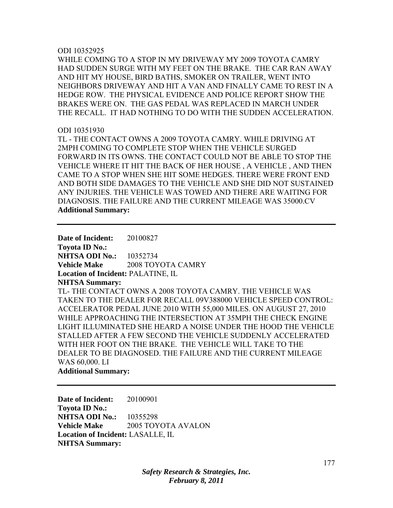#### ODI 10352925

WHILE COMING TO A STOP IN MY DRIVEWAY MY 2009 TOYOTA CAMRY HAD SUDDEN SURGE WITH MY FEET ON THE BRAKE. THE CAR RAN AWAY AND HIT MY HOUSE, BIRD BATHS, SMOKER ON TRAILER, WENT INTO NEIGHBORS DRIVEWAY AND HIT A VAN AND FINALLY CAME TO REST IN A HEDGE ROW. THE PHYSICAL EVIDENCE AND POLICE REPORT SHOW THE BRAKES WERE ON. THE GAS PEDAL WAS REPLACED IN MARCH UNDER THE RECALL. IT HAD NOTHING TO DO WITH THE SUDDEN ACCELERATION.

## ODI 10351930

TL - THE CONTACT OWNS A 2009 TOYOTA CAMRY. WHILE DRIVING AT 2MPH COMING TO COMPLETE STOP WHEN THE VEHICLE SURGED FORWARD IN ITS OWNS. THE CONTACT COULD NOT BE ABLE TO STOP THE VEHICLE WHERE IT HIT THE BACK OF HER HOUSE , A VEHICLE , AND THEN CAME TO A STOP WHEN SHE HIT SOME HEDGES. THERE WERE FRONT END AND BOTH SIDE DAMAGES TO THE VEHICLE AND SHE DID NOT SUSTAINED ANY INJURIES. THE VEHICLE WAS TOWED AND THERE ARE WAITING FOR DIAGNOSIS. THE FAILURE AND THE CURRENT MILEAGE WAS 35000.CV **Additional Summary:** 

**Date of Incident:** 20100827 **Toyota ID No.: NHTSA ODI No.:** 10352734 **Vehicle Make** 2008 TOYOTA CAMRY **Location of Incident:** PALATINE, IL **NHTSA Summary:**  TL- THE CONTACT OWNS A 2008 TOYOTA CAMRY. THE VEHICLE WAS TAKEN TO THE DEALER FOR RECALL 09V388000 VEHICLE SPEED CONTROL: ACCELERATOR PEDAL JUNE 2010 WITH 55,000 MILES. ON AUGUST 27, 2010 WHILE APPROACHING THE INTERSECTION AT 35MPH THE CHECK ENGINE LIGHT ILLUMINATED SHE HEARD A NOISE UNDER THE HOOD THE VEHICLE STALLED AFTER A FEW SECOND THE VEHICLE SUDDENLY ACCELERATED WITH HER FOOT ON THE BRAKE. THE VEHICLE WILL TAKE TO THE DEALER TO BE DIAGNOSED. THE FAILURE AND THE CURRENT MILEAGE WAS 60,000. LI **Additional Summary:** 

**Date of Incident:** 20100901 **Toyota ID No.: NHTSA ODI No.:** 10355298 **Vehicle Make** 2005 TOYOTA AVALON **Location of Incident:** LASALLE, IL **NHTSA Summary:**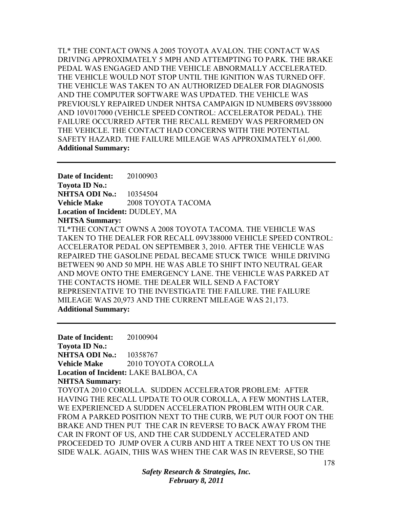TL\* THE CONTACT OWNS A 2005 TOYOTA AVALON. THE CONTACT WAS DRIVING APPROXIMATELY 5 MPH AND ATTEMPTING TO PARK. THE BRAKE PEDAL WAS ENGAGED AND THE VEHICLE ABNORMALLY ACCELERATED. THE VEHICLE WOULD NOT STOP UNTIL THE IGNITION WAS TURNED OFF. THE VEHICLE WAS TAKEN TO AN AUTHORIZED DEALER FOR DIAGNOSIS AND THE COMPUTER SOFTWARE WAS UPDATED. THE VEHICLE WAS PREVIOUSLY REPAIRED UNDER NHTSA CAMPAIGN ID NUMBERS 09V388000 AND 10V017000 (VEHICLE SPEED CONTROL: ACCELERATOR PEDAL). THE FAILURE OCCURRED AFTER THE RECALL REMEDY WAS PERFORMED ON THE VEHICLE. THE CONTACT HAD CONCERNS WITH THE POTENTIAL SAFETY HAZARD. THE FAILURE MILEAGE WAS APPROXIMATELY 61,000. **Additional Summary:** 

**Date of Incident:** 20100903 **Toyota ID No.: NHTSA ODI No.:** 10354504 **Vehicle Make** 2008 TOYOTA TACOMA **Location of Incident:** DUDLEY, MA **NHTSA Summary:**  TL\*THE CONTACT OWNS A 2008 TOYOTA TACOMA. THE VEHICLE WAS TAKEN TO THE DEALER FOR RECALL 09V388000 VEHICLE SPEED CONTROL: ACCELERATOR PEDAL ON SEPTEMBER 3, 2010. AFTER THE VEHICLE WAS REPAIRED THE GASOLINE PEDAL BECAME STUCK TWICE WHILE DRIVING BETWEEN 90 AND 50 MPH. HE WAS ABLE TO SHIFT INTO NEUTRAL GEAR AND MOVE ONTO THE EMERGENCY LANE. THE VEHICLE WAS PARKED AT THE CONTACTS HOME. THE DEALER WILL SEND A FACTORY REPRESENTATIVE TO THE INVESTIGATE THE FAILURE. THE FAILURE MILEAGE WAS 20,973 AND THE CURRENT MILEAGE WAS 21,173. **Additional Summary:** 

**Date of Incident:** 20100904 **Toyota ID No.: NHTSA ODI No.: 10358767 Vehicle Make** 2010 TOYOTA COROLLA **Location of Incident:** LAKE BALBOA, CA **NHTSA Summary:**  TOYOTA 2010 COROLLA. SUDDEN ACCELERATOR PROBLEM: AFTER HAVING THE RECALL UPDATE TO OUR COROLLA, A FEW MONTHS LATER, WE EXPERIENCED A SUDDEN ACCELERATION PROBLEM WITH OUR CAR. FROM A PARKED POSITION NEXT TO THE CURB, WE PUT OUR FOOT ON THE BRAKE AND THEN PUT THE CAR IN REVERSE TO BACK AWAY FROM THE CAR IN FRONT OF US, AND THE CAR SUDDENLY ACCELERATED AND PROCEEDED TO JUMP OVER A CURB AND HIT A TREE NEXT TO US ON THE SIDE WALK. AGAIN, THIS WAS WHEN THE CAR WAS IN REVERSE, SO THE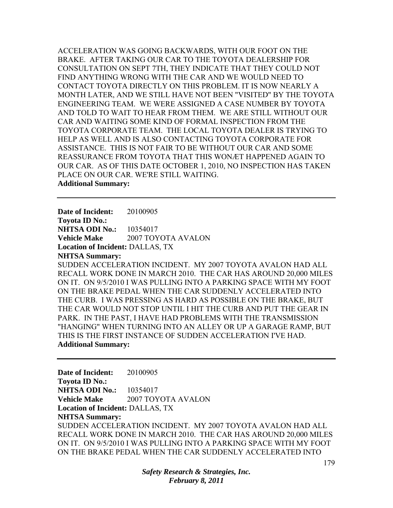ACCELERATION WAS GOING BACKWARDS, WITH OUR FOOT ON THE BRAKE. AFTER TAKING OUR CAR TO THE TOYOTA DEALERSHIP FOR CONSULTATION ON SEPT 7TH, THEY INDICATE THAT THEY COULD NOT FIND ANYTHING WRONG WITH THE CAR AND WE WOULD NEED TO CONTACT TOYOTA DIRECTLY ON THIS PROBLEM. IT IS NOW NEARLY A MONTH LATER, AND WE STILL HAVE NOT BEEN "VISITED" BY THE TOYOTA ENGINEERING TEAM. WE WERE ASSIGNED A CASE NUMBER BY TOYOTA AND TOLD TO WAIT TO HEAR FROM THEM. WE ARE STILL WITHOUT OUR CAR AND WAITING SOME KIND OF FORMAL INSPECTION FROM THE TOYOTA CORPORATE TEAM. THE LOCAL TOYOTA DEALER IS TRYING TO HELP AS WELL AND IS ALSO CONTACTING TOYOTA CORPORATE FOR ASSISTANCE. THIS IS NOT FAIR TO BE WITHOUT OUR CAR AND SOME REASSURANCE FROM TOYOTA THAT THIS WONÆT HAPPENED AGAIN TO OUR CAR. AS OF THIS DATE OCTOBER 1, 2010, NO INSPECTION HAS TAKEN PLACE ON OUR CAR. WE'RE STILL WAITING. **Additional Summary:** 

**Date of Incident:** 20100905 **Toyota ID No.: NHTSA ODI No.:** 10354017 **Vehicle Make** 2007 TOYOTA AVALON **Location of Incident:** DALLAS, TX **NHTSA Summary:**  SUDDEN ACCELERATION INCIDENT. MY 2007 TOYOTA AVALON HAD ALL RECALL WORK DONE IN MARCH 2010. THE CAR HAS AROUND 20,000 MILES ON IT. ON 9/5/2010 I WAS PULLING INTO A PARKING SPACE WITH MY FOOT ON THE BRAKE PEDAL WHEN THE CAR SUDDENLY ACCELERATED INTO THE CURB. I WAS PRESSING AS HARD AS POSSIBLE ON THE BRAKE, BUT

THE CAR WOULD NOT STOP UNTIL I HIT THE CURB AND PUT THE GEAR IN PARK. IN THE PAST, I HAVE HAD PROBLEMS WITH THE TRANSMISSION "HANGING" WHEN TURNING INTO AN ALLEY OR UP A GARAGE RAMP, BUT THIS IS THE FIRST INSTANCE OF SUDDEN ACCELERATION I'VE HAD. **Additional Summary:** 

**Date of Incident:** 20100905 **Toyota ID No.: NHTSA ODI No.:** 10354017 **Vehicle Make** 2007 TOYOTA AVALON **Location of Incident:** DALLAS, TX **NHTSA Summary:**  SUDDEN ACCELERATION INCIDENT. MY 2007 TOYOTA AVALON HAD ALL RECALL WORK DONE IN MARCH 2010. THE CAR HAS AROUND 20,000 MILES ON IT. ON 9/5/2010 I WAS PULLING INTO A PARKING SPACE WITH MY FOOT ON THE BRAKE PEDAL WHEN THE CAR SUDDENLY ACCELERATED INTO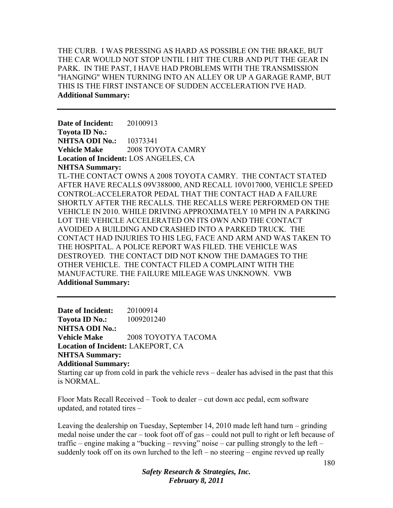THE CURB. I WAS PRESSING AS HARD AS POSSIBLE ON THE BRAKE, BUT THE CAR WOULD NOT STOP UNTIL I HIT THE CURB AND PUT THE GEAR IN PARK. IN THE PAST, I HAVE HAD PROBLEMS WITH THE TRANSMISSION "HANGING" WHEN TURNING INTO AN ALLEY OR UP A GARAGE RAMP, BUT THIS IS THE FIRST INSTANCE OF SUDDEN ACCELERATION I'VE HAD. **Additional Summary:** 

**Date of Incident:** 20100913 **Toyota ID No.: NHTSA ODI No.:** 10373341 **Vehicle Make**  $2008$  **TOYOTA CAMRY Location of Incident:** LOS ANGELES, CA **NHTSA Summary:**  TL-THE CONTACT OWNS A 2008 TOYOTA CAMRY. THE CONTACT STATED AFTER HAVE RECALLS 09V388000, AND RECALL 10V017000, VEHICLE SPEED CONTROL:ACCELERATOR PEDAL THAT THE CONTACT HAD A FAILURE SHORTLY AFTER THE RECALLS. THE RECALLS WERE PERFORMED ON THE VEHICLE IN 2010. WHILE DRIVING APPROXIMATELY 10 MPH IN A PARKING LOT THE VEHICLE ACCELERATED ON ITS OWN AND THE CONTACT AVOIDED A BUILDING AND CRASHED INTO A PARKED TRUCK. THE CONTACT HAD INJURIES TO HIS LEG, FACE AND ARM AND WAS TAKEN TO THE HOSPITAL. A POLICE REPORT WAS FILED. THE VEHICLE WAS DESTROYED. THE CONTACT DID NOT KNOW THE DAMAGES TO THE OTHER VEHICLE. THE CONTACT FILED A COMPLAINT WITH THE MANUFACTURE. THE FAILURE MILEAGE WAS UNKNOWN. VWB **Additional Summary:** 

**Date of Incident:** 20100914 **Toyota ID No.:** 1009201240 **NHTSA ODI No.: Vehicle Make** 2008 TOYOTYA TACOMA **Location of Incident:** LAKEPORT, CA **NHTSA Summary: Additional Summary:**  Starting car up from cold in park the vehicle revs – dealer has advised in the past that this

is NORMAL.

Floor Mats Recall Received – Took to dealer – cut down acc pedal, ecm software updated, and rotated tires –

Leaving the dealership on Tuesday, September 14, 2010 made left hand turn – grinding medal noise under the car – took foot off of gas – could not pull to right or left because of traffic – engine making a "bucking – revving" noise – car pulling strongly to the left – suddenly took off on its own lurched to the left – no steering – engine revved up really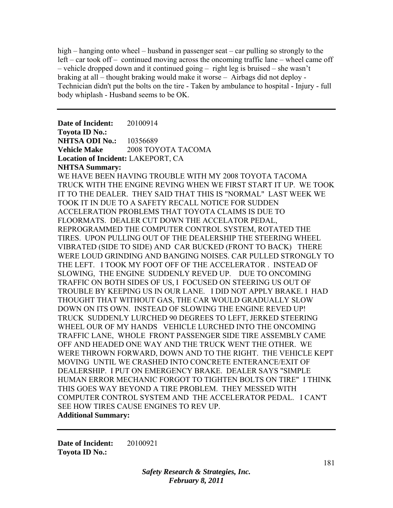high – hanging onto wheel – husband in passenger seat – car pulling so strongly to the left – car took off – continued moving across the oncoming traffic lane – wheel came off – vehicle dropped down and it continued going – right leg is bruised – she wasn't braking at all – thought braking would make it worse – Airbags did not deploy - Technician didn't put the bolts on the tire - Taken by ambulance to hospital - Injury - full body whiplash - Husband seems to be OK.

**Date of Incident:** 20100914 **Toyota ID No.: NHTSA ODI No.:** 10356689 **Vehicle Make** 2008 TOYOTA TACOMA **Location of Incident:** LAKEPORT, CA **NHTSA Summary:**  WE HAVE BEEN HAVING TROUBLE WITH MY 2008 TOYOTA TACOMA TRUCK WITH THE ENGINE REVING WHEN WE FIRST START IT UP. WE TOOK IT TO THE DEALER. THEY SAID THAT THIS IS "NORMAL" LAST WEEK WE TOOK IT IN DUE TO A SAFETY RECALL NOTICE FOR SUDDEN ACCELERATION PROBLEMS THAT TOYOTA CLAIMS IS DUE TO FLOORMATS. DEALER CUT DOWN THE ACCELATOR PEDAL, REPROGRAMMED THE COMPUTER CONTROL SYSTEM, ROTATED THE TIRES. UPON PULLING OUT OF THE DEALERSHIP THE STEERING WHEEL VIBRATED (SIDE TO SIDE) AND CAR BUCKED (FRONT TO BACK) THERE WERE LOUD GRINDING AND BANGING NOISES. CAR PULLED STRONGLY TO THE LEFT. I TOOK MY FOOT OFF OF THE ACCELERATOR . INSTEAD OF SLOWING, THE ENGINE SUDDENLY REVED UP. DUE TO ONCOMING TRAFFIC ON BOTH SIDES OF US, I FOCUSED ON STEERING US OUT OF TROUBLE BY KEEPING US IN OUR LANE. I DID NOT APPLY BRAKE. I HAD THOUGHT THAT WITHOUT GAS, THE CAR WOULD GRADUALLY SLOW DOWN ON ITS OWN. INSTEAD OF SLOWING THE ENGINE REVED UP! TRUCK SUDDENLY LURCHED 90 DEGREES TO LEFT, JERKED STEERING WHEEL OUR OF MY HANDS VEHICLE LURCHED INTO THE ONCOMING TRAFFIC LANE, WHOLE FRONT PASSENGER SIDE TIRE ASSEMBLY CAME OFF AND HEADED ONE WAY AND THE TRUCK WENT THE OTHER. WE WERE THROWN FORWARD, DOWN AND TO THE RIGHT. THE VEHICLE KEPT MOVING UNTIL WE CRASHED INTO CONCRETE ENTERANCE/EXIT OF DEALERSHIP. I PUT ON EMERGENCY BRAKE. DEALER SAYS "SIMPLE HUMAN ERROR MECHANIC FORGOT TO TIGHTEN BOLTS ON TIRE" I THINK THIS GOES WAY BEYOND A TIRE PROBLEM. THEY MESSED WITH COMPUTER CONTROL SYSTEM AND THE ACCELERATOR PEDAL. I CAN'T SEE HOW TIRES CAUSE ENGINES TO REV UP. **Additional Summary:** 

**Date of Incident:** 20100921 **Toyota ID No.:**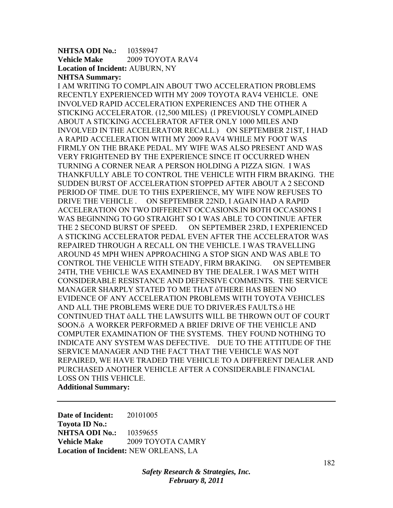## **NHTSA ODI No.:** 10358947 **Vehicle Make** 2009 TOYOTA RAV4 **Location of Incident:** AUBURN, NY **NHTSA Summary:**

I AM WRITING TO COMPLAIN ABOUT TWO ACCELERATION PROBLEMS RECENTLY EXPERIENCED WITH MY 2009 TOYOTA RAV4 VEHICLE. ONE INVOLVED RAPID ACCELERATION EXPERIENCES AND THE OTHER A STICKING ACCELERATOR. (12,500 MILES) (I PREVIOUSLY COMPLAINED ABOUT A STICKING ACCELERATOR AFTER ONLY 1000 MILES AND INVOLVED IN THE ACCELERATOR RECALL.) ON SEPTEMBER 21ST, I HAD A RAPID ACCELERATION WITH MY 2009 RAV4 WHILE MY FOOT WAS FIRMLY ON THE BRAKE PEDAL. MY WIFE WAS ALSO PRESENT AND WAS VERY FRIGHTENED BY THE EXPERIENCE SINCE IT OCCURRED WHEN TURNING A CORNER NEAR A PERSON HOLDING A PIZZA SIGN. I WAS THANKFULLY ABLE TO CONTROL THE VEHICLE WITH FIRM BRAKING. THE SUDDEN BURST OF ACCELERATION STOPPED AFTER ABOUT A 2 SECOND PERIOD OF TIME. DUE TO THIS EXPERIENCE, MY WIFE NOW REFUSES TO DRIVE THE VEHICLE . ON SEPTEMBER 22ND, I AGAIN HAD A RAPID ACCELERATION ON TWO DIFFERENT OCCASIONS.IN BOTH OCCASIONS I WAS BEGINNING TO GO STRAIGHT SO I WAS ABLE TO CONTINUE AFTER THE 2 SECOND BURST OF SPEED. ON SEPTEMBER 23RD, I EXPERIENCED A STICKING ACCELERATOR PEDAL EVEN AFTER THE ACCELERATOR WAS REPAIRED THROUGH A RECALL ON THE VEHICLE. I WAS TRAVELLING AROUND 45 MPH WHEN APPROACHING A STOP SIGN AND WAS ABLE TO CONTROL THE VEHICLE WITH STEADY, FIRM BRAKING. ON SEPTEMBER 24TH, THE VEHICLE WAS EXAMINED BY THE DEALER. I WAS MET WITH CONSIDERABLE RESISTANCE AND DEFENSIVE COMMENTS. THE SERVICE MANAGER SHARPLY STATED TO ME THAT ôTHERE HAS BEEN NO EVIDENCE OF ANY ACCELERATION PROBLEMS WITH TOYOTA VEHICLES AND ALL THE PROBLEMS WERE DUE TO DRIVERÆS FAULTS.ö HE CONTINUED THAT ôALL THE LAWSUITS WILL BE THROWN OUT OF COURT SOON.ö A WORKER PERFORMED A BRIEF DRIVE OF THE VEHICLE AND COMPUTER EXAMINATION OF THE SYSTEMS. THEY FOUND NOTHING TO INDICATE ANY SYSTEM WAS DEFECTIVE. DUE TO THE ATTITUDE OF THE SERVICE MANAGER AND THE FACT THAT THE VEHICLE WAS NOT REPAIRED, WE HAVE TRADED THE VEHICLE TO A DIFFERENT DEALER AND PURCHASED ANOTHER VEHICLE AFTER A CONSIDERABLE FINANCIAL LOSS ON THIS VEHICLE. **Additional Summary:** 

**Date of Incident:** 20101005 **Toyota ID No.: NHTSA ODI No.:** 10359655 **Vehicle Make** 2009 TOYOTA CAMRY **Location of Incident:** NEW ORLEANS, LA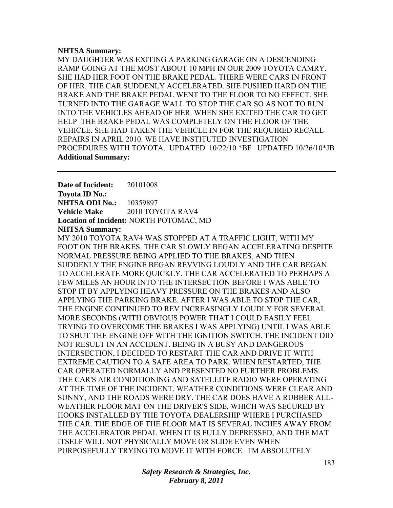## **NHTSA Summary:**

MY DAUGHTER WAS EXITING A PARKING GARAGE ON A DESCENDING RAMP GOING AT THE MOST ABOUT 10 MPH IN OUR 2009 TOYOTA CAMRY. SHE HAD HER FOOT ON THE BRAKE PEDAL. THERE WERE CARS IN FRONT OF HER. THE CAR SUDDENLY ACCELERATED. SHE PUSHED HARD ON THE BRAKE AND THE BRAKE PEDAL WENT TO THE FLOOR TO NO EFFECT. SHE TURNED INTO THE GARAGE WALL TO STOP THE CAR SO AS NOT TO RUN INTO THE VEHICLES AHEAD OF HER. WHEN SHE EXITED THE CAR TO GET HELP THE BRAKE PEDAL WAS COMPLETELY ON THE FLOOR OF THE VEHICLE. SHE HAD TAKEN THE VEHICLE IN FOR THE REQUIRED RECALL REPAIRS IN APRIL 2010. WE HAVE INSTITUTED INVESTIGATION PROCEDURES WITH TOYOTA. UPDATED 10/22/10 \*BF UPDATED 10/26/10\*JB **Additional Summary:** 

**Date of Incident:** 20101008 **Toyota ID No.: NHTSA ODI No.:** 10359897 **Vehicle Make** 2010 TOYOTA RAV4 **Location of Incident:** NORTH POTOMAC, MD **NHTSA Summary:** 

MY 2010 TOYOTA RAV4 WAS STOPPED AT A TRAFFIC LIGHT, WITH MY FOOT ON THE BRAKES. THE CAR SLOWLY BEGAN ACCELERATING DESPITE NORMAL PRESSURE BEING APPLIED TO THE BRAKES, AND THEN SUDDENLY THE ENGINE BEGAN REVVING LOUDLY AND THE CAR BEGAN TO ACCELERATE MORE QUICKLY. THE CAR ACCELERATED TO PERHAPS A FEW MILES AN HOUR INTO THE INTERSECTION BEFORE I WAS ABLE TO STOP IT BY APPLYING HEAVY PRESSURE ON THE BRAKES AND ALSO APPLYING THE PARKING BRAKE. AFTER I WAS ABLE TO STOP THE CAR, THE ENGINE CONTINUED TO REV INCREASINGLY LOUDLY FOR SEVERAL MORE SECONDS (WITH OBVIOUS POWER THAT I COULD EASILY FEEL TRYING TO OVERCOME THE BRAKES I WAS APPLYING) UNTIL I WAS ABLE TO SHUT THE ENGINE OFF WITH THE IGNITION SWITCH. THE INCIDENT DID NOT RESULT IN AN ACCIDENT. BEING IN A BUSY AND DANGEROUS INTERSECTION, I DECIDED TO RESTART THE CAR AND DRIVE IT WITH EXTREME CAUTION TO A SAFE AREA TO PARK. WHEN RESTARTED, THE CAR OPERATED NORMALLY AND PRESENTED NO FURTHER PROBLEMS. THE CAR'S AIR CONDITIONING AND SATELLITE RADIO WERE OPERATING AT THE TIME OF THE INCIDENT. WEATHER CONDITIONS WERE CLEAR AND SUNNY, AND THE ROADS WERE DRY. THE CAR DOES HAVE A RUBBER ALL-WEATHER FLOOR MAT ON THE DRIVER'S SIDE, WHICH WAS SECURED BY HOOKS INSTALLED BY THE TOYOTA DEALERSHIP WHERE I PURCHASED THE CAR. THE EDGE OF THE FLOOR MAT IS SEVERAL INCHES AWAY FROM THE ACCELERATOR PEDAL WHEN IT IS FULLY DEPRESSED, AND THE MAT ITSELF WILL NOT PHYSICALLY MOVE OR SLIDE EVEN WHEN PURPOSEFULLY TRYING TO MOVE IT WITH FORCE. I'M ABSOLUTELY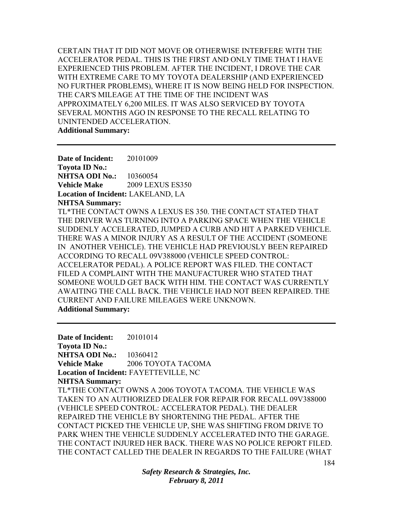CERTAIN THAT IT DID NOT MOVE OR OTHERWISE INTERFERE WITH THE ACCELERATOR PEDAL. THIS IS THE FIRST AND ONLY TIME THAT I HAVE EXPERIENCED THIS PROBLEM. AFTER THE INCIDENT, I DROVE THE CAR WITH EXTREME CARE TO MY TOYOTA DEALERSHIP (AND EXPERIENCED NO FURTHER PROBLEMS), WHERE IT IS NOW BEING HELD FOR INSPECTION. THE CAR'S MILEAGE AT THE TIME OF THE INCIDENT WAS APPROXIMATELY 6,200 MILES. IT WAS ALSO SERVICED BY TOYOTA SEVERAL MONTHS AGO IN RESPONSE TO THE RECALL RELATING TO UNINTENDED ACCELERATION. **Additional Summary:** 

**Date of Incident:** 20101009 **Toyota ID No.: NHTSA ODI No.:** 10360054 **Vehicle Make** 2009 LEXUS ES350 **Location of Incident:** LAKELAND, LA **NHTSA Summary:**  TL\*THE CONTACT OWNS A LEXUS ES 350. THE CONTACT STATED THAT THE DRIVER WAS TURNING INTO A PARKING SPACE WHEN THE VEHICLE SUDDENLY ACCELERATED, JUMPED A CURB AND HIT A PARKED VEHICLE. THERE WAS A MINOR INJURY AS A RESULT OF THE ACCIDENT (SOMEONE IN ANOTHER VEHICLE). THE VEHICLE HAD PREVIOUSLY BEEN REPAIRED ACCORDING TO RECALL 09V388000 (VEHICLE SPEED CONTROL: ACCELERATOR PEDAL). A POLICE REPORT WAS FILED. THE CONTACT FILED A COMPLAINT WITH THE MANUFACTURER WHO STATED THAT SOMEONE WOULD GET BACK WITH HIM. THE CONTACT WAS CURRENTLY AWAITING THE CALL BACK. THE VEHICLE HAD NOT BEEN REPAIRED. THE CURRENT AND FAILURE MILEAGES WERE UNKNOWN. **Additional Summary:** 

**Date of Incident:** 20101014 **Toyota ID No.: NHTSA ODI No.:** 10360412 **Vehicle Make** 2006 TOYOTA TACOMA **Location of Incident:** FAYETTEVILLE, NC **NHTSA Summary:**  TL\*THE CONTACT OWNS A 2006 TOYOTA TACOMA. THE VEHICLE WAS TAKEN TO AN AUTHORIZED DEALER FOR REPAIR FOR RECALL 09V388000 (VEHICLE SPEED CONTROL: ACCELERATOR PEDAL). THE DEALER REPAIRED THE VEHICLE BY SHORTENING THE PEDAL. AFTER THE CONTACT PICKED THE VEHICLE UP, SHE WAS SHIFTING FROM DRIVE TO PARK WHEN THE VEHICLE SUDDENLY ACCELERATED INTO THE GARAGE. THE CONTACT INJURED HER BACK. THERE WAS NO POLICE REPORT FILED. THE CONTACT CALLED THE DEALER IN REGARDS TO THE FAILURE (WHAT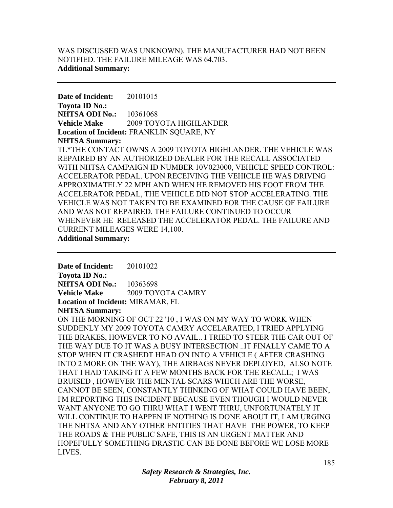## WAS DISCUSSED WAS UNKNOWN). THE MANUFACTURER HAD NOT BEEN NOTIFIED. THE FAILURE MILEAGE WAS 64,703. **Additional Summary:**

**Date of Incident:** 20101015 **Toyota ID No.: NHTSA ODI No.:** 10361068 **Vehicle Make** 2009 TOYOTA HIGHLANDER **Location of Incident:** FRANKLIN SQUARE, NY **NHTSA Summary:**  TL\*THE CONTACT OWNS A 2009 TOYOTA HIGHLANDER. THE VEHICLE WAS REPAIRED BY AN AUTHORIZED DEALER FOR THE RECALL ASSOCIATED WITH NHTSA CAMPAIGN ID NUMBER 10V023000, VEHICLE SPEED CONTROL: ACCELERATOR PEDAL. UPON RECEIVING THE VEHICLE HE WAS DRIVING APPROXIMATELY 22 MPH AND WHEN HE REMOVED HIS FOOT FROM THE ACCELERATOR PEDAL, THE VEHICLE DID NOT STOP ACCELERATING. THE VEHICLE WAS NOT TAKEN TO BE EXAMINED FOR THE CAUSE OF FAILURE AND WAS NOT REPAIRED. THE FAILURE CONTINUED TO OCCUR WHENEVER HE RELEASED THE ACCELERATOR PEDAL. THE FAILURE AND CURRENT MILEAGES WERE 14,100. **Additional Summary:** 

**Date of Incident:** 20101022 **Toyota ID No.: NHTSA ODI No.:** 10363698 **Vehicle Make** 2009 TOYOTA CAMRY **Location of Incident:** MIRAMAR, FL **NHTSA Summary:** 

ON THE MORNING OF OCT 22 '10 , I WAS ON MY WAY TO WORK WHEN SUDDENLY MY 2009 TOYOTA CAMRY ACCELARATED, I TRIED APPLYING THE BRAKES, HOWEVER TO NO AVAIL.. I TRIED TO STEER THE CAR OUT OF THE WAY DUE TO IT WAS A BUSY INTERSECTION ..IT FINALLY CAME TO A STOP WHEN IT CRASHEDT HEAD ON INTO A VEHICLE ( AFTER CRASHING INTO 2 MORE ON THE WAY), THE AIRBAGS NEVER DEPLOYED, ALSO NOTE THAT I HAD TAKING IT A FEW MONTHS BACK FOR THE RECALL; I WAS BRUISED , HOWEVER THE MENTAL SCARS WHICH ARE THE WORSE, CANNOT BE SEEN, CONSTANTLY THINKING OF WHAT COULD HAVE BEEN, I'M REPORTING THIS INCIDENT BECAUSE EVEN THOUGH I WOULD NEVER WANT ANYONE TO GO THRU WHAT I WENT THRU, UNFORTUNATELY IT WILL CONTINUE TO HAPPEN IF NOTHING IS DONE ABOUT IT, I AM URGING THE NHTSA AND ANY OTHER ENTITIES THAT HAVE THE POWER, TO KEEP THE ROADS & THE PUBLIC SAFE, THIS IS AN URGENT MATTER AND HOPEFULLY SOMETHING DRASTIC CAN BE DONE BEFORE WE LOSE MORE LIVES.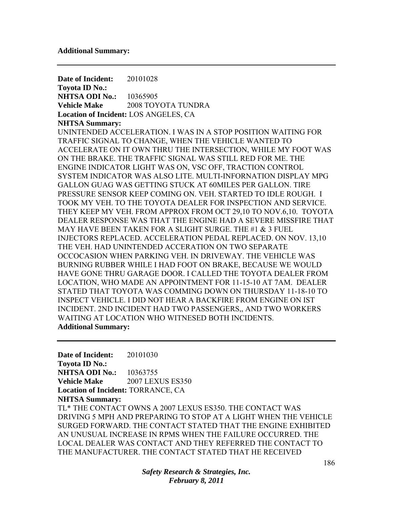**Date of Incident:** 20101028 **Toyota ID No.: NHTSA ODI No.:** 10365905 **Vehicle Make** 2008 TOYOTA TUNDRA **Location of Incident:** LOS ANGELES, CA **NHTSA Summary:**  UNINTENDED ACCELERATION. I WAS IN A STOP POSITION WAITING FOR TRAFFIC SIGNAL TO CHANGE, WHEN THE VEHICLE WANTED TO ACCELERATE ON IT OWN THRU THE INTERSECTION, WHILE MY FOOT WAS ON THE BRAKE. THE TRAFFIC SIGNAL WAS STILL RED FOR ME. THE ENGINE INDICATOR LIGHT WAS ON, VSC OFF, TRACTION CONTROL SYSTEM INDICATOR WAS ALSO LITE. MULTI-INFORNATION DISPLAY MPG GALLON GUAG WAS GETTING STUCK AT 60MILES PER GALLON. TIRE PRESSURE SENSOR KEEP COMING ON. VEH. STARTED TO IDLE ROUGH. I TOOK MY VEH. TO THE TOYOTA DEALER FOR INSPECTION AND SERVICE. THEY KEEP MY VEH. FROM APPROX FROM OCT 29,10 TO NOV.6,10. TOYOTA DEALER RESPONSE WAS THAT THE ENGINE HAD A SEVERE MISSFIRE THAT MAY HAVE BEEN TAKEN FOR A SLIGHT SURGE. THE #1 & 3 FUEL INJECTORS REPLACED. ACCELERATION PEDAL REPLACED. ON NOV. 13,10 THE VEH. HAD UNINTENDED ACCERATION ON TWO SEPARATE OCCOCASION WHEN PARKING VEH. IN DRIVEWAY. THE VEHICLE WAS BURNING RUBBER WHILE I HAD FOOT ON BRAKE, BECAUSE WE WOULD HAVE GONE THRU GARAGE DOOR. I CALLED THE TOYOTA DEALER FROM LOCATION, WHO MADE AN APPOINTMENT FOR 11-15-10 AT 7AM. DEALER STATED THAT TOYOTA WAS COMMING DOWN ON THURSDAY 11-18-10 TO INSPECT VEHICLE. I DID NOT HEAR A BACKFIRE FROM ENGINE ON IST INCIDENT. 2ND INCIDENT HAD TWO PASSENGERS,, AND TWO WORKERS WAITING AT LOCATION WHO WITNESED BOTH INCIDENTS. **Additional Summary:** 

**Date of Incident:** 20101030 **Toyota ID No.: NHTSA ODI No.:** 10363755 **Vehicle Make** 2007 LEXUS ES350 **Location of Incident:** TORRANCE, CA **NHTSA Summary:**  TL\* THE CONTACT OWNS A 2007 LEXUS ES350. THE CONTACT WAS DRIVING 5 MPH AND PREPARING TO STOP AT A LIGHT WHEN THE VEHICLE SURGED FORWARD. THE CONTACT STATED THAT THE ENGINE EXHIBITED AN UNUSUAL INCREASE IN RPMS WHEN THE FAILURE OCCURRED. THE LOCAL DEALER WAS CONTACT AND THEY REFERRED THE CONTACT TO THE MANUFACTURER. THE CONTACT STATED THAT HE RECEIVED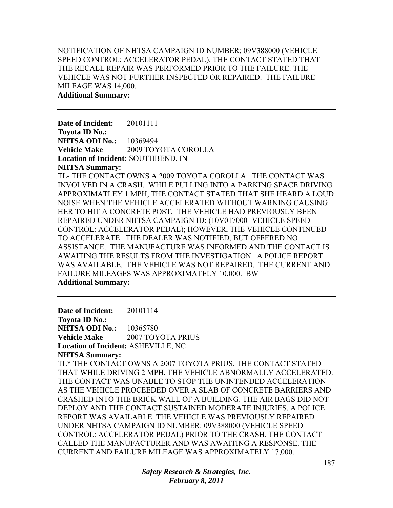NOTIFICATION OF NHTSA CAMPAIGN ID NUMBER: 09V388000 (VEHICLE SPEED CONTROL: ACCELERATOR PEDAL). THE CONTACT STATED THAT THE RECALL REPAIR WAS PERFORMED PRIOR TO THE FAILURE. THE VEHICLE WAS NOT FURTHER INSPECTED OR REPAIRED. THE FAILURE MILEAGE WAS 14,000. **Additional Summary:** 

**Date of Incident:** 20101111 **Toyota ID No.: NHTSA ODI No.:** 10369494 **Vehicle Make** 2009 TOYOTA COROLLA **Location of Incident:** SOUTHBEND, IN **NHTSA Summary:** 

TL- THE CONTACT OWNS A 2009 TOYOTA COROLLA. THE CONTACT WAS INVOLVED IN A CRASH. WHILE PULLING INTO A PARKING SPACE DRIVING APPROXIMATLEY 1 MPH, THE CONTACT STATED THAT SHE HEARD A LOUD NOISE WHEN THE VEHICLE ACCELERATED WITHOUT WARNING CAUSING HER TO HIT A CONCRETE POST. THE VEHICLE HAD PREVIOUSLY BEEN REPAIRED UNDER NHTSA CAMPAIGN ID: (10V017000 -VEHICLE SPEED CONTROL: ACCELERATOR PEDAL); HOWEVER, THE VEHICLE CONTINUED TO ACCELERATE. THE DEALER WAS NOTIFIED, BUT OFFERED NO ASSISTANCE. THE MANUFACTURE WAS INFORMED AND THE CONTACT IS AWAITING THE RESULTS FROM THE INVESTIGATION. A POLICE REPORT WAS AVAILABLE. THE VEHICLE WAS NOT REPAIRED. THE CURRENT AND FAILURE MILEAGES WAS APPROXIMATELY 10,000. BW **Additional Summary:** 

**Date of Incident:** 20101114 **Toyota ID No.: NHTSA ODI No.:** 10365780 **Vehicle Make** 2007 TOYOTA PRIUS **Location of Incident:** ASHEVILLE, NC **NHTSA Summary:**  TL\* THE CONTACT OWNS A 2007 TOYOTA PRIUS. THE CONTACT STATED THAT WHILE DRIVING 2 MPH, THE VEHICLE ABNORMALLY ACCELERATED. THE CONTACT WAS UNABLE TO STOP THE UNINTENDED ACCELERATION AS THE VEHICLE PROCEEDED OVER A SLAB OF CONCRETE BARRIERS AND CRASHED INTO THE BRICK WALL OF A BUILDING. THE AIR BAGS DID NOT DEPLOY AND THE CONTACT SUSTAINED MODERATE INJURIES. A POLICE REPORT WAS AVAILABLE. THE VEHICLE WAS PREVIOUSLY REPAIRED UNDER NHTSA CAMPAIGN ID NUMBER: 09V388000 (VEHICLE SPEED CONTROL: ACCELERATOR PEDAL) PRIOR TO THE CRASH. THE CONTACT CALLED THE MANUFACTURER AND WAS AWAITING A RESPONSE. THE CURRENT AND FAILURE MILEAGE WAS APPROXIMATELY 17,000.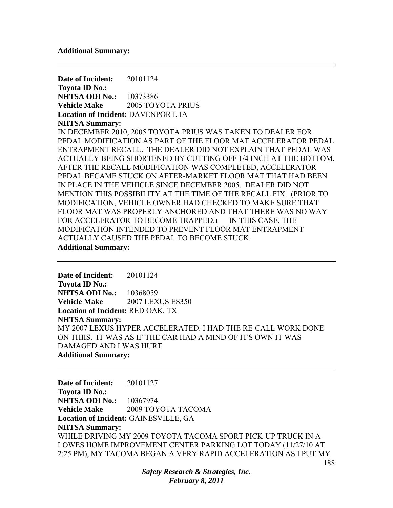**Date of Incident:** 20101124 **Toyota ID No.: NHTSA ODI No.:** 10373386 **Vehicle Make** 2005 TOYOTA PRIUS **Location of Incident:** DAVENPORT, IA **NHTSA Summary:**  IN DECEMBER 2010, 2005 TOYOTA PRIUS WAS TAKEN TO DEALER FOR PEDAL MODIFICATION AS PART OF THE FLOOR MAT ACCELERATOR PEDAL ENTRAPMENT RECALL. THE DEALER DID NOT EXPLAIN THAT PEDAL WAS ACTUALLY BEING SHORTENED BY CUTTING OFF 1/4 INCH AT THE BOTTOM. AFTER THE RECALL MODIFICATION WAS COMPLETED, ACCELERATOR PEDAL BECAME STUCK ON AFTER-MARKET FLOOR MAT THAT HAD BEEN IN PLACE IN THE VEHICLE SINCE DECEMBER 2005. DEALER DID NOT MENTION THIS POSSIBILITY AT THE TIME OF THE RECALL FIX. (PRIOR TO MODIFICATION, VEHICLE OWNER HAD CHECKED TO MAKE SURE THAT FLOOR MAT WAS PROPERLY ANCHORED AND THAT THERE WAS NO WAY FOR ACCELERATOR TO BECOME TRAPPED.) IN THIS CASE, THE MODIFICATION INTENDED TO PREVENT FLOOR MAT ENTRAPMENT ACTUALLY CAUSED THE PEDAL TO BECOME STUCK. **Additional Summary:** 

**Date of Incident:** 20101124 **Toyota ID No.: NHTSA ODI No.:** 10368059 **Vehicle Make** 2007 LEXUS ES350 **Location of Incident:** RED OAK, TX **NHTSA Summary:**  MY 2007 LEXUS HYPER ACCELERATED. I HAD THE RE-CALL WORK DONE ON THIIS. IT WAS AS IF THE CAR HAD A MIND OF IT'S OWN IT WAS DAMAGED AND I WAS HURT **Additional Summary:** 

**Date of Incident:** 20101127 **Toyota ID No.: NHTSA ODI No.:** 10367974 **Vehicle Make** 2009 TOYOTA TACOMA **Location of Incident:** GAINESVILLE, GA **NHTSA Summary:**  WHILE DRIVING MY 2009 TOYOTA TACOMA SPORT PICK-UP TRUCK IN A LOWES HOME IMPROVEMENT CENTER PARKING LOT TODAY (11/27/10 AT 2:25 PM), MY TACOMA BEGAN A VERY RAPID ACCELERATION AS I PUT MY

> *Safety Research & Strategies, Inc. February 8, 2011*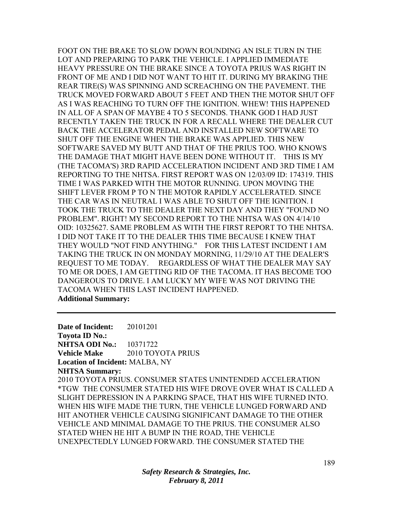FOOT ON THE BRAKE TO SLOW DOWN ROUNDING AN ISLE TURN IN THE LOT AND PREPARING TO PARK THE VEHICLE. I APPLIED IMMEDIATE HEAVY PRESSURE ON THE BRAKE SINCE A TOYOTA PRIUS WAS RIGHT IN FRONT OF ME AND I DID NOT WANT TO HIT IT. DURING MY BRAKING THE REAR TIRE(S) WAS SPINNING AND SCREACHING ON THE PAVEMENT. THE TRUCK MOVED FORWARD ABOUT 5 FEET AND THEN THE MOTOR SHUT OFF AS I WAS REACHING TO TURN OFF THE IGNITION. WHEW! THIS HAPPENED IN ALL OF A SPAN OF MAYBE 4 TO 5 SECONDS. THANK GOD I HAD JUST RECENTLY TAKEN THE TRUCK IN FOR A RECALL WHERE THE DEALER CUT BACK THE ACCELERATOR PEDAL AND INSTALLED NEW SOFTWARE TO SHUT OFF THE ENGINE WHEN THE BRAKE WAS APPLIED. THIS NEW SOFTWARE SAVED MY BUTT AND THAT OF THE PRIUS TOO. WHO KNOWS THE DAMAGE THAT MIGHT HAVE BEEN DONE WITHOUT IT. THIS IS MY (THE TACOMA'S) 3RD RAPID ACCELERATION INCIDENT AND 3RD TIME I AM REPORTING TO THE NHTSA. FIRST REPORT WAS ON 12/03/09 ID: 174319. THIS TIME I WAS PARKED WITH THE MOTOR RUNNING. UPON MOVING THE SHIFT LEVER FROM P TO N THE MOTOR RAPIDLY ACCELERATED. SINCE THE CAR WAS IN NEUTRAL I WAS ABLE TO SHUT OFF THE IGNITION. I TOOK THE TRUCK TO THE DEALER THE NEXT DAY AND THEY "FOUND NO PROBLEM". RIGHT! MY SECOND REPORT TO THE NHTSA WAS ON 4/14/10 OID: 10325627. SAME PROBLEM AS WITH THE FIRST REPORT TO THE NHTSA. I DID NOT TAKE IT TO THE DEALER THIS TIME BECAUSE I KNEW THAT THEY WOULD "NOT FIND ANYTHING." FOR THIS LATEST INCIDENT I AM TAKING THE TRUCK IN ON MONDAY MORNING, 11/29/10 AT THE DEALER'S REQUEST TO ME TODAY. REGARDLESS OF WHAT THE DEALER MAY SAY TO ME OR DOES, I AM GETTING RID OF THE TACOMA. IT HAS BECOME TOO DANGEROUS TO DRIVE. I AM LUCKY MY WIFE WAS NOT DRIVING THE TACOMA WHEN THIS LAST INCIDENT HAPPENED. **Additional Summary:** 

**Date of Incident:** 20101201 **Toyota ID No.: NHTSA ODI No.:** 10371722 **Vehicle Make** 2010 TOYOTA PRIUS **Location of Incident:** MALBA, NY **NHTSA Summary:**  2010 TOYOTA PRIUS. CONSUMER STATES UNINTENDED ACCELERATION \*TGW THE CONSUMER STATED HIS WIFE DROVE OVER WHAT IS CALLED A SLIGHT DEPRESSION IN A PARKING SPACE, THAT HIS WIFE TURNED INTO. WHEN HIS WIFE MADE THE TURN, THE VEHICLE LUNGED FORWARD AND HIT ANOTHER VEHICLE CAUSING SIGNIFICANT DAMAGE TO THE OTHER VEHICLE AND MINIMAL DAMAGE TO THE PRIUS. THE CONSUMER ALSO STATED WHEN HE HIT A BUMP IN THE ROAD, THE VEHICLE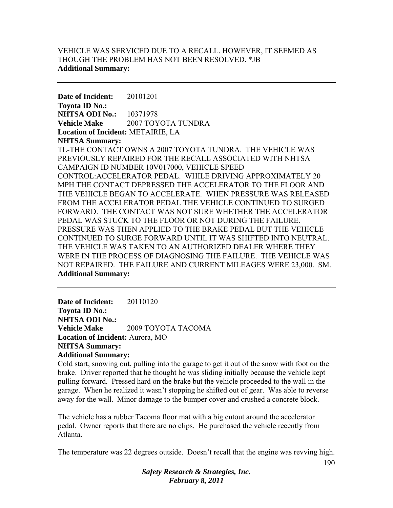## VEHICLE WAS SERVICED DUE TO A RECALL. HOWEVER, IT SEEMED AS THOUGH THE PROBLEM HAS NOT BEEN RESOLVED. \*JB **Additional Summary:**

**Date of Incident:** 20101201 **Toyota ID No.: NHTSA ODI No.:** 10371978 **Vehicle Make** 2007 TOYOTA TUNDRA **Location of Incident:** METAIRIE, LA **NHTSA Summary:**  TL-THE CONTACT OWNS A 2007 TOYOTA TUNDRA. THE VEHICLE WAS PREVIOUSLY REPAIRED FOR THE RECALL ASSOCIATED WITH NHTSA CAMPAIGN ID NUMBER 10V017000, VEHICLE SPEED CONTROL:ACCELERATOR PEDAL. WHILE DRIVING APPROXIMATELY 20 MPH THE CONTACT DEPRESSED THE ACCELERATOR TO THE FLOOR AND THE VEHICLE BEGAN TO ACCELERATE. WHEN PRESSURE WAS RELEASED FROM THE ACCELERATOR PEDAL THE VEHICLE CONTINUED TO SURGED FORWARD. THE CONTACT WAS NOT SURE WHETHER THE ACCELERATOR PEDAL WAS STUCK TO THE FLOOR OR NOT DURING THE FAILURE. PRESSURE WAS THEN APPLIED TO THE BRAKE PEDAL BUT THE VEHICLE CONTINUED TO SURGE FORWARD UNTIL IT WAS SHIFTED INTO NEUTRAL. THE VEHICLE WAS TAKEN TO AN AUTHORIZED DEALER WHERE THEY WERE IN THE PROCESS OF DIAGNOSING THE FAILURE. THE VEHICLE WAS NOT REPAIRED. THE FAILURE AND CURRENT MILEAGES WERE 23,000. SM. **Additional Summary:** 

**Date of Incident:** 20110120 **Toyota ID No.: NHTSA ODI No.: Vehicle Make** 2009 TOYOTA TACOMA **Location of Incident:** Aurora, MO **NHTSA Summary: Additional Summary:** 

Cold start, snowing out, pulling into the garage to get it out of the snow with foot on the brake. Driver reported that he thought he was sliding initially because the vehicle kept pulling forward. Pressed hard on the brake but the vehicle proceeded to the wall in the garage. When he realized it wasn't stopping he shifted out of gear. Was able to reverse away for the wall. Minor damage to the bumper cover and crushed a concrete block.

The vehicle has a rubber Tacoma floor mat with a big cutout around the accelerator pedal. Owner reports that there are no clips. He purchased the vehicle recently from Atlanta.

The temperature was 22 degrees outside. Doesn't recall that the engine was revving high.

*Safety Research & Strategies, Inc. February 8, 2011*